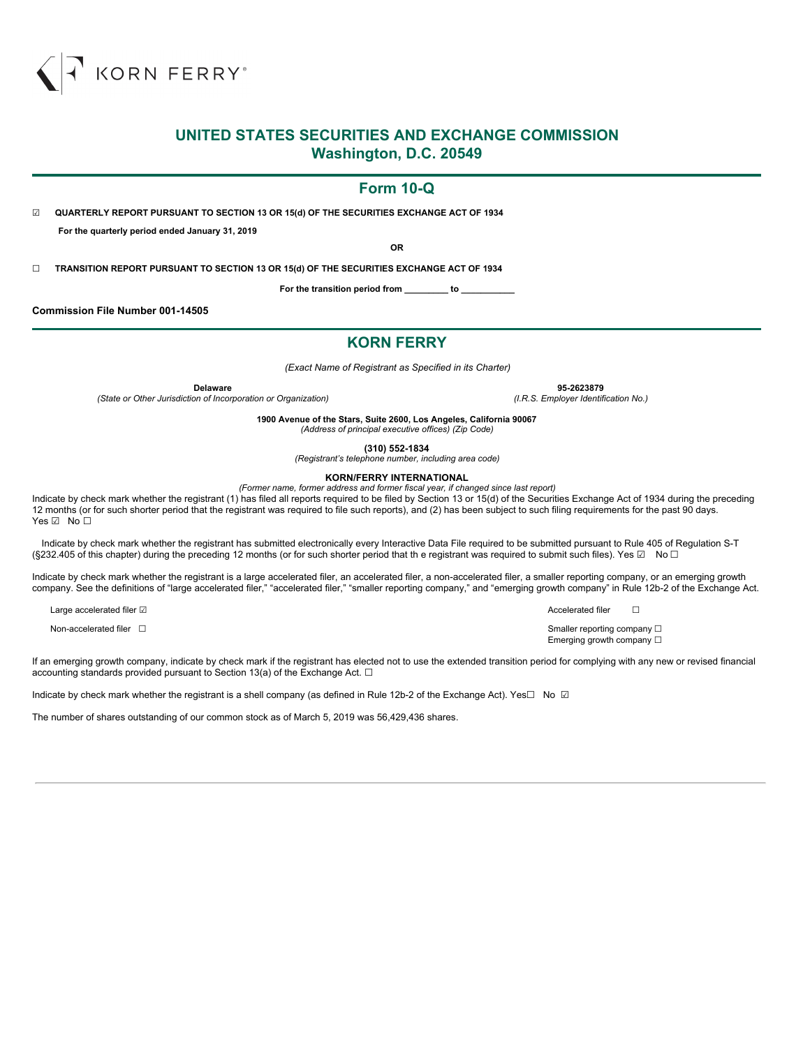

# **UNITED STATES SECURITIES AND EXCHANGE COMMISSION Washington, D.C. 20549**

# **Form 10-Q**

☑ **QUARTERLY REPORT PURSUANT TO SECTION 13 OR 15(d) OF THE SECURITIES EXCHANGE ACT OF 1934 For the quarterly period ended January 31, 2019**

**OR**

☐ **TRANSITION REPORT PURSUANT TO SECTION 13 OR 15(d) OF THE SECURITIES EXCHANGE ACT OF 1934**

**For the transition period from \_\_\_\_\_\_\_\_\_ to \_\_\_\_\_\_\_\_\_\_\_**

**Commission File Number 001-14505**

# **KORN FERRY**

*(Exact Name of Registrant as Specified in its Charter)*

*(State or Other Jurisdiction of Incorporation or Organization) (I.R.S. Employer Identification No.)*

**Delaware 95-2623879**

**1900 Avenue of the Stars, Suite 2600, Los Angeles, California 90067** *(Address of principal executive offices) (Zip Code)*

**(310) 552-1834**

*(Registrant's telephone number, including area code)*

#### **KORN/FERRY INTERNATIONAL**

*(Former name, former address and former fiscal year, if changed since last report)*

Indicate by check mark whether the registrant (1) has filed all reports required to be filed by Section 13 or 15(d) of the Securities Exchange Act of 1934 during the preceding 12 months (or for such shorter period that the registrant was required to file such reports), and (2) has been subject to such filing requirements for the past 90 days. Yes <del>☑</del> No <del>□</del>

Indicate by check mark whether the registrant has submitted electronically every Interactive Data File required to be submitted pursuant to Rule 405 of Regulation S-T (§232.405 of this chapter) during the preceding 12 months (or for such shorter period that th e registrant was required to submit such files). Yes ☑ No □

Indicate by check mark whether the registrant is a large accelerated filer, an accelerated filer, a non-accelerated filer, a smaller reporting company, or an emerging growth company. See the definitions of "large accelerated filer," "accelerated filer," "smaller reporting company," and "emerging growth company" in Rule 12b-2 of the Exchange Act.

Large accelerated filer □ △ Accelerated filer □ △ Accelerated filer □ △ Accelerated filer □

Non-accelerated filer <del>□</del> Smaller reporting company □

Emerging growth company  $\Box$ 

If an emerging growth company, indicate by check mark if the registrant has elected not to use the extended transition period for complying with any new or revised financial accounting standards provided pursuant to Section 13(a) of the Exchange Act.  $\square$ 

Indicate by check mark whether the registrant is a shell company (as defined in Rule 12b-2 of the Exchange Act). Yes□ No □

The number of shares outstanding of our common stock as of March 5, 2019 was 56,429,436 shares.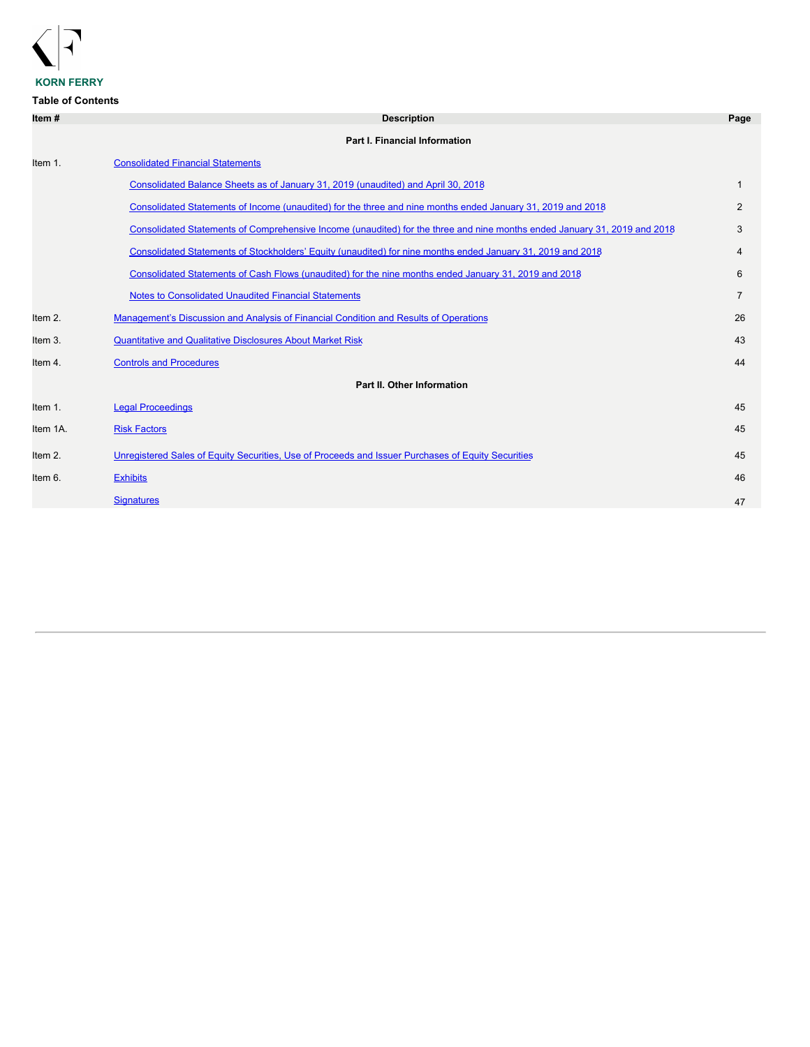

# **KORN FERRY**

### **Table of Contents**

| Item #   | <b>Description</b>                                                                                                        | Page |
|----------|---------------------------------------------------------------------------------------------------------------------------|------|
|          | <b>Part I. Financial Information</b>                                                                                      |      |
| Item 1.  | <b>Consolidated Financial Statements</b>                                                                                  |      |
|          | Consolidated Balance Sheets as of January 31, 2019 (unaudited) and April 30, 2018                                         |      |
|          | Consolidated Statements of Income (unaudited) for the three and nine months ended January 31, 2019 and 2018               | 2    |
|          | Consolidated Statements of Comprehensive Income (unaudited) for the three and nine months ended January 31, 2019 and 2018 | 3    |
|          | Consolidated Statements of Stockholders' Equity (unaudited) for nine months ended January 31, 2019 and 2018               | 4    |
|          | Consolidated Statements of Cash Flows (unaudited) for the nine months ended January 31, 2019 and 2018                     | 6    |
|          | <b>Notes to Consolidated Unaudited Financial Statements</b>                                                               |      |
| Item 2.  | Management's Discussion and Analysis of Financial Condition and Results of Operations                                     | 26   |
| Item 3.  | <b>Quantitative and Qualitative Disclosures About Market Risk</b>                                                         | 43   |
| Item 4.  | <b>Controls and Procedures</b>                                                                                            | 44   |
|          | Part II. Other Information                                                                                                |      |
| Item 1.  | <b>Legal Proceedings</b>                                                                                                  | 45   |
| Item 1A. | <b>Risk Factors</b>                                                                                                       | 45   |
| Item 2.  | Unregistered Sales of Equity Securities, Use of Proceeds and Issuer Purchases of Equity Securities                        | 45   |
| Item 6.  | <b>Exhibits</b>                                                                                                           | 46   |
|          | <b>Signatures</b>                                                                                                         | 47   |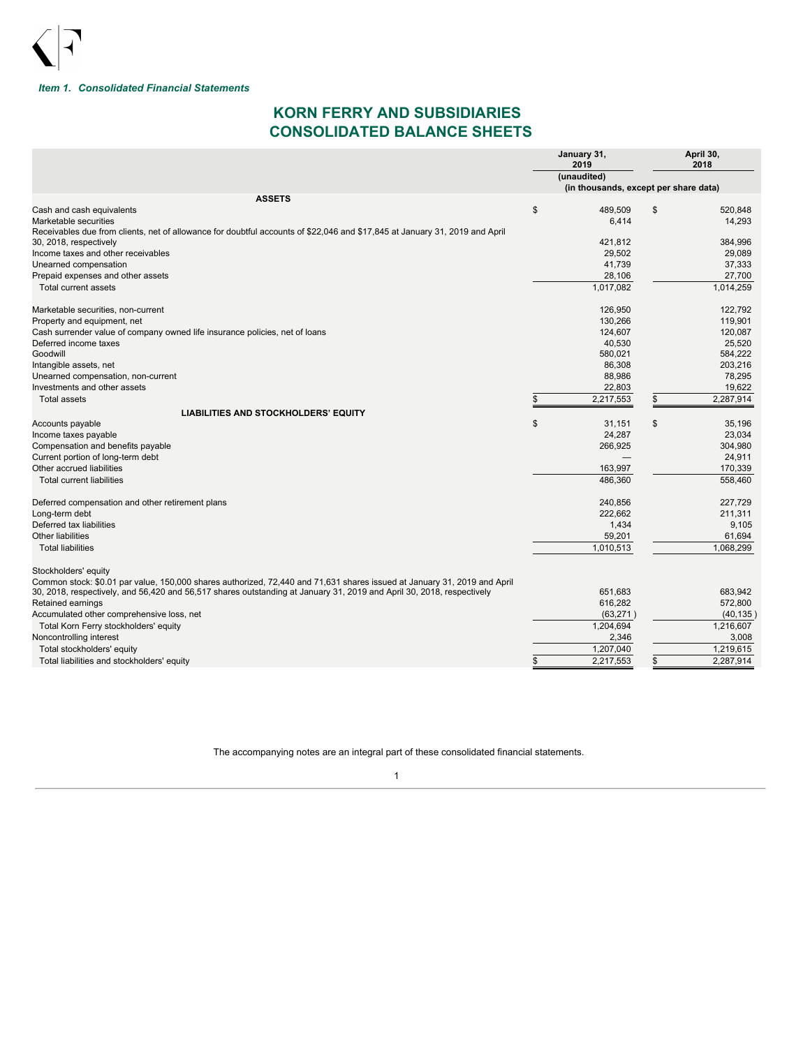

<span id="page-2-0"></span>*Item 1. Consolidated Financial Statements*

# <span id="page-2-1"></span>**KORN FERRY AND SUBSIDIARIES CONSOLIDATED BALANCE SHEETS**

|                                                                                                                             | January 31,<br>2019                   | April 30,<br>2018 |
|-----------------------------------------------------------------------------------------------------------------------------|---------------------------------------|-------------------|
|                                                                                                                             | (unaudited)                           |                   |
|                                                                                                                             | (in thousands, except per share data) |                   |
| <b>ASSETS</b>                                                                                                               |                                       |                   |
| Cash and cash equivalents                                                                                                   | \$<br>489,509                         | \$<br>520.848     |
| Marketable securities                                                                                                       | 6,414                                 | 14,293            |
| Receivables due from clients, net of allowance for doubtful accounts of \$22,046 and \$17,845 at January 31, 2019 and April |                                       |                   |
| 30, 2018, respectively                                                                                                      | 421,812                               | 384.996           |
| Income taxes and other receivables                                                                                          | 29,502                                | 29,089            |
| Unearned compensation                                                                                                       | 41,739                                | 37,333            |
| Prepaid expenses and other assets                                                                                           | 28,106                                | 27,700            |
| Total current assets                                                                                                        | 1,017,082                             | 1,014,259         |
| Marketable securities, non-current                                                                                          | 126,950                               | 122,792           |
| Property and equipment, net                                                                                                 | 130,266                               | 119,901           |
| Cash surrender value of company owned life insurance policies, net of loans                                                 | 124,607                               | 120,087           |
| Deferred income taxes                                                                                                       | 40,530                                | 25,520            |
| Goodwill                                                                                                                    | 580,021                               | 584,222           |
| Intangible assets, net                                                                                                      | 86,308                                | 203,216           |
| Unearned compensation, non-current                                                                                          | 88,986                                | 78,295            |
| Investments and other assets                                                                                                | 22,803                                | 19,622            |
| Total assets                                                                                                                | \$<br>2,217,553                       | \$<br>2,287,914   |
| <b>LIABILITIES AND STOCKHOLDERS' EQUITY</b>                                                                                 |                                       |                   |
| Accounts payable                                                                                                            | \$<br>31,151                          | \$<br>35,196      |
| Income taxes payable                                                                                                        | 24,287                                | 23,034            |
| Compensation and benefits payable                                                                                           | 266,925                               | 304,980           |
| Current portion of long-term debt                                                                                           |                                       | 24.911            |
| Other accrued liabilities                                                                                                   | 163,997                               | 170,339           |
| Total current liabilities                                                                                                   | 486,360                               | 558,460           |
| Deferred compensation and other retirement plans                                                                            | 240,856                               | 227,729           |
| Long-term debt                                                                                                              | 222,662                               | 211,311           |
| Deferred tax liabilities                                                                                                    | 1,434                                 | 9,105             |
| Other liabilities                                                                                                           | 59,201                                | 61,694            |
| <b>Total liabilities</b>                                                                                                    | 1,010,513                             | 1,068,299         |
| Stockholders' equity                                                                                                        |                                       |                   |
| Common stock: \$0.01 par value, 150,000 shares authorized, 72,440 and 71,631 shares issued at January 31, 2019 and April    |                                       |                   |
| 30, 2018, respectively, and 56,420 and 56,517 shares outstanding at January 31, 2019 and April 30, 2018, respectively       | 651,683                               | 683,942           |
| Retained earnings                                                                                                           | 616,282                               | 572,800           |
| Accumulated other comprehensive loss, net                                                                                   | (63, 271)                             | (40, 135)         |
| Total Korn Ferry stockholders' equity                                                                                       | 1,204,694                             | 1,216,607         |
| Noncontrolling interest                                                                                                     | 2,346                                 | 3,008             |
| Total stockholders' equity                                                                                                  | 1,207,040                             | 1,219,615         |
| Total liabilities and stockholders' equity                                                                                  | \$<br>2,217,553                       | \$<br>2,287,914   |

The accompanying notes are an integral part of these consolidated financial statements.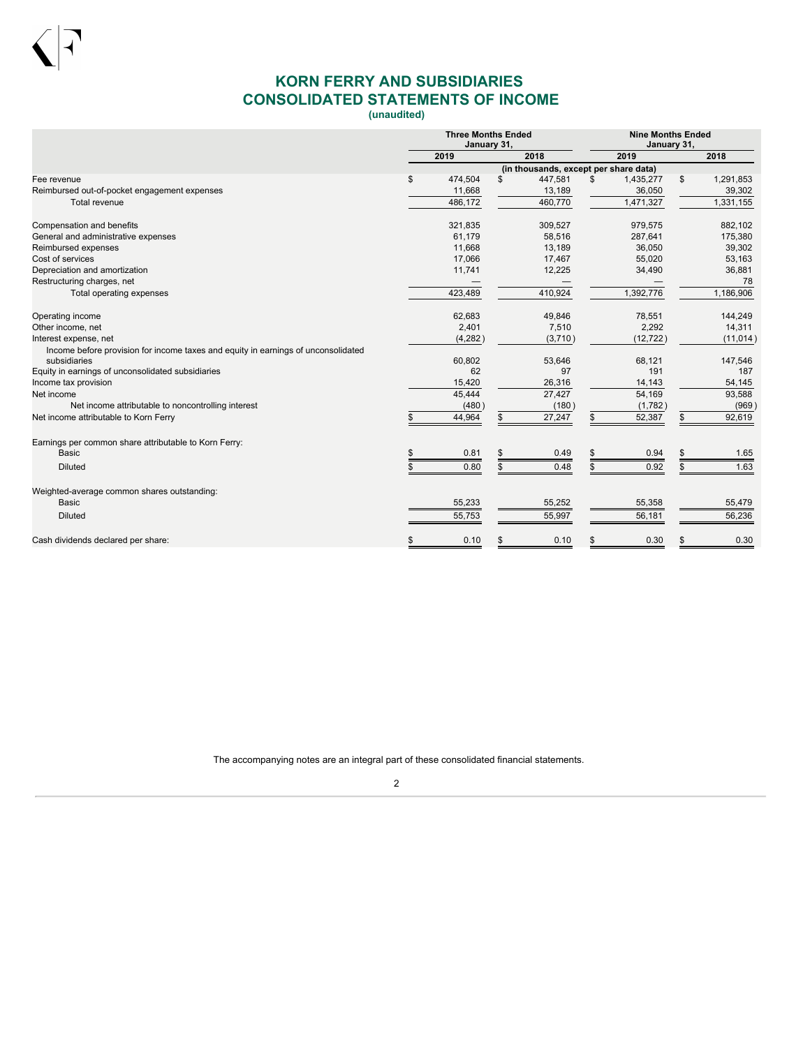

# <span id="page-3-0"></span>**KORN FERRY AND SUBSIDIARIES CONSOLIDATED STATEMENTS OF INCOME**

**(unaudited)**

|                                                                                                   |               | <b>Three Months Ended</b><br>January 31, |         |     | <b>Nine Months Ended</b><br>January 31, |                 |
|---------------------------------------------------------------------------------------------------|---------------|------------------------------------------|---------|-----|-----------------------------------------|-----------------|
|                                                                                                   | 2019          | 2018                                     |         |     | 2019                                    | 2018            |
|                                                                                                   |               |                                          |         |     | (in thousands, except per share data)   |                 |
| Fee revenue                                                                                       | \$<br>474,504 | \$                                       | 447,581 | \$. | 1,435,277                               | \$<br>1,291,853 |
| Reimbursed out-of-pocket engagement expenses                                                      | 11,668        |                                          | 13,189  |     | 36,050                                  | 39,302          |
| Total revenue                                                                                     | 486,172       |                                          | 460,770 |     | 1,471,327                               | 1,331,155       |
| Compensation and benefits                                                                         | 321,835       |                                          | 309,527 |     | 979,575                                 | 882,102         |
| General and administrative expenses                                                               | 61,179        |                                          | 58,516  |     | 287,641                                 | 175,380         |
| Reimbursed expenses                                                                               | 11,668        |                                          | 13,189  |     | 36,050                                  | 39,302          |
| Cost of services                                                                                  | 17,066        |                                          | 17,467  |     | 55,020                                  | 53,163          |
| Depreciation and amortization                                                                     | 11,741        |                                          | 12,225  |     | 34,490                                  | 36,881          |
| Restructuring charges, net                                                                        |               |                                          |         |     |                                         | 78              |
| Total operating expenses                                                                          | 423,489       |                                          | 410,924 |     | 1,392,776                               | 1,186,906       |
| Operating income                                                                                  | 62,683        |                                          | 49,846  |     | 78,551                                  | 144,249         |
| Other income, net                                                                                 | 2,401         |                                          | 7,510   |     | 2,292                                   | 14,311          |
| Interest expense, net                                                                             | (4, 282)      |                                          | (3,710) |     | (12, 722)                               | (11, 014)       |
| Income before provision for income taxes and equity in earnings of unconsolidated<br>subsidiaries | 60,802        |                                          | 53,646  |     | 68,121                                  | 147,546         |
| Equity in earnings of unconsolidated subsidiaries                                                 | 62            |                                          | 97      |     | 191                                     | 187             |
| Income tax provision                                                                              | 15,420        |                                          | 26,316  |     | 14,143                                  | 54,145          |
| Net income                                                                                        | 45,444        |                                          | 27,427  |     | 54,169                                  | 93,588          |
| Net income attributable to noncontrolling interest                                                | (480)         |                                          | (180)   |     | (1,782)                                 | (969)           |
|                                                                                                   |               |                                          |         |     |                                         |                 |
| Net income attributable to Korn Ferry                                                             | 44,964        |                                          | 27,247  | \$  | 52,387                                  | \$<br>92,619    |
| Earnings per common share attributable to Korn Ferry:                                             |               |                                          |         |     |                                         |                 |
| <b>Basic</b>                                                                                      | 0.81          |                                          | 0.49    |     | 0.94                                    | 1.65            |
| <b>Diluted</b>                                                                                    | 0.80          |                                          | 0.48    |     | 0.92                                    | \$<br>1.63      |
| Weighted-average common shares outstanding:                                                       |               |                                          |         |     |                                         |                 |
| <b>Basic</b>                                                                                      | 55,233        |                                          | 55,252  |     | 55,358                                  | 55,479          |
| <b>Diluted</b>                                                                                    | 55,753        |                                          | 55,997  |     | 56,181                                  | 56,236          |
| Cash dividends declared per share:                                                                | \$<br>0.10    | \$                                       | 0.10    | \$  | 0.30                                    | \$<br>0.30      |

The accompanying notes are an integral part of these consolidated financial statements.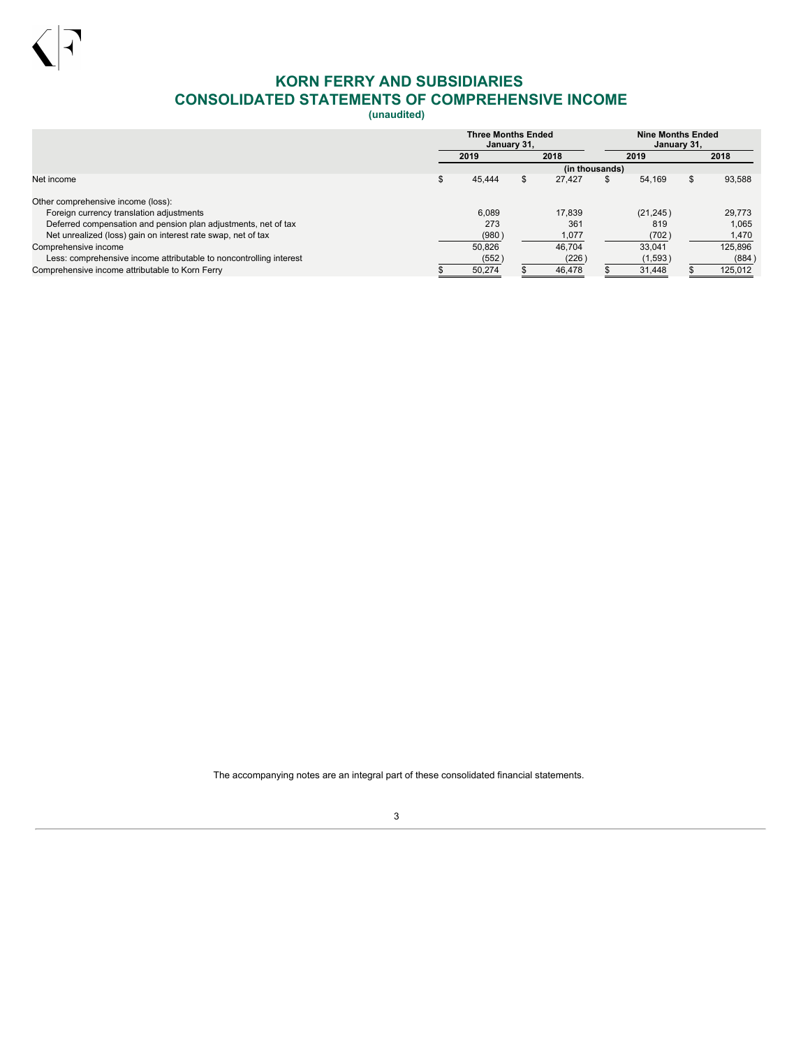

# <span id="page-4-0"></span>**KORN FERRY AND SUBSIDIARIES CONSOLIDATED STATEMENTS OF COMPREHENSIVE INCOME**

**(unaudited)**

|                                                                    |     | <b>Three Months Ended</b><br>January 31, |    | <b>Nine Months Ended</b><br>January 31, |           |   |         |
|--------------------------------------------------------------------|-----|------------------------------------------|----|-----------------------------------------|-----------|---|---------|
|                                                                    |     | 2019                                     |    | 2018                                    | 2019      |   | 2018    |
|                                                                    |     |                                          |    | (in thousands)                          |           |   |         |
| Net income                                                         | \$. | 45.444                                   | \$ | 27.427                                  | 54.169    | S | 93,588  |
| Other comprehensive income (loss):                                 |     |                                          |    |                                         |           |   |         |
| Foreign currency translation adjustments                           |     | 6.089                                    |    | 17.839                                  | (21, 245) |   | 29.773  |
| Deferred compensation and pension plan adjustments, net of tax     |     | 273                                      |    | 361                                     | 819       |   | 1,065   |
| Net unrealized (loss) gain on interest rate swap, net of tax       |     | (980)                                    |    | 1,077                                   | (702)     |   | 1,470   |
| Comprehensive income                                               |     | 50.826                                   |    | 46.704                                  | 33.041    |   | 125.896 |
| Less: comprehensive income attributable to noncontrolling interest |     | (552)                                    |    | (226)                                   | (1,593)   |   | (884)   |
| Comprehensive income attributable to Korn Ferry                    |     | 50,274                                   |    | 46,478                                  | 31,448    |   | 125,012 |

The accompanying notes are an integral part of these consolidated financial statements.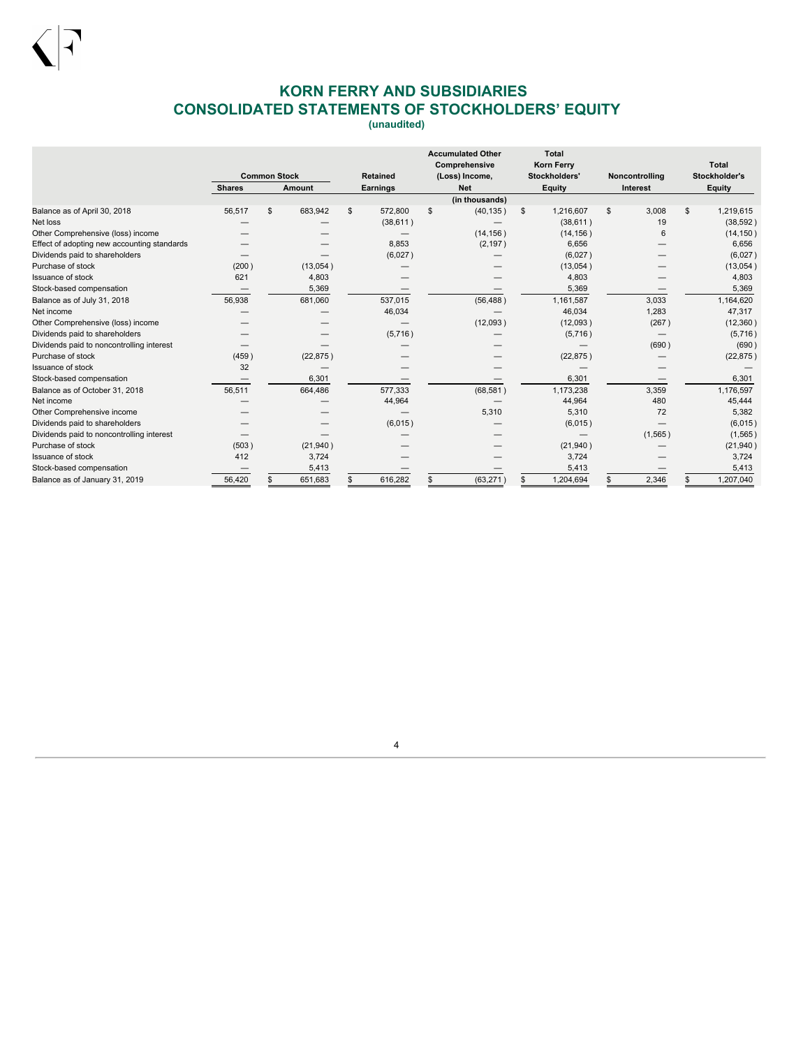

# **KORN FERRY AND SUBSIDIARIES CONSOLIDATED STATEMENTS OF STOCKHOLDERS' EQUITY**

<span id="page-5-0"></span>**(unaudited)**

|                                             |               |                                                                           |    |           |    | <b>Accumulated Other</b><br>Comprehensive |               | <b>Total</b><br><b>Korn Ferry</b> |               |                 |               | <b>Total</b> |
|---------------------------------------------|---------------|---------------------------------------------------------------------------|----|-----------|----|-------------------------------------------|---------------|-----------------------------------|---------------|-----------------|---------------|--------------|
|                                             |               | <b>Common Stock</b><br>Stockholders'<br><b>Retained</b><br>(Loss) Income, |    |           |    | Noncontrolling                            |               |                                   | Stockholder's |                 |               |              |
|                                             | <b>Shares</b> | <b>Amount</b>                                                             |    | Earnings  |    | <b>Net</b>                                | <b>Equity</b> |                                   |               | <b>Interest</b> | <b>Equity</b> |              |
|                                             |               |                                                                           |    |           |    | (in thousands)                            |               |                                   |               |                 |               |              |
| Balance as of April 30, 2018                | 56,517        | \$<br>683,942                                                             | \$ | 572,800   | \$ | (40, 135)                                 | \$            | 1,216,607                         | \$            | 3,008           | \$            | 1,219,615    |
| Net loss                                    |               |                                                                           |    | (38, 611) |    |                                           |               | (38, 611)                         |               | 19              |               | (38, 592)    |
| Other Comprehensive (loss) income           |               |                                                                           |    |           |    | (14, 156)                                 |               | (14, 156)                         |               |                 |               | (14, 150)    |
| Effect of adopting new accounting standards |               |                                                                           |    | 8,853     |    | (2, 197)                                  |               | 6,656                             |               |                 |               | 6,656        |
| Dividends paid to shareholders              |               |                                                                           |    | (6,027)   |    |                                           |               | (6,027)                           |               |                 |               | (6,027)      |
| Purchase of stock                           | (200)         | (13,054)                                                                  |    |           |    |                                           |               | (13,054)                          |               |                 |               | (13,054)     |
| <b>Issuance of stock</b>                    | 621           | 4,803                                                                     |    |           |    |                                           |               | 4,803                             |               |                 |               | 4,803        |
| Stock-based compensation                    |               | 5,369                                                                     |    |           |    |                                           |               | 5,369                             |               |                 |               | 5,369        |
| Balance as of July 31, 2018                 | 56,938        | 681,060                                                                   |    | 537,015   |    | (56, 488)                                 |               | 1,161,587                         |               | 3,033           |               | 1,164,620    |
| Net income                                  |               |                                                                           |    | 46,034    |    |                                           |               | 46,034                            |               | 1,283           |               | 47,317       |
| Other Comprehensive (loss) income           |               |                                                                           |    |           |    | (12,093)                                  |               | (12,093)                          |               | (267)           |               | (12, 360)    |
| Dividends paid to shareholders              |               |                                                                           |    | (5,716)   |    |                                           |               | (5,716)                           |               |                 |               | (5,716)      |
| Dividends paid to noncontrolling interest   |               |                                                                           |    |           |    |                                           |               |                                   |               | (690)           |               | (690)        |
| Purchase of stock                           | (459)         | (22, 875)                                                                 |    |           |    |                                           |               | (22, 875)                         |               |                 |               | (22, 875)    |
| <b>Issuance of stock</b>                    | 32            |                                                                           |    |           |    |                                           |               |                                   |               |                 |               |              |
| Stock-based compensation                    |               | 6,301                                                                     |    |           |    |                                           |               | 6,301                             |               |                 |               | 6,301        |
| Balance as of October 31, 2018              | 56,511        | 664,486                                                                   |    | 577,333   |    | (68, 581)                                 |               | 1,173,238                         |               | 3,359           |               | 1,176,597    |
| Net income                                  |               |                                                                           |    | 44,964    |    |                                           |               | 44,964                            |               | 480             |               | 45,444       |
| Other Comprehensive income                  |               |                                                                           |    |           |    | 5,310                                     |               | 5,310                             |               | 72              |               | 5,382        |
| Dividends paid to shareholders              |               |                                                                           |    | (6,015)   |    |                                           |               | (6,015)                           |               |                 |               | (6,015)      |
| Dividends paid to noncontrolling interest   |               |                                                                           |    |           |    |                                           |               |                                   |               | (1, 565)        |               | (1, 565)     |
| Purchase of stock                           | (503)         | (21, 940)                                                                 |    |           |    |                                           |               | (21, 940)                         |               |                 |               | (21, 940)    |
| <b>Issuance of stock</b>                    | 412           | 3,724                                                                     |    |           |    |                                           |               | 3,724                             |               |                 |               | 3,724        |
| Stock-based compensation                    |               | 5,413                                                                     |    |           |    |                                           |               | 5,413                             |               |                 |               | 5,413        |
| Balance as of January 31, 2019              | 56,420        | 651,683<br>\$                                                             |    | 616,282   |    | (63, 271)                                 | \$            | 1,204,694                         |               | 2,346           |               | 1,207,040    |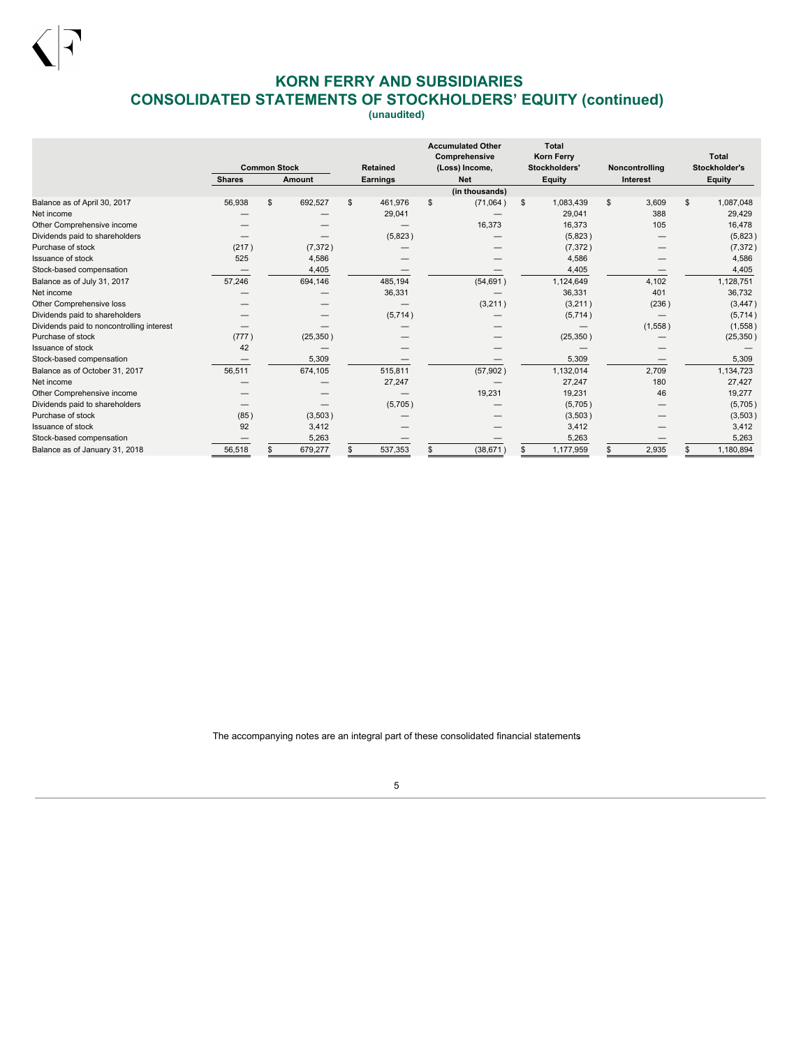

# **KORN FERRY AND SUBSIDIARIES CONSOLIDATED STATEMENTS OF STOCKHOLDERS' EQUITY (continued)**

**(unaudited)**

|                                           |               | <b>Common Stock</b> |  |              | Retained |            | <b>Accumulated Other</b><br>Comprehensive<br>(Loss) Income, |        | <b>Total</b><br><b>Korn Ferry</b><br>Stockholders' | Noncontrolling | <b>Total</b><br>Stockholder's |
|-------------------------------------------|---------------|---------------------|--|--------------|----------|------------|-------------------------------------------------------------|--------|----------------------------------------------------|----------------|-------------------------------|
|                                           | <b>Shares</b> | Amount              |  |              | Earnings | <b>Net</b> |                                                             | Equity |                                                    | Interest       | <b>Equity</b>                 |
|                                           |               |                     |  |              |          |            | (in thousands)                                              |        |                                                    |                |                               |
| Balance as of April 30, 2017              | 56,938        | \$<br>692,527       |  | $\mathbb{S}$ | 461,976  | \$         | (71,064)                                                    | \$     | 1,083,439                                          | \$<br>3.609    | \$<br>1,087,048               |
| Net income                                |               |                     |  |              | 29,041   |            |                                                             |        | 29,041                                             | 388            | 29,429                        |
| Other Comprehensive income                |               |                     |  |              |          |            | 16,373                                                      |        | 16,373                                             | 105            | 16,478                        |
| Dividends paid to shareholders            |               |                     |  |              | (5,823)  |            |                                                             |        | (5,823)                                            |                | (5,823)                       |
| Purchase of stock                         | (217)         | (7, 372)            |  |              |          |            |                                                             |        | (7, 372)                                           |                | (7, 372)                      |
| <b>Issuance of stock</b>                  | 525           | 4,586               |  |              |          |            |                                                             |        | 4,586                                              |                | 4,586                         |
| Stock-based compensation                  |               | 4,405               |  |              |          |            |                                                             |        | 4,405                                              |                | 4,405                         |
| Balance as of July 31, 2017               | 57,246        | 694,146             |  |              | 485,194  |            | (54, 691)                                                   |        | 1,124,649                                          | 4,102          | 1,128,751                     |
| Net income                                |               |                     |  |              | 36,331   |            |                                                             |        | 36,331                                             | 401            | 36,732                        |
| Other Comprehensive loss                  |               |                     |  |              |          |            | (3,211)                                                     |        | (3,211)                                            | (236)          | (3, 447)                      |
| Dividends paid to shareholders            |               |                     |  |              | (5,714)  |            |                                                             |        | (5,714)                                            |                | (5,714)                       |
| Dividends paid to noncontrolling interest |               |                     |  |              |          |            |                                                             |        |                                                    | (1,558)        | (1,558)                       |
| Purchase of stock                         | (777)         | (25, 350)           |  |              |          |            |                                                             |        | (25, 350)                                          |                | (25, 350)                     |
| <b>Issuance of stock</b>                  | 42            |                     |  |              |          |            |                                                             |        |                                                    |                |                               |
| Stock-based compensation                  |               | 5,309               |  |              |          |            |                                                             |        | 5,309                                              |                | 5,309                         |
| Balance as of October 31, 2017            | 56,511        | 674,105             |  |              | 515,811  |            | (57, 902)                                                   |        | 1,132,014                                          | 2,709          | 1,134,723                     |
| Net income                                |               |                     |  |              | 27,247   |            |                                                             |        | 27,247                                             | 180            | 27,427                        |
| Other Comprehensive income                |               |                     |  |              |          |            | 19,231                                                      |        | 19,231                                             | 46             | 19,277                        |
| Dividends paid to shareholders            |               |                     |  |              | (5,705)  |            |                                                             |        | (5,705)                                            |                | (5,705)                       |
| Purchase of stock                         | (85)          | (3,503)             |  |              |          |            |                                                             |        | (3,503)                                            |                | (3,503)                       |
| Issuance of stock                         | 92            | 3,412               |  |              |          |            |                                                             |        | 3,412                                              |                | 3,412                         |
| Stock-based compensation                  |               | 5,263               |  |              |          |            |                                                             |        | 5,263                                              |                | 5,263                         |
| Balance as of January 31, 2018            | 56,518        | 679,277             |  |              | 537,353  |            | (38, 671)                                                   |        | 1,177,959                                          | 2,935          | 1,180,894                     |

The accompanying notes are an integral part of these consolidated financial statements.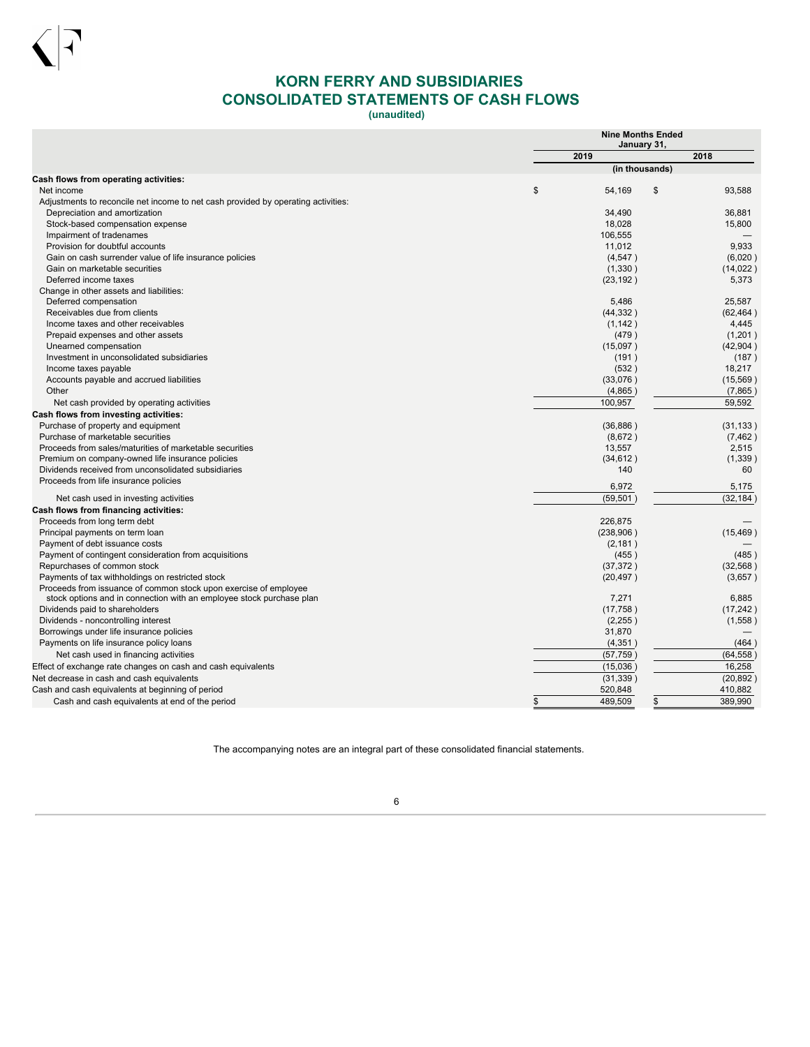

# <span id="page-7-0"></span>**KORN FERRY AND SUBSIDIARIES CONSOLIDATED STATEMENTS OF CASH FLOWS**

**(unaudited)**

|                                                                                   | <b>Nine Months Ended</b><br>January 31, |    |           |
|-----------------------------------------------------------------------------------|-----------------------------------------|----|-----------|
|                                                                                   | 2019                                    |    | 2018      |
|                                                                                   | (in thousands)                          |    |           |
| <b>Cash flows from operating activities:</b>                                      |                                         |    |           |
| Net income                                                                        | \$<br>54,169                            | \$ | 93,588    |
| Adjustments to reconcile net income to net cash provided by operating activities: |                                         |    |           |
| Depreciation and amortization                                                     | 34,490                                  |    | 36,881    |
| Stock-based compensation expense                                                  | 18,028                                  |    | 15.800    |
| Impairment of tradenames                                                          | 106,555                                 |    |           |
| Provision for doubtful accounts                                                   | 11,012                                  |    | 9,933     |
| Gain on cash surrender value of life insurance policies                           | (4, 547)                                |    | (6,020)   |
| Gain on marketable securities                                                     | (1,330)                                 |    | (14, 022) |
| Deferred income taxes                                                             | (23, 192)                               |    | 5,373     |
| Change in other assets and liabilities:                                           |                                         |    |           |
| Deferred compensation                                                             | 5,486                                   |    | 25,587    |
| Receivables due from clients                                                      | (44, 332)                               |    | (62, 464) |
| Income taxes and other receivables                                                | (1, 142)                                |    | 4,445     |
| Prepaid expenses and other assets                                                 | (479)                                   |    | (1,201)   |
| Unearned compensation                                                             | (15,097)                                |    | (42, 904) |
| Investment in unconsolidated subsidiaries                                         | (191)                                   |    | (187)     |
| Income taxes payable                                                              | (532)                                   |    | 18,217    |
| Accounts payable and accrued liabilities                                          | (33,076)                                |    | (15, 569) |
| Other                                                                             | (4,865)                                 |    | (7, 865)  |
| Net cash provided by operating activities                                         | 100,957                                 |    | 59.592    |
| <b>Cash flows from investing activities:</b>                                      |                                         |    |           |
| Purchase of property and equipment                                                | (36, 886)                               |    | (31, 133) |
| Purchase of marketable securities                                                 | (8,672)                                 |    | (7, 462)  |
| Proceeds from sales/maturities of marketable securities                           | 13,557                                  |    | 2,515     |
| Premium on company-owned life insurance policies                                  | (34, 612)                               |    | (1, 339)  |
| Dividends received from unconsolidated subsidiaries                               | 140                                     |    | 60        |
| Proceeds from life insurance policies                                             | 6,972                                   |    | 5,175     |
| Net cash used in investing activities                                             | (59, 501)                               |    | (32, 184) |
| <b>Cash flows from financing activities:</b>                                      |                                         |    |           |
| Proceeds from long term debt                                                      | 226,875                                 |    |           |
| Principal payments on term loan                                                   | (238,906)                               |    | (15, 469) |
| Payment of debt issuance costs                                                    | (2, 181)                                |    |           |
| Payment of contingent consideration from acquisitions                             | (455)                                   |    | (485)     |
| Repurchases of common stock                                                       | (37, 372)                               |    | (32, 568) |
| Payments of tax withholdings on restricted stock                                  | (20, 497)                               |    | (3,657)   |
| Proceeds from issuance of common stock upon exercise of employee                  |                                         |    |           |
| stock options and in connection with an employee stock purchase plan              | 7,271                                   |    | 6,885     |
| Dividends paid to shareholders                                                    | (17, 758)                               |    | (17, 242) |
| Dividends - noncontrolling interest                                               | (2,255)                                 |    | (1,558)   |
| Borrowings under life insurance policies                                          | 31,870                                  |    |           |
| Payments on life insurance policy loans                                           | (4, 351)                                |    | (464)     |
| Net cash used in financing activities                                             | (57, 759)                               |    | (64, 558) |
| Effect of exchange rate changes on cash and cash equivalents                      | (15,036)                                |    | 16.258    |
| Net decrease in cash and cash equivalents                                         | (31, 339)                               |    | (20, 892) |
| Cash and cash equivalents at beginning of period                                  | 520,848                                 |    | 410,882   |
| Cash and cash equivalents at end of the period                                    | \$<br>489,509                           | \$ | 389,990   |

<span id="page-7-1"></span>The accompanying notes are an integral part of these consolidated financial statements.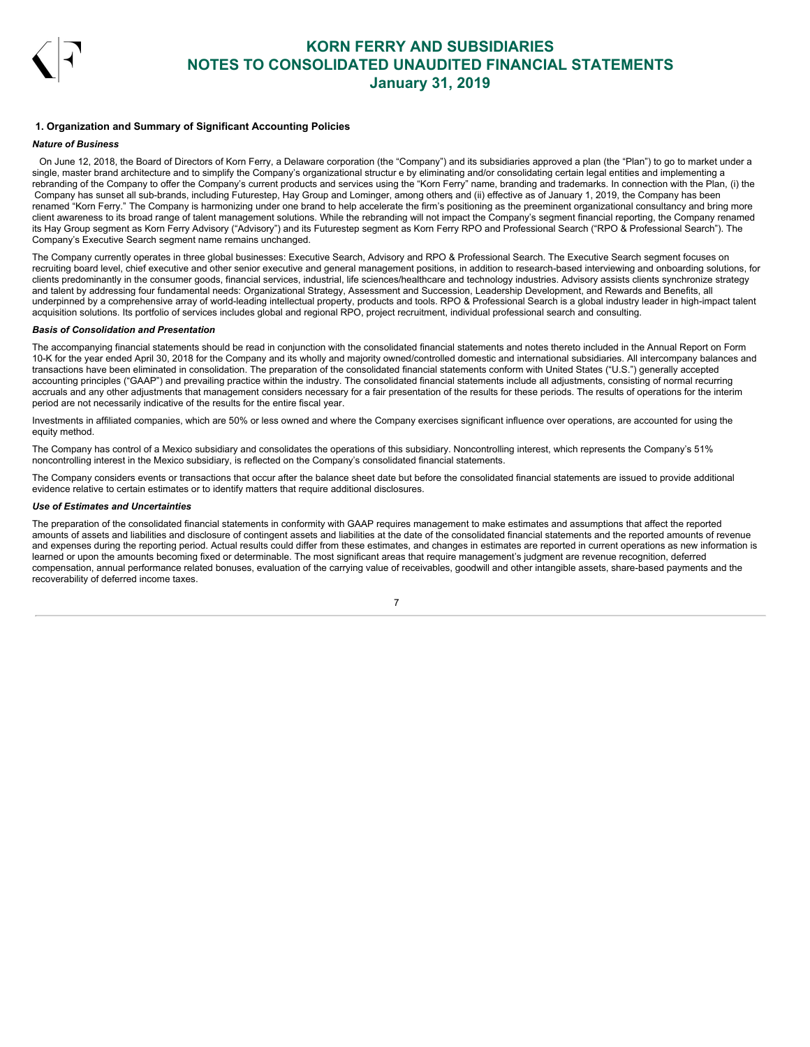

### **1. Organization and Summary of Significant Accounting Policies**

#### *Nature of Business*

On June 12, 2018, the Board of Directors of Korn Ferry, a Delaware corporation (the "Company") and its subsidiaries approved a plan (the "Plan") to go to market under a single, master brand architecture and to simplify the Company's organizational structur e by eliminating and/or consolidating certain legal entities and implementing a rebranding of the Company to offer the Company's current products and services using the "Korn Ferry" name, branding and trademarks. In connection with the Plan, (i) the Company has sunset all sub-brands, including Futurestep, Hay Group and Lominger, among others, and (ii) effective as of January 1, 2019, the Company has been renamed "Korn Ferry." The Company is harmonizing under one brand to help accelerate the firm's positioning as the preeminent organizational consultancy and bring more client awareness to its broad range of talent management solutions. While the rebranding will not impact the Company's segment financial reporting, the Company renamed its Hay Group segment as Korn Ferry Advisory ("Advisory") and its Futurestep segment as Korn Ferry RPO and Professional Search ("RPO & Professional Search"). The Company's Executive Search segment name remains unchanged.

The Company currently operates in three global businesses: Executive Search, Advisory and RPO & Professional Search. The Executive Search segment focuses on recruiting board level, chief executive and other senior executive and general management positions, in addition to research-based interviewing and onboarding solutions, for clients predominantly in the consumer goods, financial services, industrial, life sciences/healthcare and technology industries. Advisory assists clients synchronize strategy and talent by addressing four fundamental needs: Organizational Strategy, Assessment and Succession, Leadership Development, and Rewards and Benefits, all underpinned by a comprehensive array of world-leading intellectual property, products and tools. RPO & Professional Search is a global industry leader in high-impact talent acquisition solutions. Its portfolio of services includes global and regional RPO, project recruitment, individual professional search and consulting.

#### *Basis of Consolidation and Presentation*

The accompanying financial statements should be read in conjunction with the consolidated financial statements and notes thereto included in the Annual Report on Form 10-K for the year ended April 30, 2018 for the Company and its wholly and majority owned/controlled domestic and international subsidiaries. All intercompany balances and transactions have been eliminated in consolidation. The preparation of the consolidated financial statements conform with United States ("U.S.") generally accepted accounting principles ("GAAP") and prevailing practice within the industry. The consolidated financial statements include all adjustments, consisting of normal recurring accruals and any other adjustments that management considers necessary for a fair presentation of the results for these periods. The results of operations for the interim period are not necessarily indicative of the results for the entire fiscal year.

Investments in affiliated companies, which are 50% or less owned and where the Company exercises significant influence over operations, are accounted for using the equity method.

The Company has control of a Mexico subsidiary and consolidates the operations of this subsidiary. Noncontrolling interest, which represents the Company's 51% noncontrolling interest in the Mexico subsidiary, is reflected on the Company's consolidated financial statements.

The Company considers events or transactions that occur after the balance sheet date but before the consolidated financial statements are issued to provide additional evidence relative to certain estimates or to identify matters that require additional disclosures.

#### *Use of Estimates and Uncertainties*

The preparation of the consolidated financial statements in conformity with GAAP requires management to make estimates and assumptions that affect the reported amounts of assets and liabilities and disclosure of contingent assets and liabilities at the date of the consolidated financial statements and the reported amounts of revenue and expenses during the reporting period. Actual results could differ from these estimates, and changes in estimates are reported in current operations as new information is learned or upon the amounts becoming fixed or determinable. The most significant areas that require management's judgment are revenue recognition, deferred compensation, annual performance related bonuses, evaluation of the carrying value of receivables, goodwill and other intangible assets, share-based payments and the recoverability of deferred income taxes.

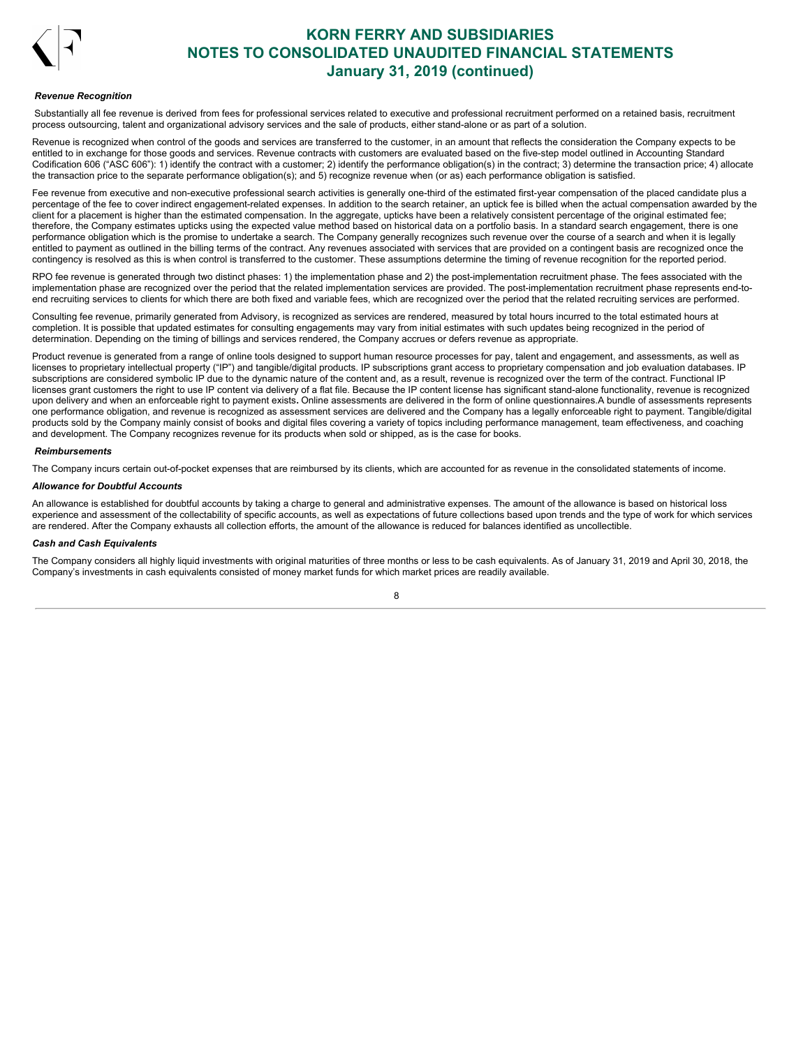

#### *Revenue Recognition*

Substantially all fee revenue is derived from fees for professional services related to executive and professional recruitment performed on a retained basis, recruitment process outsourcing, talent and organizational advisory services and the sale of products, either stand-alone or as part of a solution.

Revenue is recognized when control of the goods and services are transferred to the customer, in an amount that reflects the consideration the Company expects to be entitled to in exchange for those goods and services. Revenue contracts with customers are evaluated based on the five-step model outlined in Accounting Standard Codification 606 ("ASC 606"): 1) identify the contract with a customer; 2) identify the performance obligation(s) in the contract; 3) determine the transaction price; 4) allocate the transaction price to the separate performance obligation(s); and 5) recognize revenue when (or as) each performance obligation is satisfied.

Fee revenue from executive and non-executive professional search activities is generally one-third of the estimated first-year compensation of the placed candidate plus a percentage of the fee to cover indirect engagement-related expenses. In addition to the search retainer, an uptick fee is billed when the actual compensation awarded by the client for a placement is higher than the estimated compensation. In the aggregate, upticks have been a relatively consistent percentage of the original estimated fee; therefore, the Company estimates upticks using the expected value method based on historical data on a portfolio basis. In a standard search engagement, there is one performance obligation which is the promise to undertake a search. The Company generally recognizes such revenue over the course of a search and when it is legally entitled to payment as outlined in the billing terms of the contract. Any revenues associated with services that are provided on a contingent basis are recognized once the contingency is resolved as this is when control is transferred to the customer. These assumptions determine the timing of revenue recognition for the reported period.

RPO fee revenue is generated through two distinct phases: 1) the implementation phase and 2) the post-implementation recruitment phase. The fees associated with the implementation phase are recognized over the period that the related implementation services are provided. The post-implementation recruitment phase represents end-toend recruiting services to clients for which there are both fixed and variable fees, which are recognized over the period that the related recruiting services are performed.

Consulting fee revenue, primarily generated from Advisory, is recognized as services are rendered, measured by total hours incurred to the total estimated hours at completion. It is possible that updated estimates for consulting engagements may vary from initial estimates with such updates being recognized in the period of determination. Depending on the timing of billings and services rendered, the Company accrues or defers revenue as appropriate.

Product revenue is generated from a range of online tools designed to support human resource processes for pay, talent and engagement, and assessments, as well as licenses to proprietary intellectual property ("IP") and tangible/digital products. IP subscriptions grant access to proprietary compensation and job evaluation databases. IP subscriptions are considered symbolic IP due to the dynamic nature of the content and, as a result, revenue is recognized over the term of the contract. Functional IP licenses grant customers the right to use IP content via delivery of a flat file. Because the IP content license has significant stand-alone functionality, revenue is recognized upon delivery and when an enforceable right to payment exists**.** Online assessments are delivered in the form of online questionnaires.A bundle of assessments represents one performance obligation, and revenue is recognized as assessment services are delivered and the Company has a legally enforceable right to payment. Tangible/digital products sold by the Company mainly consist of books and digital files covering a variety of topics including performance management, team effectiveness, and coaching and development. The Company recognizes revenue for its products when sold or shipped, as is the case for books.

#### *Reimbursements*

The Company incurs certain out-of-pocket expenses that are reimbursed by its clients, which are accounted for as revenue in the consolidated statements of income.

#### *Allowance for Doubtful Accounts*

An allowance is established for doubtful accounts by taking a charge to general and administrative expenses. The amount of the allowance is based on historical loss experience and assessment of the collectability of specific accounts, as well as expectations of future collections based upon trends and the type of work for which services are rendered. After the Company exhausts all collection efforts, the amount of the allowance is reduced for balances identified as uncollectible.

#### *Cash and Cash Equivalents*

The Company considers all highly liquid investments with original maturities of three months or less to be cash equivalents. As of January 31, 2019 and April 30, 2018, the Company's investments in cash equivalents consisted of money market funds for which market prices are readily available.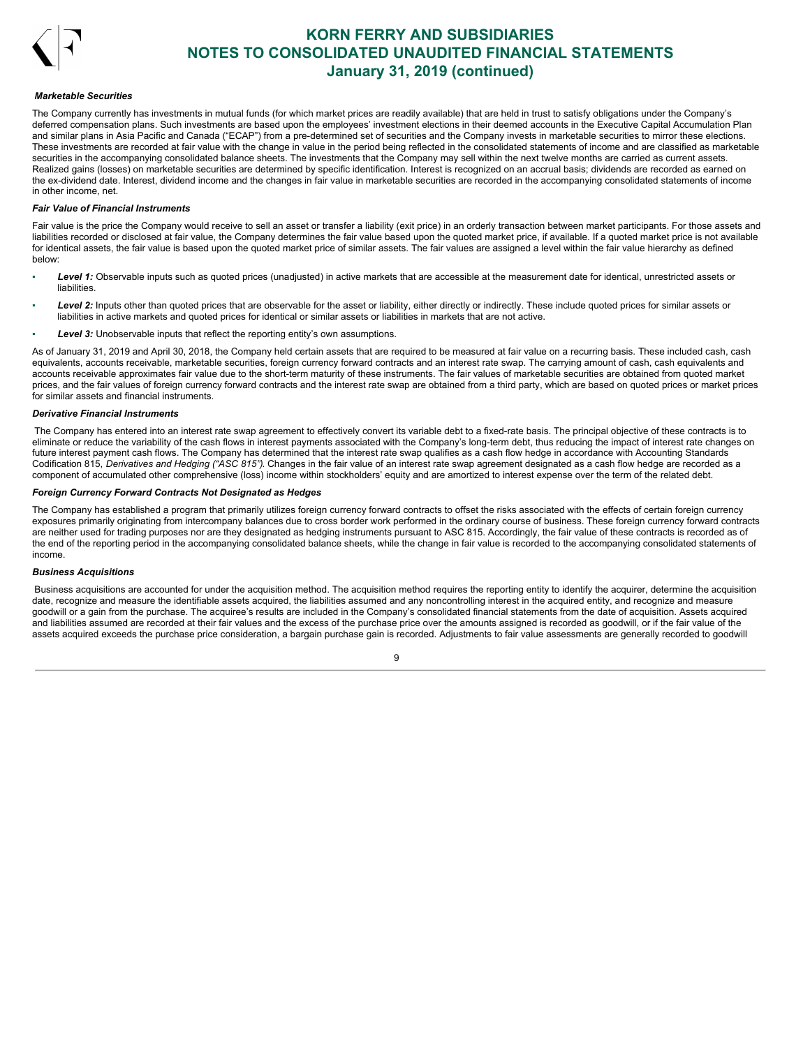

#### *Marketable Securities*

The Company currently has investments in mutual funds (for which market prices are readily available) that are held in trust to satisfy obligations under the Company's deferred compensation plans. Such investments are based upon the employees' investment elections in their deemed accounts in the Executive Capital Accumulation Plan and similar plans in Asia Pacific and Canada ("ECAP") from a pre-determined set of securities and the Company invests in marketable securities to mirror these elections. These investments are recorded at fair value with the change in value in the period being reflected in the consolidated statements of income and are classified as marketable securities in the accompanying consolidated balance sheets. The investments that the Company may sell within the next twelve months are carried as current assets. Realized gains (losses) on marketable securities are determined by specific identification. Interest is recognized on an accrual basis; dividends are recorded as earned on the ex-dividend date. Interest, dividend income and the changes in fair value in marketable securities are recorded in the accompanying consolidated statements of income in other income, net.

#### *Fair Value of Financial Instruments*

Fair value is the price the Company would receive to sell an asset or transfer a liability (exit price) in an orderly transaction between market participants. For those assets and liabilities recorded or disclosed at fair value, the Company determines the fair value based upon the quoted market price, if available. If a quoted market price is not available for identical assets, the fair value is based upon the quoted market price of similar assets. The fair values are assigned a level within the fair value hierarchy as defined below:

- Level 1: Observable inputs such as quoted prices (unadjusted) in active markets that are accessible at the measurement date for identical, unrestricted assets or **liabilities**
- Level 2: Inputs other than quoted prices that are observable for the asset or liability, either directly or indirectly. These include quoted prices for similar assets or liabilities in active markets and quoted prices for identical or similar assets or liabilities in markets that are not active.
- Level 3: Unobservable inputs that reflect the reporting entity's own assumptions.

As of January 31, 2019 and April 30, 2018, the Company held certain assets that are required to be measured at fair value on a recurring basis. These included cash, cash equivalents, accounts receivable, marketable securities, foreign currency forward contracts and an interest rate swap. The carrying amount of cash, cash equivalents and accounts receivable approximates fair value due to the short-term maturity of these instruments. The fair values of marketable securities are obtained from quoted market prices, and the fair values of foreign currency forward contracts and the interest rate swap are obtained from a third party, which are based on quoted prices or market prices for similar assets and financial instruments.

#### *Derivative Financial Instruments*

The Company has entered into an interest rate swap agreement to effectively convert its variable debt to a fixed-rate basis. The principal objective of these contracts is to eliminate or reduce the variability of the cash flows in interest payments associated with the Company's long-term debt, thus reducing the impact of interest rate changes on future interest payment cash flows. The Company has determined that the interest rate swap qualifies as a cash flow hedge in accordance with Accounting Standards Codification 815, *Derivatives and Hedging ("ASC 815")*. Changes in the fair value of an interest rate swap agreement designated as a cash flow hedge are recorded as a component of accumulated other comprehensive (loss) income within stockholders' equity and are amortized to interest expense over the term of the related debt.

#### *Foreign Currency Forward Contracts Not Designated as Hedges*

The Company has established a program that primarily utilizes foreign currency forward contracts to offset the risks associated with the effects of certain foreign currency exposures primarily originating from intercompany balances due to cross border work performed in the ordinary course of business. These foreign currency forward contracts are neither used for trading purposes nor are they designated as hedging instruments pursuant to ASC 815. Accordingly, the fair value of these contracts is recorded as of the end of the reporting period in the accompanying consolidated balance sheets, while the change in fair value is recorded to the accompanying consolidated statements of income.

#### *Business Acquisitions*

Business acquisitions are accounted for under the acquisition method. The acquisition method requires the reporting entity to identify the acquirer, determine the acquisition date, recognize and measure the identifiable assets acquired, the liabilities assumed and any noncontrolling interest in the acquired entity, and recognize and measure goodwill or a gain from the purchase. The acquiree's results are included in the Company's consolidated financial statements from the date of acquisition. Assets acquired and liabilities assumed are recorded at their fair values and the excess of the purchase price over the amounts assigned is recorded as goodwill, or if the fair value of the assets acquired exceeds the purchase price consideration, a bargain purchase gain is recorded. Adjustments to fair value assessments are generally recorded to goodwill

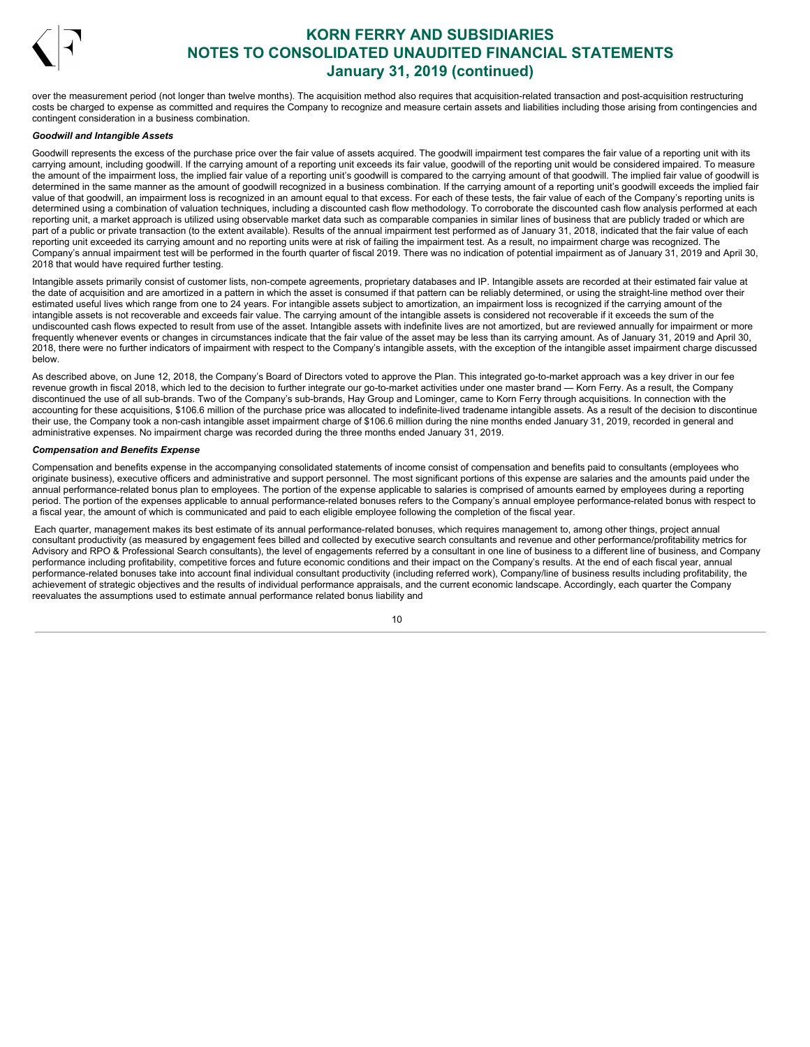

over the measurement period (not longer than twelve months). The acquisition method also requires that acquisition-related transaction and post-acquisition restructuring costs be charged to expense as committed and requires the Company to recognize and measure certain assets and liabilities including those arising from contingencies and contingent consideration in a business combination.

#### *Goodwill and Intangible Assets*

Goodwill represents the excess of the purchase price over the fair value of assets acquired. The goodwill impairment test compares the fair value of a reporting unit with its carrying amount, including goodwill. If the carrying amount of a reporting unit exceeds its fair value, goodwill of the reporting unit would be considered impaired. To measure the amount of the impairment loss, the implied fair value of a reporting unit's goodwill is compared to the carrying amount of that goodwill. The implied fair value of goodwill is determined in the same manner as the amount of goodwill recognized in a business combination. If the carrying amount of a reporting unit's goodwill exceeds the implied fair value of that goodwill, an impairment loss is recognized in an amount equal to that excess. For each of these tests, the fair value of each of the Company's reporting units is determined using a combination of valuation techniques, including a discounted cash flow methodology. To corroborate the discounted cash flow analysis performed at each reporting unit, a market approach is utilized using observable market data such as comparable companies in similar lines of business that are publicly traded or which are part of a public or private transaction (to the extent available). Results of the annual impairment test performed as of January 31, 2018, indicated that the fair value of each reporting unit exceeded its carrying amount and no reporting units were at risk of failing the impairment test. As a result, no impairment charge was recognized. The Company's annual impairment test will be performed in the fourth quarter of fiscal 2019. There was no indication of potential impairment as of January 31, 2019 and April 30, 2018 that would have required further testing.

Intangible assets primarily consist of customer lists, non-compete agreements, proprietary databases and IP. Intangible assets are recorded at their estimated fair value at the date of acquisition and are amortized in a pattern in which the asset is consumed if that pattern can be reliably determined, or using the straight-line method over their estimated useful lives which range from one to 24 years. For intangible assets subject to amortization, an impairment loss is recognized if the carrying amount of the intangible assets is not recoverable and exceeds fair value. The carrying amount of the intangible assets is considered not recoverable if it exceeds the sum of the undiscounted cash flows expected to result from use of the asset. Intangible assets with indefinite lives are not amortized, but are reviewed annually for impairment or more frequently whenever events or changes in circumstances indicate that the fair value of the asset may be less than its carrying amount. As of January 31, 2019 and April 30, 2018, there were no further indicators of impairment with respect to the Company's intangible assets, with the exception of the intangible asset impairment charge discussed below.

As described above, on June 12, 2018, the Company's Board of Directors voted to approve the Plan. This integrated go-to-market approach was a key driver in our fee revenue growth in fiscal 2018, which led to the decision to further integrate our go-to-market activities under one master brand — Korn Ferry. As a result, the Company discontinued the use of all sub-brands. Two of the Company's sub-brands, Hay Group and Lominger, came to Korn Ferry through acquisitions. In connection with the accounting for these acquisitions, \$106.6 million of the purchase price was allocated to indefinite-lived tradename intangible assets. As a result of the decision to discontinue their use, the Company took a non-cash intangible asset impairment charge of \$106.6 million during the nine months ended January 31, 2019, recorded in general and administrative expenses. No impairment charge was recorded during the three months ended January 31, 2019.

#### *Compensation and Benefits Expense*

Compensation and benefits expense in the accompanying consolidated statements of income consist of compensation and benefits paid to consultants (employees who originate business), executive officers and administrative and support personnel. The most significant portions of this expense are salaries and the amounts paid under the annual performance-related bonus plan to employees. The portion of the expense applicable to salaries is comprised of amounts earned by employees during a reporting period. The portion of the expenses applicable to annual performance-related bonuses refers to the Company's annual employee performance-related bonus with respect to a fiscal year, the amount of which is communicated and paid to each eligible employee following the completion of the fiscal year.

Each quarter, management makes its best estimate of its annual performance-related bonuses, which requires management to, among other things, project annual consultant productivity (as measured by engagement fees billed and collected by executive search consultants and revenue and other performance/profitability metrics for Advisory and RPO & Professional Search consultants), the level of engagements referred by a consultant in one line of business to a different line of business, and Company performance including profitability, competitive forces and future economic conditions and their impact on the Company's results. At the end of each fiscal year, annual performance-related bonuses take into account final individual consultant productivity (including referred work), Company/line of business results including profitability, the achievement of strategic objectives and the results of individual performance appraisals, and the current economic landscape. Accordingly, each quarter the Company reevaluates the assumptions used to estimate annual performance related bonus liability and

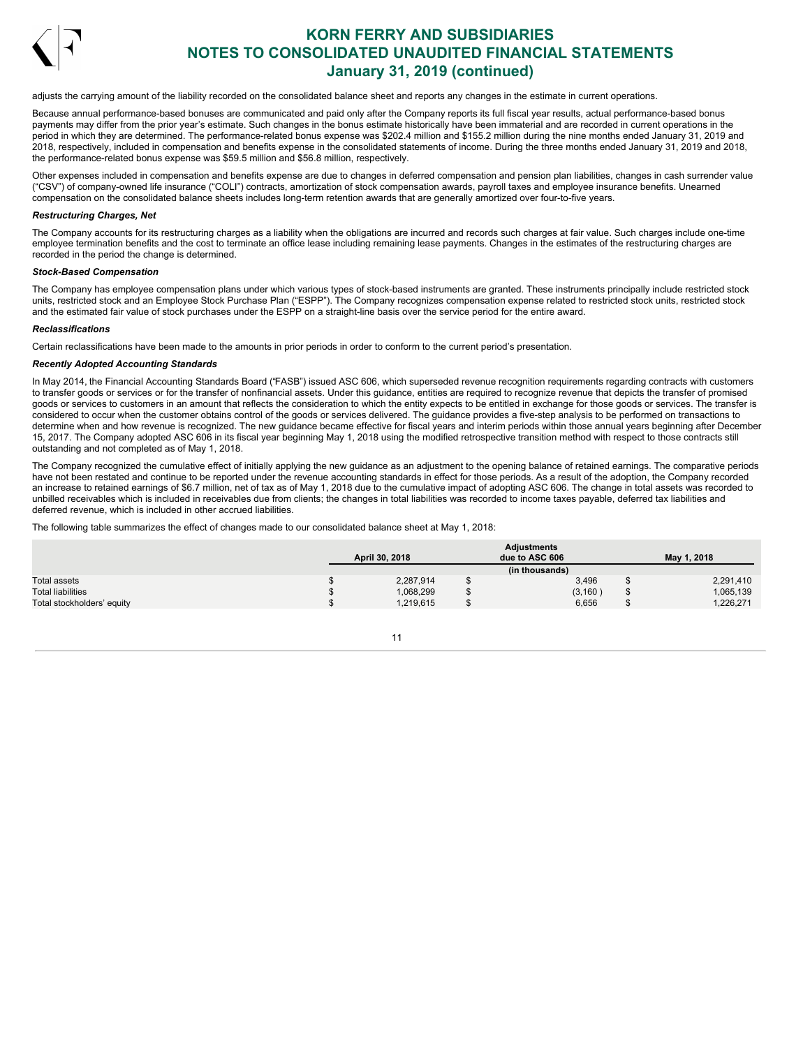

adjusts the carrying amount of the liability recorded on the consolidated balance sheet and reports any changes in the estimate in current operations.

Because annual performance-based bonuses are communicated and paid only after the Company reports its full fiscal year results, actual performance-based bonus payments may differ from the prior year's estimate. Such changes in the bonus estimate historically have been immaterial and are recorded in current operations in the period in which they are determined. The performance-related bonus expense was \$202.4 million and \$155.2 million during the nine months ended January 31, 2019 and 2018, respectively, included in compensation and benefits expense in the consolidated statements of income. During the three months ended January 31, 2019 and 2018, the performance-related bonus expense was \$59.5 million and \$56.8 million, respectively.

Other expenses included in compensation and benefits expense are due to changes in deferred compensation and pension plan liabilities, changes in cash surrender value ("CSV") of company-owned life insurance ("COLI") contracts, amortization of stock compensation awards, payroll taxes and employee insurance benefits. Unearned compensation on the consolidated balance sheets includes long-term retention awards that are generally amortized over four-to-five years.

#### *Restructuring Charges, Net*

The Company accounts for its restructuring charges as a liability when the obligations are incurred and records such charges at fair value. Such charges include one-time employee termination benefits and the cost to terminate an office lease including remaining lease payments. Changes in the estimates of the restructuring charges are recorded in the period the change is determined.

#### *Stock-Based Compensation*

The Company has employee compensation plans under which various types of stock-based instruments are granted. These instruments principally include restricted stock units, restricted stock and an Employee Stock Purchase Plan ("ESPP"). The Company recognizes compensation expense related to restricted stock units, restricted stock and the estimated fair value of stock purchases under the ESPP on a straight-line basis over the service period for the entire award.

#### *Reclassifications*

Certain reclassifications have been made to the amounts in prior periods in order to conform to the current period's presentation.

#### *Recently Adopted Accounting Standards*

In May 2014, the Financial Accounting Standards Board ("FASB") issued ASC 606, which superseded revenue recognition requirements regarding contracts with customers to transfer goods or services or for the transfer of nonfinancial assets. Under this guidance, entities are required to recognize revenue that depicts the transfer of promised goods or services to customers in an amount that reflects the consideration to which the entity expects to be entitled in exchange for those goods or services. The transfer is considered to occur when the customer obtains control of the goods or services delivered. The guidance provides a five-step analysis to be performed on transactions to determine when and how revenue is recognized. The new guidance became effective for fiscal years and interim periods within those annual years beginning after December 15, 2017. The Company adopted ASC 606 in its fiscal year beginning May 1, 2018 using the modified retrospective transition method with respect to those contracts still outstanding and not completed as of May 1, 2018.

The Company recognized the cumulative effect of initially applying the new guidance as an adjustment to the opening balance of retained earnings. The comparative periods have not been restated and continue to be reported under the revenue accounting standards in effect for those periods. As a result of the adoption, the Company recorded an increase to retained earnings of \$6.7 million, net of tax as of May 1, 2018 due to the cumulative impact of adopting ASC 606. The change in total assets was recorded to unbilled receivables which is included in receivables due from clients; the changes in total liabilities was recorded to income taxes payable, deferred tax liabilities and deferred revenue, which is included in other accrued liabilities.

The following table summarizes the effect of changes made to our consolidated balance sheet at May 1, 2018:

| <b>Adjustments</b>                                    |             |
|-------------------------------------------------------|-------------|
| due to ASC 606                                        | May 1, 2018 |
| (in thousands)                                        |             |
| 3,496                                                 | 2,291,410   |
| (3, 160)                                              | 1,065,139   |
| 6,656                                                 | 1,226,271   |
| April 30, 2018<br>2,287,914<br>1,068,299<br>1,219,615 |             |

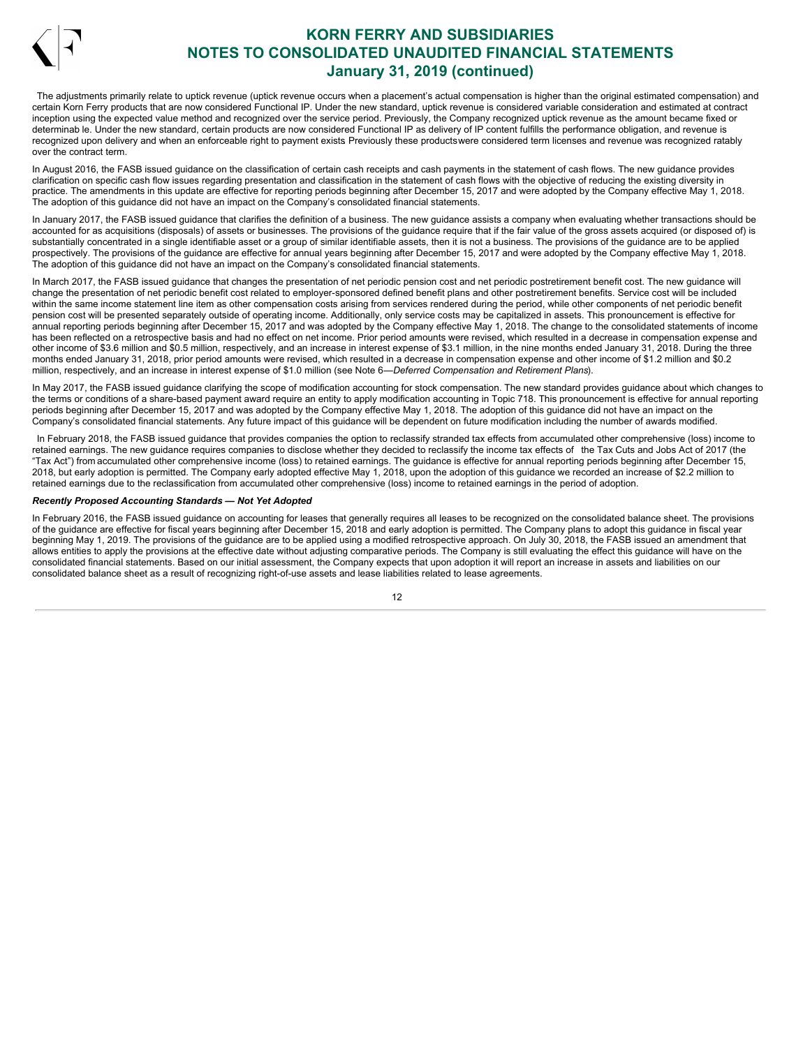

The adjustments primarily relate to uptick revenue (uptick revenue occurs when a placement's actual compensation is higher than the original estimated compensation) and certain Korn Ferry products that are now considered Functional IP. Under the new standard, uptick revenue is considered variable consideration and estimated at contract inception using the expected value method and recognized over the service period. Previously, the Company recognized uptick revenue as the amount became fixed or determinab le. Under the new standard, certain products are now considered Functional IP as delivery of IP content fulfills the performance obligation, and revenue is recognized upon delivery and when an enforceable right to payment exists. Previously these products were considered term licenses and revenue was recognized ratably over the contract term.

In August 2016, the FASB issued guidance on the classification of certain cash receipts and cash payments in the statement of cash flows. The new guidance provides clarification on specific cash flow issues regarding presentation and classification in the statement of cash flows with the objective of reducing the existing diversity in practice. The amendments in this update are effective for reporting periods beginning after December 15, 2017 and were adopted by the Company effective May 1, 2018. The adoption of this guidance did not have an impact on the Company's consolidated financial statements.

In January 2017, the FASB issued guidance that clarifies the definition of a business. The new guidance assists a company when evaluating whether transactions should be accounted for as acquisitions (disposals) of assets or businesses. The provisions of the guidance require that if the fair value of the gross assets acquired (or disposed of) is substantially concentrated in a single identifiable asset or a group of similar identifiable assets, then it is not a business. The provisions of the guidance are to be applied prospectively. The provisions of the guidance are effective for annual years beginning after December 15, 2017 and were adopted by the Company effective May 1, 2018. The adoption of this guidance did not have an impact on the Company's consolidated financial statements.

In March 2017, the FASB issued guidance that changes the presentation of net periodic pension cost and net periodic postretirement benefit cost. The new guidance will change the presentation of net periodic benefit cost related to employer-sponsored defined benefit plans and other postretirement benefits. Service cost will be included within the same income statement line item as other compensation costs arising from services rendered during the period, while other components of net periodic benefit pension cost will be presented separately outside of operating income. Additionally, only service costs may be capitalized in assets. This pronouncement is effective for annual reporting periods beginning after December 15, 2017 and was adopted by the Company effective May 1, 2018. The change to the consolidated statements of income has been reflected on a retrospective basis and had no effect on net income. Prior period amounts were revised, which resulted in a decrease in compensation expense and other income of \$3.6 million and \$0.5 million, respectively, and an increase in interest expense of \$3.1 million, in the nine months ended January 31, 2018. During the three months ended January 31, 2018, prior period amounts were revised, which resulted in a decrease in compensation expense and other income of \$1.2 million and \$0.2 million, respectively, and an increase in interest expense of \$1.0 million (see Note 6—*Deferred Compensation and Retirement Plans*).

In May 2017, the FASB issued guidance clarifying the scope of modification accounting for stock compensation. The new standard provides guidance about which changes to the terms or conditions of a share-based payment award require an entity to apply modification accounting in Topic 718. This pronouncement is effective for annual reporting periods beginning after December 15, 2017 and was adopted by the Company effective May 1, 2018. The adoption of this guidance did not have an impact on the Company's consolidated financial statements. Any future impact of this guidance will be dependent on future modification including the number of awards modified.

In February 2018, the FASB issued guidance that provides companies the option to reclassify stranded tax effects from accumulated other comprehensive (loss) income to retained earnings. The new guidance requires companies to disclose whether they decided to reclassify the income tax effects of the Tax Cuts and Jobs Act of 2017 (the "Tax Act") from accumulated other comprehensive income (loss) to retained earnings. The guidance is effective for annual reporting periods beginning after December 15, 2018, but early adoption is permitted. The Company early adopted effective May 1, 2018, upon the adoption of this guidance we recorded an increase of \$2.2 million to retained earnings due to the reclassification from accumulated other comprehensive (loss) income to retained earnings in the period of adoption.

### *Recently Proposed Accounting Standards — Not Yet Adopted*

In February 2016, the FASB issued guidance on accounting for leases that generally requires all leases to be recognized on the consolidated balance sheet. The provisions of the guidance are effective for fiscal years beginning after December 15, 2018 and early adoption is permitted. The Company plans to adopt this guidance in fiscal year beginning May 1, 2019. The provisions of the guidance are to be applied using a modified retrospective approach. On July 30, 2018, the FASB issued an amendment that allows entities to apply the provisions at the effective date without adjusting comparative periods. The Company is still evaluating the effect this guidance will have on the consolidated financial statements. Based on our initial assessment, the Company expects that upon adoption it will report an increase in assets and liabilities on our consolidated balance sheet as a result of recognizing right-of-use assets and lease liabilities related to lease agreements.

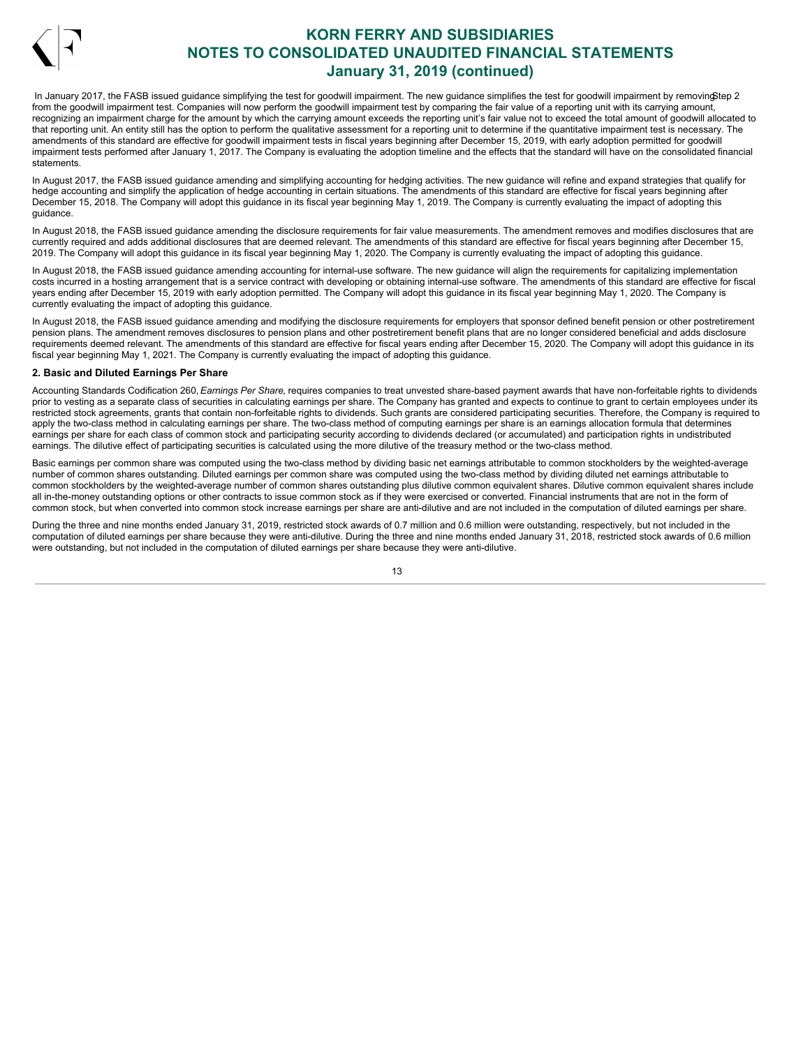

In January 2017, the FASB issued guidance simplifying the test for goodwill impairment. The new guidance simplifies the test for goodwill impairment by removingStep 2 from the goodwill impairment test. Companies will now perform the goodwill impairment test by comparing the fair value of a reporting unit with its carrying amount, recognizing an impairment charge for the amount by which the carrying amount exceeds the reporting unit's fair value not to exceed the total amount of goodwill allocated to that reporting unit. An entity still has the option to perform the qualitative assessment for a reporting unit to determine if the quantitative impairment test is necessary. The amendments of this standard are effective for goodwill impairment tests in fiscal years beginning after December 15, 2019, with early adoption permitted for goodwill impairment tests performed after January 1, 2017. The Company is evaluating the adoption timeline and the effects that the standard will have on the consolidated financial statements.

In August 2017, the FASB issued guidance amending and simplifying accounting for hedging activities. The new guidance will refine and expand strategies that qualify for hedge accounting and simplify the application of hedge accounting in certain situations. The amendments of this standard are effective for fiscal years beginning after December 15, 2018. The Company will adopt this guidance in its fiscal year beginning May 1, 2019. The Company is currently evaluating the impact of adopting this guidance.

In August 2018, the FASB issued guidance amending the disclosure requirements for fair value measurements. The amendment removes and modifies disclosures that are currently required and adds additional disclosures that are deemed relevant. The amendments of this standard are effective for fiscal years beginning after December 15, 2019. The Company will adopt this guidance in its fiscal year beginning May 1, 2020. The Company is currently evaluating the impact of adopting this guidance.

In August 2018, the FASB issued guidance amending accounting for internal-use software. The new guidance will align the requirements for capitalizing implementation costs incurred in a hosting arrangement that is a service contract with developing or obtaining internal-use software. The amendments of this standard are effective for fiscal years ending after December 15, 2019 with early adoption permitted. The Company will adopt this guidance in its fiscal year beginning May 1, 2020. The Company is currently evaluating the impact of adopting this guidance.

In August 2018, the FASB issued guidance amending and modifying the disclosure requirements for employers that sponsor defined benefit pension or other postretirement pension plans. The amendment removes disclosures to pension plans and other postretirement benefit plans that are no longer considered beneficial and adds disclosure requirements deemed relevant. The amendments of this standard are effective for fiscal years ending after December 15, 2020. The Company will adopt this guidance in its fiscal year beginning May 1, 2021. The Company is currently evaluating the impact of adopting this guidance.

#### **2. Basic and Diluted Earnings Per Share**

Accounting Standards Codification 260, *Earnings Per Share*, requires companies to treat unvested share-based payment awards that have non-forfeitable rights to dividends prior to vesting as a separate class of securities in calculating earnings per share. The Company has granted and expects to continue to grant to certain employees under its restricted stock agreements, grants that contain non-forfeitable rights to dividends. Such grants are considered participating securities. Therefore, the Company is required to apply the two-class method in calculating earnings per share. The two-class method of computing earnings per share is an earnings allocation formula that determines earnings per share for each class of common stock and participating security according to dividends declared (or accumulated) and participation rights in undistributed earnings. The dilutive effect of participating securities is calculated using the more dilutive of the treasury method or the two-class method.

Basic earnings per common share was computed using the two-class method by dividing basic net earnings attributable to common stockholders by the weighted-average number of common shares outstanding. Diluted earnings per common share was computed using the two-class method by dividing diluted net earnings attributable to common stockholders by the weighted-average number of common shares outstanding plus dilutive common equivalent shares. Dilutive common equivalent shares include all in-the-money outstanding options or other contracts to issue common stock as if they were exercised or converted. Financial instruments that are not in the form of common stock, but when converted into common stock increase earnings per share are anti-dilutive and are not included in the computation of diluted earnings per share.

During the three and nine months ended January 31, 2019, restricted stock awards of 0.7 million and 0.6 million were outstanding, respectively, but not included in the computation of diluted earnings per share because they were anti-dilutive. During the three and nine months ended January 31, 2018, restricted stock awards of 0.6 million were outstanding, but not included in the computation of diluted earnings per share because they were anti-dilutive.

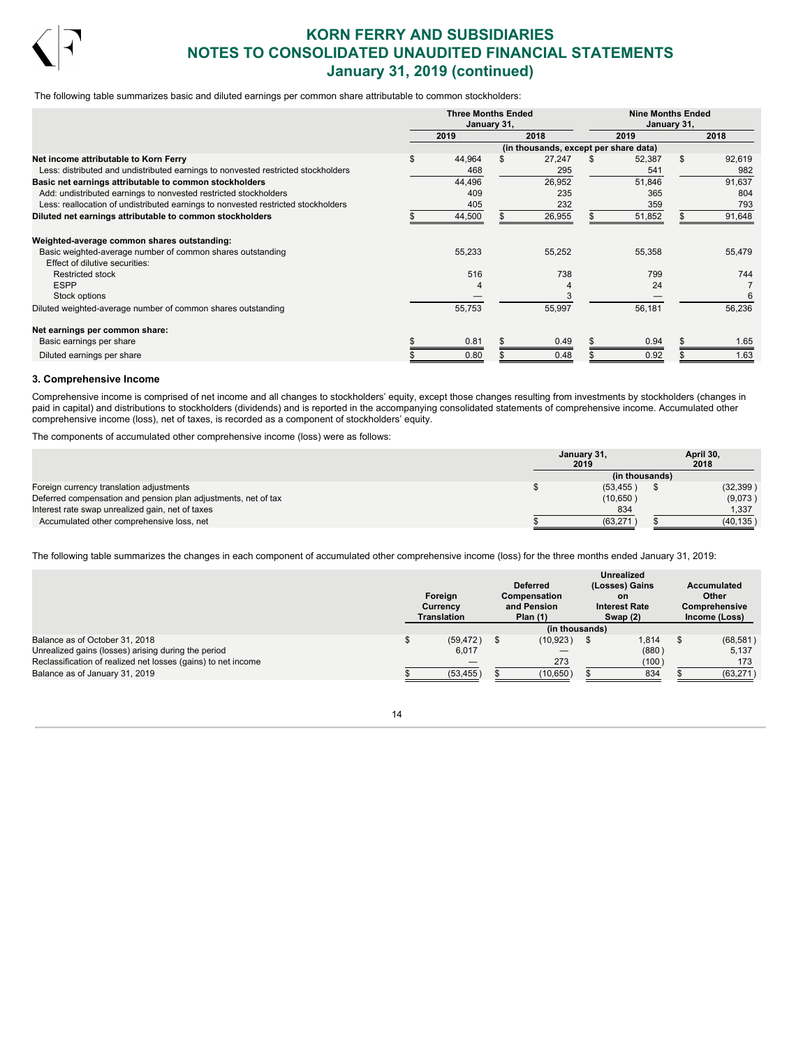

The following table summarizes basic and diluted earnings per common share attributable to common stockholders:

|                                                                                   |     | <b>Three Months Ended</b><br>January 31, |        |  | <b>Nine Months Ended</b>              |     |        |
|-----------------------------------------------------------------------------------|-----|------------------------------------------|--------|--|---------------------------------------|-----|--------|
|                                                                                   |     | 2019                                     | 2018   |  | 2019                                  |     | 2018   |
|                                                                                   |     |                                          |        |  | (in thousands, except per share data) |     |        |
| Net income attributable to Korn Ferry                                             | \$. | 44,964                                   | 27,247 |  | 52,387                                | \$. | 92,619 |
| Less: distributed and undistributed earnings to nonvested restricted stockholders |     | 468                                      | 295    |  | 541                                   |     | 982    |
| Basic net earnings attributable to common stockholders                            |     | 44,496                                   | 26,952 |  | 51,846                                |     | 91,637 |
| Add: undistributed earnings to nonvested restricted stockholders                  |     | 409                                      | 235    |  | 365                                   |     | 804    |
| Less: reallocation of undistributed earnings to nonvested restricted stockholders |     | 405                                      | 232    |  | 359                                   |     | 793    |
| Diluted net earnings attributable to common stockholders                          |     | 44,500                                   | 26,955 |  | 51,852                                |     | 91,648 |
| Weighted-average common shares outstanding:                                       |     |                                          |        |  |                                       |     |        |
| Basic weighted-average number of common shares outstanding                        |     | 55,233                                   | 55,252 |  | 55,358                                |     | 55,479 |
| Effect of dilutive securities:                                                    |     |                                          |        |  |                                       |     |        |
| <b>Restricted stock</b>                                                           |     | 516                                      | 738    |  | 799                                   |     | 744    |
| <b>ESPP</b>                                                                       |     |                                          |        |  | 24                                    |     |        |
| Stock options                                                                     |     |                                          |        |  |                                       |     | 6      |
| Diluted weighted-average number of common shares outstanding                      |     | 55,753                                   | 55,997 |  | 56,181                                |     | 56,236 |
| Net earnings per common share:                                                    |     |                                          |        |  |                                       |     |        |
| Basic earnings per share                                                          |     | 0.81                                     | 0.49   |  | 0.94                                  |     | 1.65   |
| Diluted earnings per share                                                        |     | 0.80                                     | 0.48   |  | 0.92                                  |     | 1.63   |

#### **3. Comprehensive Income**

Comprehensive income is comprised of net income and all changes to stockholders' equity, except those changes resulting from investments by stockholders (changes in paid in capital) and distributions to stockholders (dividends) and is reported in the accompanying consolidated statements of comprehensive income. Accumulated other comprehensive income (loss), net of taxes, is recorded as a component of stockholders' equity.

The components of accumulated other comprehensive income (loss) were as follows:

|                                                                | January 31, |                | April 30, |
|----------------------------------------------------------------|-------------|----------------|-----------|
|                                                                | 2019        |                | 2018      |
|                                                                |             | (in thousands) |           |
| Foreign currency translation adjustments                       |             | (53.455)       | (32, 399) |
| Deferred compensation and pension plan adjustments, net of tax |             | (10,650)       | (9,073)   |
| Interest rate swap unrealized gain, net of taxes               |             | 834            | 1.337     |
| Accumulated other comprehensive loss, net                      |             | (63, 271)      | (40, 135) |

The following table summarizes the changes in each component of accumulated other comprehensive income (loss) for the three months ended January 31, 2019:

|                                                               | Foreign                 |  | <b>Deferred</b><br>Compensation                               |  | <b>Unrealized</b><br>(Losses) Gains<br><b>on</b> | Accumulated<br>Other           |
|---------------------------------------------------------------|-------------------------|--|---------------------------------------------------------------|--|--------------------------------------------------|--------------------------------|
|                                                               | Currency<br>Translation |  | and Pension<br><b>Interest Rate</b><br>Plan $(1)$<br>Swap (2) |  |                                                  | Comprehensive<br>Income (Loss) |
|                                                               |                         |  | (in thousands)                                                |  |                                                  |                                |
| Balance as of October 31, 2018                                | (59, 472)               |  | (10, 923)                                                     |  | 1.814                                            | (68, 581)                      |
| Unrealized gains (losses) arising during the period           | 6,017                   |  |                                                               |  | (880)                                            | 5.137                          |
| Reclassification of realized net losses (gains) to net income |                         |  | 273                                                           |  | (100)                                            | 173                            |
| Balance as of January 31, 2019                                | (53, 455)               |  | (10, 650)                                                     |  | 834                                              | (63, 271)                      |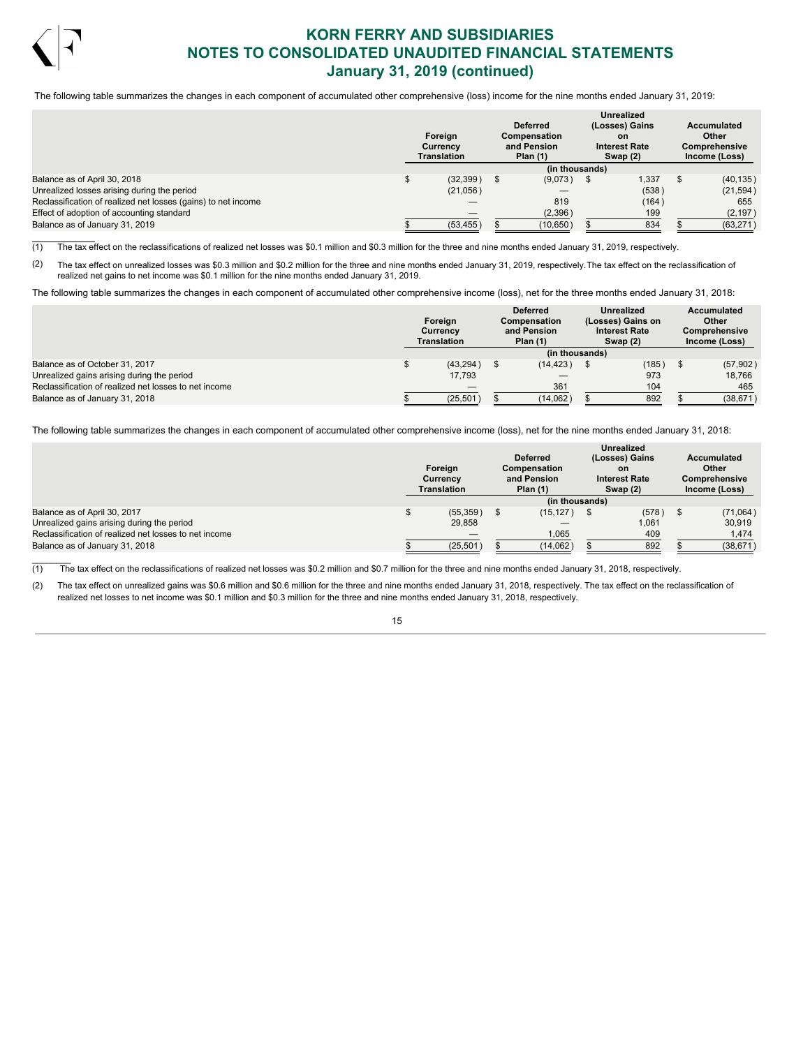

The following table summarizes the changes in each component of accumulated other comprehensive (loss) income for the nine months ended January 31, 2019:

|                                                               |             |                 |    | <b>Unrealized</b>    |  |                      |  |
|---------------------------------------------------------------|-------------|-----------------|----|----------------------|--|----------------------|--|
|                                                               |             | <b>Deferred</b> |    | (Losses) Gains       |  | <b>Accumulated</b>   |  |
|                                                               | Foreign     | Compensation    | on |                      |  | Other                |  |
|                                                               | Currency    | and Pension     |    | <b>Interest Rate</b> |  | <b>Comprehensive</b> |  |
|                                                               | Translation | Plan $(1)$      |    | Swap (2)             |  | Income (Loss)        |  |
|                                                               |             | (in thousands)  |    |                      |  |                      |  |
| Balance as of April 30, 2018                                  | (32, 399)   | (9,073)         |    | 1.337                |  | (40, 135)            |  |
| Unrealized losses arising during the period                   | (21,056)    |                 |    | (538)                |  | (21, 594)            |  |
| Reclassification of realized net losses (gains) to net income |             | 819             |    | (164)                |  | 655                  |  |
| Effect of adoption of accounting standard                     |             | (2,396)         |    | 199                  |  | (2, 197)             |  |
| Balance as of January 31, 2019                                | (53, 455)   | (10, 650)       |    | 834                  |  | (63, 271)            |  |

 $\overline{(1)}$  The tax effect on the reclassifications of realized net losses was \$0.1 million and \$0.3 million for the three and nine months ended January 31, 2019, respectively.

(2) The tax effect on unrealized losses was \$0.3 million and \$0.2 million for the three and nine months ended January 31, 2019, respectively. The tax effect on the reclassification of realized net gains to net income was \$0.1 million for the nine months ended January 31, 2019.

The following table summarizes the changes in each component of accumulated other comprehensive income (loss), net for the three months ended January 31, 2018:

|                                                       | Foreign<br>Currency<br>Translation | <b>Deferred</b><br>Compensation<br>and Pension<br>Plan(1) | <b>Unrealized</b><br>(Losses) Gains on<br><b>Interest Rate</b><br>Swap (2) |      | Accumulated<br>Other<br>Comprehensive<br>Income (Loss) |
|-------------------------------------------------------|------------------------------------|-----------------------------------------------------------|----------------------------------------------------------------------------|------|--------------------------------------------------------|
|                                                       |                                    | (in thousands)                                            |                                                                            |      |                                                        |
|                                                       | (43, 294)                          | (14,423)                                                  | (185)                                                                      | - \$ | (57,902)                                               |
| Unrealized gains arising during the period            | 17.793                             |                                                           | 973                                                                        |      | 18.766                                                 |
| Reclassification of realized net losses to net income |                                    | 361                                                       | 104                                                                        |      | 465                                                    |
| Balance as of January 31, 2018                        | (25, 501)                          | (14, 062)                                                 | 892                                                                        |      | (38, 671)                                              |

The following table summarizes the changes in each component of accumulated other comprehensive income (loss), net for the nine months ended January 31, 2018:

|                                                       |                     |             |  |                 |                      | <b>Unrealized</b> |  |                    |
|-------------------------------------------------------|---------------------|-------------|--|-----------------|----------------------|-------------------|--|--------------------|
|                                                       |                     |             |  | <b>Deferred</b> |                      | (Losses) Gains    |  | <b>Accumulated</b> |
|                                                       | Foreign<br>Currency |             |  | Compensation    |                      | <b>on</b>         |  | Other              |
|                                                       |                     |             |  | and Pension     | <b>Interest Rate</b> |                   |  | Comprehensive      |
|                                                       |                     | Translation |  | Plan $(1)$      |                      | Swap (2)          |  | Income (Loss)      |
|                                                       |                     |             |  | (in thousands)  |                      |                   |  |                    |
| Balance as of April 30, 2017                          |                     | (55, 359)   |  | (15, 127)       |                      | (578)             |  | (71,064)           |
| Unrealized gains arising during the period            |                     | 29,858      |  |                 |                      | 1,061             |  | 30,919             |
| Reclassification of realized net losses to net income |                     |             |  | 1,065           |                      | 409               |  | 1,474              |
| Balance as of January 31, 2018                        |                     | (25, 501)   |  | (14,062)        |                      | 892               |  | (38, 671)          |

 $\overline{(1)}$  The tax effect on the reclassifications of realized net losses was \$0.2 million and \$0.7 million for the three and nine months ended January 31, 2018, respectively.

(2) The tax effect on unrealized gains was \$0.6 million and \$0.6 million for the three and nine months ended January 31, 2018, respectively. The tax effect on the reclassification of realized net losses to net income was \$0.1 million and \$0.3 million for the three and nine months ended January 31, 2018, respectively.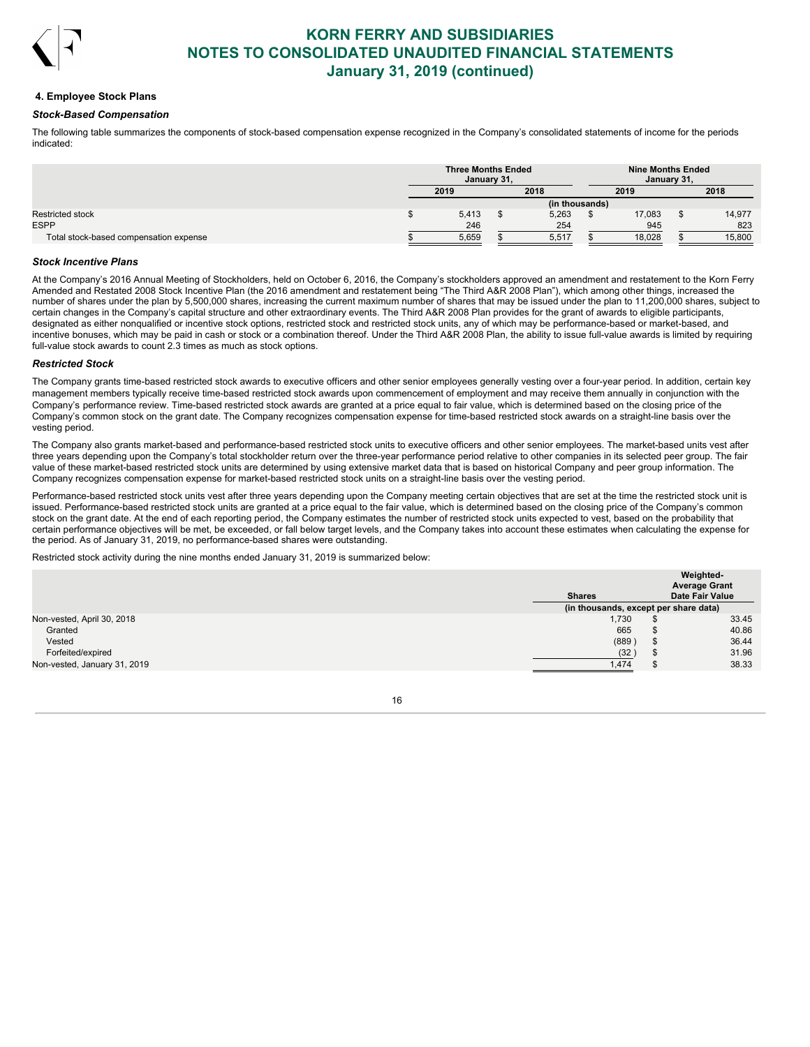

#### **4. Employee Stock Plans**

#### *Stock-Based Compensation*

The following table summarizes the components of stock-based compensation expense recognized in the Company's consolidated statements of income for the periods indicated:

|                                        | <b>Three Months Ended</b><br>January 31, |                | <b>Nine Months Ended</b><br>January 31, |      |        |
|----------------------------------------|------------------------------------------|----------------|-----------------------------------------|------|--------|
|                                        | 2019                                     | 2018           | 2019                                    | 2018 |        |
|                                        |                                          | (in thousands) |                                         |      |        |
|                                        | 5,413                                    | 5,263          | 17,083                                  |      | 14,977 |
|                                        | 246                                      | 254            | 945                                     |      | 823    |
| Total stock-based compensation expense | 5.659                                    | 5,517          | 18.028                                  |      | 15.800 |

#### *Stock Incentive Plans*

At the Company's 2016 Annual Meeting of Stockholders, held on October 6, 2016, the Company's stockholders approved an amendment and restatement to the Korn Ferry Amended and Restated 2008 Stock Incentive Plan (the 2016 amendment and restatement being "The Third A&R 2008 Plan"), which among other things, increased the number of shares under the plan by 5,500,000 shares, increasing the current maximum number of shares that may be issued under the plan to 11,200,000 shares, subject to certain changes in the Company's capital structure and other extraordinary events. The Third A&R 2008 Plan provides for the grant of awards to eligible participants, designated as either nonqualified or incentive stock options, restricted stock and restricted stock units, any of which may be performance-based or market-based, and incentive bonuses, which may be paid in cash or stock or a combination thereof. Under the Third A&R 2008 Plan, the ability to issue full-value awards is limited by requiring full-value stock awards to count 2.3 times as much as stock options.

#### *Restricted Stock*

The Company grants time-based restricted stock awards to executive officers and other senior employees generally vesting over a four-year period. In addition, certain key management members typically receive time-based restricted stock awards upon commencement of employment and may receive them annually in conjunction with the Company's performance review. Time-based restricted stock awards are granted at a price equal to fair value, which is determined based on the closing price of the Company's common stock on the grant date. The Company recognizes compensation expense for time-based restricted stock awards on a straight-line basis over the vesting period.

The Company also grants market-based and performance-based restricted stock units to executive officers and other senior employees. The market-based units vest after three years depending upon the Company's total stockholder return over the three-year performance period relative to other companies in its selected peer group. The fair value of these market-based restricted stock units are determined by using extensive market data that is based on historical Company and peer group information. The Company recognizes compensation expense for market-based restricted stock units on a straight-line basis over the vesting period.

Performance-based restricted stock units vest after three years depending upon the Company meeting certain objectives that are set at the time the restricted stock unit is issued. Performance-based restricted stock units are granted at a price equal to the fair value, which is determined based on the closing price of the Company's common stock on the grant date. At the end of each reporting period, the Company estimates the number of restricted stock units expected to vest, based on the probability that certain performance objectives will be met, be exceeded, or fall below target levels, and the Company takes into account these estimates when calculating the expense for the period. As of January 31, 2019, no performance-based shares were outstanding.

Restricted stock activity during the nine months ended January 31, 2019 is summarized below:

|                              |                                       | Weighted-<br><b>Average Grant</b> |
|------------------------------|---------------------------------------|-----------------------------------|
|                              | <b>Shares</b>                         | <b>Date Fair Value</b>            |
|                              | (in thousands, except per share data) |                                   |
| Non-vested, April 30, 2018   | 1,730                                 | 33.45                             |
| Granted                      | 665                                   | 40.86                             |
| Vested                       | (889)                                 | 36.44                             |
| Forfeited/expired            | (32)                                  | 31.96                             |
| Non-vested, January 31, 2019 | 1.474                                 | 38.33                             |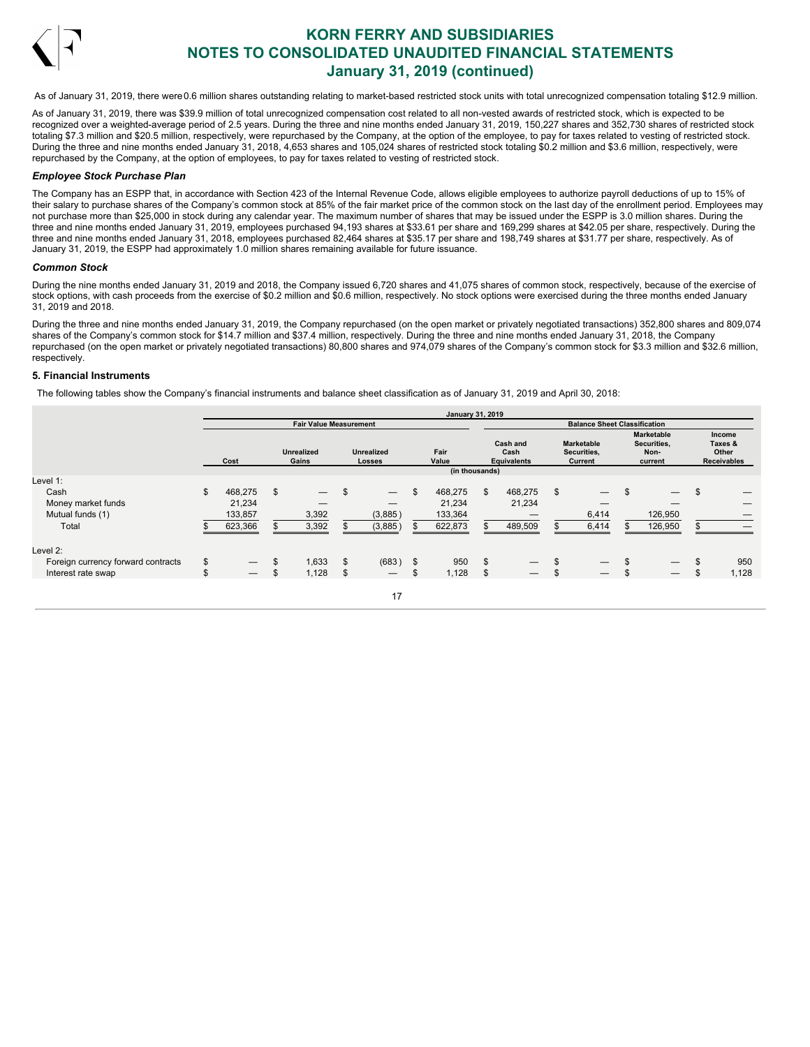

As of January 31, 2019, there were 0.6 million shares outstanding relating to market-based restricted stock units with total unrecognized compensation totaling \$12.9 million.

As of January 31, 2019, there was \$39.9 million of total unrecognized compensation cost related to all non-vested awards of restricted stock, which is expected to be recognized over a weighted-average period of 2.5 years. During the three and nine months ended January 31, 2019, 150,227 shares and 352,730 shares of restricted stock totaling \$7.3 million and \$20.5 million, respectively, were repurchased by the Company, at the option of the employee, to pay for taxes related to vesting of restricted stock. During the three and nine months ended January 31, 2018, 4,653 shares and 105,024 shares of restricted stock totaling \$0.2 million and \$3.6 million, respectively, were repurchased by the Company, at the option of employees, to pay for taxes related to vesting of restricted stock.

### *Employee Stock Purchase Plan*

The Company has an ESPP that, in accordance with Section 423 of the Internal Revenue Code, allows eligible employees to authorize payroll deductions of up to 15% of their salary to purchase shares of the Company's common stock at 85% of the fair market price of the common stock on the last day of the enrollment period. Employees may not purchase more than \$25,000 in stock during any calendar year. The maximum number of shares that may be issued under the ESPP is 3.0 million shares. During the three and nine months ended January 31, 2019, employees purchased 94,193 shares at \$33.61 per share and 169,299 shares at \$42.05 per share, respectively. During the three and nine months ended January 31, 2018, employees purchased 82,464 shares at \$35.17 per share and 198,749 shares at \$31.77 per share, respectively. As of January 31, 2019, the ESPP had approximately 1.0 million shares remaining available for future issuance.

#### *Common Stock*

During the nine months ended January 31, 2019 and 2018, the Company issued 6,720 shares and 41,075 shares of common stock, respectively, because of the exercise of stock options, with cash proceeds from the exercise of \$0.2 million and \$0.6 million, respectively. No stock options were exercised during the three months ended January 31, 2019 and 2018.

During the three and nine months ended January 31, 2019, the Company repurchased (on the open market or privately negotiated transactions) 352,800 shares and 809,074 shares of the Company's common stock for \$14.7 million and \$37.4 million, respectively. During the three and nine months ended January 31, 2018, the Company repurchased (on the open market or privately negotiated transactions) 80,800 shares and 974,079 shares of the Company's common stock for \$3.3 million and \$32.6 million, respectively.

#### **5. Financial Instruments**

The following tables show the Company's financial instruments and balance sheet classification as of January 31, 2019 and April 30, 2018:

|                                    |                                |                               |                             |     | January 31, 2019 |     |                                        |                                             |                                                     |                                                  |
|------------------------------------|--------------------------------|-------------------------------|-----------------------------|-----|------------------|-----|----------------------------------------|---------------------------------------------|-----------------------------------------------------|--------------------------------------------------|
|                                    |                                | <b>Fair Value Measurement</b> |                             |     |                  |     |                                        | <b>Balance Sheet Classification</b>         |                                                     |                                                  |
|                                    | Cost                           | <b>Unrealized</b><br>Gains    | <b>Unrealized</b><br>Losses |     | Fair<br>Value    |     | Cash and<br>Cash<br><b>Equivalents</b> | <b>Marketable</b><br>Securities,<br>Current | <b>Marketable</b><br>Securities,<br>Non-<br>current | Income<br>Taxes &<br>Other<br><b>Receivables</b> |
|                                    |                                |                               |                             |     | (in thousands)   |     |                                        |                                             |                                                     |                                                  |
| Level 1:                           |                                |                               |                             |     |                  |     |                                        |                                             |                                                     |                                                  |
| Cash                               | 468,275                        | \$                            |                             | \$  | 468,275          | \$  | 468,275                                | \$                                          | $\overline{\phantom{0}}$                            | \$                                               |
| Money market funds                 | 21,234                         |                               | —                           |     | 21,234           |     | 21,234                                 |                                             |                                                     |                                                  |
| Mutual funds (1)                   | 133,857                        | 3,392                         | (3,885)                     |     | 133,364          |     |                                        | 6,414                                       | 126,950                                             |                                                  |
| Total                              | 623,366                        | 3,392                         | (3,885)                     |     | 622,873          |     | 489,509                                | 6,414                                       | 126,950                                             |                                                  |
| Level 2:                           |                                |                               |                             |     |                  |     |                                        |                                             |                                                     |                                                  |
| Foreign currency forward contracts | \$<br>$\overline{\phantom{m}}$ | \$<br>1,633                   | \$<br>(683)                 | -\$ | 950              | \$  |                                        | \$                                          |                                                     | \$<br>950                                        |
| Interest rate swap                 | \$<br>$\overline{\phantom{m}}$ | \$<br>1,128                   | \$                          | \$  | 1,128            | -\$ | $\overline{\phantom{0}}$               | \$<br>$\overline{\phantom{a}}$              | $\overline{\phantom{m}}$                            | \$<br>1,128                                      |
|                                    |                                |                               |                             |     |                  |     |                                        |                                             |                                                     |                                                  |
|                                    |                                |                               | 17                          |     |                  |     |                                        |                                             |                                                     |                                                  |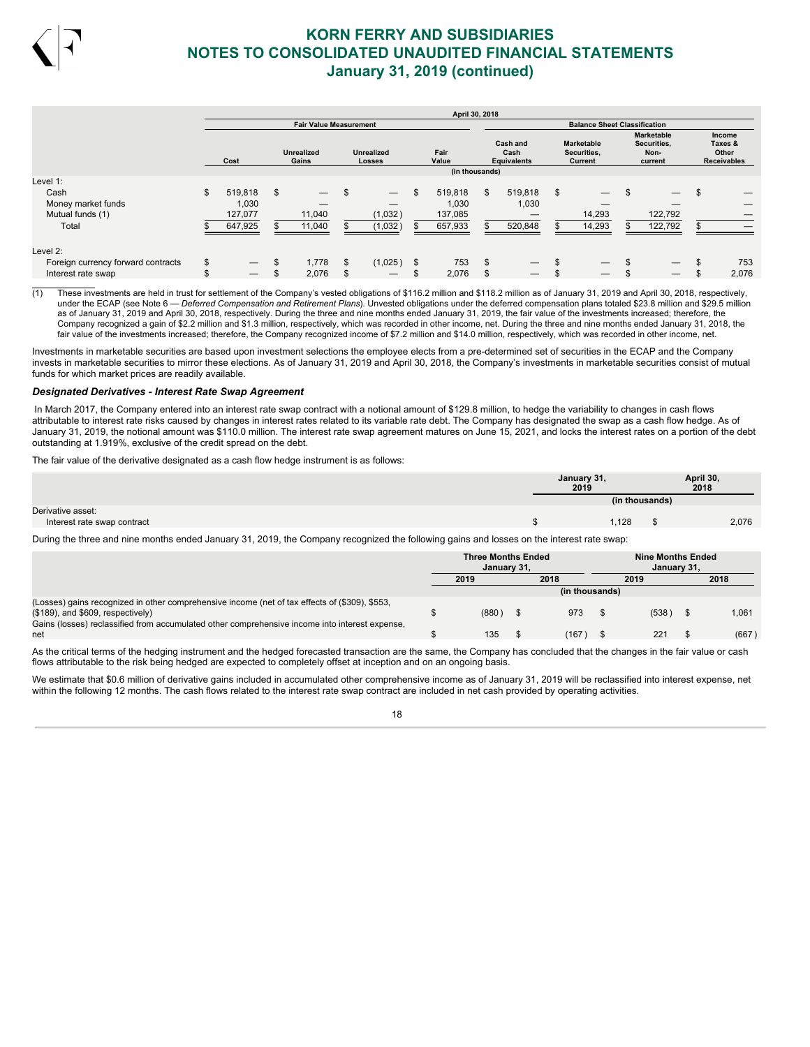

|                                    |         |    |                               |                                    |      | April 30, 2018 |                                     |                                        |    |                                             |    |                                                     |    |                                                  |  |
|------------------------------------|---------|----|-------------------------------|------------------------------------|------|----------------|-------------------------------------|----------------------------------------|----|---------------------------------------------|----|-----------------------------------------------------|----|--------------------------------------------------|--|
|                                    |         |    | <b>Fair Value Measurement</b> |                                    |      |                | <b>Balance Sheet Classification</b> |                                        |    |                                             |    |                                                     |    |                                                  |  |
|                                    | Cost    |    | <b>Unrealized</b><br>Gains    | <b>Unrealized</b><br><b>Losses</b> |      | Fair<br>Value  |                                     | Cash and<br>Cash<br><b>Equivalents</b> |    | <b>Marketable</b><br>Securities,<br>Current |    | <b>Marketable</b><br>Securities,<br>Non-<br>current |    | Income<br>Taxes &<br>Other<br><b>Receivables</b> |  |
|                                    |         |    |                               |                                    |      | (in thousands) |                                     |                                        |    |                                             |    |                                                     |    |                                                  |  |
| Level 1:                           |         |    |                               |                                    |      |                |                                     |                                        |    |                                             |    |                                                     |    |                                                  |  |
| Cash                               | 519,818 | \$ |                               | \$<br>$\overline{\phantom{0}}$     | \$   | 519,818        | \$                                  | 519,818                                | \$ |                                             | J. |                                                     | \$ |                                                  |  |
| Money market funds                 | 1.030   |    |                               |                                    |      | 1.030          |                                     | 1,030                                  |    | __                                          |    |                                                     |    | $\overbrace{\phantom{12332}}$                    |  |
| Mutual funds (1)                   | 127,077 |    | 11,040                        | (1,032)                            |      | 137,085        |                                     |                                        |    | 14,293                                      |    | 122,792                                             |    |                                                  |  |
| Total                              | 647,925 |    | 11,040                        | (1,032)                            |      | 657,933        |                                     | 520,848                                |    | 14,293                                      |    | 122,792                                             |    |                                                  |  |
| Level 2:                           |         |    |                               |                                    |      |                |                                     |                                        |    |                                             |    |                                                     |    |                                                  |  |
| Foreign currency forward contracts | \$      | Æ  | 1.778                         | \$<br>(1,025)                      | - \$ | 753            | \$                                  |                                        | J. | $\overline{\phantom{m}}$                    | \$ |                                                     | \$ | 753                                              |  |
| Interest rate swap                 |         |    | 2,076                         | \$                                 |      | 2,076          |                                     |                                        |    |                                             |    |                                                     |    | 2,076                                            |  |

(1) These investments are held in trust for settlement of the Company's vested obligations of \$116.2 million and \$118.2 million as of January 31, 2019 and April 30, 2018, respectively, under the ECAP (see Note 6 — *Deferred Compensation and Retirement Plans*). Unvested obligations under the deferred compensation plans totaled \$23.8 million and \$29.5 million as of January 31, 2019 and April 30, 2018, respectively. During the three and nine months ended January 31, 2019, the fair value of the investments increased; therefore, the Company recognized a gain of \$2.2 million and \$1.3 million, respectively, which was recorded in other income, net. During the three and nine months ended January 31, 2018, the fair value of the investments increased; therefore, the Company recognized income of \$7.2 million and \$14.0 million, respectively, which was recorded in other income, net.

Investments in marketable securities are based upon investment selections the employee elects from a pre-determined set of securities in the ECAP and the Company invests in marketable securities to mirror these elections. As of January 31, 2019 and April 30, 2018, the Company's investments in marketable securities consist of mutual funds for which market prices are readily available.

### *Designated Derivatives - Interest Rate Swap Agreement*

In March 2017, the Company entered into an interest rate swap contract with a notional amount of \$129.8 million, to hedge the variability to changes in cash flows attributable to interest rate risks caused by changes in interest rates related to its variable rate debt. The Company has designated the swap as a cash flow hedge. As of January 31, 2019, the notional amount was \$110.0 million. The interest rate swap agreement matures on June 15, 2021, and locks the interest rates on a portion of the debt outstanding at 1.919%, exclusive of the credit spread on the debt.

The fair value of the derivative designated as a cash flow hedge instrument is as follows:

|                             | January 31,<br>2019 | April 30,<br>2018 |
|-----------------------------|---------------------|-------------------|
|                             | (in thousands)      |                   |
| Derivative asset:           |                     |                   |
| Interest rate swap contract | ,128                | 2.076             |

During the three and nine months ended January 31, 2019, the Company recognized the following gains and losses on the interest rate swap:

|                                                                                                                                         | <b>Three Months Ended</b><br>January 31. |                |  | <b>Nine Months Ended</b><br>January 31. |  |       |
|-----------------------------------------------------------------------------------------------------------------------------------------|------------------------------------------|----------------|--|-----------------------------------------|--|-------|
|                                                                                                                                         | 2019                                     | 2018           |  | 2019                                    |  | 2018  |
|                                                                                                                                         |                                          | (in thousands) |  |                                         |  |       |
| (Losses) gains recognized in other comprehensive income (net of tax effects of (\$309), \$553,<br>$($189)$ , and $$609$ , respectively) | (880)                                    | 973            |  | (538)                                   |  | 1.061 |
| Gains (losses) reclassified from accumulated other comprehensive income into interest expense,<br>net                                   | 135                                      | (167)          |  | 221                                     |  | (667) |

As the critical terms of the hedging instrument and the hedged forecasted transaction are the same, the Company has concluded that the changes in the fair value or cash flows attributable to the risk being hedged are expected to completely offset at inception and on an ongoing basis.

We estimate that \$0.6 million of derivative gains included in accumulated other comprehensive income as of January 31, 2019 will be reclassified into interest expense, net within the following 12 months. The cash flows related to the interest rate swap contract are included in net cash provided by operating activities.

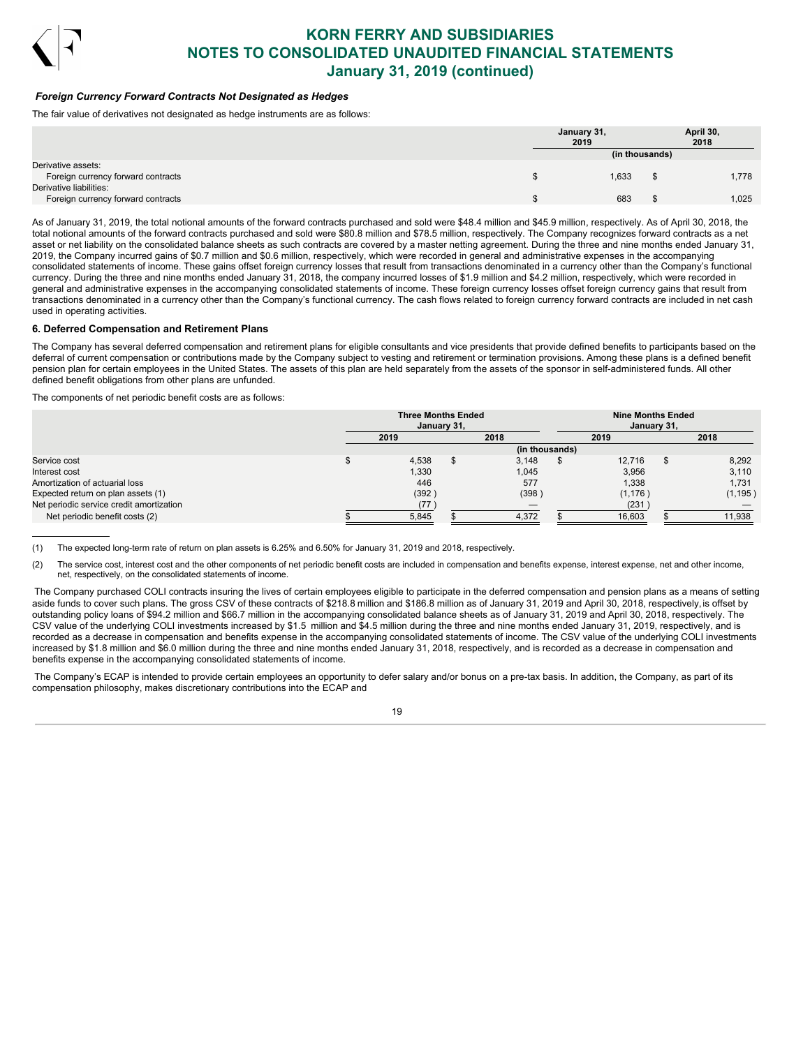

### *Foreign Currency Forward Contracts Not Designated as Hedges*

The fair value of derivatives not designated as hedge instruments are as follows:

|                                                               | January 31,<br>2019 |                | April 30,<br>2018 |       |
|---------------------------------------------------------------|---------------------|----------------|-------------------|-------|
|                                                               |                     | (in thousands) |                   |       |
| Derivative assets:<br>Foreign currency forward contracts      |                     | 1,633          |                   | 1,778 |
| Derivative liabilities:<br>Foreign currency forward contracts |                     | 683            |                   | 1,025 |

As of January 31, 2019, the total notional amounts of the forward contracts purchased and sold were \$48.4 million and \$45.9 million, respectively. As of April 30, 2018, the total notional amounts of the forward contracts purchased and sold were \$80.8 million and \$78.5 million, respectively. The Company recognizes forward contracts as a net asset or net liability on the consolidated balance sheets as such contracts are covered by a master netting agreement. During the three and nine months ended January 31, 2019, the Company incurred gains of \$0.7 million and \$0.6 million, respectively, which were recorded in general and administrative expenses in the accompanying consolidated statements of income. These gains offset foreign currency losses that result from transactions denominated in a currency other than the Company's functional currency. During the three and nine months ended January 31, 2018, the company incurred losses of \$1.9 million and \$4.2 million, respectively, which were recorded in general and administrative expenses in the accompanying consolidated statements of income. These foreign currency losses offset foreign currency gains that result from transactions denominated in a currency other than the Company's functional currency. The cash flows related to foreign currency forward contracts are included in net cash used in operating activities.

#### **6. Deferred Compensation and Retirement Plans**

The Company has several deferred compensation and retirement plans for eligible consultants and vice presidents that provide defined benefits to participants based on the deferral of current compensation or contributions made by the Company subject to vesting and retirement or termination provisions. Among these plans is a defined benefit pension plan for certain employees in the United States. The assets of this plan are held separately from the assets of the sponsor in self-administered funds. All other defined benefit obligations from other plans are unfunded.

The components of net periodic benefit costs are as follows:

|                                          | <b>Three Months Ended</b><br>January 31, |   | <b>Nine Months Ended</b><br>January 31, |          |   |          |
|------------------------------------------|------------------------------------------|---|-----------------------------------------|----------|---|----------|
|                                          | 2019                                     |   | 2018                                    | 2019     |   | 2018     |
|                                          |                                          |   | (in thousands)                          |          |   |          |
| Service cost                             | 4,538                                    | S | 3.148                                   | 12.716   | S | 8,292    |
| Interest cost                            | 1,330                                    |   | 1,045                                   | 3,956    |   | 3,110    |
| Amortization of actuarial loss           | 446                                      |   | 577                                     | 1,338    |   | 1,731    |
| Expected return on plan assets (1)       | (392)                                    |   | (398)                                   | (1, 176) |   | (1, 195) |
| Net periodic service credit amortization | (77                                      |   |                                         | (231)    |   |          |
| Net periodic benefit costs (2)           | 5,845                                    |   | 4,372                                   | 16,603   |   | 11,938   |

(1) The expected long-term rate of return on plan assets is 6.25% and 6.50% for January 31, 2019 and 2018, respectively.

(2) The service cost, interest cost and the other components of net periodic benefit costs are included in compensation and benefits expense, interest expense, net and other income, net, respectively, on the consolidated statements of income.

The Company purchased COLI contracts insuring the lives of certain employees eligible to participate in the deferred compensation and pension plans as a means of setting aside funds to cover such plans. The gross CSV of these contracts of \$218.8 million and \$186.8 million as of January 31, 2019 and April 30, 2018, respectively,is offset by outstanding policy loans of \$94.2 million and \$66.7 million in the accompanying consolidated balance sheets as of January 31, 2019 and April 30, 2018, respectively. The CSV value of the underlying COLI investments increased by \$1.5 million and \$4.5 million during the three and nine months ended January 31, 2019, respectively, and is recorded as a decrease in compensation and benefits expense in the accompanying consolidated statements of income. The CSV value of the underlying COLI investments increased by \$1.8 million and \$6.0 million during the three and nine months ended January 31, 2018, respectively, and is recorded as a decrease in compensation and benefits expense in the accompanying consolidated statements of income.

The Company's ECAP is intended to provide certain employees an opportunity to defer salary and/or bonus on a pre-tax basis. In addition, the Company, as part of its compensation philosophy, makes discretionary contributions into the ECAP and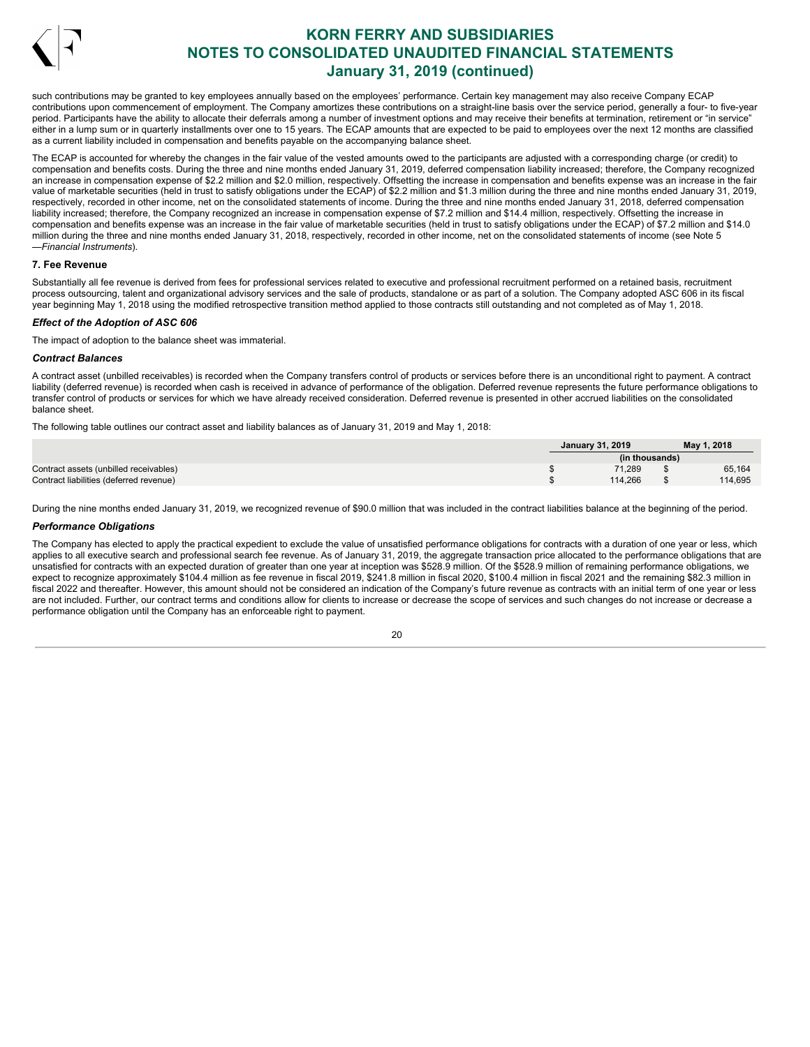

such contributions may be granted to key employees annually based on the employees' performance. Certain key management may also receive Company ECAP contributions upon commencement of employment. The Company amortizes these contributions on a straight-line basis over the service period, generally a four- to five-year period. Participants have the ability to allocate their deferrals among a number of investment options and may receive their benefits at termination, retirement or "in service" either in a lump sum or in quarterly installments over one to 15 years. The ECAP amounts that are expected to be paid to employees over the next 12 months are classified as a current liability included in compensation and benefits payable on the accompanying balance sheet.

The ECAP is accounted for whereby the changes in the fair value of the vested amounts owed to the participants are adjusted with a corresponding charge (or credit) to compensation and benefits costs. During the three and nine months ended January 31, 2019, deferred compensation liability increased; therefore, the Company recognized an increase in compensation expense of \$2.2 million and \$2.0 million, respectively. Offsetting the increase in compensation and benefits expense was an increase in the fair value of marketable securities (held in trust to satisfy obligations under the ECAP) of \$2.2 million and \$1.3 million during the three and nine months ended January 31, 2019, respectively, recorded in other income, net on the consolidated statements of income. During the three and nine months ended January 31, 2018, deferred compensation liability increased; therefore, the Company recognized an increase in compensation expense of \$7.2 million and \$14.4 million, respectively. Offsetting the increase in compensation and benefits expense was an increase in the fair value of marketable securities (held in trust to satisfy obligations under the ECAP) of \$7.2 million and \$14.0 million during the three and nine months ended January 31, 2018, respectively, recorded in other income, net on the consolidated statements of income (see Note 5 —*Financial Instruments*).

#### **7. Fee Revenue**

Substantially all fee revenue is derived from fees for professional services related to executive and professional recruitment performed on a retained basis, recruitment process outsourcing, talent and organizational advisory services and the sale of products, standalone or as part of a solution. The Company adopted ASC 606 in its fiscal year beginning May 1, 2018 using the modified retrospective transition method applied to those contracts still outstanding and not completed as of May 1, 2018.

#### *Effect of the Adoption of ASC 606*

The impact of adoption to the balance sheet was immaterial.

#### *Contract Balances*

A contract asset (unbilled receivables) is recorded when the Company transfers control of products or services before there is an unconditional right to payment. A contract liability (deferred revenue) is recorded when cash is received in advance of performance of the obligation. Deferred revenue represents the future performance obligations to transfer control of products or services for which we have already received consideration. Deferred revenue is presented in other accrued liabilities on the consolidated balance sheet.

The following table outlines our contract asset and liability balances as of January 31, 2019 and May 1, 2018:

|                                         | January 31, 2019 |                | May 1, 2018 |         |
|-----------------------------------------|------------------|----------------|-------------|---------|
|                                         |                  | (in thousands) |             |         |
| Contract assets (unbilled receivables)  |                  | 71.289         |             | 65.164  |
| Contract liabilities (deferred revenue) |                  | 114,266        |             | 114.695 |

During the nine months ended January 31, 2019, we recognized revenue of \$90.0 million that was included in the contract liabilities balance at the beginning of the period.

#### *Performance Obligations*

The Company has elected to apply the practical expedient to exclude the value of unsatisfied performance obligations for contracts with a duration of one year or less, which applies to all executive search and professional search fee revenue. As of January 31, 2019, the aggregate transaction price allocated to the performance obligations that are unsatisfied for contracts with an expected duration of greater than one year at inception was \$528.9 million. Of the \$528.9 million of remaining performance obligations, we expect to recognize approximately \$104.4 million as fee revenue in fiscal 2019, \$241.8 million in fiscal 2020, \$100.4 million in fiscal 2021 and the remaining \$82.3 million in fiscal 2022 and thereafter. However, this amount should not be considered an indication of the Company's future revenue as contracts with an initial term of one year or less are not included. Further, our contract terms and conditions allow for clients to increase or decrease the scope of services and such changes do not increase or decrease a performance obligation until the Company has an enforceable right to payment.

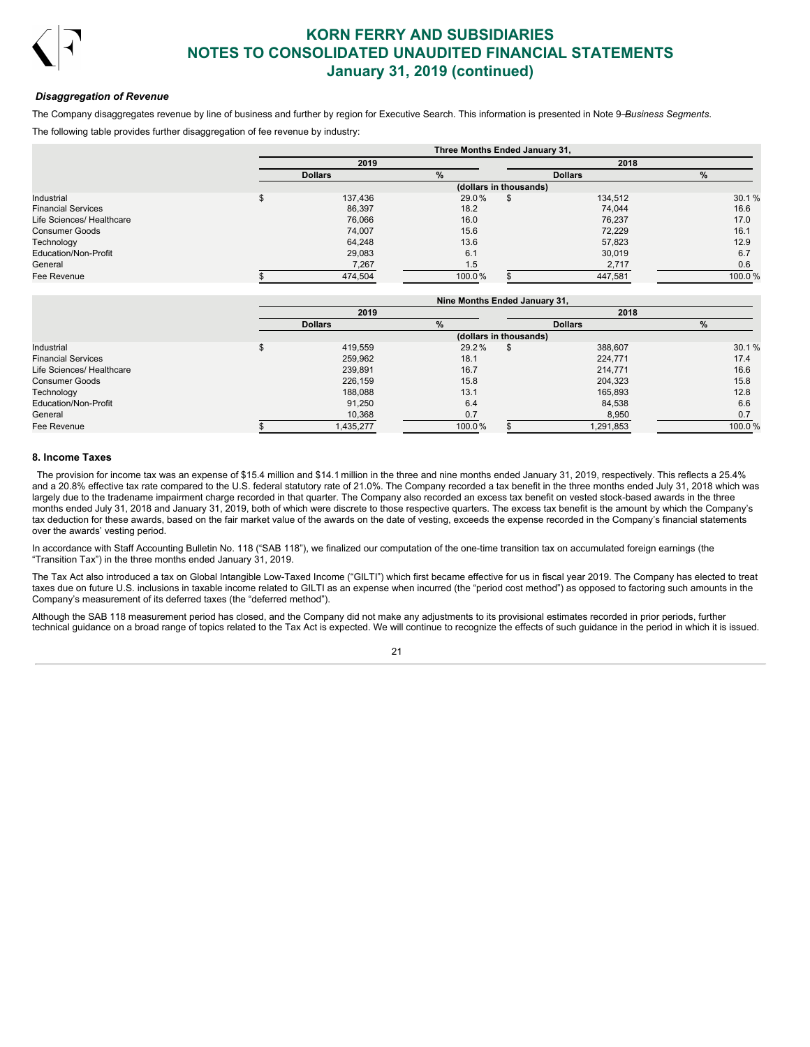

#### *Disaggregation of Revenue*

The Company disaggregates revenue by line of business and further by region for Executive Search. This information is presented in Note 9—*Business Segments*.

The following table provides further disaggregation of fee revenue by industry:

|                           |                | Three Months Ended January 31, |                        |                |        |  |  |  |
|---------------------------|----------------|--------------------------------|------------------------|----------------|--------|--|--|--|
|                           | 2019           |                                |                        | 2018           |        |  |  |  |
|                           | <b>Dollars</b> | $\%$                           |                        | <b>Dollars</b> | $\%$   |  |  |  |
|                           |                |                                | (dollars in thousands) |                |        |  |  |  |
| Industrial                | 137,436        | 29.0%                          |                        | 134,512        | 30.1%  |  |  |  |
| <b>Financial Services</b> | 86,397         | 18.2                           |                        | 74.044         | 16.6   |  |  |  |
| Life Sciences/ Healthcare | 76,066         | 16.0                           |                        | 76,237         | 17.0   |  |  |  |
| <b>Consumer Goods</b>     | 74,007         | 15.6                           |                        | 72,229         | 16.1   |  |  |  |
| Technology                | 64,248         | 13.6                           |                        | 57,823         | 12.9   |  |  |  |
| Education/Non-Profit      | 29,083         | 6.1                            |                        | 30,019         | 6.7    |  |  |  |
| General                   | 7,267          | 1.5                            |                        | 2,717          | 0.6    |  |  |  |
| Fee Revenue               | 474,504        | 100.0%                         |                        | 447,581        | 100.0% |  |  |  |

|                           |                | Nine Months Ended January 31, |                        |                |        |
|---------------------------|----------------|-------------------------------|------------------------|----------------|--------|
|                           | 2019           |                               |                        | 2018           |        |
|                           | <b>Dollars</b> | $\%$                          |                        | <b>Dollars</b> | $\%$   |
|                           |                |                               | (dollars in thousands) |                |        |
| Industrial                | 419.559        | 29.2%                         |                        | 388,607        | 30.1%  |
| <b>Financial Services</b> | 259,962        | 18.1                          |                        | 224,771        | 17.4   |
| Life Sciences/ Healthcare | 239,891        | 16.7                          |                        | 214,771        | 16.6   |
| <b>Consumer Goods</b>     | 226,159        | 15.8                          |                        | 204,323        | 15.8   |
| Technology                | 188,088        | 13.1                          |                        | 165,893        | 12.8   |
| Education/Non-Profit      | 91.250         | 6.4                           |                        | 84,538         | 6.6    |
| General                   | 10,368         | 0.7                           |                        | 8,950          | 0.7    |
| Fee Revenue               | 1,435,277      | 100.0%                        |                        | 1,291,853      | 100.0% |

#### **8. Income Taxes**

The provision for income tax was an expense of \$15.4 million and \$14.1 million in the three and nine months ended January 31, 2019, respectively. This reflects a 25.4% and a 20.8% effective tax rate compared to the U.S. federal statutory rate of 21.0%. The Company recorded a tax benefit in the three months ended July 31, 2018 which was largely due to the tradename impairment charge recorded in that quarter. The Company also recorded an excess tax benefit on vested stock-based awards in the three months ended July 31, 2018 and January 31, 2019, both of which were discrete to those respective quarters. The excess tax benefit is the amount by which the Company's tax deduction for these awards, based on the fair market value of the awards on the date of vesting, exceeds the expense recorded in the Company's financial statements over the awards' vesting period.

In accordance with Staff Accounting Bulletin No. 118 ("SAB 118"), we finalized our computation of the one-time transition tax on accumulated foreign earnings (the "Transition Tax") in the three months ended January 31, 2019.

The Tax Act also introduced a tax on Global Intangible Low-Taxed Income ("GILTI") which first became effective for us in fiscal year 2019. The Company has elected to treat taxes due on future U.S. inclusions in taxable income related to GILTI as an expense when incurred (the "period cost method") as opposed to factoring such amounts in the Company's measurement of its deferred taxes (the "deferred method").

Although the SAB 118 measurement period has closed, and the Company did not make any adjustments to its provisional estimates recorded in prior periods, further technical guidance on a broad range of topics related to the Tax Act is expected. We will continue to recognize the effects of such guidance in the period in which it is issued.

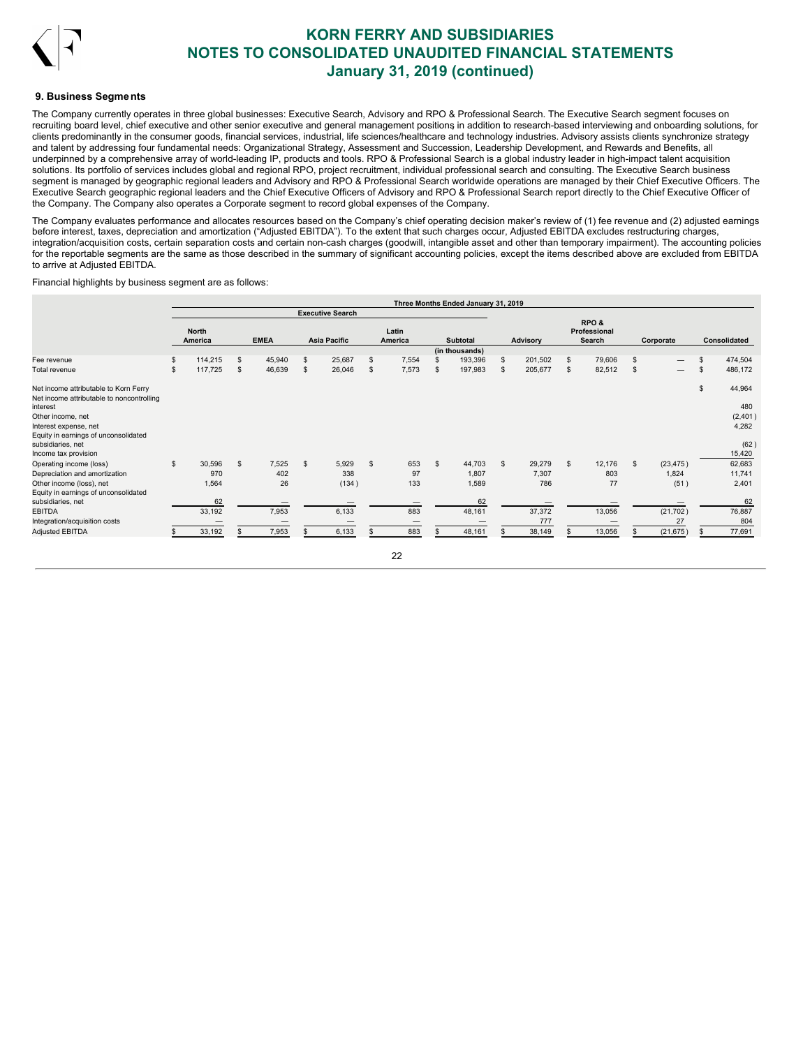

#### **9. Business Segments**

The Company currently operates in three global businesses: Executive Search, Advisory and RPO & Professional Search. The Executive Search segment focuses on recruiting board level, chief executive and other senior executive and general management positions in addition to research-based interviewing and onboarding solutions, for clients predominantly in the consumer goods, financial services, industrial, life sciences/healthcare and technology industries. Advisory assists clients synchronize strategy and talent by addressing four fundamental needs: Organizational Strategy, Assessment and Succession, Leadership Development, and Rewards and Benefits, all underpinned by a comprehensive array of world-leading IP, products and tools. RPO & Professional Search is a global industry leader in high-impact talent acquisition solutions. Its portfolio of services includes global and regional RPO, project recruitment, individual professional search and consulting. The Executive Search business segment is managed by geographic regional leaders and Advisory and RPO & Professional Search worldwide operations are managed by their Chief Executive Officers. The Executive Search geographic regional leaders and the Chief Executive Officers of Advisory and RPO & Professional Search report directly to the Chief Executive Officer of the Company. The Company also operates a Corporate segment to record global expenses of the Company.

The Company evaluates performance and allocates resources based on the Company's chief operating decision maker's review of (1) fee revenue and (2) adjusted earnings before interest, taxes, depreciation and amortization ("Adjusted EBITDA"). To the extent that such charges occur, Adjusted EBITDA excludes restructuring charges, integration/acquisition costs, certain separation costs and certain non-cash charges (goodwill, intangible asset and other than temporary impairment). The accounting policies for the reportable segments are the same as those described in the summary of significant accounting policies, except the items described above are excluded from EBITDA to arrive at Adjusted EBITDA.

#### Financial highlights by business segment are as follows:

|                                                                                    |    |                  | Three Months Ended January 31, 2019<br><b>Executive Search</b><br>RPO&<br>Latin<br>Professional<br><b>EMEA</b><br><b>Asia Pacific</b><br>America<br>Search<br><b>Subtotal</b><br>Advisory<br>(in thousands)<br>25,687<br>201,502<br>\$<br>45,940<br>S<br>7,554<br>\$<br>\$<br>193,396<br>S<br>46,639<br>S<br>26,046<br>7,573<br>197,983<br>205,677<br>\$<br>\$<br>\$<br>S<br>\$.<br>30,596<br>\$<br>7,525<br>S<br>653<br>s.<br>29,279<br>5,929<br>44,703<br>\$<br>\$<br>\$<br>970<br>402<br>338<br>97<br>1.807<br>7,307<br>1,564<br>26<br>786<br>(134)<br>133<br>1,589<br>62<br>62<br>33,192<br>7,953<br>6,133<br>883<br>37,372<br>48,161 |       |       |     |        |        |  |        |    |                          |     |                |
|------------------------------------------------------------------------------------|----|------------------|-------------------------------------------------------------------------------------------------------------------------------------------------------------------------------------------------------------------------------------------------------------------------------------------------------------------------------------------------------------------------------------------------------------------------------------------------------------------------------------------------------------------------------------------------------------------------------------------------------------------------------------------|-------|-------|-----|--------|--------|--|--------|----|--------------------------|-----|----------------|
|                                                                                    |    | North<br>America |                                                                                                                                                                                                                                                                                                                                                                                                                                                                                                                                                                                                                                           |       |       |     |        |        |  |        |    | Corporate                |     | Consolidated   |
| Fee revenue                                                                        | £. | 114,215          |                                                                                                                                                                                                                                                                                                                                                                                                                                                                                                                                                                                                                                           |       |       |     |        |        |  | 79,606 | \$ |                          |     | 474,504        |
| Total revenue                                                                      | \$ | 117,725          |                                                                                                                                                                                                                                                                                                                                                                                                                                                                                                                                                                                                                                           |       |       |     |        |        |  | 82,512 | \$ | $\overline{\phantom{0}}$ | \$  | 486,172        |
| Net income attributable to Korn Ferry<br>Net income attributable to noncontrolling |    |                  |                                                                                                                                                                                                                                                                                                                                                                                                                                                                                                                                                                                                                                           |       |       |     |        |        |  |        |    |                          | \$. | 44,964         |
| interest                                                                           |    |                  |                                                                                                                                                                                                                                                                                                                                                                                                                                                                                                                                                                                                                                           |       |       |     |        |        |  |        |    |                          |     | 480            |
| Other income, net                                                                  |    |                  |                                                                                                                                                                                                                                                                                                                                                                                                                                                                                                                                                                                                                                           |       |       |     |        |        |  |        |    |                          |     | (2, 401)       |
| Interest expense, net                                                              |    |                  |                                                                                                                                                                                                                                                                                                                                                                                                                                                                                                                                                                                                                                           |       |       |     |        |        |  |        |    |                          |     | 4,282          |
| Equity in earnings of unconsolidated                                               |    |                  |                                                                                                                                                                                                                                                                                                                                                                                                                                                                                                                                                                                                                                           |       |       |     |        |        |  |        |    |                          |     |                |
| subsidiaries, net<br>Income tax provision                                          |    |                  |                                                                                                                                                                                                                                                                                                                                                                                                                                                                                                                                                                                                                                           |       |       |     |        |        |  |        |    |                          |     | (62)<br>15,420 |
| Operating income (loss)                                                            | \$ |                  |                                                                                                                                                                                                                                                                                                                                                                                                                                                                                                                                                                                                                                           |       |       |     |        |        |  | 12,176 | S  | (23, 475)                |     | 62,683         |
| Depreciation and amortization                                                      |    |                  |                                                                                                                                                                                                                                                                                                                                                                                                                                                                                                                                                                                                                                           |       |       |     |        |        |  | 803    |    | 1,824                    |     | 11,741         |
| Other income (loss), net                                                           |    |                  |                                                                                                                                                                                                                                                                                                                                                                                                                                                                                                                                                                                                                                           |       |       |     |        |        |  | 77     |    | (51)                     |     | 2,401          |
| Equity in earnings of unconsolidated                                               |    |                  |                                                                                                                                                                                                                                                                                                                                                                                                                                                                                                                                                                                                                                           |       |       |     |        |        |  |        |    |                          |     |                |
| subsidiaries, net                                                                  |    |                  |                                                                                                                                                                                                                                                                                                                                                                                                                                                                                                                                                                                                                                           |       |       |     |        |        |  |        |    |                          |     | 62             |
| <b>EBITDA</b>                                                                      |    |                  |                                                                                                                                                                                                                                                                                                                                                                                                                                                                                                                                                                                                                                           |       |       |     |        |        |  | 13,056 |    | (21, 702)                |     | 76,887         |
| Integration/acquisition costs                                                      |    |                  |                                                                                                                                                                                                                                                                                                                                                                                                                                                                                                                                                                                                                                           |       |       |     | –      | 777    |  | _      |    | 27                       |     | 804            |
| <b>Adjusted EBITDA</b>                                                             |    | 33,192           |                                                                                                                                                                                                                                                                                                                                                                                                                                                                                                                                                                                                                                           | 7,953 | 6,133 | 883 | 48,161 | 38,149 |  | 13,056 |    | (21, 675)                |     | 77,691         |

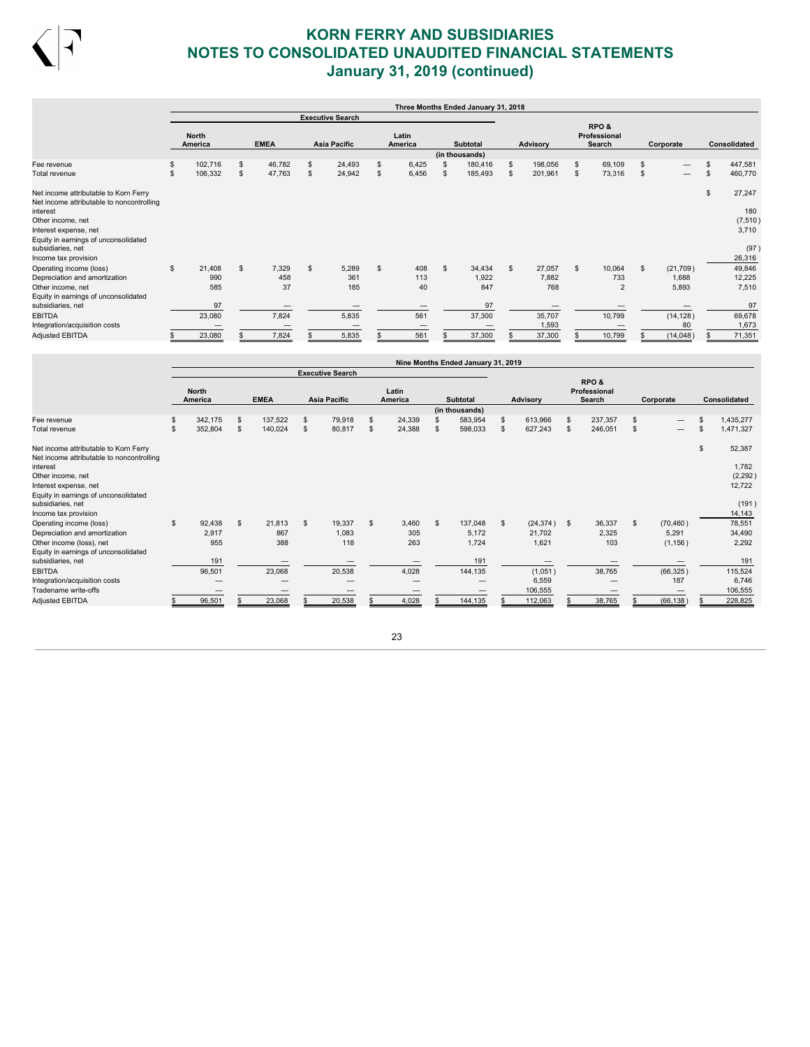

|                                                           |        |                         |          |                                 |          |                         |          |                  |                | Three Months Ended January 31, 2018 |          |                    |         |                                |          |                                                      |           |                    |
|-----------------------------------------------------------|--------|-------------------------|----------|---------------------------------|----------|-------------------------|----------|------------------|----------------|-------------------------------------|----------|--------------------|---------|--------------------------------|----------|------------------------------------------------------|-----------|--------------------|
|                                                           |        |                         |          |                                 |          | <b>Executive Search</b> |          |                  |                |                                     |          |                    |         |                                |          |                                                      |           |                    |
|                                                           |        | <b>North</b><br>America |          | <b>EMEA</b>                     |          | <b>Asia Pacific</b>     |          | Latin<br>America |                | <b>Subtotal</b>                     |          | Advisory           |         | RPO&<br>Professional<br>Search |          | Corporate                                            |           | Consolidated       |
| Fee revenue                                               |        |                         |          |                                 |          |                         |          |                  |                | (in thousands)                      |          |                    |         |                                |          |                                                      |           |                    |
| Total revenue                                             | S<br>S | 102,716<br>106,332      | \$<br>\$ | 46,782<br>47,763                | \$<br>\$ | 24,493<br>24,942        | \$<br>\$ | 6,425<br>6,456   |                | 180,416<br>185,493                  | \$<br>\$ | 198,056<br>201,961 | \$<br>S | 69,109<br>73,316               | \$<br>\$ | $\overline{\phantom{0}}$<br>$\overline{\phantom{0}}$ | \$<br>\$. | 447,581<br>460,770 |
| Net income attributable to Korn Ferry                     |        |                         |          |                                 |          |                         |          |                  |                |                                     |          |                    |         |                                |          |                                                      | \$        | 27,247             |
| Net income attributable to noncontrolling<br>interest     |        |                         |          |                                 |          |                         |          |                  |                |                                     |          |                    |         |                                |          |                                                      |           | 180                |
| Other income, net                                         |        |                         |          |                                 |          |                         |          |                  |                |                                     |          |                    |         |                                |          |                                                      |           | (7, 510)           |
| Interest expense, net                                     |        |                         |          |                                 |          |                         |          |                  |                |                                     |          |                    |         |                                |          |                                                      |           | 3,710              |
| Equity in earnings of unconsolidated<br>subsidiaries, net |        |                         |          |                                 |          |                         |          |                  |                |                                     |          |                    |         |                                |          |                                                      |           | (97)               |
| Income tax provision                                      |        |                         |          |                                 |          |                         |          |                  |                |                                     |          |                    |         |                                |          |                                                      |           | 26,316             |
| Operating income (loss)                                   | \$     | 21,408                  | \$       | 7,329                           | \$       | 5,289                   | \$       | 408              | $\mathfrak{L}$ | 34,434                              | \$       | 27,057             | \$.     | 10,064                         | \$       | (21,709)                                             |           | 49,846             |
| Depreciation and amortization                             |        | 990                     |          | 458                             |          | 361                     |          | 113              |                | 1,922                               |          | 7,882              |         | 733                            |          | 1,688                                                |           | 12,225             |
| Other income, net                                         |        | 585                     |          | 37                              |          | 185                     |          | 40               |                | 847                                 |          | 768                |         | 2                              |          | 5,893                                                |           | 7,510              |
| Equity in earnings of unconsolidated                      |        |                         |          |                                 |          |                         |          |                  |                |                                     |          |                    |         |                                |          |                                                      |           |                    |
| subsidiaries, net                                         |        | 97                      |          |                                 |          |                         |          |                  |                | 97                                  |          |                    |         |                                |          |                                                      |           | 97                 |
| <b>EBITDA</b>                                             |        | 23,080                  |          | 7,824                           |          | 5,835                   |          | 561              |                | 37,300                              |          | 35,707             |         | 10,799                         |          | (14, 128)                                            |           | 69,678             |
| Integration/acquisition costs                             |        |                         |          | $\hspace{0.1mm}-\hspace{0.1mm}$ |          | $\hspace{0.05cm}$       |          |                  |                | $\overline{\phantom{m}}$            |          | 1,593              |         |                                |          | 80                                                   |           | 1,673              |
| Adjusted EBITDA                                           |        | 23,080                  |          | 7,824                           |          | 5,835                   |          | 561              |                | 37,300                              |          | 37,300             |         | 10,799                         |          | (14,048)                                             |           | 71,351             |

|                                                                                    |                                |    |             |    |                         |                |                  |                | Nine Months Ended January 31, 2019 |                |                 |              |                                |    |           |                 |
|------------------------------------------------------------------------------------|--------------------------------|----|-------------|----|-------------------------|----------------|------------------|----------------|------------------------------------|----------------|-----------------|--------------|--------------------------------|----|-----------|-----------------|
|                                                                                    |                                |    |             |    | <b>Executive Search</b> |                |                  |                |                                    |                |                 |              |                                |    |           |                 |
|                                                                                    | <b>North</b><br><b>America</b> |    | <b>EMEA</b> |    | <b>Asia Pacific</b>     |                | Latin<br>America |                | <b>Subtotal</b><br>(in thousands)  |                | <b>Advisory</b> |              | RPO&<br>Professional<br>Search |    | Corporate | Consolidated    |
| Fee revenue                                                                        | \$<br>342,175                  | \$ | 137,522     | \$ | 79,918                  |                | 24,339           |                | 583,954                            | $\mathfrak{s}$ | 613,966         | $\mathbb{S}$ | 237,357                        | \$ |           | 1,435,277       |
| Total revenue                                                                      | \$<br>352,804                  | S  | 140,024     | s. | 80,817                  | $\mathfrak{s}$ | 24,388           | $\mathfrak{s}$ | 598,033                            | \$             | 627,243         | \$           | 246,051                        | \$ |           | \$<br>1,471,327 |
| Net income attributable to Korn Ferry<br>Net income attributable to noncontrolling |                                |    |             |    |                         |                |                  |                |                                    |                |                 |              |                                |    |           | \$<br>52,387    |
| interest                                                                           |                                |    |             |    |                         |                |                  |                |                                    |                |                 |              |                                |    |           | 1,782           |
| Other income, net                                                                  |                                |    |             |    |                         |                |                  |                |                                    |                |                 |              |                                |    |           | (2, 292)        |
| Interest expense, net                                                              |                                |    |             |    |                         |                |                  |                |                                    |                |                 |              |                                |    |           | 12,722          |
| Equity in earnings of unconsolidated<br>subsidiaries, net                          |                                |    |             |    |                         |                |                  |                |                                    |                |                 |              |                                |    |           | (191)           |
| Income tax provision                                                               |                                |    |             |    |                         |                |                  |                |                                    |                |                 |              |                                |    |           | 14,143          |
| Operating income (loss)                                                            | \$<br>92,438                   | s. | 21,813      | S. | 19,337                  | \$             | 3,460            | $\mathbf{s}$   | 137,048                            | \$             | (24, 374)       | -S           | 36,337                         | s. | (70, 460) | 78,551          |
| Depreciation and amortization                                                      | 2.917                          |    | 867         |    | 1,083                   |                | 305              |                | 5,172                              |                | 21,702          |              | 2,325                          |    | 5,291     | 34,490          |
| Other income (loss), net                                                           | 955                            |    | 388         |    | 118                     |                | 263              |                | 1,724                              |                | 1,621           |              | 103                            |    | (1, 156)  | 2,292           |
| Equity in earnings of unconsolidated                                               |                                |    |             |    |                         |                |                  |                |                                    |                |                 |              |                                |    |           |                 |
| subsidiaries, net                                                                  | 191                            |    |             |    |                         |                |                  |                | 191                                |                |                 |              |                                |    |           | 191             |
| <b>EBITDA</b>                                                                      | 96,501                         |    | 23,068      |    | 20,538                  |                | 4,028            |                | 144,135                            |                | (1,051)         |              | 38,765                         |    | (66, 325) | 115,524         |
| Integration/acquisition costs                                                      |                                |    |             |    |                         |                |                  |                |                                    |                | 6,559           |              |                                |    | 187       | 6,746           |
| Tradename write-offs                                                               |                                |    |             |    |                         |                |                  |                |                                    |                | 106,555         |              |                                |    |           | 106,555         |
| <b>Adjusted EBITDA</b>                                                             | 96,501                         |    | 23,068      |    | 20,538                  |                | 4,028            |                | 144,135                            |                | 112,063         |              | 38,765                         |    | (66, 138) | 228,825         |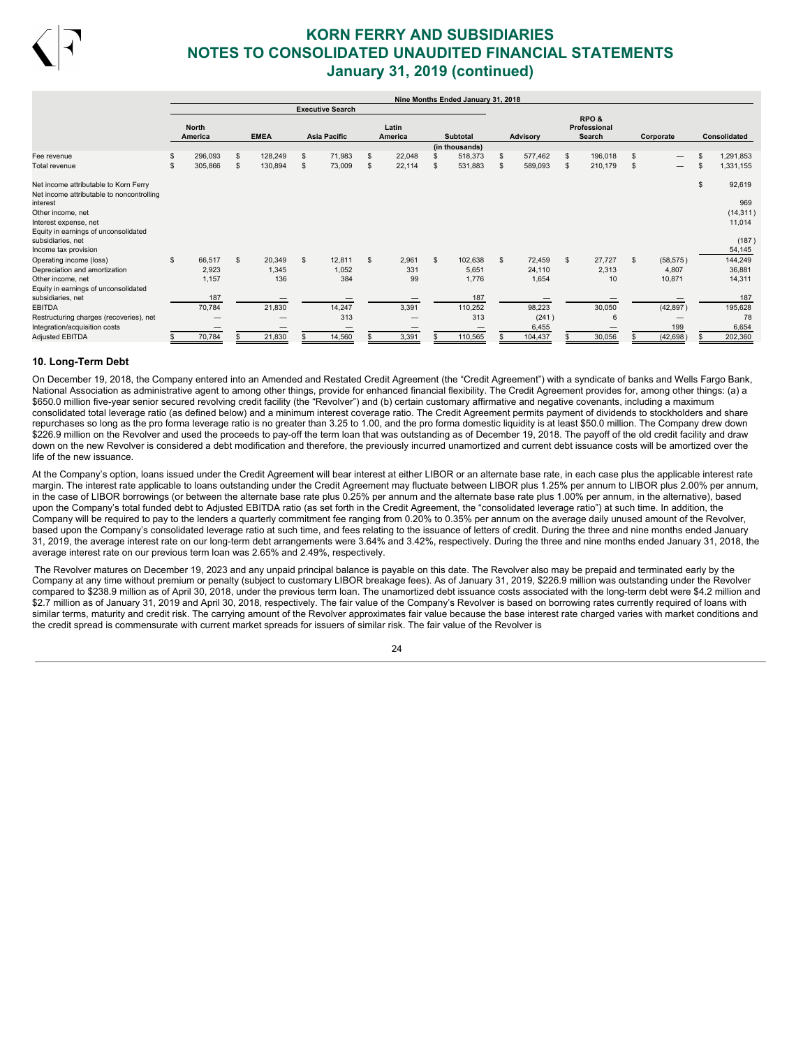

|                                                           |                         |               |                         |              |                  | Nine Months Ended January 31, 2018 |    |          |     |                                |                                |              |
|-----------------------------------------------------------|-------------------------|---------------|-------------------------|--------------|------------------|------------------------------------|----|----------|-----|--------------------------------|--------------------------------|--------------|
|                                                           |                         |               | <b>Executive Search</b> |              |                  |                                    |    |          |     |                                |                                |              |
|                                                           | <b>North</b><br>America | <b>EMEA</b>   | <b>Asia Pacific</b>     |              | Latin<br>America | <b>Subtotal</b>                    |    | Advisory |     | RPO&<br>Professional<br>Search | Corporate                      | Consolidated |
|                                                           |                         |               |                         |              |                  | (in thousands)                     |    |          |     |                                |                                |              |
| Fee revenue                                               | \$<br>296,093           | \$<br>128,249 | \$<br>71,983            | \$           | 22,048           | 518,373                            | \$ | 577,462  | S   | 196,018                        | \$<br>$\overline{\phantom{m}}$ | 1,291,853    |
| Total revenue                                             | \$<br>305,866           | \$<br>130,894 | \$<br>73,009            | \$           | 22,114           | \$<br>531,883                      | S  | 589,093  | \$. | 210,179                        | \$                             | 1,331,155    |
| Net income attributable to Korn Ferry                     |                         |               |                         |              |                  |                                    |    |          |     |                                |                                | \$<br>92,619 |
| Net income attributable to noncontrolling<br>interest     |                         |               |                         |              |                  |                                    |    |          |     |                                |                                | 969          |
| Other income, net                                         |                         |               |                         |              |                  |                                    |    |          |     |                                |                                | (14, 311)    |
| Interest expense, net                                     |                         |               |                         |              |                  |                                    |    |          |     |                                |                                | 11,014       |
| Equity in earnings of unconsolidated<br>subsidiaries, net |                         |               |                         |              |                  |                                    |    |          |     |                                |                                | (187)        |
| Income tax provision                                      |                         |               |                         |              |                  |                                    |    |          |     |                                |                                | 54,145       |
| Operating income (loss)                                   | \$<br>66,517            | \$<br>20,349  | \$<br>12,811            | $\mathbf{s}$ | 2,961            | \$<br>102,638                      | \$ | 72,459   | \$  | 27,727                         | \$<br>(58, 575)                | 144,249      |
| Depreciation and amortization                             | 2,923                   | 1,345         | 1,052                   |              | 331              | 5,651                              |    | 24,110   |     | 2,313                          | 4,807                          | 36,881       |
| Other income, net                                         | 1,157                   | 136           | 384                     |              | 99               | 1,776                              |    | 1,654    |     | 10                             | 10,871                         | 14,311       |
| Equity in earnings of unconsolidated                      |                         |               |                         |              |                  |                                    |    |          |     |                                |                                |              |
| subsidiaries, net                                         | 187                     |               |                         |              |                  | 187                                |    |          |     |                                |                                | 187          |
| <b>EBITDA</b>                                             | 70,784                  | 21,830        | 14,247                  |              | 3,391            | 110,252                            |    | 98,223   |     | 30,050                         | (42, 897)                      | 195,628      |
| Restructuring charges (recoveries), net                   |                         |               | 313                     |              |                  | 313                                |    | (241)    |     | 6                              |                                | 78           |
| Integration/acquisition costs                             |                         |               | —                       |              |                  |                                    |    | 6,455    |     |                                | 199                            | 6,654        |
| <b>Adjusted EBITDA</b>                                    | 70,784                  | 21,830        | 14,560                  |              | 3,391            | 110,565                            |    | 104,437  |     | 30,056                         | (42, 698)                      | 202,360      |

#### **10. Long-Term Debt**

On December 19, 2018, the Company entered into an Amended and Restated Credit Agreement (the "Credit Agreement") with a syndicate of banks and Wells Fargo Bank, National Association as administrative agent to among other things, provide for enhanced financial flexibility. The Credit Agreement provides for, among other things: (a) a \$650.0 million five-year senior secured revolving credit facility (the "Revolver") and (b) certain customary affirmative and negative covenants, including a maximum consolidated total leverage ratio (as defined below) and a minimum interest coverage ratio. The Credit Agreement permits payment of dividends to stockholders and share repurchases so long as the pro forma leverage ratio is no greater than 3.25 to 1.00, and the pro forma domestic liquidity is at least \$50.0 million. The Company drew down \$226.9 million on the Revolver and used the proceeds to pay-off the term loan that was outstanding as of December 19, 2018. The payoff of the old credit facility and draw down on the new Revolver is considered a debt modification and therefore, the previously incurred unamortized and current debt issuance costs will be amortized over the life of the new issuance.

At the Company's option, loans issued under the Credit Agreement will bear interest at either LIBOR or an alternate base rate, in each case plus the applicable interest rate margin. The interest rate applicable to loans outstanding under the Credit Agreement may fluctuate between LIBOR plus 1.25% per annum to LIBOR plus 2.00% per annum, in the case of LIBOR borrowings (or between the alternate base rate plus 0.25% per annum and the alternate base rate plus 1.00% per annum, in the alternative), based upon the Company's total funded debt to Adjusted EBITDA ratio (as set forth in the Credit Agreement, the "consolidated leverage ratio") at such time. In addition, the Company will be required to pay to the lenders a quarterly commitment fee ranging from 0.20% to 0.35% per annum on the average daily unused amount of the Revolver, based upon the Company's consolidated leverage ratio at such time, and fees relating to the issuance of letters of credit. During the three and nine months ended January 31, 2019, the average interest rate on our long-term debt arrangements were 3.64% and 3.42%, respectively. During the three and nine months ended January 31, 2018, the average interest rate on our previous term loan was 2.65% and 2.49%, respectively.

The Revolver matures on December 19, 2023 and any unpaid principal balance is payable on this date. The Revolver also may be prepaid and terminated early by the Company at any time without premium or penalty (subject to customary LIBOR breakage fees). As of January 31, 2019, \$226.9 million was outstanding under the Revolver compared to \$238.9 million as of April 30, 2018, under the previous term loan. The unamortized debt issuance costs associated with the long-term debt were \$4.2 million and \$2.7 million as of January 31, 2019 and April 30, 2018, respectively. The fair value of the Company's Revolver is based on borrowing rates currently required of loans with similar terms, maturity and credit risk. The carrying amount of the Revolver approximates fair value because the base interest rate charged varies with market conditions and the credit spread is commensurate with current market spreads for issuers of similar risk. The fair value of the Revolver is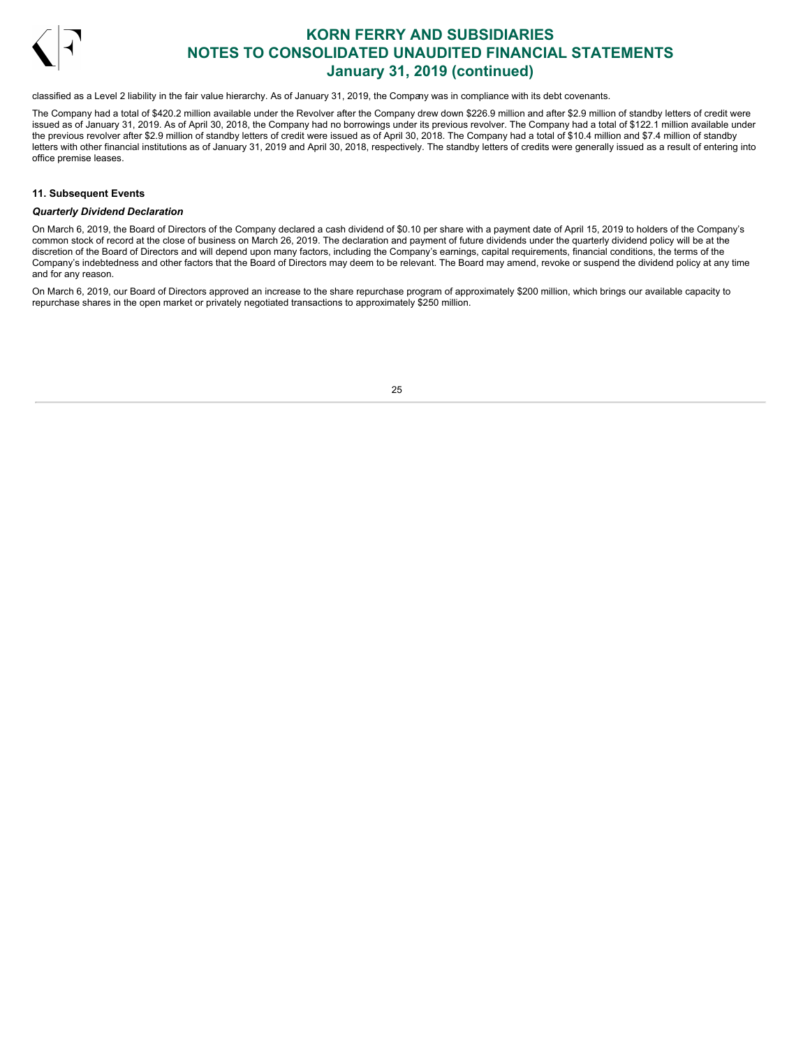

classified as a Level 2 liability in the fair value hierarchy. As of January 31, 2019, the Company was in compliance with its debt covenants.

The Company had a total of \$420.2 million available under the Revolver after the Company drew down \$226.9 million and after \$2.9 million of standby letters of credit were issued as of January 31, 2019. As of April 30, 2018, the Company had no borrowings under its previous revolver. The Company had a total of \$122.1 million available under the previous revolver after \$2.9 million of standby letters of credit were issued as of April 30, 2018. The Company had a total of \$10.4 million and \$7.4 million of standby letters with other financial institutions as of January 31, 2019 and April 30, 2018, respectively. The standby letters of credits were generally issued as a result of entering into office premise leases.

#### **11. Subsequent Events**

#### *Quarterly Dividend Declaration*

On March 6, 2019, the Board of Directors of the Company declared a cash dividend of \$0.10 per share with a payment date of April 15, 2019 to holders of the Company's common stock of record at the close of business on March 26, 2019. The declaration and payment of future dividends under the quarterly dividend policy will be at the discretion of the Board of Directors and will depend upon many factors, including the Company's earnings, capital requirements, financial conditions, the terms of the Company's indebtedness and other factors that the Board of Directors may deem to be relevant. The Board may amend, revoke or suspend the dividend policy at any time and for any reason.

On March 6, 2019, our Board of Directors approved an increase to the share repurchase program of approximately \$200 million, which brings our available capacity to repurchase shares in the open market or privately negotiated transactions to approximately \$250 million.

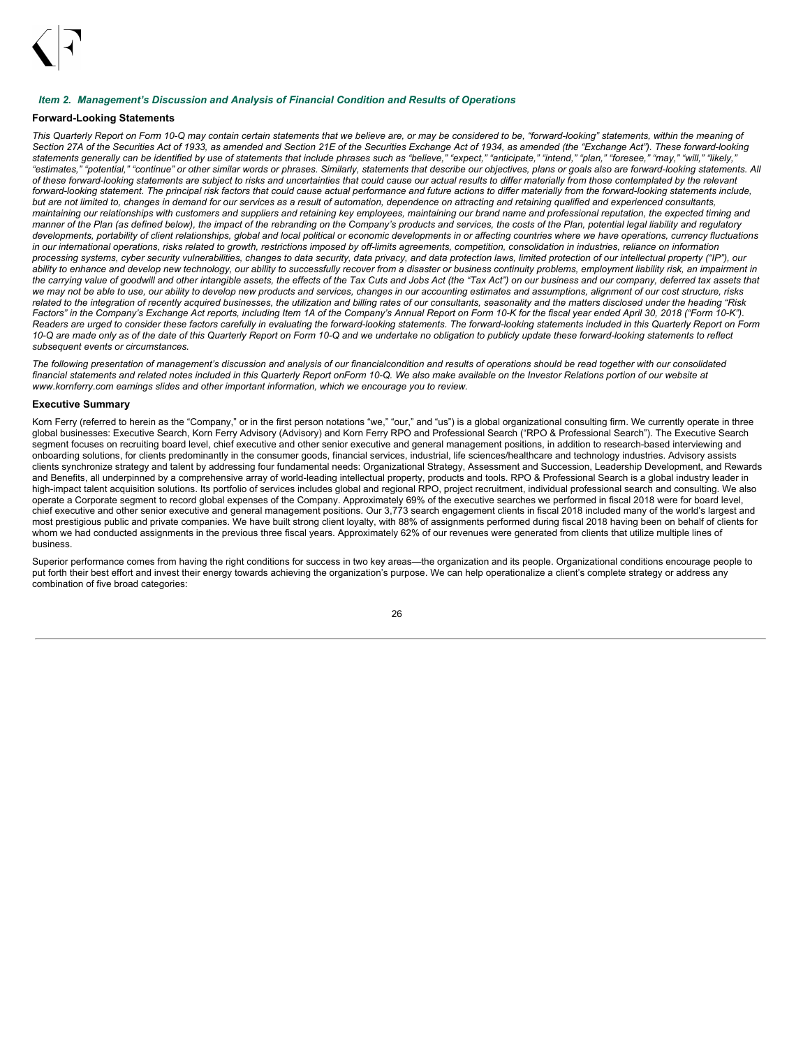

#### <span id="page-27-0"></span>*Item 2. Management's Discussion and Analysis of Financial Condition and Results of Operations*

### **Forward-Looking Statements**

This Quarterly Report on Form 10-Q may contain certain statements that we believe are, or may be considered to be, "forward-looking" statements, within the meaning of Section 27A of the Securities Act of 1933, as amended and Section 21E of the Securities Exchange Act of 1934, as amended (the "Exchange Act"). These forward-looking statements generally can be identified by use of statements that include phrases such as "believe," "expect," "anticipate," "intend," "plan," "foresee," "may," "will," "likely," "estimates," "potential," "continue" or other similar words or phrases. Similarly, statements that describe our objectives, plans or goals also are forward-looking statements. All of these forward-looking statements are subject to risks and uncertainties that could cause our actual results to differ materially from those contemplated by the relevant forward-looking statement. The principal risk factors that could cause actual performance and future actions to differ materially from the forward-looking statements include, but are not limited to, changes in demand for our services as a result of automation, dependence on attracting and retaining qualified and experienced consultants, maintaining our relationships with customers and suppliers and retaining key employees, maintaining our brand name and professional reputation, the expected timing and manner of the Plan (as defined below), the impact of the rebranding on the Company's products and services, the costs of the Plan, potential legal liability and regulatory developments, portability of client relationships, global and local political or economic developments in or affecting countries where we have operations, currency fluctuations in our international operations, risks related to growth, restrictions imposed by off-limits agreements, competition, consolidation in industries, reliance on information processing systems, cyber security vulnerabilities, changes to data security, data privacy, and data protection laws, limited protection of our intellectual property ("IP"), our ability to enhance and develop new technology, our ability to successfully recover from a disaster or business continuity problems, employment liability risk, an impairment in the carrying value of goodwill and other intangible assets, the effects of the Tax Cuts and Jobs Act (the "Tax Act") on our business and our company, deferred tax assets that we may not be able to use, our ability to develop new products and services, changes in our accounting estimates and assumptions, alignment of our cost structure, risks related to the integration of recently acquired businesses, the utilization and billing rates of our consultants, seasonality and the matters disclosed under the heading "Risk Factors" in the Company's Exchange Act reports, including Item 1A of the Company's Annual Report on Form 10-K for the fiscal year ended April 30, 2018 ("Form 10-K"). Readers are urged to consider these factors carefully in evaluating the forward-looking statements. The forward-looking statements included in this Quarterly Report on Form 10-Q are made only as of the date of this Quarterly Report on Form 10-Q and we undertake no obligation to publicly update these forward-looking statements to reflect *subsequent events or circumstances.*

The following presentation of management's discussion and analysis of our financialcondition and results of operations should be read together with our consolidated financial statements and related notes included in this Quarterly Report onForm 10-Q. We also make available on the Investor Relations portion of our website at *www.kornferry.com earnings slides and other important information, which we encourage you to review.*

#### **Executive Summary**

Korn Ferry (referred to herein as the "Company," or in the first person notations "we," "our," and "us") is a global organizational consulting firm. We currently operate in three global businesses: Executive Search, Korn Ferry Advisory (Advisory) and Korn Ferry RPO and Professional Search ("RPO & Professional Search"). The Executive Search segment focuses on recruiting board level, chief executive and other senior executive and general management positions, in addition to research-based interviewing and onboarding solutions, for clients predominantly in the consumer goods, financial services, industrial, life sciences/healthcare and technology industries. Advisory assists clients synchronize strategy and talent by addressing four fundamental needs: Organizational Strategy, Assessment and Succession, Leadership Development, and Rewards and Benefits, all underpinned by a comprehensive array of world-leading intellectual property, products and tools. RPO & Professional Search is a global industry leader in high-impact talent acquisition solutions. Its portfolio of services includes global and regional RPO, project recruitment, individual professional search and consulting. We also operate a Corporate segment to record global expenses of the Company. Approximately 69% of the executive searches we performed in fiscal 2018 were for board level, chief executive and other senior executive and general management positions. Our 3,773 search engagement clients in fiscal 2018 included many of the world's largest and most prestigious public and private companies. We have built strong client loyalty, with 88% of assignments performed during fiscal 2018 having been on behalf of clients for whom we had conducted assignments in the previous three fiscal years. Approximately 62% of our revenues were generated from clients that utilize multiple lines of business.

Superior performance comes from having the right conditions for success in two key areas—the organization and its people. Organizational conditions encourage people to put forth their best effort and invest their energy towards achieving the organization's purpose. We can help operationalize a client's complete strategy or address any combination of five broad categories:

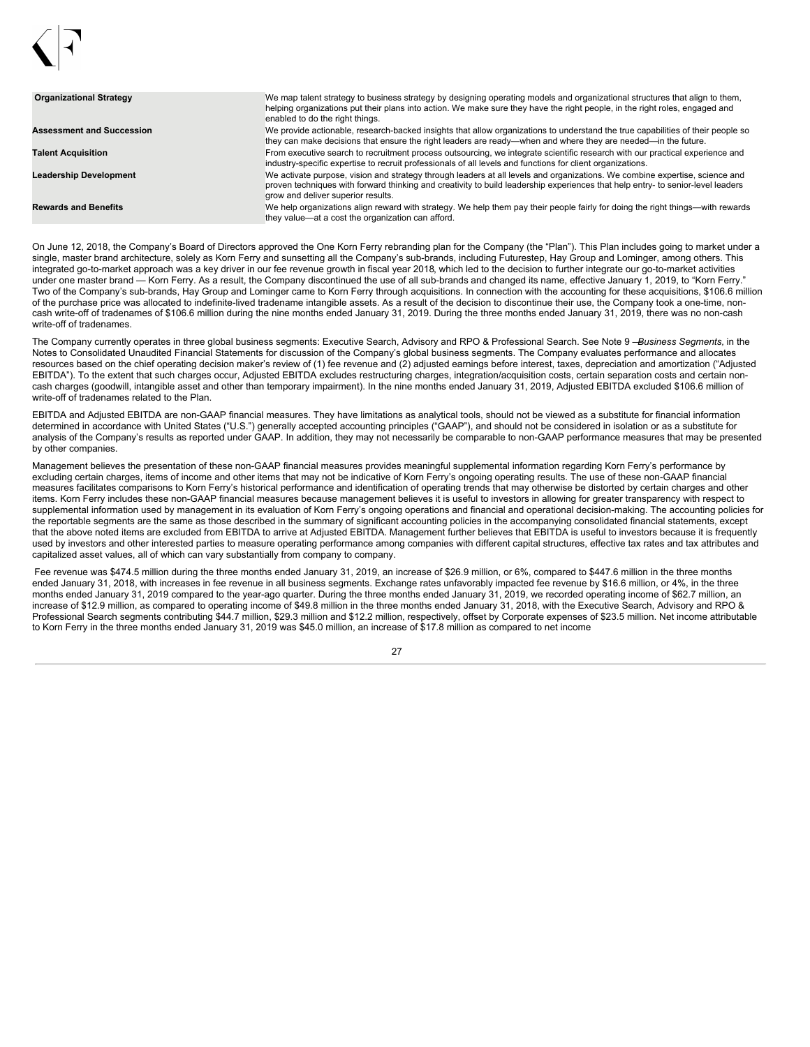| <b>Organizational Strategy</b>   | We map talent strategy to business strategy by designing operating models and organizational structures that align to them,<br>helping organizations put their plans into action. We make sure they have the right people, in the right roles, engaged and<br>enabled to do the right things.        |
|----------------------------------|------------------------------------------------------------------------------------------------------------------------------------------------------------------------------------------------------------------------------------------------------------------------------------------------------|
| <b>Assessment and Succession</b> | We provide actionable, research-backed insights that allow organizations to understand the true capabilities of their people so<br>they can make decisions that ensure the right leaders are ready—when and where they are needed—in the future.                                                     |
| <b>Talent Acquisition</b>        | From executive search to recruitment process outsourcing, we integrate scientific research with our practical experience and<br>industry-specific expertise to recruit professionals of all levels and functions for client organizations.                                                           |
| <b>Leadership Development</b>    | We activate purpose, vision and strategy through leaders at all levels and organizations. We combine expertise, science and<br>proven techniques with forward thinking and creativity to build leadership experiences that help entry- to senior-level leaders<br>grow and deliver superior results. |
| <b>Rewards and Benefits</b>      | We help organizations align reward with strategy. We help them pay their people fairly for doing the right things—with rewards<br>they value-at a cost the organization can afford.                                                                                                                  |

On June 12, 2018, the Company's Board of Directors approved the One Korn Ferry rebranding plan for the Company (the "Plan"). This Plan includes going to market under a single, master brand architecture, solely as Korn Ferry and sunsetting all the Company's sub-brands, including Futurestep, Hay Group and Lominger, among others. This integrated go-to-market approach was a key driver in our fee revenue growth in fiscal year 2018, which led to the decision to further integrate our go-to-market activities under one master brand — Korn Ferry. As a result, the Company discontinued the use of all sub-brands and changed its name, effective January 1, 2019, to "Korn Ferry." Two of the Company's sub-brands, Hay Group and Lominger came to Korn Ferry through acquisitions. In connection with the accounting for these acquisitions, \$106.6 million of the purchase price was allocated to indefinite-lived tradename intangible assets. As a result of the decision to discontinue their use, the Company took a one-time, noncash write-off of tradenames of \$106.6 million during the nine months ended January 31, 2019. During the three months ended January 31, 2019, there was no non-cash write-off of tradenames.

The Company currently operates in three global business segments: Executive Search, Advisory and RPO & Professional Search. See Note 9 —*Business Segments,* in the Notes to Consolidated Unaudited Financial Statements for discussion of the Company's global business segments. The Company evaluates performance and allocates resources based on the chief operating decision maker's review of (1) fee revenue and (2) adjusted earnings before interest, taxes, depreciation and amortization ("Adjusted EBITDA"). To the extent that such charges occur, Adjusted EBITDA excludes restructuring charges, integration/acquisition costs, certain separation costs and certain noncash charges (goodwill, intangible asset and other than temporary impairment). In the nine months ended January 31, 2019, Adjusted EBITDA excluded \$106.6 million of write-off of tradenames related to the Plan.

EBITDA and Adjusted EBITDA are non-GAAP financial measures. They have limitations as analytical tools, should not be viewed as a substitute for financial information determined in accordance with United States ("U.S.") generally accepted accounting principles ("GAAP"), and should not be considered in isolation or as a substitute for analysis of the Company's results as reported under GAAP. In addition, they may not necessarily be comparable to non-GAAP performance measures that may be presented by other companies.

Management believes the presentation of these non-GAAP financial measures provides meaningful supplemental information regarding Korn Ferry's performance by excluding certain charges, items of income and other items that may not be indicative of Korn Ferry's ongoing operating results. The use of these non-GAAP financial measures facilitates comparisons to Korn Ferry's historical performance and identification of operating trends that may otherwise be distorted by certain charges and other items. Korn Ferry includes these non-GAAP financial measures because management believes it is useful to investors in allowing for greater transparency with respect to supplemental information used by management in its evaluation of Korn Ferry's ongoing operations and financial and operational decision-making. The accounting policies for the reportable segments are the same as those described in the summary of significant accounting policies in the accompanying consolidated financial statements, except that the above noted items are excluded from EBITDA to arrive at Adjusted EBITDA. Management further believes that EBITDA is useful to investors because it is frequently used by investors and other interested parties to measure operating performance among companies with different capital structures, effective tax rates and tax attributes and capitalized asset values, all of which can vary substantially from company to company.

Fee revenue was \$474.5 million during the three months ended January 31, 2019, an increase of \$26.9 million, or 6%, compared to \$447.6 million in the three months ended January 31, 2018, with increases in fee revenue in all business segments. Exchange rates unfavorably impacted fee revenue by \$16.6 million, or 4%, in the three months ended January 31, 2019 compared to the year-ago quarter. During the three months ended January 31, 2019, we recorded operating income of \$62.7 million, an increase of \$12.9 million, as compared to operating income of \$49.8 million in the three months ended January 31, 2018, with the Executive Search, Advisory and RPO & Professional Search segments contributing \$44.7 million, \$29.3 million and \$12.2 million, respectively, offset by Corporate expenses of \$23.5 million. Net income attributable to Korn Ferry in the three months ended January 31, 2019 was \$45.0 million, an increase of \$17.8 million as compared to net income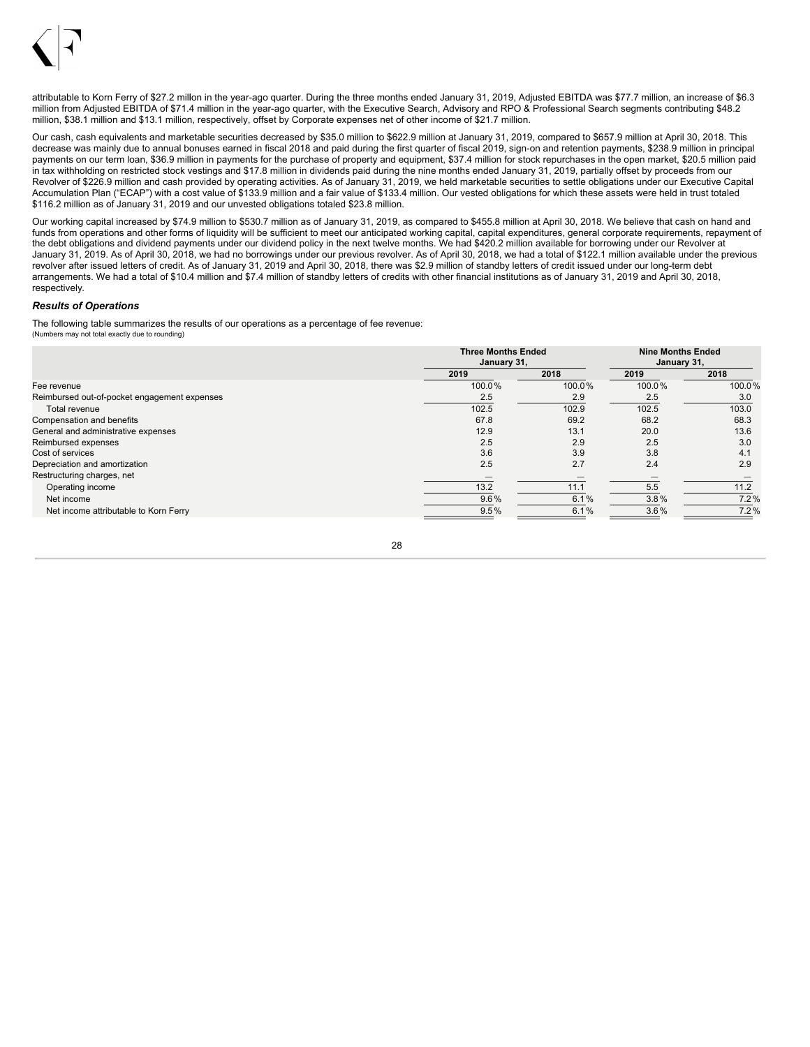

attributable to Korn Ferry of \$27.2 millon in the year-ago quarter. During the three months ended January 31, 2019, Adjusted EBITDA was \$77.7 million, an increase of \$6.3 million from Adjusted EBITDA of \$71.4 million in the year-ago quarter, with the Executive Search, Advisory and RPO & Professional Search segments contributing \$48.2 million, \$38.1 million and \$13.1 million, respectively, offset by Corporate expenses net of other income of \$21.7 million.

Our cash, cash equivalents and marketable securities decreased by \$35.0 million to \$622.9 million at January 31, 2019, compared to \$657.9 million at April 30, 2018. This decrease was mainly due to annual bonuses earned in fiscal 2018 and paid during the first quarter of fiscal 2019, sign-on and retention payments, \$238.9 million in principal payments on our term loan, \$36.9 million in payments for the purchase of property and equipment, \$37.4 million for stock repurchases in the open market, \$20.5 million paid in tax withholding on restricted stock vestings and \$17.8 million in dividends paid during the nine months ended January 31, 2019, partially offset by proceeds from our Revolver of \$226.9 million and cash provided by operating activities. As of January 31, 2019, we held marketable securities to settle obligations under our Executive Capital Accumulation Plan ("ECAP") with a cost value of \$133.9 million and a fair value of \$133.4 million. Our vested obligations for which these assets were held in trust totaled \$116.2 million as of January 31, 2019 and our unvested obligations totaled \$23.8 million.

Our working capital increased by \$74.9 million to \$530.7 million as of January 31, 2019, as compared to \$455.8 million at April 30, 2018. We believe that cash on hand and funds from operations and other forms of liquidity will be sufficient to meet our anticipated working capital, capital expenditures, general corporate requirements, repayment of the debt obligations and dividend payments under our dividend policy in the next twelve months. We had \$420.2 million available for borrowing under our Revolver at January 31, 2019. As of April 30, 2018, we had no borrowings under our previous revolver. As of April 30, 2018, we had a total of \$122.1 million available under the previous revolver after issued letters of credit. As of January 31, 2019 and April 30, 2018, there was \$2.9 million of standby letters of credit issued under our long-term debt arrangements. We had a total of \$10.4 million and \$7.4 million of standby letters of credits with other financial institutions as of January 31, 2019 and April 30, 2018, respectively*.*

**Nine Months Ended**

#### *Results of Operations*

The following table summarizes the results of our operations as a percentage of fee revenue: (Numbers may not total exactly due to rounding)

**Three Months Ended**

|                                              | January 31, |        | January 31, |        |
|----------------------------------------------|-------------|--------|-------------|--------|
|                                              | 2019        | 2018   | 2019        | 2018   |
| Fee revenue                                  | 100.0%      | 100.0% | 100.0%      | 100.0% |
| Reimbursed out-of-pocket engagement expenses | 2.5         | 2.9    | 2.5         | 3.0    |
| <b>Total revenue</b>                         | 102.5       | 102.9  | 102.5       | 103.0  |
| Compensation and benefits                    | 67.8        | 69.2   | 68.2        | 68.3   |
| General and administrative expenses          | 12.9        | 13.1   | 20.0        | 13.6   |
| Reimbursed expenses                          | 2.5         | 2.9    | 2.5         | 3.0    |
| Cost of services                             | 3.6         | 3.9    | 3.8         | 4.1    |
| Depreciation and amortization                | 2.5         | 2.7    | 2.4         | 2.9    |
| Restructuring charges, net                   |             |        |             |        |
| Operating income                             | 13.2        | 11.1   | 5.5         | 11.2   |
| Net income                                   | 9.6%        | 6.1%   | 3.8%        | 7.2%   |
| Net income attributable to Korn Ferry        | 9.5%        | 6.1%   | 3.6%        | 7.2%   |

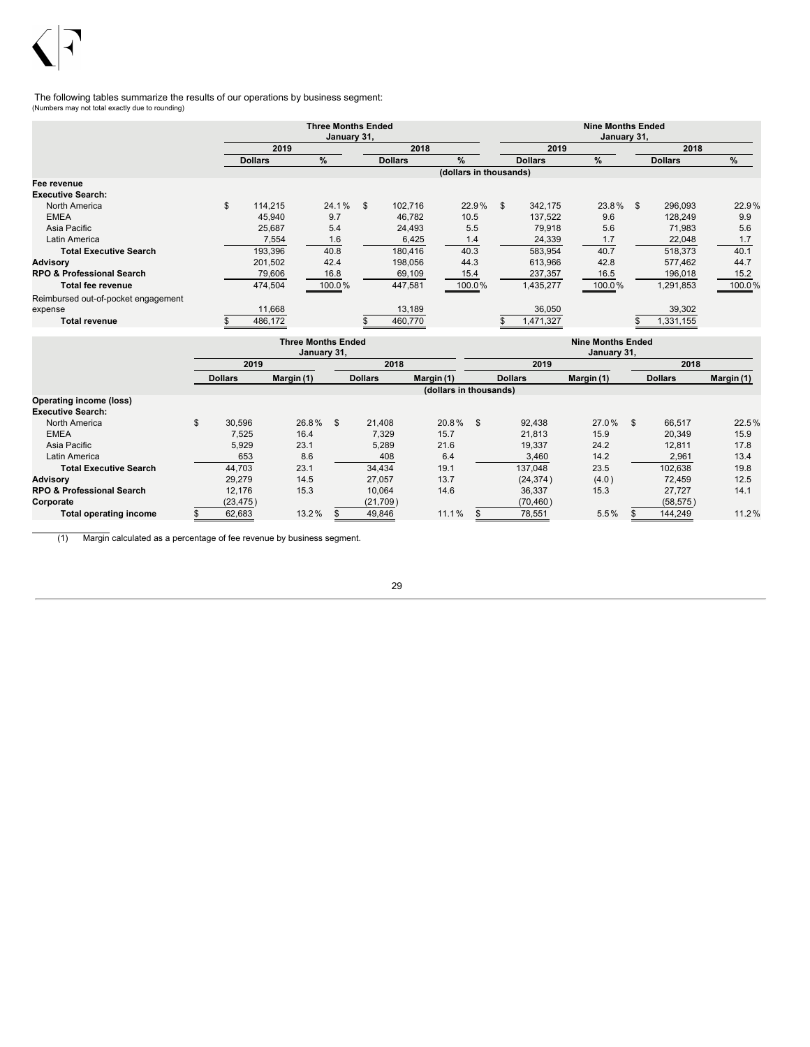The following tables summarize the results of our operations by business segment: (Numbers may not total exactly due to rounding)

|                                                            |                |                                          | January 31,   | <b>Three Months Ended</b> |                        |                        |                |                | <b>Nine Months Ended</b><br>January 31, |          |                |            |
|------------------------------------------------------------|----------------|------------------------------------------|---------------|---------------------------|------------------------|------------------------|----------------|----------------|-----------------------------------------|----------|----------------|------------|
|                                                            |                | 2019                                     |               |                           | 2018                   |                        |                | 2019           |                                         |          | 2018           |            |
|                                                            | <b>Dollars</b> |                                          | $\frac{9}{6}$ | <b>Dollars</b>            | $\frac{9}{6}$          |                        |                | <b>Dollars</b> | $\%$                                    |          | <b>Dollars</b> | %          |
|                                                            |                |                                          |               |                           |                        | (dollars in thousands) |                |                |                                         |          |                |            |
| Fee revenue                                                |                |                                          |               |                           |                        |                        |                |                |                                         |          |                |            |
| <b>Executive Search:</b>                                   |                |                                          |               |                           |                        |                        |                |                |                                         |          |                |            |
| North America                                              | \$             | 114,215                                  | 24.1%         | \$                        | 102,716                | 22.9%                  | \$             | 342,175        | 23.8%                                   | <b>S</b> | 296,093        | 22.9%      |
| <b>EMEA</b>                                                |                | 45,940                                   | 9.7           |                           | 46,782                 | 10.5                   |                | 137,522        | 9.6                                     |          | 128,249        | 9.9        |
| Asia Pacific                                               |                | 25,687                                   | 5.4           |                           | 24,493                 | 5.5                    |                | 79,918         | 5.6                                     |          | 71,983         | 5.6        |
| Latin America                                              |                | 7,554                                    | 1.6           |                           | 6,425                  | 1.4                    |                | 24,339         | 1.7                                     |          | 22,048         | 1.7        |
| <b>Total Executive Search</b>                              |                | 193,396                                  | 40.8          |                           | 180,416                | 40.3                   |                | 583,954        | 40.7                                    |          | 518,373        | 40.1       |
| <b>Advisory</b>                                            |                | 201,502                                  | 42.4          |                           | 198,056                | 44.3                   |                | 613,966        | 42.8                                    |          | 577,462        | 44.7       |
| <b>RPO &amp; Professional Search</b>                       |                | 79,606                                   | 16.8          |                           | 69,109                 | 15.4                   |                | 237,357        | 16.5                                    |          | 196,018        | 15.2       |
| <b>Total fee revenue</b>                                   |                | 474,504                                  | 100.0%        |                           | 447,581                | 100.0%                 |                | 1,435,277      | 100.0%                                  |          | 1,291,853      | 100.0%     |
| Reimbursed out-of-pocket engagement                        |                |                                          |               |                           |                        |                        |                |                |                                         |          |                |            |
| expense                                                    |                | 11,668                                   |               |                           | 13,189                 |                        |                | 36,050         |                                         |          | 39,302         |            |
| <b>Total revenue</b>                                       |                | 486,172                                  |               |                           | 460,770                |                        |                | 1,471,327      |                                         |          | 1,331,155      |            |
|                                                            |                |                                          |               |                           |                        |                        |                |                |                                         |          |                |            |
|                                                            |                | <b>Three Months Ended</b><br>January 31, |               |                           |                        |                        |                |                | <b>Nine Months Ended</b><br>January 31, |          |                |            |
|                                                            | 2019           |                                          |               | 2018                      |                        |                        |                | 2019           |                                         |          | 2018           |            |
|                                                            | <b>Dollars</b> | Margin (1)                               |               | <b>Dollars</b>            | Margin (1)             |                        | <b>Dollars</b> |                | Margin (1)                              |          | <b>Dollars</b> | Margin (1) |
|                                                            |                |                                          |               |                           | (dollars in thousands) |                        |                |                |                                         |          |                |            |
| <b>Operating income (loss)</b><br><b>Executive Search:</b> |                |                                          |               |                           |                        |                        |                |                |                                         |          |                |            |
| North America                                              | \$<br>30,596   | 26.8%                                    | \$            | 21,408                    | 20.8%                  | \$                     |                | 92,438         | 27.0%                                   | \$       | 66,517         | 22.5%      |
| <b>EMEA</b>                                                | 7,525          | 16.4                                     |               | 7,329                     | 15.7                   |                        |                | 21,813         | 15.9                                    |          | 20,349         | 15.9       |
| Asia Pacific                                               | 5,929          | 23.1                                     |               | 5,289                     | 21.6                   |                        |                | 19,337         | 24.2                                    |          | 12,811         | 17.8       |
| Latin America                                              | 653            | 8.6                                      |               | 408                       | 6.4                    |                        |                | 3,460          | 14.2                                    |          | 2,961          | 13.4       |
| <b>Total Executive Search</b>                              | 44,703         | 23.1                                     |               | 34,434                    | 19.1                   |                        |                | 137,048        | 23.5                                    |          | 102,638        | 19.8       |
| <b>Advisory</b>                                            | 29,279         | 14.5                                     |               | 27,057                    | 13.7                   |                        |                | (24, 374)      | (4.0)                                   |          | 72,459         | 12.5       |
| <b>RPO &amp; Professional Search</b>                       | 12,176         | 15.3                                     |               | 10,064                    | 14.6                   |                        |                | 36,337         | 15.3                                    |          | 27,727         | 14.1       |
| Corporate                                                  | (23, 475)      |                                          |               | (21, 709)                 |                        |                        |                | (70, 460)      |                                         |          | (58, 575)      |            |
| <b>Total operating income</b>                              | \$<br>62,683   | 13.2%                                    |               | 49,846                    | 11.1%                  | \$                     |                | 78,551         | 5.5%                                    | \$       | 144,249        | 11.2%      |

(1) Margin calculated as a percentage of fee revenue by business segment.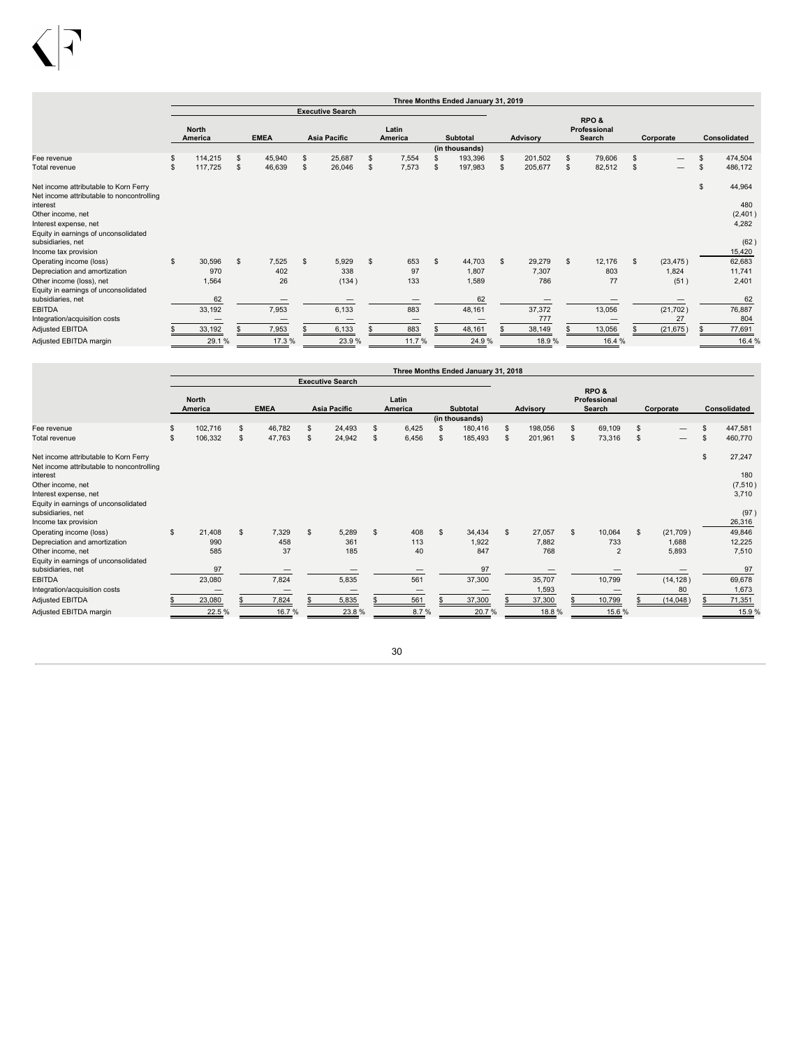

|                                                                                    |                         |    |             |    |                         |    |                  |     | Three Months Ended January 31, 2019 |                                 |     |                                |                                |              |
|------------------------------------------------------------------------------------|-------------------------|----|-------------|----|-------------------------|----|------------------|-----|-------------------------------------|---------------------------------|-----|--------------------------------|--------------------------------|--------------|
|                                                                                    |                         |    |             |    | <b>Executive Search</b> |    |                  |     |                                     |                                 |     |                                |                                |              |
|                                                                                    | <b>North</b><br>America |    | <b>EMEA</b> |    | Asia Pacific            |    | Latin<br>America |     | <b>Subtotal</b>                     | Advisory                        |     | RPO&<br>Professional<br>Search | Corporate                      | Consolidated |
|                                                                                    |                         |    |             |    |                         |    |                  |     | (in thousands)                      |                                 |     |                                |                                |              |
| Fee revenue                                                                        | \$<br>114,215           | S  | 45,940      | \$ | 25,687                  | £. | 7,554            |     | 193,396                             | \$<br>201,502                   | \$. | 79,606                         | \$                             | 474,504      |
| Total revenue                                                                      | \$<br>117,725           | \$ | 46,639      | \$ | 26,046                  | \$ | 7,573            | \$. | 197,983                             | \$<br>205,677                   | \$  | 82,512                         | \$<br>$\overline{\phantom{0}}$ | 486,172      |
| Net income attributable to Korn Ferry<br>Net income attributable to noncontrolling |                         |    |             |    |                         |    |                  |     |                                     |                                 |     |                                |                                | \$<br>44,964 |
| interest                                                                           |                         |    |             |    |                         |    |                  |     |                                     |                                 |     |                                |                                | 480          |
| Other income, net                                                                  |                         |    |             |    |                         |    |                  |     |                                     |                                 |     |                                |                                | (2,401)      |
| Interest expense, net                                                              |                         |    |             |    |                         |    |                  |     |                                     |                                 |     |                                |                                | 4,282        |
| Equity in earnings of unconsolidated                                               |                         |    |             |    |                         |    |                  |     |                                     |                                 |     |                                |                                |              |
| subsidiaries, net                                                                  |                         |    |             |    |                         |    |                  |     |                                     |                                 |     |                                |                                | (62)         |
| Income tax provision                                                               |                         |    |             |    |                         |    |                  |     |                                     |                                 |     |                                |                                | 15,420       |
| Operating income (loss)                                                            | \$<br>30,596            | \$ | 7,525       | s. | 5,929                   | \$ | 653              | \$  | 44,703                              | \$<br>29,279                    | -\$ | 12,176                         | \$<br>(23, 475)                | 62,683       |
| Depreciation and amortization                                                      | 970                     |    | 402         |    | 338                     |    | 97               |     | 1,807                               | 7,307                           |     | 803                            | 1,824                          | 11,741       |
| Other income (loss), net                                                           | 1,564                   |    | 26          |    | (134)                   |    | 133              |     | 1,589                               | 786                             |     | 77                             | (51)                           | 2,401        |
| Equity in earnings of unconsolidated                                               |                         |    |             |    |                         |    |                  |     |                                     |                                 |     |                                |                                |              |
| subsidiaries, net                                                                  | 62                      |    |             |    |                         |    |                  |     | 62                                  | $\hspace{0.1mm}-\hspace{0.1mm}$ |     |                                |                                | 62           |
| <b>EBITDA</b>                                                                      | 33,192                  |    | 7,953       |    | 6,133                   |    | 883              |     | 48,161                              | 37,372                          |     | 13,056                         | (21, 702)                      | 76,887       |
| Integration/acquisition costs                                                      |                         |    |             |    |                         |    |                  |     |                                     | 777                             |     |                                | 27                             | 804          |
| Adjusted EBITDA                                                                    | 33,192                  |    | 7,953       |    | 6,133                   |    | 883              |     | 48,161                              | 38,149                          |     | 13,056                         | (21, 675)                      | 77,691       |
| Adjusted EBITDA margin                                                             | 29.1%                   |    | 17.3 %      |    | 23.9%                   |    | 11.7%            |     | 24.9%                               | 18.9%                           |     | 16.4 %                         |                                | 16.4 %       |

|                                                                                    |    |                         |                |                 |    |                         |                  |      | Three Months Ended January 31, 2018 |                 |    |                                |    |           |    |                   |
|------------------------------------------------------------------------------------|----|-------------------------|----------------|-----------------|----|-------------------------|------------------|------|-------------------------------------|-----------------|----|--------------------------------|----|-----------|----|-------------------|
|                                                                                    |    |                         |                |                 |    | <b>Executive Search</b> |                  |      |                                     |                 |    |                                |    |           |    |                   |
|                                                                                    |    | <b>North</b><br>America |                | <b>EMEA</b>     |    | <b>Asia Pacific</b>     | Latin<br>America |      | Subtotal                            | <b>Advisory</b> |    | RPO&<br>Professional<br>Search |    | Corporate |    | Consolidated      |
|                                                                                    |    |                         |                |                 |    |                         |                  |      | (in thousands)                      |                 |    |                                |    |           |    |                   |
| Fee revenue                                                                        | S  | 102,716                 | $\mathfrak{L}$ | 46,782          | s  | 24,493                  | \$<br>6,425      |      | 180,416                             | \$<br>198,056   | \$ | 69,109                         | \$ |           | £. | 447,581           |
| Total revenue                                                                      | \$ | 106,332                 | \$             | 47,763          | \$ | 24,942                  | \$<br>6,456      | \$.  | 185,493                             | \$<br>201,961   | \$ | 73,316                         | \$ |           | £. | 460,770           |
| Net income attributable to Korn Ferry<br>Net income attributable to noncontrolling |    |                         |                |                 |    |                         |                  |      |                                     |                 |    |                                |    |           | \$ | 27,247            |
| interest                                                                           |    |                         |                |                 |    |                         |                  |      |                                     |                 |    |                                |    |           |    | 180               |
| Other income, net<br>Interest expense, net                                         |    |                         |                |                 |    |                         |                  |      |                                     |                 |    |                                |    |           |    | (7, 510)<br>3,710 |
| Equity in earnings of unconsolidated<br>subsidiaries, net<br>Income tax provision  |    |                         |                |                 |    |                         |                  |      |                                     |                 |    |                                |    |           |    | (97)<br>26,316    |
| Operating income (loss)                                                            | s. | 21,408                  | \$             | 7,329           | s. | 5,289                   | \$<br>408        | - \$ | 34,434                              | \$<br>27,057    | s. | 10,064                         | s. | (21,709)  |    | 49,846            |
| Depreciation and amortization                                                      |    | 990                     |                | 458             |    | 361                     | 113              |      | 1,922                               | 7,882           |    | 733                            |    | 1,688     |    | 12,225            |
| Other income, net                                                                  |    | 585                     |                | 37              |    | 185                     | 40               |      | 847                                 | 768             |    | $\overline{2}$                 |    | 5,893     |    | 7,510             |
| Equity in earnings of unconsolidated<br>subsidiaries, net                          |    | 97                      |                |                 |    |                         |                  |      | 97                                  |                 |    |                                |    |           |    | 97                |
| <b>EBITDA</b>                                                                      |    | 23,080                  |                | 7,824           |    | 5,835                   | 561              |      | 37,300                              | 35,707          |    | 10,799                         |    | (14, 128) |    | 69,678            |
| Integration/acquisition costs                                                      |    |                         |                | $\qquad \qquad$ |    |                         | —                |      | $\qquad \qquad$                     | 1,593           |    |                                |    | 80        |    | 1,673             |
| <b>Adjusted EBITDA</b>                                                             |    | 23,080                  |                | 7,824           |    | 5,835                   | 561              |      | 37,300                              | 37,300          |    | 10,799                         |    | (14, 048) |    | 71,351            |
| Adjusted EBITDA margin                                                             |    | 22.5 %                  |                | 16.7%           |    | 23.8%                   | 8.7%             |      | 20.7%                               | 18.8%           |    | 15.6%                          |    |           |    | 15.9%             |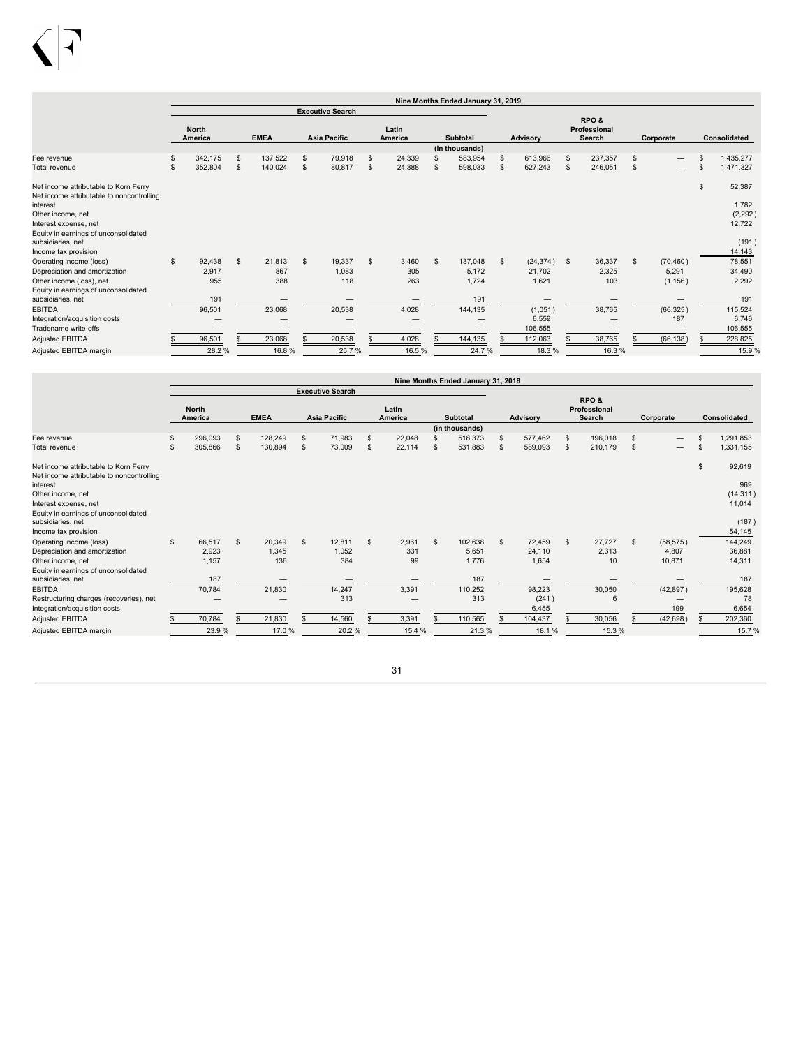

|                                                                                    |                                 |                |             |                |                         |                  |     | Nine Months Ended January 31, 2019 |                      |              |                                |    |                          |              |
|------------------------------------------------------------------------------------|---------------------------------|----------------|-------------|----------------|-------------------------|------------------|-----|------------------------------------|----------------------|--------------|--------------------------------|----|--------------------------|--------------|
|                                                                                    |                                 |                |             |                | <b>Executive Search</b> |                  |     |                                    |                      |              |                                |    |                          |              |
|                                                                                    | <b>North</b><br>America         |                | <b>EMEA</b> |                | Asia Pacific            | Latin<br>America |     | <b>Subtotal</b>                    | <b>Advisory</b>      |              | RPO&<br>Professional<br>Search |    | Corporate                | Consolidated |
| Fee revenue                                                                        | \$<br>342,175                   | S              | 137,522     |                | 79,918                  | 24,339           |     | (in thousands)<br>583,954          | \$<br>613,966        |              | 237,357                        | S  |                          | 1,435,277    |
| Total revenue                                                                      | \$<br>352,804                   | $\mathfrak{L}$ | 140,024     | $\mathfrak{L}$ | 80,817                  | \$<br>24,388     | \$. | 598,033                            | \$<br>627,243        | $\mathbf{s}$ | 246,051                        | \$ | $\overline{\phantom{0}}$ | 1,471,327    |
|                                                                                    |                                 |                |             |                |                         |                  |     |                                    |                      |              |                                |    |                          |              |
| Net income attributable to Korn Ferry<br>Net income attributable to noncontrolling |                                 |                |             |                |                         |                  |     |                                    |                      |              |                                |    |                          | \$<br>52,387 |
| interest                                                                           |                                 |                |             |                |                         |                  |     |                                    |                      |              |                                |    |                          | 1.782        |
| Other income, net                                                                  |                                 |                |             |                |                         |                  |     |                                    |                      |              |                                |    |                          | (2, 292)     |
| Interest expense, net<br>Equity in earnings of unconsolidated                      |                                 |                |             |                |                         |                  |     |                                    |                      |              |                                |    |                          | 12,722       |
| subsidiaries, net                                                                  |                                 |                |             |                |                         |                  |     |                                    |                      |              |                                |    |                          | (191)        |
| Income tax provision                                                               |                                 |                |             |                |                         |                  |     |                                    |                      |              |                                |    |                          | 14,143       |
| Operating income (loss)                                                            | \$<br>92,438                    | $\mathfrak{s}$ | 21,813      | $\mathfrak{s}$ | 19,337                  | \$<br>3,460      | s.  | 137,048                            | \$<br>$(24, 374)$ \$ |              | 36,337                         | \$ | (70, 460)                | 78,551       |
| Depreciation and amortization                                                      | 2,917                           |                | 867         |                | 1,083                   | 305              |     | 5,172                              | 21,702               |              | 2,325                          |    | 5,291                    | 34,490       |
| Other income (loss), net                                                           | 955                             |                | 388         |                | 118                     | 263              |     | 1,724                              | 1,621                |              | 103                            |    | (1, 156)                 | 2,292        |
| Equity in earnings of unconsolidated                                               |                                 |                |             |                |                         |                  |     |                                    |                      |              |                                |    |                          |              |
| subsidiaries, net                                                                  | 191                             |                |             |                |                         |                  |     | 191                                |                      |              |                                |    |                          | 191          |
| <b>EBITDA</b>                                                                      | 96,501                          |                | 23,068      |                | 20,538                  | 4,028            |     | 144,135                            | (1,051)              |              | 38,765                         |    | (66, 325)                | 115,524      |
| Integration/acquisition costs                                                      |                                 |                |             |                |                         |                  |     |                                    | 6,559                |              |                                |    | 187                      | 6,746        |
| Tradename write-offs                                                               | $\hspace{0.1mm}-\hspace{0.1mm}$ |                |             |                |                         |                  |     | –                                  | 106,555              |              | –                              |    |                          | 106,555      |
| Adjusted EBITDA                                                                    | 96,501                          |                | 23,068      |                | 20,538                  | 4,028            |     | 144,135                            | 112,063              |              | 38,765                         |    | (66, 138)                | 228,825      |
| Adjusted EBITDA margin                                                             | 28.2%                           |                | 16.8%       |                | 25.7%                   | 16.5%            |     | 24.7%                              | 18.3%                |              | 16.3%                          |    |                          | 15.9%        |

|                                                                                    |                                 |    |             |     |                         |                         | Nine Months Ended January 31, 2018 |    |          |              |                                |                                |                     |
|------------------------------------------------------------------------------------|---------------------------------|----|-------------|-----|-------------------------|-------------------------|------------------------------------|----|----------|--------------|--------------------------------|--------------------------------|---------------------|
|                                                                                    |                                 |    |             |     | <b>Executive Search</b> |                         |                                    |    |          |              |                                |                                |                     |
|                                                                                    | <b>North</b><br>America         |    | <b>EMEA</b> |     | <b>Asia Pacific</b>     | Latin<br><b>America</b> | <b>Subtotal</b>                    |    | Advisory |              | RPO&<br>Professional<br>Search | Corporate                      | <b>Consolidated</b> |
| Fee revenue                                                                        | 296,093                         | £. | 128,249     | \$  | 71,983                  | \$<br>22,048            | (in thousands)<br>518,373          | s. | 577,462  | <sub>S</sub> | 196,018                        | \$                             | 1,291,853           |
| Total revenue                                                                      | 305,866                         | \$ | 130,894     | \$. | 73,009                  | \$<br>22,114            | \$<br>531,883                      | s. | 589,093  | $\mathbf{s}$ | 210,179                        | \$<br>$\overline{\phantom{m}}$ | 1,331,155           |
| Net income attributable to Korn Ferry<br>Net income attributable to noncontrolling |                                 |    |             |     |                         |                         |                                    |    |          |              |                                |                                | \$<br>92,619        |
| interest                                                                           |                                 |    |             |     |                         |                         |                                    |    |          |              |                                |                                | 969                 |
| Other income, net                                                                  |                                 |    |             |     |                         |                         |                                    |    |          |              |                                |                                | (14, 311)           |
| Interest expense, net<br>Equity in earnings of unconsolidated                      |                                 |    |             |     |                         |                         |                                    |    |          |              |                                |                                | 11,014              |
| subsidiaries, net                                                                  |                                 |    |             |     |                         |                         |                                    |    |          |              |                                |                                | (187)               |
| Income tax provision                                                               |                                 |    |             |     |                         |                         |                                    |    |          |              |                                |                                | 54,145              |
| Operating income (loss)                                                            | \$<br>66,517                    | \$ | 20,349      | \$. | 12.811                  | \$<br>2,961             | \$<br>102,638                      | s  | 72,459   | \$           | 27,727                         | \$<br>(58, 575)                | 144,249             |
| Depreciation and amortization                                                      | 2,923                           |    | 1.345       |     | 1,052                   | 331                     | 5,651                              |    | 24,110   |              | 2,313                          | 4,807                          | 36,881              |
| Other income, net                                                                  | 1,157                           |    | 136         |     | 384                     | 99                      | 1,776                              |    | 1,654    |              | 10                             | 10,871                         | 14,311              |
| Equity in earnings of unconsolidated                                               |                                 |    |             |     |                         |                         |                                    |    |          |              |                                |                                |                     |
| subsidiaries, net                                                                  | 187                             |    |             |     |                         |                         | 187                                |    |          |              |                                |                                | 187                 |
| <b>EBITDA</b>                                                                      | 70,784                          |    | 21,830      |     | 14,247                  | 3,391                   | 110,252                            |    | 98,223   |              | 30,050                         | (42, 897)                      | 195,628             |
| Restructuring charges (recoveries), net                                            |                                 |    |             |     | 313                     |                         | 313                                |    | (241)    |              | 6                              |                                | 78                  |
| Integration/acquisition costs                                                      | $\hspace{0.1mm}-\hspace{0.1mm}$ |    |             |     | $\qquad \qquad$         |                         |                                    |    | 6,455    |              | –                              | 199                            | 6,654               |
| Adjusted EBITDA                                                                    | 70,784                          |    | 21,830      |     | 14,560                  | 3,391                   | 110,565                            |    | 104,437  |              | 30,056                         | (42, 698)                      | 202,360             |
| Adjusted EBITDA margin                                                             | 23.9%                           |    | 17.0%       |     | 20.2%                   | 15.4 %                  | 21.3%                              |    | 18.1%    |              | 15.3 %                         |                                | 15.7%               |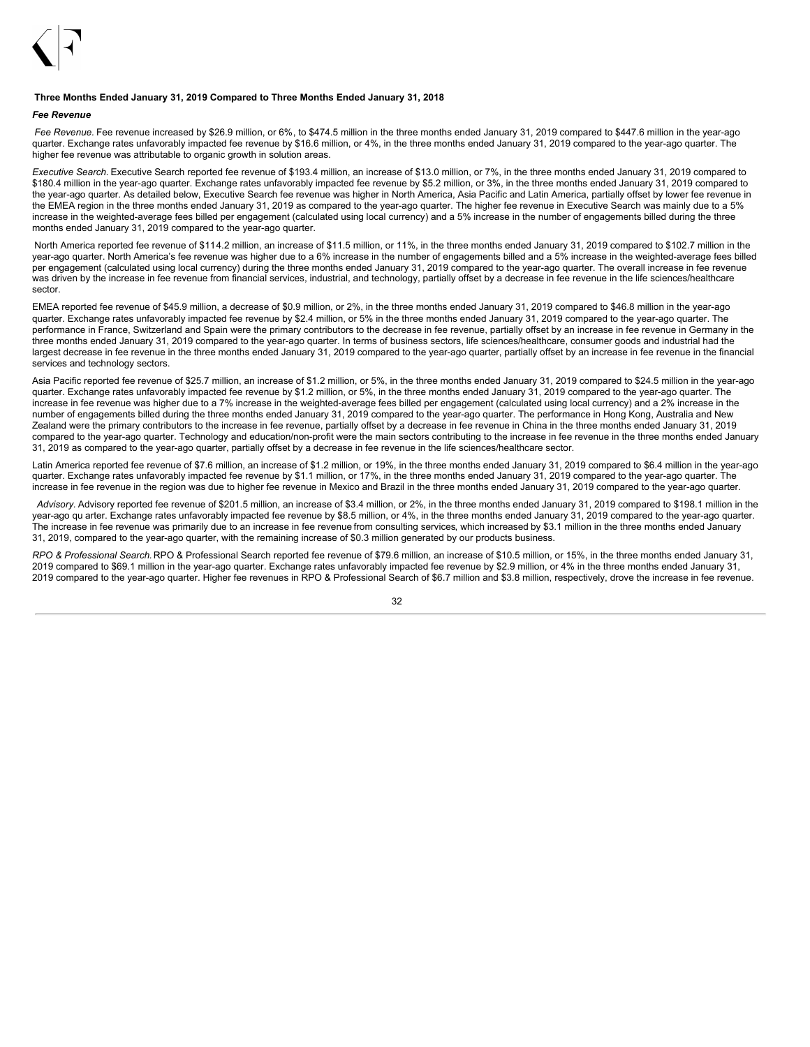

#### **Three Months Ended January 31, 2019 Compared to Three Months Ended January 31, 2018**

#### *Fee Revenue*

Fee Revenue. Fee revenue increased by \$26.9 million, or 6%, to \$474.5 million in the three months ended January 31, 2019 compared to \$447.6 million in the year-ago quarter. Exchange rates unfavorably impacted fee revenue by \$16.6 million, or 4%, in the three months ended January 31, 2019 compared to the year-ago quarter. The higher fee revenue was attributable to organic growth in solution areas.

*Executive Search.* Executive Search reported fee revenue of \$193.4 million, an increase of \$13.0 million, or 7%, in the three months ended January 31, 2019 compared to \$180.4 million in the year-ago quarter. Exchange rates unfavorably impacted fee revenue by \$5.2 million, or 3%, in the three months ended January 31, 2019 compared to the year-ago quarter. As detailed below, Executive Search fee revenue was higher in North America, Asia Pacific and Latin America, partially offset by lower fee revenue in the EMEA region in the three months ended January 31, 2019 as compared to the year-ago quarter. The higher fee revenue in Executive Search was mainly due to a 5% increase in the weighted-average fees billed per engagement (calculated using local currency) and a 5% increase in the number of engagements billed during the three months ended January 31, 2019 compared to the year-ago quarter.

North America reported fee revenue of \$114.2 million, an increase of \$11.5 million, or 11%, in the three months ended January 31, 2019 compared to \$102.7 million in the year-ago quarter. North America's fee revenue was higher due to a 6% increase in the number of engagements billed and a 5% increase in the weighted-average fees billed per engagement (calculated using local currency) during the three months ended January 31, 2019 compared to the year-ago quarter. The overall increase in fee revenue was driven by the increase in fee revenue from financial services, industrial, and technology, partially offset by a decrease in fee revenue in the life sciences/healthcare sector.

EMEA reported fee revenue of \$45.9 million, a decrease of \$0.9 million, or 2%, in the three months ended January 31, 2019 compared to \$46.8 million in the year-ago quarter. Exchange rates unfavorably impacted fee revenue by \$2.4 million, or 5% in the three months ended January 31, 2019 compared to the year-ago quarter. The performance in France, Switzerland and Spain were the primary contributors to the decrease in fee revenue, partially offset by an increase in fee revenue in Germany in the three months ended January 31, 2019 compared to the year-ago quarter. In terms of business sectors, life sciences/healthcare, consumer goods and industrial had the largest decrease in fee revenue in the three months ended January 31, 2019 compared to the year-ago quarter, partially offset by an increase in fee revenue in the financial services and technology sectors.

Asia Pacific reported fee revenue of \$25.7 million, an increase of \$1.2 million, or 5%, in the three months ended January 31, 2019 compared to \$24.5 million in the year-ago quarter. Exchange rates unfavorably impacted fee revenue by \$1.2 million, or 5%, in the three months ended January 31, 2019 compared to the year-ago quarter. The increase in fee revenue was higher due to a 7% increase in the weighted-average fees billed per engagement (calculated using local currency) and a 2% increase in the number of engagements billed during the three months ended January 31, 2019 compared to the year-ago quarter. The performance in Hong Kong, Australia and New Zealand were the primary contributors to the increase in fee revenue, partially offset by a decrease in fee revenue in China in the three months ended January 31, 2019 compared to the year-ago quarter. Technology and education/non-profit were the main sectors contributing to the increase in fee revenue in the three months ended January 31, 2019 as compared to the year-ago quarter, partially offset by a decrease in fee revenue in the life sciences/healthcare sector.

Latin America reported fee revenue of \$7.6 million, an increase of \$1.2 million, or 19%, in the three months ended January 31, 2019 compared to \$6.4 million in the year-ago quarter. Exchange rates unfavorably impacted fee revenue by \$1.1 million, or 17%, in the three months ended January 31, 2019 compared to the year-ago quarter. The increase in fee revenue in the region was due to higher fee revenue in Mexico and Brazil in the three months ended January 31, 2019 compared to the year-ago quarter.

*Advisory.* Advisory reported fee revenue of \$201.5 million, an increase of \$3.4 million, or 2%, in the three months ended January 31, 2019 compared to \$198.1 million in the year-ago qu arter. Exchange rates unfavorably impacted fee revenue by \$8.5 million, or 4%, in the three months ended January 31, 2019 compared to the year-ago quarter. The increase in fee revenue was primarily due to an increase in fee revenue from consulting services, which increased by \$3.1 million in the three months ended January 31, 2019, compared to the year-ago quarter, with the remaining increase of \$0.3 million generated by our products business.

*RPO & Professional Search.* RPO & Professional Search reported fee revenue of \$79.6 million, an increase of \$10.5 million, or 15%, in the three months ended January 31, 2019 compared to \$69.1 million in the year-ago quarter. Exchange rates unfavorably impacted fee revenue by \$2.9 million, or 4% in the three months ended January 31, 2019 compared to the year-ago quarter. Higher fee revenues in RPO & Professional Search of \$6.7 million and \$3.8 million, respectively, drove the increase in fee revenue.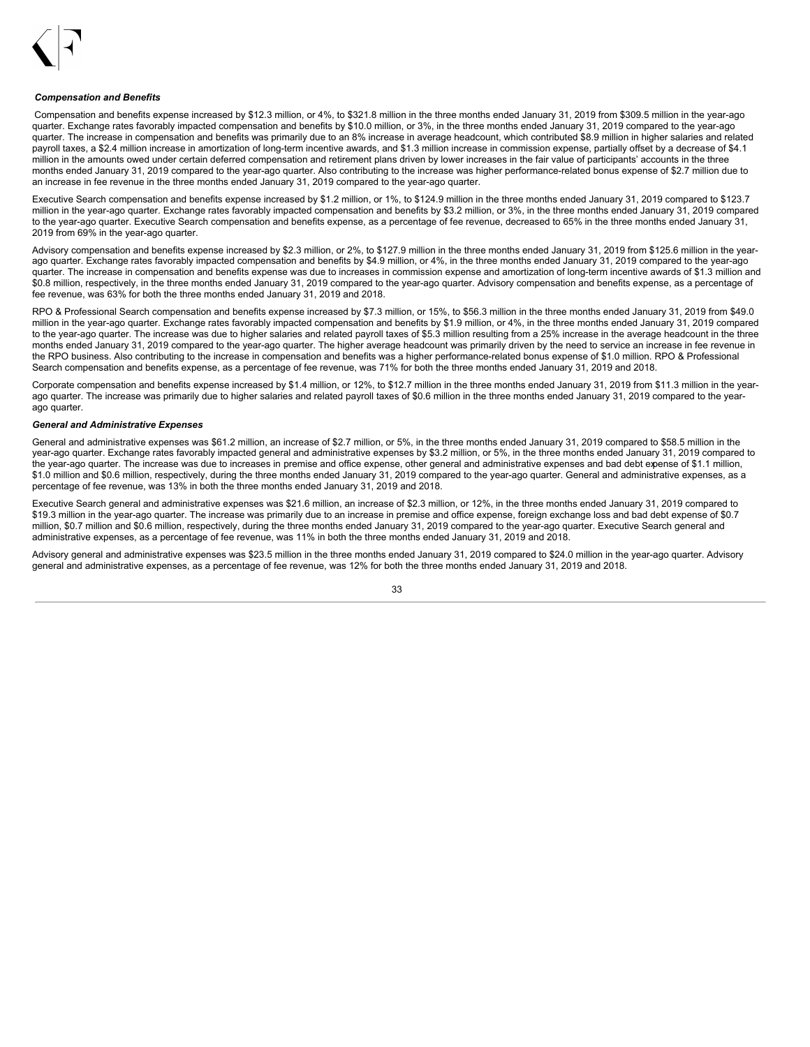

#### *Compensation and Benefits*

Compensation and benefits expense increased by \$12.3 million, or 4%, to \$321.8 million in the three months ended January 31, 2019 from \$309.5 million in the year-ago quarter. Exchange rates favorably impacted compensation and benefits by \$10.0 million, or 3%, in the three months ended January 31, 2019 compared to the year-ago quarter. The increase in compensation and benefits was primarily due to an 8% increase in average headcount, which contributed \$8.9 million in higher salaries and related payroll taxes, a \$2.4 million increase in amortization of long-term incentive awards, and \$1.3 million increase in commission expense, partially offset by a decrease of \$4.1 million in the amounts owed under certain deferred compensation and retirement plans driven by lower increases in the fair value of participants' accounts in the three months ended January 31, 2019 compared to the year-ago quarter. Also contributing to the increase was higher performance-related bonus expense of \$2.7 million due to an increase in fee revenue in the three months ended January 31, 2019 compared to the year-ago quarter.

Executive Search compensation and benefits expense increased by \$1.2 million, or 1%, to \$124.9 million in the three months ended January 31, 2019 compared to \$123.7 million in the year-ago quarter. Exchange rates favorably impacted compensation and benefits by \$3.2 million, or 3%, in the three months ended January 31, 2019 compared to the year-ago quarter. Executive Search compensation and benefits expense, as a percentage of fee revenue, decreased to 65% in the three months ended January 31, 2019 from 69% in the year-ago quarter.

Advisory compensation and benefits expense increased by \$2.3 million, or 2%, to \$127.9 million in the three months ended January 31, 2019 from \$125.6 million in the yearago quarter. Exchange rates favorably impacted compensation and benefits by \$4.9 million, or 4%, in the three months ended January 31, 2019 compared to the year-ago quarter. The increase in compensation and benefits expense was due to increases in commission expense and amortization of long-term incentive awards of \$1.3 million and \$0.8 million, respectively, in the three months ended January 31, 2019 compared to the year-ago quarter. Advisory compensation and benefits expense, as a percentage of fee revenue, was 63% for both the three months ended January 31, 2019 and 2018.

RPO & Professional Search compensation and benefits expense increased by \$7.3 million, or 15%, to \$56.3 million in the three months ended January 31, 2019 from \$49.0 million in the year-ago quarter. Exchange rates favorably impacted compensation and benefits by \$1.9 million, or 4%, in the three months ended January 31, 2019 compared to the year-ago quarter. The increase was due to higher salaries and related payroll taxes of \$5.3 million resulting from a 25% increase in the average headcount in the three months ended January 31, 2019 compared to the year-ago quarter. The higher average headcount was primarily driven by the need to service an increase in fee revenue in the RPO business. Also contributing to the increase in compensation and benefits was a higher performance-related bonus expense of \$1.0 million. RPO & Professional Search compensation and benefits expense, as a percentage of fee revenue, was 71% for both the three months ended January 31, 2019 and 2018.

Corporate compensation and benefits expense increased by \$1.4 million, or 12%, to \$12.7 million in the three months ended January 31, 2019 from \$11.3 million in the yearago quarter. The increase was primarily due to higher salaries and related payroll taxes of \$0.6 million in the three months ended January 31, 2019 compared to the yearago quarter.

#### *General and Administrative Expenses*

General and administrative expenses was \$61.2 million, an increase of \$2.7 million, or 5%, in the three months ended January 31, 2019 compared to \$58.5 million in the year-ago quarter. Exchange rates favorably impacted general and administrative expenses by \$3.2 million, or 5%, in the three months ended January 31, 2019 compared to the year-ago quarter. The increase was due to increases in premise and office expense, other general and administrative expenses and bad debt expense of \$1.1 million, \$1.0 million and \$0.6 million, respectively, during the three months ended January 31, 2019 compared to the year-ago quarter. General and administrative expenses, as a percentage of fee revenue, was 13% in both the three months ended January 31, 2019 and 2018.

Executive Search general and administrative expenses was \$21.6 million, an increase of \$2.3 million, or 12%, in the three months ended January 31, 2019 compared to \$19.3 million in the year-ago quarter. The increase was primarily due to an increase in premise and office expense, foreign exchange loss and bad debt expense of \$0.7 million, \$0.7 million and \$0.6 million, respectively, during the three months ended January 31, 2019 compared to the year-ago quarter. Executive Search general and administrative expenses, as a percentage of fee revenue, was 11% in both the three months ended January 31, 2019 and 2018.

Advisory general and administrative expenses was \$23.5 million in the three months ended January 31, 2019 compared to \$24.0 million in the year-ago quarter. Advisory general and administrative expenses, as a percentage of fee revenue, was 12% for both the three months ended January 31, 2019 and 2018.

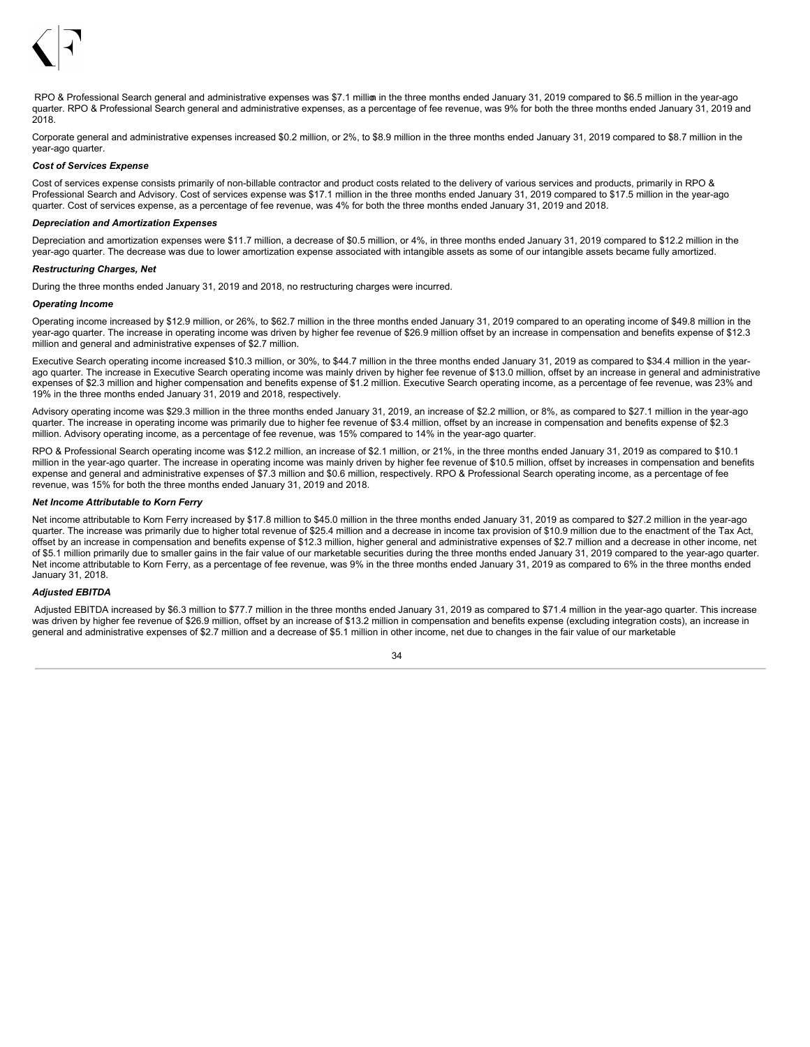

RPO & Professional Search general and administrative expenses was \$7.1 million in the three months ended January 31, 2019 compared to \$6.5 million in the year-ago quarter. RPO & Professional Search general and administrative expenses, as a percentage of fee revenue, was 9% for both the three months ended January 31, 2019 and 2018.

Corporate general and administrative expenses increased \$0.2 million, or 2%, to \$8.9 million in the three months ended January 31, 2019 compared to \$8.7 million in the year-ago quarter.

#### *Cost of Services Expense*

Cost of services expense consists primarily of non-billable contractor and product costs related to the delivery of various services and products, primarily in RPO & Professional Search and Advisory. Cost of services expense was \$17.1 million in the three months ended January 31, 2019 compared to \$17.5 million in the year-ago quarter. Cost of services expense, as a percentage of fee revenue, was 4% for both the three months ended January 31, 2019 and 2018.

#### *Depreciation and Amortization Expenses*

Depreciation and amortization expenses were \$11.7 million, a decrease of \$0.5 million, or 4%, in three months ended January 31, 2019 compared to \$12.2 million in the year-ago quarter. The decrease was due to lower amortization expense associated with intangible assets as some of our intangible assets became fully amortized.

#### *Restructuring Charges, Net*

During the three months ended January 31, 2019 and 2018, no restructuring charges were incurred.

#### *Operating Income*

Operating income increased by \$12.9 million, or 26%, to \$62.7 million in the three months ended January 31, 2019 compared to an operating income of \$49.8 million in the year-ago quarter. The increase in operating income was driven by higher fee revenue of \$26.9 million offset by an increase in compensation and benefits expense of \$12.3 million and general and administrative expenses of \$2.7 million.

Executive Search operating income increased \$10.3 million, or 30%, to \$44.7 million in the three months ended January 31, 2019 as compared to \$34.4 million in the yearago quarter. The increase in Executive Search operating income was mainly driven by higher fee revenue of \$13.0 million, offset by an increase in general and administrative expenses of \$2.3 million and higher compensation and benefits expense of \$1.2 million. Executive Search operating income, as a percentage of fee revenue, was 23% and 19% in the three months ended January 31, 2019 and 2018, respectively.

Advisory operating income was \$29.3 million in the three months ended January 31, 2019, an increase of \$2.2 million, or 8%, as compared to \$27.1 million in the year-ago quarter. The increase in operating income was primarily due to higher fee revenue of \$3.4 million, offset by an increase in compensation and benefits expense of \$2.3 million. Advisory operating income, as a percentage of fee revenue, was 15% compared to 14% in the year-ago quarter.

RPO & Professional Search operating income was \$12.2 million, an increase of \$2.1 million, or 21%, in the three months ended January 31, 2019 as compared to \$10.1 million in the year-ago quarter. The increase in operating income was mainly driven by higher fee revenue of \$10.5 million, offset by increases in compensation and benefits expense and general and administrative expenses of \$7.3 million and \$0.6 million, respectively. RPO & Professional Search operating income, as a percentage of fee revenue, was 15% for both the three months ended January 31, 2019 and 2018.

#### *Net Income Attributable to Korn Ferry*

Net income attributable to Korn Ferry increased by \$17.8 million to \$45.0 million in the three months ended January 31, 2019 as compared to \$27.2 million in the year-ago quarter. The increase was primarily due to higher total revenue of \$25.4 million and a decrease in income tax provision of \$10.9 million due to the enactment of the Tax Act, offset by an increase in compensation and benefits expense of \$12.3 million, higher general and administrative expenses of \$2.7 million and a decrease in other income, net of \$5.1 million primarily due to smaller gains in the fair value of our marketable securities during the three months ended January 31, 2019 compared to the year-ago quarter. Net income attributable to Korn Ferry, as a percentage of fee revenue, was 9% in the three months ended January 31, 2019 as compared to 6% in the three months ended January 31, 2018.

#### *Adjusted EBITDA*

Adjusted EBITDA increased by \$6.3 million to \$77.7 million in the three months ended January 31, 2019 as compared to \$71.4 million in the year-ago quarter. This increase was driven by higher fee revenue of \$26.9 million, offset by an increase of \$13.2 million in compensation and benefits expense (excluding integration costs), an increase in general and administrative expenses of \$2.7 million and a decrease of \$5.1 million in other income, net due to changes in the fair value of our marketable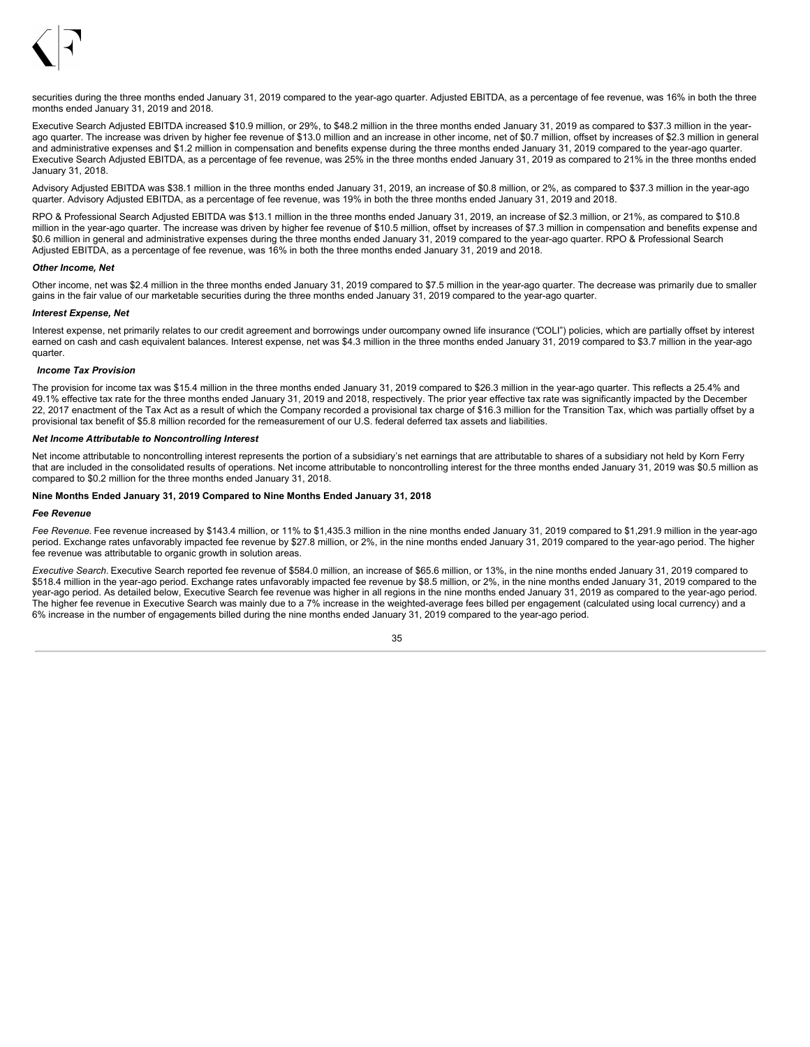

securities during the three months ended January 31, 2019 compared to the year-ago quarter. Adjusted EBITDA, as a percentage of fee revenue, was 16% in both the three months ended January 31, 2019 and 2018.

Executive Search Adjusted EBITDA increased \$10.9 million, or 29%, to \$48.2 million in the three months ended January 31, 2019 as compared to \$37.3 million in the yearago quarter. The increase was driven by higher fee revenue of \$13.0 million and an increase in other income, net of \$0.7 million, offset by increases of \$2.3 million in general and administrative expenses and \$1.2 million in compensation and benefits expense during the three months ended January 31, 2019 compared to the year-ago quarter. Executive Search Adjusted EBITDA, as a percentage of fee revenue, was 25% in the three months ended January 31, 2019 as compared to 21% in the three months ended January 31, 2018.

Advisory Adjusted EBITDA was \$38.1 million in the three months ended January 31, 2019, an increase of \$0.8 million, or 2%, as compared to \$37.3 million in the year-ago quarter. Advisory Adjusted EBITDA, as a percentage of fee revenue, was 19% in both the three months ended January 31, 2019 and 2018.

RPO & Professional Search Adjusted EBITDA was \$13.1 million in the three months ended January 31, 2019, an increase of \$2.3 million, or 21%, as compared to \$10.8 million in the year-ago quarter. The increase was driven by higher fee revenue of \$10.5 million, offset by increases of \$7.3 million in compensation and benefits expense and \$0.6 million in general and administrative expenses during the three months ended January 31, 2019 compared to the year-ago quarter. RPO & Professional Search Adjusted EBITDA, as a percentage of fee revenue, was 16% in both the three months ended January 31, 2019 and 2018.

#### *Other Income, Net*

Other income, net was \$2.4 million in the three months ended January 31, 2019 compared to \$7.5 million in the year-ago quarter. The decrease was primarily due to smaller gains in the fair value of our marketable securities during the three months ended January 31, 2019 compared to the year-ago quarter.

#### *Interest Expense, Net*

Interest expense, net primarily relates to our credit agreement and borrowings under ourcompany owned life insurance ("COLI") policies, which are partially offset by interest earned on cash and cash equivalent balances. Interest expense, net was \$4.3 million in the three months ended January 31, 2019 compared to \$3.7 million in the year-ago quarter.

#### *Income Tax Provision*

The provision for income tax was \$15.4 million in the three months ended January 31, 2019 compared to \$26.3 million in the year-ago quarter. This reflects a 25.4% and 49.1% effective tax rate for the three months ended January 31, 2019 and 2018, respectively. The prior year effective tax rate was significantly impacted by the December 22, 2017 enactment of the Tax Act as a result of which the Company recorded a provisional tax charge of \$16.3 million for the Transition Tax, which was partially offset by a provisional tax benefit of \$5.8 million recorded for the remeasurement of our U.S. federal deferred tax assets and liabilities.

#### *Net Income Attributable to Noncontrolling Interest*

Net income attributable to noncontrolling interest represents the portion of a subsidiary's net earnings that are attributable to shares of a subsidiary not held by Korn Ferry that are included in the consolidated results of operations. Net income attributable to noncontrolling interest for the three months ended January 31, 2019 was \$0.5 million as compared to \$0.2 million for the three months ended January 31, 2018.

#### **Nine Months Ended January 31, 2019 Compared to Nine Months Ended January 31, 2018**

#### *Fee Revenue*

*Fee Revenue.* Fee revenue increased by \$143.4 million, or 11% to \$1,435.3 million in the nine months ended January 31, 2019 compared to \$1,291.9 million in the year-ago period. Exchange rates unfavorably impacted fee revenue by \$27.8 million, or 2%, in the nine months ended January 31, 2019 compared to the year-ago period. The higher fee revenue was attributable to organic growth in solution areas.

*Executive Search.* Executive Search reported fee revenue of \$584.0 million, an increase of \$65.6 million, or 13%, in the nine months ended January 31, 2019 compared to \$518.4 million in the year-ago period. Exchange rates unfavorably impacted fee revenue by \$8.5 million, or 2%, in the nine months ended January 31, 2019 compared to the year-ago period. As detailed below, Executive Search fee revenue was higher in all regions in the nine months ended January 31, 2019 as compared to the year-ago period. The higher fee revenue in Executive Search was mainly due to a 7% increase in the weighted-average fees billed per engagement (calculated using local currency) and a 6% increase in the number of engagements billed during the nine months ended January 31, 2019 compared to the year-ago period.

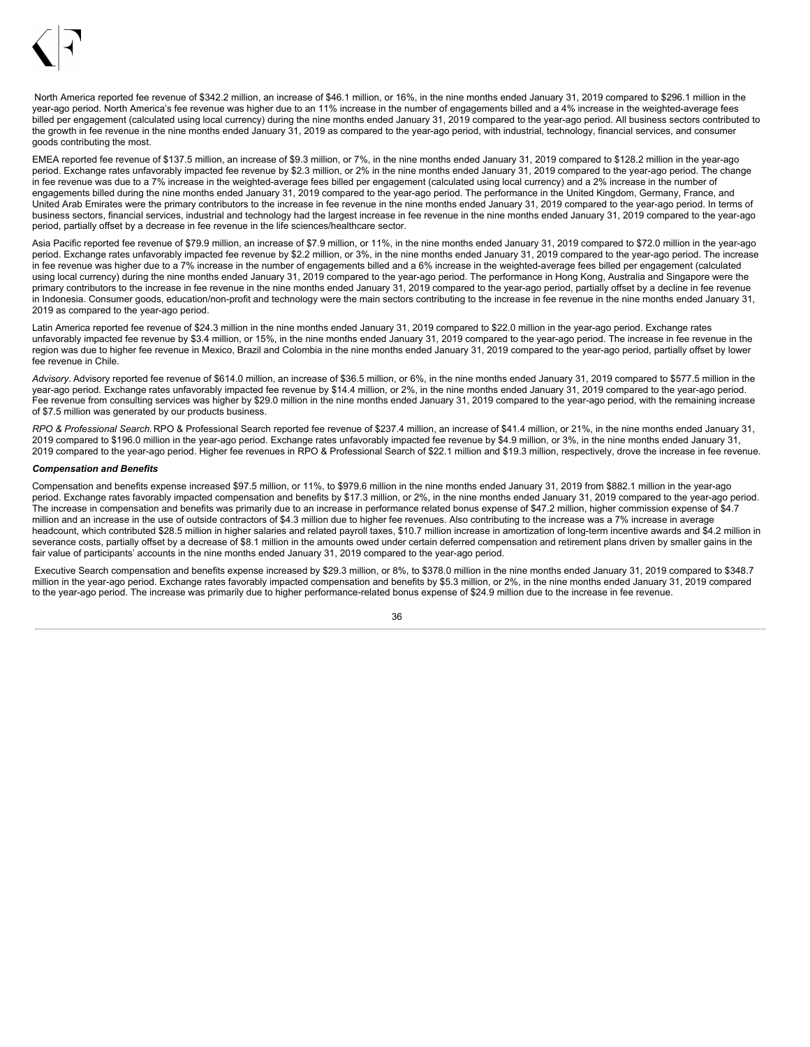

North America reported fee revenue of \$342.2 million, an increase of \$46.1 million, or 16%, in the nine months ended January 31, 2019 compared to \$296.1 million in the year-ago period. North America's fee revenue was higher due to an 11% increase in the number of engagements billed and a 4% increase in the weighted-average fees billed per engagement (calculated using local currency) during the nine months ended January 31, 2019 compared to the year-ago period. All business sectors contributed to the growth in fee revenue in the nine months ended January 31, 2019 as compared to the year-ago period, with industrial, technology, financial services, and consumer goods contributing the most.

EMEA reported fee revenue of \$137.5 million, an increase of \$9.3 million, or 7%, in the nine months ended January 31, 2019 compared to \$128.2 million in the year-ago period. Exchange rates unfavorably impacted fee revenue by \$2.3 million, or 2% in the nine months ended January 31, 2019 compared to the year-ago period. The change in fee revenue was due to a 7% increase in the weighted-average fees billed per engagement (calculated using local currency) and a 2% increase in the number of engagements billed during the nine months ended January 31, 2019 compared to the year-ago period. The performance in the United Kingdom, Germany, France, and United Arab Emirates were the primary contributors to the increase in fee revenue in the nine months ended January 31, 2019 compared to the year-ago period. In terms of business sectors, financial services, industrial and technology had the largest increase in fee revenue in the nine months ended January 31, 2019 compared to the year-ago period, partially offset by a decrease in fee revenue in the life sciences/healthcare sector.

Asia Pacific reported fee revenue of \$79.9 million, an increase of \$7.9 million, or 11%, in the nine months ended January 31, 2019 compared to \$72.0 million in the year-ago period. Exchange rates unfavorably impacted fee revenue by \$2.2 million, or 3%, in the nine months ended January 31, 2019 compared to the year-ago period. The increase in fee revenue was higher due to a 7% increase in the number of engagements billed and a 6% increase in the weighted-average fees billed per engagement (calculated using local currency) during the nine months ended January 31, 2019 compared to the year-ago period. The performance in Hong Kong, Australia and Singapore were the primary contributors to the increase in fee revenue in the nine months ended January 31, 2019 compared to the year-ago period, partially offset by a decline in fee revenue in Indonesia. Consumer goods, education/non-profit and technology were the main sectors contributing to the increase in fee revenue in the nine months ended January 31, 2019 as compared to the year-ago period.

Latin America reported fee revenue of \$24.3 million in the nine months ended January 31, 2019 compared to \$22.0 million in the year-ago period. Exchange rates unfavorably impacted fee revenue by \$3.4 million, or 15%, in the nine months ended January 31, 2019 compared to the year-ago period. The increase in fee revenue in the region was due to higher fee revenue in Mexico, Brazil and Colombia in the nine months ended January 31, 2019 compared to the year-ago period, partially offset by lower fee revenue in Chile.

*Advisory.* Advisory reported fee revenue of \$614.0 million, an increase of \$36.5 million, or 6%, in the nine months ended January 31, 2019 compared to \$577.5 million in the year-ago period. Exchange rates unfavorably impacted fee revenue by \$14.4 million, or 2%, in the nine months ended January 31, 2019 compared to the year-ago period. Fee revenue from consulting services was higher by \$29.0 million in the nine months ended January 31, 2019 compared to the year-ago period, with the remaining increase of \$7.5 million was generated by our products business.

*RPO & Professional Search.* RPO & Professional Search reported fee revenue of \$237.4 million, an increase of \$41.4 million, or 21%, in the nine months ended January 31, 2019 compared to \$196.0 million in the year-ago period. Exchange rates unfavorably impacted fee revenue by \$4.9 million, or 3%, in the nine months ended January 31, 2019 compared to the year-ago period. Higher fee revenues in RPO & Professional Search of \$22.1 million and \$19.3 million, respectively, drove the increase in fee revenue.

#### *Compensation and Benefits*

Compensation and benefits expense increased \$97.5 million, or 11%, to \$979.6 million in the nine months ended January 31, 2019 from \$882.1 million in the year-ago period. Exchange rates favorably impacted compensation and benefits by \$17.3 million, or 2%, in the nine months ended January 31, 2019 compared to the year-ago period. The increase in compensation and benefits was primarily due to an increase in performance related bonus expense of \$47.2 million, higher commission expense of \$4.7 million and an increase in the use of outside contractors of \$4.3 million due to higher fee revenues. Also contributing to the increase was a 7% increase in average headcount, which contributed \$28.5 million in higher salaries and related payroll taxes, \$10.7 million increase in amortization of long-term incentive awards and \$4.2 million in severance costs, partially offset by a decrease of \$8.1 million in the amounts owed under certain deferred compensation and retirement plans driven by smaller gains in the fair value of participants' accounts in the nine months ended January 31, 2019 compared to the year-ago period.

Executive Search compensation and benefits expense increased by \$29.3 million, or 8%, to \$378.0 million in the nine months ended January 31, 2019 compared to \$348.7 million in the year-ago period. Exchange rates favorably impacted compensation and benefits by \$5.3 million, or 2%, in the nine months ended January 31, 2019 compared to the year-ago period. The increase was primarily due to higher performance-related bonus expense of \$24.9 million due to the increase in fee revenue.

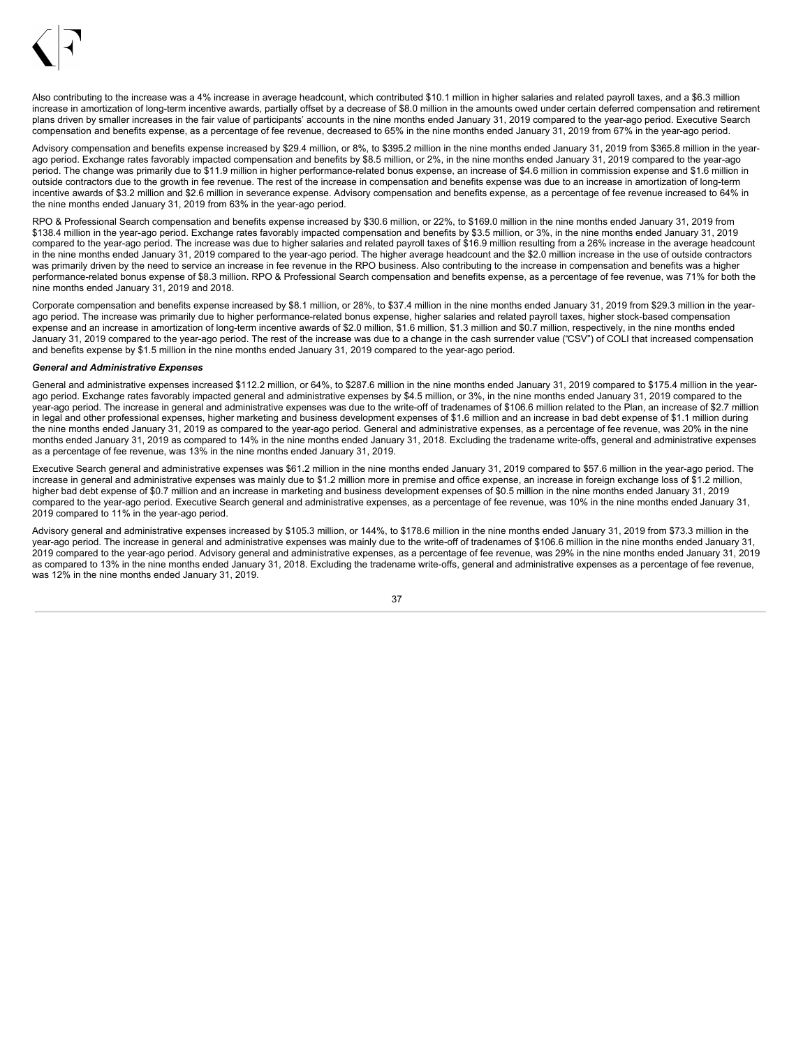

Also contributing to the increase was a 4% increase in average headcount, which contributed \$10.1 million in higher salaries and related payroll taxes, and a \$6.3 million increase in amortization of long-term incentive awards, partially offset by a decrease of \$8.0 million in the amounts owed under certain deferred compensation and retirement plans driven by smaller increases in the fair value of participants' accounts in the nine months ended January 31, 2019 compared to the year-ago period. Executive Search compensation and benefits expense, as a percentage of fee revenue, decreased to 65% in the nine months ended January 31, 2019 from 67% in the year-ago period.

Advisory compensation and benefits expense increased by \$29.4 million, or 8%, to \$395.2 million in the nine months ended January 31, 2019 from \$365.8 million in the yearago period. Exchange rates favorably impacted compensation and benefits by \$8.5 million, or 2%, in the nine months ended January 31, 2019 compared to the year-ago period. The change was primarily due to \$11.9 million in higher performance-related bonus expense, an increase of \$4.6 million in commission expense and \$1.6 million in outside contractors due to the growth in fee revenue. The rest of the increase in compensation and benefits expense was due to an increase in amortization of long-term incentive awards of \$3.2 million and \$2.6 million in severance expense. Advisory compensation and benefits expense, as a percentage of fee revenue increased to 64% in the nine months ended January 31, 2019 from 63% in the year-ago period.

RPO & Professional Search compensation and benefits expense increased by \$30.6 million, or 22%, to \$169.0 million in the nine months ended January 31, 2019 from \$138.4 million in the year-ago period. Exchange rates favorably impacted compensation and benefits by \$3.5 million, or 3%, in the nine months ended January 31, 2019 compared to the year-ago period. The increase was due to higher salaries and related payroll taxes of \$16.9 million resulting from a 26% increase in the average headcount in the nine months ended January 31, 2019 compared to the year-ago period. The higher average headcount and the \$2.0 million increase in the use of outside contractors was primarily driven by the need to service an increase in fee revenue in the RPO business. Also contributing to the increase in compensation and benefits was a higher performance-related bonus expense of \$8.3 million. RPO & Professional Search compensation and benefits expense, as a percentage of fee revenue, was 71% for both the nine months ended January 31, 2019 and 2018.

Corporate compensation and benefits expense increased by \$8.1 million, or 28%, to \$37.4 million in the nine months ended January 31, 2019 from \$29.3 million in the yearago period. The increase was primarily due to higher performance-related bonus expense, higher salaries and related payroll taxes, higher stock-based compensation expense and an increase in amortization of long-term incentive awards of \$2.0 million, \$1.6 million, \$1.3 million and \$0.7 million, respectively, in the nine months ended January 31, 2019 compared to the year-ago period. The rest of the increase was due to a change in the cash surrender value ("CSV") of COLI that increased compensation and benefits expense by \$1.5 million in the nine months ended January 31, 2019 compared to the year-ago period.

#### *General and Administrative Expenses*

General and administrative expenses increased \$112.2 million, or 64%, to \$287.6 million in the nine months ended January 31, 2019 compared to \$175.4 million in the yearago period. Exchange rates favorably impacted general and administrative expenses by \$4.5 million, or 3%, in the nine months ended January 31, 2019 compared to the year-ago period. The increase in general and administrative expenses was due to the write-off of tradenames of \$106.6 million related to the Plan, an increase of \$2.7 million in legal and other professional expenses, higher marketing and business development expenses of \$1.6 million and an increase in bad debt expense of \$1.1 million during the nine months ended January 31, 2019 as compared to the year-ago period. General and administrative expenses, as a percentage of fee revenue, was 20% in the nine months ended January 31, 2019 as compared to 14% in the nine months ended January 31, 2018. Excluding the tradename write-offs, general and administrative expenses as a percentage of fee revenue, was 13% in the nine months ended January 31, 2019.

Executive Search general and administrative expenses was \$61.2 million in the nine months ended January 31, 2019 compared to \$57.6 million in the year-ago period. The increase in general and administrative expenses was mainly due to \$1.2 million more in premise and office expense, an increase in foreign exchange loss of \$1.2 million, higher bad debt expense of \$0.7 million and an increase in marketing and business development expenses of \$0.5 million in the nine months ended January 31, 2019 compared to the year-ago period. Executive Search general and administrative expenses, as a percentage of fee revenue, was 10% in the nine months ended January 31, 2019 compared to 11% in the year-ago period.

Advisory general and administrative expenses increased by \$105.3 million, or 144%, to \$178.6 million in the nine months ended January 31, 2019 from \$73.3 million in the year-ago period. The increase in general and administrative expenses was mainly due to the write-off of tradenames of \$106.6 million in the nine months ended January 31, 2019 compared to the year-ago period. Advisory general and administrative expenses, as a percentage of fee revenue, was 29% in the nine months ended January 31, 2019 as compared to 13% in the nine months ended January 31, 2018. Excluding the tradename write-offs, general and administrative expenses as a percentage of fee revenue, was 12% in the nine months ended January 31, 2019.

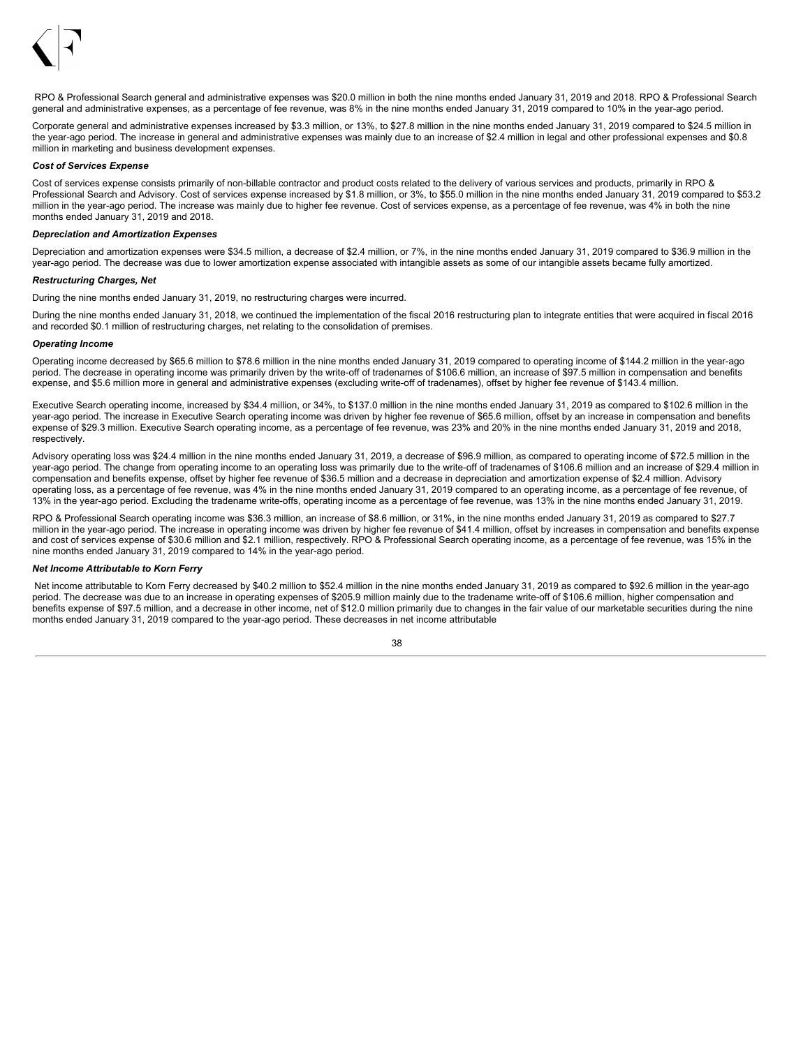

RPO & Professional Search general and administrative expenses was \$20.0 million in both the nine months ended January 31, 2019 and 2018. RPO & Professional Search general and administrative expenses, as a percentage of fee revenue, was 8% in the nine months ended January 31, 2019 compared to 10% in the year-ago period.

Corporate general and administrative expenses increased by \$3.3 million, or 13%, to \$27.8 million in the nine months ended January 31, 2019 compared to \$24.5 million in the year-ago period. The increase in general and administrative expenses was mainly due to an increase of \$2.4 million in legal and other professional expenses and \$0.8 million in marketing and business development expenses.

#### *Cost of Services Expense*

Cost of services expense consists primarily of non-billable contractor and product costs related to the delivery of various services and products, primarily in RPO & Professional Search and Advisory. Cost of services expense increased by \$1.8 million, or 3%, to \$55.0 million in the nine months ended January 31, 2019 compared to \$53.2 million in the year-ago period. The increase was mainly due to higher fee revenue. Cost of services expense, as a percentage of fee revenue, was 4% in both the nine months ended January 31, 2019 and 2018.

#### *Depreciation and Amortization Expenses*

Depreciation and amortization expenses were \$34.5 million, a decrease of \$2.4 million, or 7%, in the nine months ended January 31, 2019 compared to \$36.9 million in the year-ago period. The decrease was due to lower amortization expense associated with intangible assets as some of our intangible assets became fully amortized.

#### *Restructuring Charges, Net*

During the nine months ended January 31, 2019, no restructuring charges were incurred.

During the nine months ended January 31, 2018, we continued the implementation of the fiscal 2016 restructuring plan to integrate entities that were acquired in fiscal 2016 and recorded \$0.1 million of restructuring charges, net relating to the consolidation of premises.

#### *Operating Income*

Operating income decreased by \$65.6 million to \$78.6 million in the nine months ended January 31, 2019 compared to operating income of \$144.2 million in the year-ago period. The decrease in operating income was primarily driven by the write-off of tradenames of \$106.6 million, an increase of \$97.5 million in compensation and benefits expense, and \$5.6 million more in general and administrative expenses (excluding write-off of tradenames), offset by higher fee revenue of \$143.4 million.

Executive Search operating income, increased by \$34.4 million, or 34%, to \$137.0 million in the nine months ended January 31, 2019 as compared to \$102.6 million in the year-ago period. The increase in Executive Search operating income was driven by higher fee revenue of \$65.6 million, offset by an increase in compensation and benefits expense of \$29.3 million. Executive Search operating income, as a percentage of fee revenue, was 23% and 20% in the nine months ended January 31, 2019 and 2018, respectively.

Advisory operating loss was \$24.4 million in the nine months ended January 31, 2019, a decrease of \$96.9 million, as compared to operating income of \$72.5 million in the year-ago period. The change from operating income to an operating loss was primarily due to the write-off of tradenames of \$106.6 million and an increase of \$29.4 million in compensation and benefits expense, offset by higher fee revenue of \$36.5 million and a decrease in depreciation and amortization expense of \$2.4 million. Advisory operating loss, as a percentage of fee revenue, was 4% in the nine months ended January 31, 2019 compared to an operating income, as a percentage of fee revenue, of 13% in the year-ago period. Excluding the tradename write-offs, operating income as a percentage of fee revenue, was 13% in the nine months ended January 31, 2019.

RPO & Professional Search operating income was \$36.3 million, an increase of \$8.6 million, or 31%, in the nine months ended January 31, 2019 as compared to \$27.7 million in the year-ago period. The increase in operating income was driven by higher fee revenue of \$41.4 million, offset by increases in compensation and benefits expense and cost of services expense of \$30.6 million and \$2.1 million, respectively. RPO & Professional Search operating income, as a percentage of fee revenue, was 15% in the nine months ended January 31, 2019 compared to 14% in the year-ago period.

#### *Net Income Attributable to Korn Ferry*

Net income attributable to Korn Ferry decreased by \$40.2 million to \$52.4 million in the nine months ended January 31, 2019 as compared to \$92.6 million in the year-ago period. The decrease was due to an increase in operating expenses of \$205.9 million mainly due to the tradename write-off of \$106.6 million, higher compensation and benefits expense of \$97.5 million, and a decrease in other income, net of \$12.0 million primarily due to changes in the fair value of our marketable securities during the nine months ended January 31, 2019 compared to the year-ago period. These decreases in net income attributable

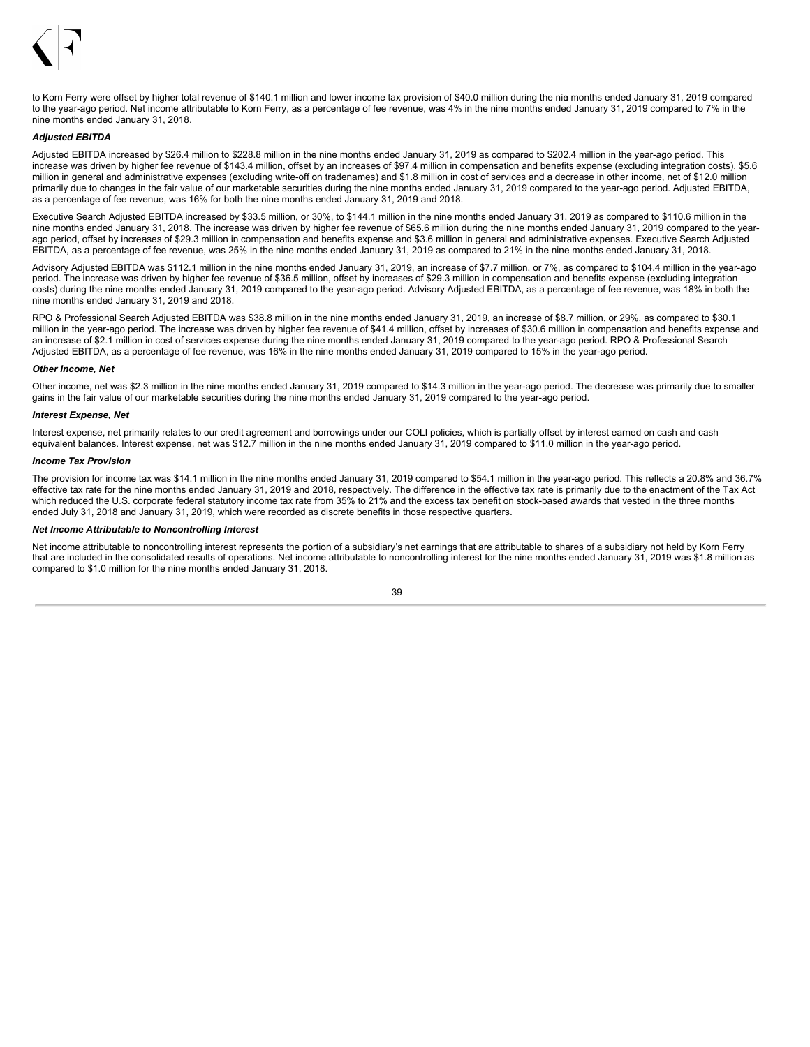

to Korn Ferry were offset by higher total revenue of \$140.1 million and lower income tax provision of \$40.0 million during the nie months ended January 31, 2019 compared to the year-ago period. Net income attributable to Korn Ferry, as a percentage of fee revenue, was 4% in the nine months ended January 31, 2019 compared to 7% in the nine months ended January 31, 2018.

#### *Adjusted EBITDA*

Adjusted EBITDA increased by \$26.4 million to \$228.8 million in the nine months ended January 31, 2019 as compared to \$202.4 million in the year-ago period. This increase was driven by higher fee revenue of \$143.4 million, offset by an increases of \$97.4 million in compensation and benefits expense (excluding integration costs), \$5.6 million in general and administrative expenses (excluding write-off on tradenames) and \$1.8 million in cost of services and a decrease in other income, net of \$12.0 million primarily due to changes in the fair value of our marketable securities during the nine months ended January 31, 2019 compared to the year-ago period. Adjusted EBITDA, as a percentage of fee revenue, was 16% for both the nine months ended January 31, 2019 and 2018.

Executive Search Adjusted EBITDA increased by \$33.5 million, or 30%, to \$144.1 million in the nine months ended January 31, 2019 as compared to \$110.6 million in the nine months ended January 31, 2018. The increase was driven by higher fee revenue of \$65.6 million during the nine months ended January 31, 2019 compared to the yearago period, offset by increases of \$29.3 million in compensation and benefits expense and \$3.6 million in general and administrative expenses. Executive Search Adjusted EBITDA, as a percentage of fee revenue, was 25% in the nine months ended January 31, 2019 as compared to 21% in the nine months ended January 31, 2018.

Advisory Adjusted EBITDA was \$112.1 million in the nine months ended January 31, 2019, an increase of \$7.7 million, or 7%, as compared to \$104.4 million in the year-ago period. The increase was driven by higher fee revenue of \$36.5 million, offset by increases of \$29.3 million in compensation and benefits expense (excluding integration costs) during the nine months ended January 31, 2019 compared to the year-ago period. Advisory Adjusted EBITDA, as a percentage of fee revenue, was 18% in both the nine months ended January 31, 2019 and 2018.

RPO & Professional Search Adjusted EBITDA was \$38.8 million in the nine months ended January 31, 2019, an increase of \$8.7 million, or 29%, as compared to \$30.1 million in the year-ago period. The increase was driven by higher fee revenue of \$41.4 million, offset by increases of \$30.6 million in compensation and benefits expense and an increase of \$2.1 million in cost of services expense during the nine months ended January 31, 2019 compared to the year-ago period. RPO & Professional Search Adjusted EBITDA, as a percentage of fee revenue, was 16% in the nine months ended January 31, 2019 compared to 15% in the year-ago period.

#### *Other Income, Net*

Other income, net was \$2.3 million in the nine months ended January 31, 2019 compared to \$14.3 million in the year-ago period. The decrease was primarily due to smaller gains in the fair value of our marketable securities during the nine months ended January 31, 2019 compared to the year-ago period.

#### *Interest Expense, Net*

Interest expense, net primarily relates to our credit agreement and borrowings under our COLI policies, which is partially offset by interest earned on cash and cash equivalent balances. Interest expense, net was \$12.7 million in the nine months ended January 31, 2019 compared to \$11.0 million in the year-ago period.

#### *Income Tax Provision*

The provision for income tax was \$14.1 million in the nine months ended January 31, 2019 compared to \$54.1 million in the year-ago period. This reflects a 20.8% and 36.7% effective tax rate for the nine months ended January 31, 2019 and 2018, respectively. The difference in the effective tax rate is primarily due to the enactment of the Tax Act which reduced the U.S. corporate federal statutory income tax rate from 35% to 21% and the excess tax benefit on stock-based awards that vested in the three months ended July 31, 2018 and January 31, 2019, which were recorded as discrete benefits in those respective quarters.

#### *Net Income Attributable to Noncontrolling Interest*

Net income attributable to noncontrolling interest represents the portion of a subsidiary's net earnings that are attributable to shares of a subsidiary not held by Korn Ferry that are included in the consolidated results of operations. Net income attributable to noncontrolling interest for the nine months ended January 31, 2019 was \$1.8 million as compared to \$1.0 million for the nine months ended January 31, 2018.

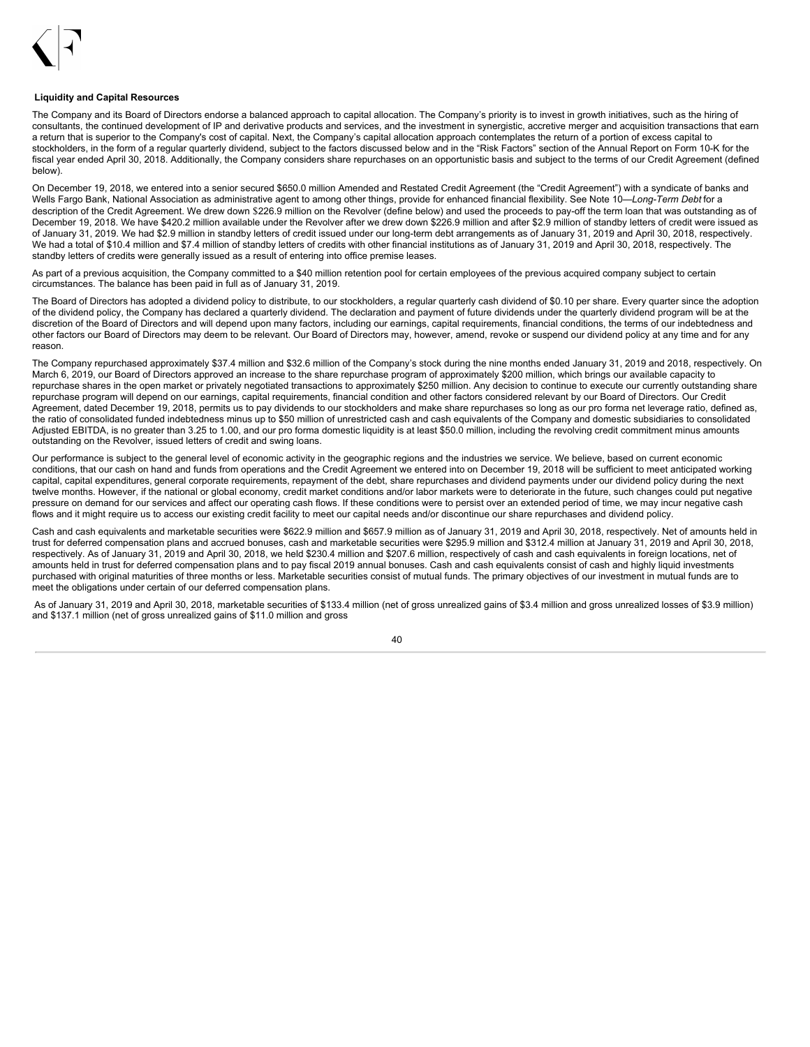

#### **Liquidity and Capital Resources**

The Company and its Board of Directors endorse a balanced approach to capital allocation. The Company's priority is to invest in growth initiatives, such as the hiring of consultants, the continued development of IP and derivative products and services, and the investment in synergistic, accretive merger and acquisition transactions that earn a return that is superior to the Company's cost of capital. Next, the Company's capital allocation approach contemplates the return of a portion of excess capital to stockholders, in the form of a regular quarterly dividend, subject to the factors discussed below and in the "Risk Factors" section of the Annual Report on Form 10-K for the fiscal year ended April 30, 2018. Additionally, the Company considers share repurchases on an opportunistic basis and subject to the terms of our Credit Agreement (defined below).

On December 19, 2018, we entered into a senior secured \$650.0 million Amended and Restated Credit Agreement (the "Credit Agreement") with a syndicate of banks and Wells Fargo Bank, National Association as administrative agent to among other things, provide for enhanced financial flexibility. See Note 10—*Long-Term Debt* for a description of the Credit Agreement. We drew down \$226.9 million on the Revolver (define below) and used the proceeds to pay-off the term loan that was outstanding as of December 19, 2018. We have \$420.2 million available under the Revolver after we drew down \$226.9 million and after \$2.9 million of standby letters of credit were issued as of January 31, 2019. We had \$2.9 million in standby letters of credit issued under our long-term debt arrangements as of January 31, 2019 and April 30, 2018, respectively. We had a total of \$10.4 million and \$7.4 million of standby letters of credits with other financial institutions as of January 31, 2019 and April 30, 2018, respectively. The standby letters of credits were generally issued as a result of entering into office premise leases.

As part of a previous acquisition, the Company committed to a \$40 million retention pool for certain employees of the previous acquired company subject to certain circumstances. The balance has been paid in full as of January 31, 2019.

The Board of Directors has adopted a dividend policy to distribute, to our stockholders, a regular quarterly cash dividend of \$0.10 per share. Every quarter since the adoption of the dividend policy, the Company has declared a quarterly dividend. The declaration and payment of future dividends under the quarterly dividend program will be at the discretion of the Board of Directors and will depend upon many factors, including our earnings, capital requirements, financial conditions, the terms of our indebtedness and other factors our Board of Directors may deem to be relevant. Our Board of Directors may, however, amend, revoke or suspend our dividend policy at any time and for any reason.

The Company repurchased approximately \$37.4 million and \$32.6 million of the Company's stock during the nine months ended January 31, 2019 and 2018, respectively. On March 6, 2019, our Board of Directors approved an increase to the share repurchase program of approximately \$200 million, which brings our available capacity to repurchase shares in the open market or privately negotiated transactions to approximately \$250 million. Any decision to continue to execute our currently outstanding share repurchase program will depend on our earnings, capital requirements, financial condition and other factors considered relevant by our Board of Directors. Our Credit Agreement, dated December 19, 2018, permits us to pay dividends to our stockholders and make share repurchases so long as our pro forma net leverage ratio, defined as, the ratio of consolidated funded indebtedness minus up to \$50 million of unrestricted cash and cash equivalents of the Company and domestic subsidiaries to consolidated Adjusted EBITDA, is no greater than 3.25 to 1.00, and our pro forma domestic liquidity is at least \$50.0 million, including the revolving credit commitment minus amounts outstanding on the Revolver, issued letters of credit and swing loans.

Our performance is subject to the general level of economic activity in the geographic regions and the industries we service. We believe, based on current economic conditions, that our cash on hand and funds from operations and the Credit Agreement we entered into on December 19, 2018 will be sufficient to meet anticipated working capital, capital expenditures, general corporate requirements, repayment of the debt, share repurchases and dividend payments under our dividend policy during the next twelve months. However, if the national or global economy, credit market conditions and/or labor markets were to deteriorate in the future, such changes could put negative pressure on demand for our services and affect our operating cash flows. If these conditions were to persist over an extended period of time, we may incur negative cash flows and it might require us to access our existing credit facility to meet our capital needs and/or discontinue our share repurchases and dividend policy.

Cash and cash equivalents and marketable securities were \$622.9 million and \$657.9 million as of January 31, 2019 and April 30, 2018, respectively. Net of amounts held in trust for deferred compensation plans and accrued bonuses, cash and marketable securities were \$295.9 million and \$312.4 million at January 31, 2019 and April 30, 2018, respectively. As of January 31, 2019 and April 30, 2018, we held \$230.4 million and \$207.6 million, respectively of cash and cash equivalents in foreign locations, net of amounts held in trust for deferred compensation plans and to pay fiscal 2019 annual bonuses. Cash and cash equivalents consist of cash and highly liquid investments purchased with original maturities of three months or less. Marketable securities consist of mutual funds. The primary objectives of our investment in mutual funds are to meet the obligations under certain of our deferred compensation plans.

As of January 31, 2019 and April 30, 2018, marketable securities of \$133.4 million (net of gross unrealized gains of \$3.4 million and gross unrealized losses of \$3.9 million) and \$137.1 million (net of gross unrealized gains of \$11.0 million and gross

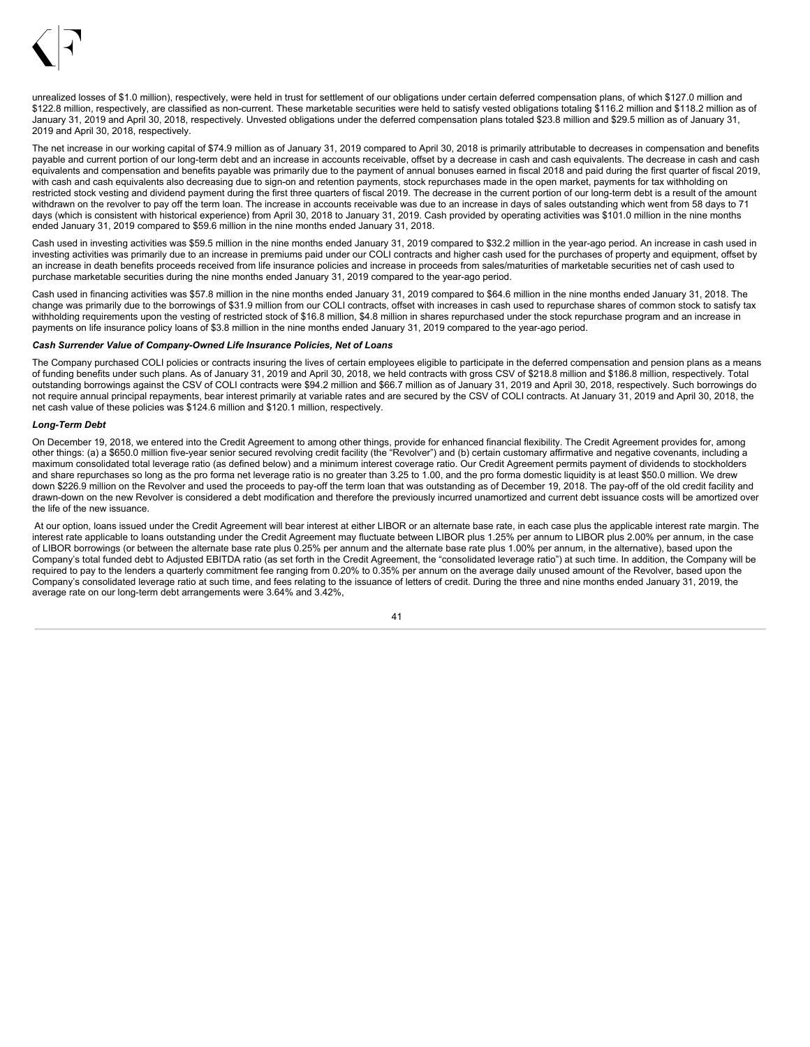

unrealized losses of \$1.0 million), respectively, were held in trust for settlement of our obligations under certain deferred compensation plans, of which \$127.0 million and \$122.8 million, respectively, are classified as non-current. These marketable securities were held to satisfy vested obligations totaling \$116.2 million and \$118.2 million as of January 31, 2019 and April 30, 2018, respectively. Unvested obligations under the deferred compensation plans totaled \$23.8 million and \$29.5 million as of January 31, 2019 and April 30, 2018, respectively.

The net increase in our working capital of \$74.9 million as of January 31, 2019 compared to April 30, 2018 is primarily attributable to decreases in compensation and benefits payable and current portion of our long-term debt and an increase in accounts receivable, offset by a decrease in cash and cash equivalents. The decrease in cash and cash equivalents and compensation and benefits payable was primarily due to the payment of annual bonuses earned in fiscal 2018 and paid during the first quarter of fiscal 2019, with cash and cash equivalents also decreasing due to sign-on and retention payments, stock repurchases made in the open market, payments for tax withholding on restricted stock vesting and dividend payment during the first three quarters of fiscal 2019. The decrease in the current portion of our long-term debt is a result of the amount withdrawn on the revolver to pay off the term loan. The increase in accounts receivable was due to an increase in days of sales outstanding which went from 58 days to 71 days (which is consistent with historical experience) from April 30, 2018 to January 31, 2019. Cash provided by operating activities was \$101.0 million in the nine months ended January 31, 2019 compared to \$59.6 million in the nine months ended January 31, 2018.

Cash used in investing activities was \$59.5 million in the nine months ended January 31, 2019 compared to \$32.2 million in the year-ago period. An increase in cash used in investing activities was primarily due to an increase in premiums paid under our COLI contracts and higher cash used for the purchases of property and equipment, offset by an increase in death benefits proceeds received from life insurance policies and increase in proceeds from sales/maturities of marketable securities net of cash used to purchase marketable securities during the nine months ended January 31, 2019 compared to the year-ago period.

Cash used in financing activities was \$57.8 million in the nine months ended January 31, 2019 compared to \$64.6 million in the nine months ended January 31, 2018. The change was primarily due to the borrowings of \$31.9 million from our COLI contracts, offset with increases in cash used to repurchase shares of common stock to satisfy tax withholding requirements upon the vesting of restricted stock of \$16.8 million, \$4.8 million in shares repurchased under the stock repurchase program and an increase in payments on life insurance policy loans of \$3.8 million in the nine months ended January 31, 2019 compared to the year-ago period.

#### *Cash Surrender Value of Company-Owned Life Insurance Policies, Net of Loans*

The Company purchased COLI policies or contracts insuring the lives of certain employees eligible to participate in the deferred compensation and pension plans as a means of funding benefits under such plans. As of January 31, 2019 and April 30, 2018, we held contracts with gross CSV of \$218.8 million and \$186.8 million, respectively. Total outstanding borrowings against the CSV of COLI contracts were \$94.2 million and \$66.7 million as of January 31, 2019 and April 30, 2018, respectively. Such borrowings do not require annual principal repayments, bear interest primarily at variable rates and are secured by the CSV of COLI contracts. At January 31, 2019 and April 30, 2018, the net cash value of these policies was \$124.6 million and \$120.1 million, respectively.

#### *Long-Term Debt*

On December 19, 2018, we entered into the Credit Agreement to among other things, provide for enhanced financial flexibility. The Credit Agreement provides for, among other things: (a) a \$650.0 million five-year senior secured revolving credit facility (the "Revolver") and (b) certain customary affirmative and negative covenants, including a maximum consolidated total leverage ratio (as defined below) and a minimum interest coverage ratio. Our Credit Agreement permits payment of dividends to stockholders and share repurchases so long as the pro forma net leverage ratio is no greater than 3.25 to 1.00, and the pro forma domestic liquidity is at least \$50.0 million. We drew down \$226.9 million on the Revolver and used the proceeds to pay-off the term loan that was outstanding as of December 19, 2018. The pay-off of the old credit facility and drawn-down on the new Revolver is considered a debt modification and therefore the previously incurred unamortized and current debt issuance costs will be amortized over the life of the new issuance.

At our option, loans issued under the Credit Agreement will bear interest at either LIBOR or an alternate base rate, in each case plus the applicable interest rate margin. The interest rate applicable to loans outstanding under the Credit Agreement may fluctuate between LIBOR plus 1.25% per annum to LIBOR plus 2.00% per annum, in the case of LIBOR borrowings (or between the alternate base rate plus 0.25% per annum and the alternate base rate plus 1.00% per annum, in the alternative), based upon the Company's total funded debt to Adjusted EBITDA ratio (as set forth in the Credit Agreement, the "consolidated leverage ratio") at such time. In addition, the Company will be required to pay to the lenders a quarterly commitment fee ranging from 0.20% to 0.35% per annum on the average daily unused amount of the Revolver, based upon the Company's consolidated leverage ratio at such time, and fees relating to the issuance of letters of credit. During the three and nine months ended January 31, 2019, the average rate on our long-term debt arrangements were 3.64% and 3.42%,

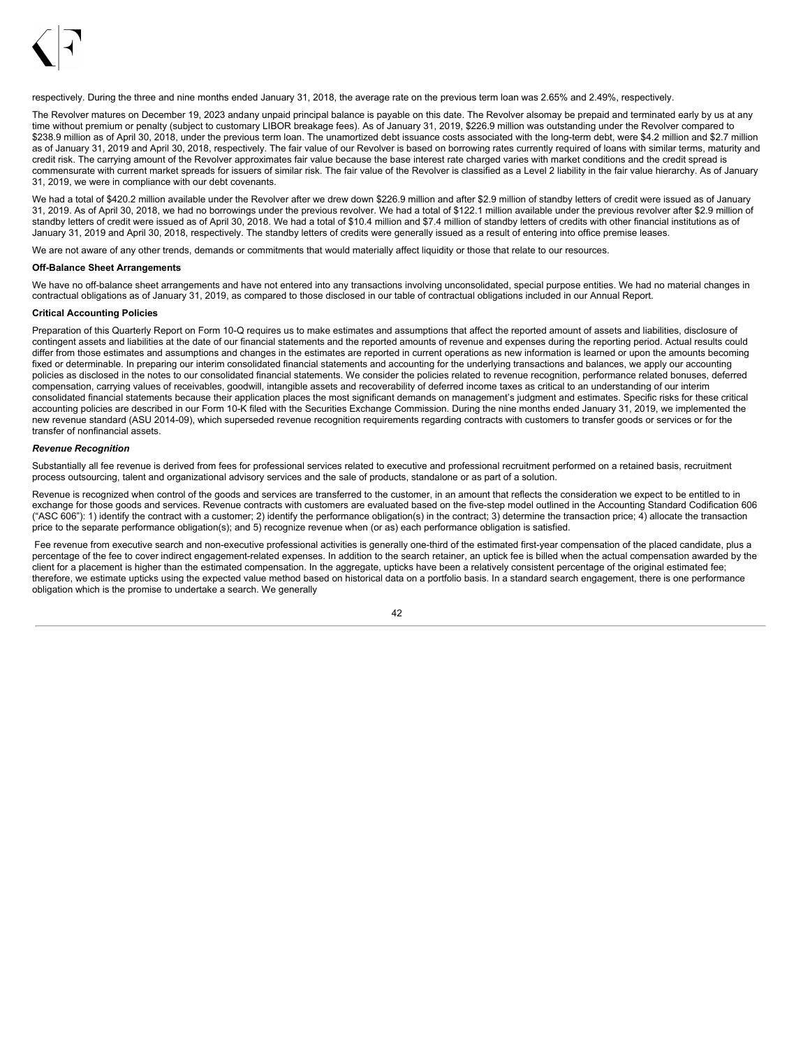

respectively. During the three and nine months ended January 31, 2018, the average rate on the previous term loan was 2.65% and 2.49%, respectively.

The Revolver matures on December 19, 2023 andany unpaid principal balance is payable on this date. The Revolver alsomay be prepaid and terminated early by us at any time without premium or penalty (subject to customary LIBOR breakage fees). As of January 31, 2019, \$226.9 million was outstanding under the Revolver compared to \$238.9 million as of April 30, 2018, under the previous term loan. The unamortized debt issuance costs associated with the long-term debt, were \$4.2 million and \$2.7 million as of January 31, 2019 and April 30, 2018, respectively. The fair value of our Revolver is based on borrowing rates currently required of loans with similar terms, maturity and credit risk. The carrying amount of the Revolver approximates fair value because the base interest rate charged varies with market conditions and the credit spread is commensurate with current market spreads for issuers of similar risk. The fair value of the Revolver is classified as a Level 2 liability in the fair value hierarchy. As of January 31, 2019, we were in compliance with our debt covenants.

We had a total of \$420.2 million available under the Revolver after we drew down \$226.9 million and after \$2.9 million of standby letters of credit were issued as of January 31, 2019. As of April 30, 2018, we had no borrowings under the previous revolver. We had a total of \$122.1 million available under the previous revolver after \$2.9 million of standby letters of credit were issued as of April 30, 2018. We had a total of \$10.4 million and \$7.4 million of standby letters of credits with other financial institutions as of January 31, 2019 and April 30, 2018, respectively. The standby letters of credits were generally issued as a result of entering into office premise leases.

We are not aware of any other trends, demands or commitments that would materially affect liquidity or those that relate to our resources.

#### **Off-Balance Sheet Arrangements**

We have no off-balance sheet arrangements and have not entered into any transactions involving unconsolidated, special purpose entities. We had no material changes in contractual obligations as of January 31, 2019, as compared to those disclosed in our table of contractual obligations included in our Annual Report.

#### **Critical Accounting Policies**

Preparation of this Quarterly Report on Form 10-Q requires us to make estimates and assumptions that affect the reported amount of assets and liabilities, disclosure of contingent assets and liabilities at the date of our financial statements and the reported amounts of revenue and expenses during the reporting period. Actual results could differ from those estimates and assumptions and changes in the estimates are reported in current operations as new information is learned or upon the amounts becoming fixed or determinable. In preparing our interim consolidated financial statements and accounting for the underlying transactions and balances, we apply our accounting policies as disclosed in the notes to our consolidated financial statements. We consider the policies related to revenue recognition, performance related bonuses, deferred compensation, carrying values of receivables, goodwill, intangible assets and recoverability of deferred income taxes as critical to an understanding of our interim consolidated financial statements because their application places the most significant demands on management's judgment and estimates. Specific risks for these critical accounting policies are described in our Form 10-K filed with the Securities Exchange Commission. During the nine months ended January 31, 2019, we implemented the new revenue standard (ASU 2014-09), which superseded revenue recognition requirements regarding contracts with customers to transfer goods or services or for the transfer of nonfinancial assets.

#### *Revenue Recognition*

Substantially all fee revenue is derived from fees for professional services related to executive and professional recruitment performed on a retained basis, recruitment process outsourcing, talent and organizational advisory services and the sale of products, standalone or as part of a solution.

Revenue is recognized when control of the goods and services are transferred to the customer, in an amount that reflects the consideration we expect to be entitled to in exchange for those goods and services. Revenue contracts with customers are evaluated based on the five-step model outlined in the Accounting Standard Codification 606 ("ASC 606"): 1) identify the contract with a customer; 2) identify the performance obligation(s) in the contract; 3) determine the transaction price; 4) allocate the transaction price to the separate performance obligation(s); and 5) recognize revenue when (or as) each performance obligation is satisfied.

Fee revenue from executive search and non-executive professional activities is generally one-third of the estimated first-year compensation of the placed candidate, plus a percentage of the fee to cover indirect engagement-related expenses. In addition to the search retainer, an uptick fee is billed when the actual compensation awarded by the client for a placement is higher than the estimated compensation. In the aggregate, upticks have been a relatively consistent percentage of the original estimated fee; therefore, we estimate upticks using the expected value method based on historical data on a portfolio basis. In a standard search engagement, there is one performance obligation which is the promise to undertake a search. We generally

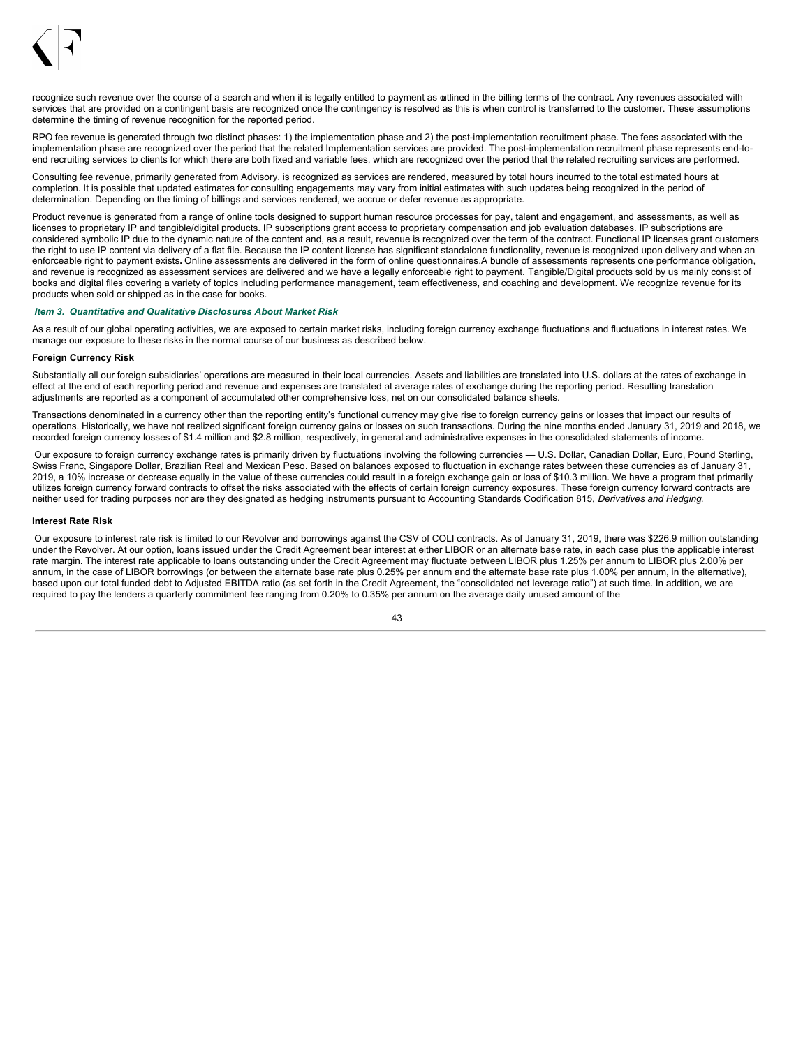recognize such revenue over the course of a search and when it is legally entitled to payment as outlined in the billing terms of the contract. Any revenues associated with services that are provided on a contingent basis are recognized once the contingency is resolved as this is when control is transferred to the customer. These assumptions determine the timing of revenue recognition for the reported period.

RPO fee revenue is generated through two distinct phases: 1) the implementation phase and 2) the post-implementation recruitment phase. The fees associated with the implementation phase are recognized over the period that the related Implementation services are provided. The post-implementation recruitment phase represents end-toend recruiting services to clients for which there are both fixed and variable fees, which are recognized over the period that the related recruiting services are performed.

Consulting fee revenue, primarily generated from Advisory, is recognized as services are rendered, measured by total hours incurred to the total estimated hours at completion. It is possible that updated estimates for consulting engagements may vary from initial estimates with such updates being recognized in the period of determination. Depending on the timing of billings and services rendered, we accrue or defer revenue as appropriate.

Product revenue is generated from a range of online tools designed to support human resource processes for pay, talent and engagement, and assessments, as well as licenses to proprietary IP and tangible/digital products. IP subscriptions grant access to proprietary compensation and job evaluation databases. IP subscriptions are considered symbolic IP due to the dynamic nature of the content and, as a result, revenue is recognized over the term of the contract. Functional IP licenses grant customers the right to use IP content via delivery of a flat file. Because the IP content license has significant standalone functionality, revenue is recognized upon delivery and when an enforceable right to payment exists**.** Online assessments are delivered in the form of online questionnaires.A bundle of assessments represents one performance obligation, and revenue is recognized as assessment services are delivered and we have a legally enforceable right to payment. Tangible/Digital products sold by us mainly consist of books and digital files covering a variety of topics including performance management, team effectiveness, and coaching and development. We recognize revenue for its products when sold or shipped as in the case for books.

#### <span id="page-44-0"></span>*Item 3. Quantitative and Qualitative Disclosures About Market Risk*

As a result of our global operating activities, we are exposed to certain market risks, including foreign currency exchange fluctuations and fluctuations in interest rates. We manage our exposure to these risks in the normal course of our business as described below.

#### **Foreign Currency Risk**

Substantially all our foreign subsidiaries' operations are measured in their local currencies. Assets and liabilities are translated into U.S. dollars at the rates of exchange in effect at the end of each reporting period and revenue and expenses are translated at average rates of exchange during the reporting period. Resulting translation adjustments are reported as a component of accumulated other comprehensive loss, net on our consolidated balance sheets.

Transactions denominated in a currency other than the reporting entity's functional currency may give rise to foreign currency gains or losses that impact our results of operations. Historically, we have not realized significant foreign currency gains or losses on such transactions. During the nine months ended January 31, 2019 and 2018, we recorded foreign currency losses of \$1.4 million and \$2.8 million, respectively, in general and administrative expenses in the consolidated statements of income.

Our exposure to foreign currency exchange rates is primarily driven by fluctuations involving the following currencies - U.S. Dollar, Canadian Dollar, Euro, Pound Sterling, Swiss Franc, Singapore Dollar, Brazilian Real and Mexican Peso. Based on balances exposed to fluctuation in exchange rates between these currencies as of January 31, 2019, a 10% increase or decrease equally in the value of these currencies could result in a foreign exchange gain or loss of \$10.3 million. We have a program that primarily utilizes foreign currency forward contracts to offset the risks associated with the effects of certain foreign currency exposures. These foreign currency forward contracts are neither used for trading purposes nor are they designated as hedging instruments pursuant to Accounting Standards Codification 815, *Derivatives and Hedging*.

#### **Interest Rate Risk**

Our exposure to interest rate risk is limited to our Revolver and borrowings against the CSV of COLI contracts. As of January 31, 2019, there was \$226.9 million outstanding under the Revolver. At our option, loans issued under the Credit Agreement bear interest at either LIBOR or an alternate base rate, in each case plus the applicable interest rate margin. The interest rate applicable to loans outstanding under the Credit Agreement may fluctuate between LIBOR plus 1.25% per annum to LIBOR plus 2.00% per annum, in the case of LIBOR borrowings (or between the alternate base rate plus 0.25% per annum and the alternate base rate plus 1.00% per annum, in the alternative), based upon our total funded debt to Adjusted EBITDA ratio (as set forth in the Credit Agreement, the "consolidated net leverage ratio") at such time. In addition, we are required to pay the lenders a quarterly commitment fee ranging from 0.20% to 0.35% per annum on the average daily unused amount of the

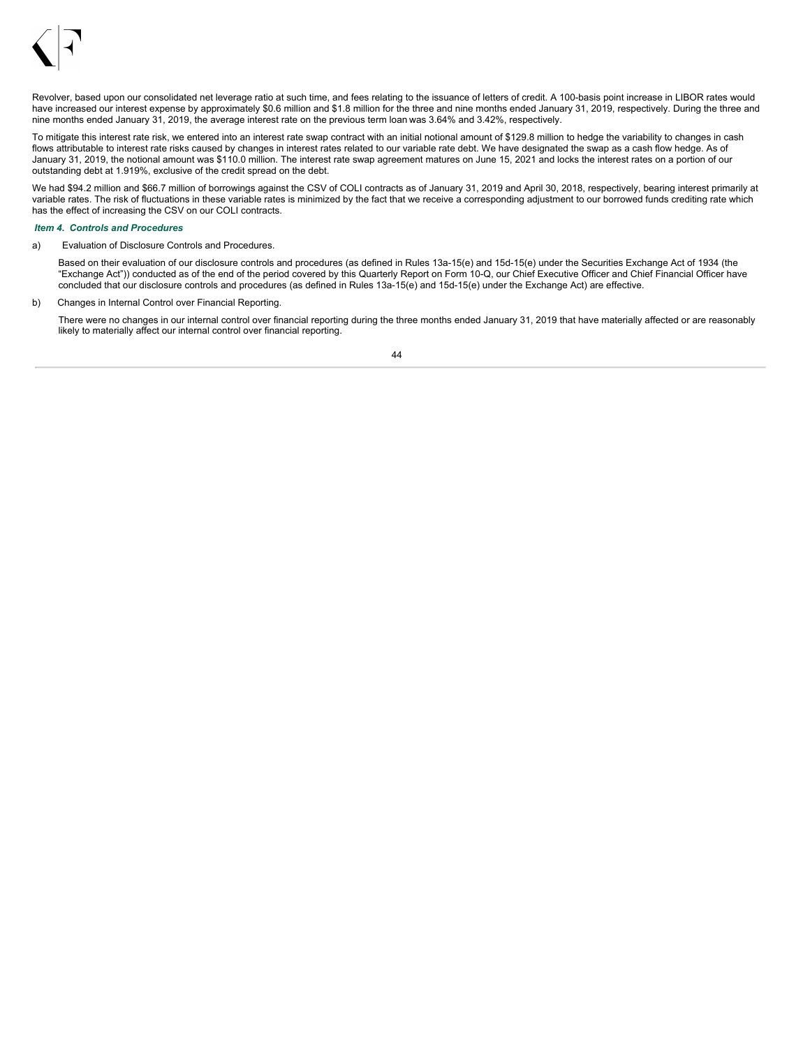

Revolver, based upon our consolidated net leverage ratio at such time, and fees relating to the issuance of letters of credit. A 100-basis point increase in LIBOR rates would have increased our interest expense by approximately \$0.6 million and \$1.8 million for the three and nine months ended January 31, 2019, respectively. During the three and nine months ended January 31, 2019, the average interest rate on the previous term loan was 3.64% and 3.42%, respectively.

To mitigate this interest rate risk, we entered into an interest rate swap contract with an initial notional amount of \$129.8 million to hedge the variability to changes in cash flows attributable to interest rate risks caused by changes in interest rates related to our variable rate debt. We have designated the swap as a cash flow hedge. As of January 31, 2019, the notional amount was \$110.0 million. The interest rate swap agreement matures on June 15, 2021 and locks the interest rates on a portion of our outstanding debt at 1.919%, exclusive of the credit spread on the debt.

We had \$94.2 million and \$66.7 million of borrowings against the CSV of COLI contracts as of January 31, 2019 and April 30, 2018, respectively, bearing interest primarily at variable rates. The risk of fluctuations in these variable rates is minimized by the fact that we receive a corresponding adjustment to our borrowed funds crediting rate which has the effect of increasing the CSV on our COLI contracts.

#### <span id="page-45-0"></span>*Item 4. Controls and Procedures*

a) Evaluation of Disclosure Controls and Procedures.

Based on their evaluation of our disclosure controls and procedures (as defined in Rules 13a-15(e) and 15d-15(e) under the Securities Exchange Act of 1934 (the "Exchange Act")) conducted as of the end of the period covered by this Quarterly Report on Form 10-Q, our Chief Executive Officer and Chief Financial Officer have concluded that our disclosure controls and procedures (as defined in Rules 13a-15(e) and 15d-15(e) under the Exchange Act) are effective.

b) Changes in Internal Control over Financial Reporting.

There were no changes in our internal control over financial reporting during the three months ended January 31, 2019 that have materially affected or are reasonably likely to materially affect our internal control over financial reporting.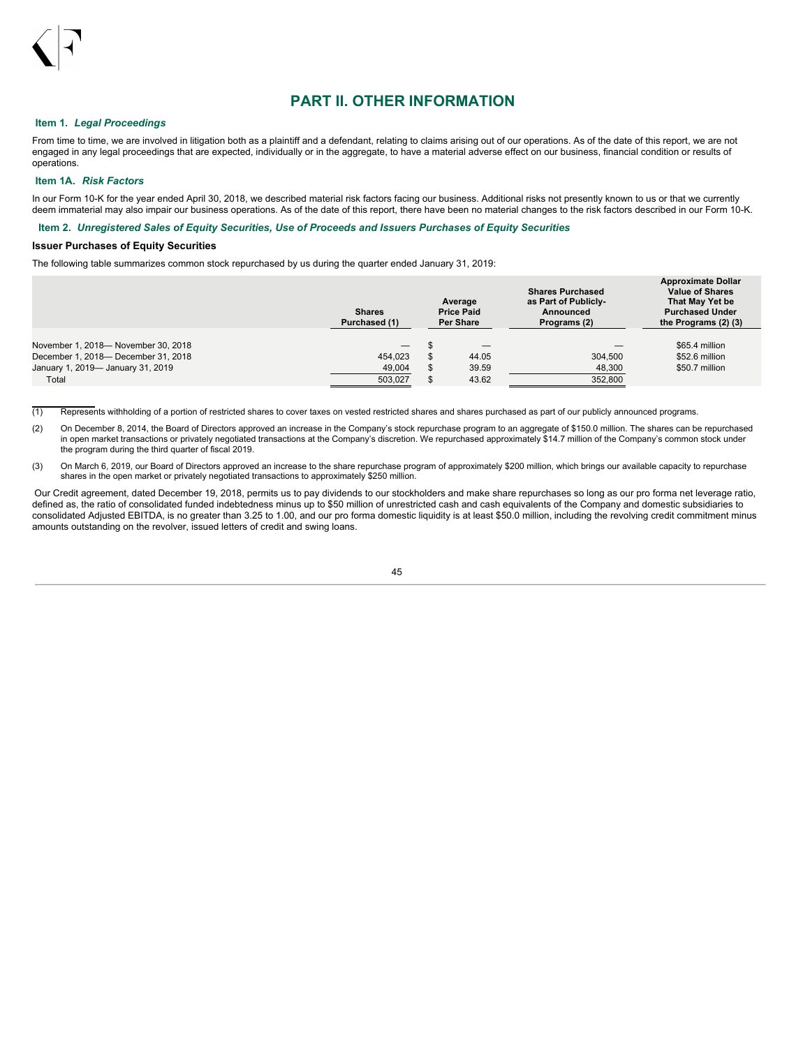

# **PART II. OTHER INFORMATION**

### <span id="page-46-0"></span>**Item 1.** *Legal Proceedings*

From time to time, we are involved in litigation both as a plaintiff and a defendant, relating to claims arising out of our operations. As of the date of this report, we are not engaged in any legal proceedings that are expected, individually or in the aggregate, to have a material adverse effect on our business, financial condition or results of operations.

#### <span id="page-46-1"></span>**Item 1A.** *Risk Factors*

In our Form 10-K for the year ended April 30, 2018, we described material risk factors facing our business. Additional risks not presently known to us or that we currently deem immaterial may also impair our business operations. As of the date of this report, there have been no material changes to the risk factors described in our Form 10-K.

### <span id="page-46-2"></span>**Item 2.** *Unregistered Sales of Equity Securities, Use of Proceeds and Issuers Purchases of Equity Securities*

#### **Issuer Purchases of Equity Securities**

The following table summarizes common stock repurchased by us during the quarter ended January 31, 2019:

|                                     | <b>Shares</b><br>Purchased (1)  | Average<br><b>Price Paid</b><br><b>Per Share</b> |       | <b>Shares Purchased</b><br>as Part of Publicly-<br>Announced<br>Programs (2) | <b>Approximate Dollar</b><br><b>Value of Shares</b><br>That May Yet be<br><b>Purchased Under</b><br>the Programs $(2)$ $(3)$ |  |
|-------------------------------------|---------------------------------|--------------------------------------------------|-------|------------------------------------------------------------------------------|------------------------------------------------------------------------------------------------------------------------------|--|
| November 1, 2018- November 30, 2018 | $\hspace{0.1mm}-\hspace{0.1mm}$ |                                                  |       |                                                                              | \$65.4 million                                                                                                               |  |
| December 1, 2018- December 31, 2018 | 454.023                         |                                                  | 44.05 | 304.500                                                                      | \$52.6 million                                                                                                               |  |
| January 1, 2019- January 31, 2019   | 49,004                          |                                                  | 39.59 | 48,300                                                                       | \$50.7 million                                                                                                               |  |
| Total                               | 503.027                         |                                                  | 43.62 | 352,800                                                                      |                                                                                                                              |  |

 $(1)$  Represents withholding of a portion of restricted shares to cover taxes on vested restricted shares and shares purchased as part of our publicly announced programs.

(2) On December 8, 2014, the Board of Directors approved an increase in the Company's stock repurchase program to an aggregate of \$150.0 million. The shares can be repurchased in open market transactions or privately negotiated transactions at the Company's discretion. We repurchased approximately \$14.7 million of the Company's common stock under the program during the third quarter of fiscal 2019.

(3) On March 6, 2019, our Board of Directors approved an increase to the share repurchase program of approximately \$200 million, which brings our available capacity to repurchase shares in the open market or privately negotiated transactions to approximately \$250 million.

Our Credit agreement, dated December 19, 2018, permits us to pay dividends to our stockholders and make share repurchases so long as our pro forma net leverage ratio, defined as, the ratio of consolidated funded indebtedness minus up to \$50 million of unrestricted cash and cash equivalents of the Company and domestic subsidiaries to consolidated Adjusted EBITDA, is no greater than 3.25 to 1.00, and our pro forma domestic liquidity is at least \$50.0 million, including the revolving credit commitment minus amounts outstanding on the revolver, issued letters of credit and swing loans.

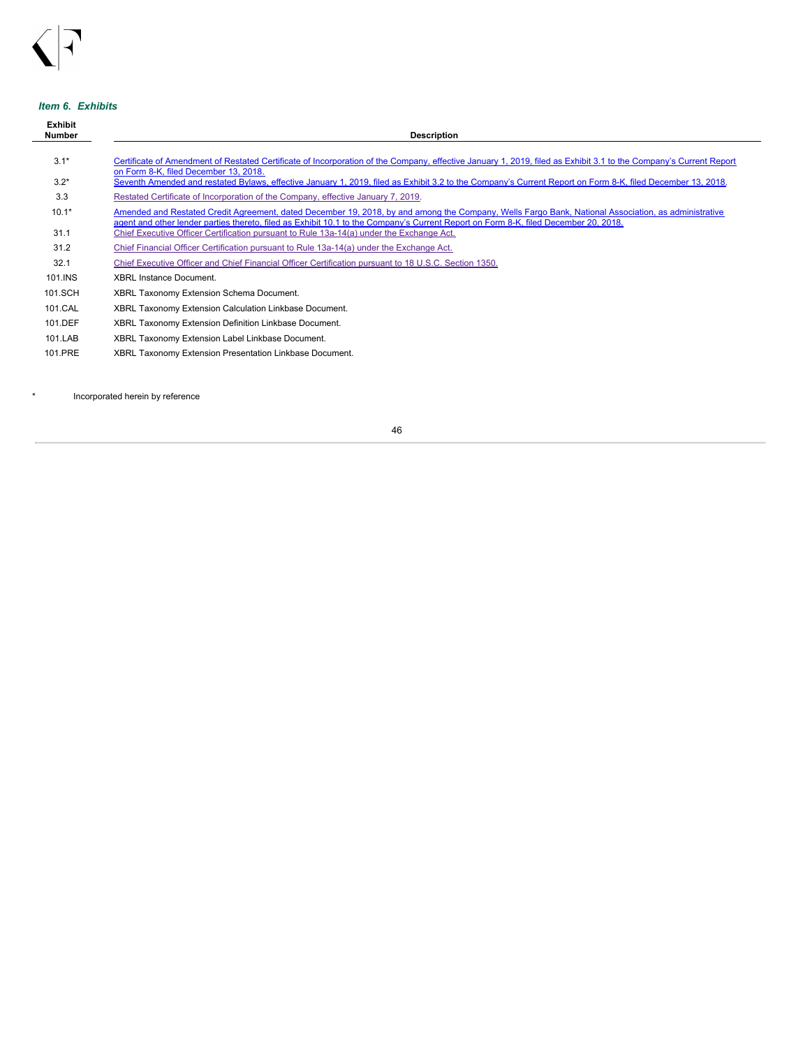

### <span id="page-47-0"></span>*Item 6. Exhibits*

| <b>Description</b>                                                                                                                                                                                                                                                                         |
|--------------------------------------------------------------------------------------------------------------------------------------------------------------------------------------------------------------------------------------------------------------------------------------------|
| Certificate of Amendment of Restated Certificate of Incorporation of the Company, effective January 1, 2019, filed as Exhibit 3.1 to the Company's Current Report<br>on Form 8-K, filed December 13, 2018.                                                                                 |
| Seventh Amended and restated Bylaws, effective January 1, 2019, filed as Exhibit 3.2 to the Company's Current Report on Form 8-K, filed December 13, 2018.                                                                                                                                 |
| Restated Certificate of Incorporation of the Company, effective January 7, 2019.                                                                                                                                                                                                           |
| Amended and Restated Credit Agreement, dated December 19, 2018, by and among the Company, Wells Fargo Bank, National Association, as administrative<br>agent and other lender parties thereto, filed as Exhibit 10.1 to the Company's Current Report on Form 8-K, filed December 20, 2018. |
| Chief Executive Officer Certification pursuant to Rule 13a-14(a) under the Exchange Act.                                                                                                                                                                                                   |
| Chief Financial Officer Certification pursuant to Rule 13a-14(a) under the Exchange Act.                                                                                                                                                                                                   |
| Chief Executive Officer and Chief Financial Officer Certification pursuant to 18 U.S.C. Section 1350.                                                                                                                                                                                      |
| <b>XBRL Instance Document.</b>                                                                                                                                                                                                                                                             |
| XBRL Taxonomy Extension Schema Document.                                                                                                                                                                                                                                                   |
| XBRL Taxonomy Extension Calculation Linkbase Document.                                                                                                                                                                                                                                     |
| XBRL Taxonomy Extension Definition Linkbase Document.                                                                                                                                                                                                                                      |
| XBRL Taxonomy Extension Label Linkbase Document.                                                                                                                                                                                                                                           |
| XBRL Taxonomy Extension Presentation Linkbase Document.                                                                                                                                                                                                                                    |
|                                                                                                                                                                                                                                                                                            |

\* Incorporated herein by reference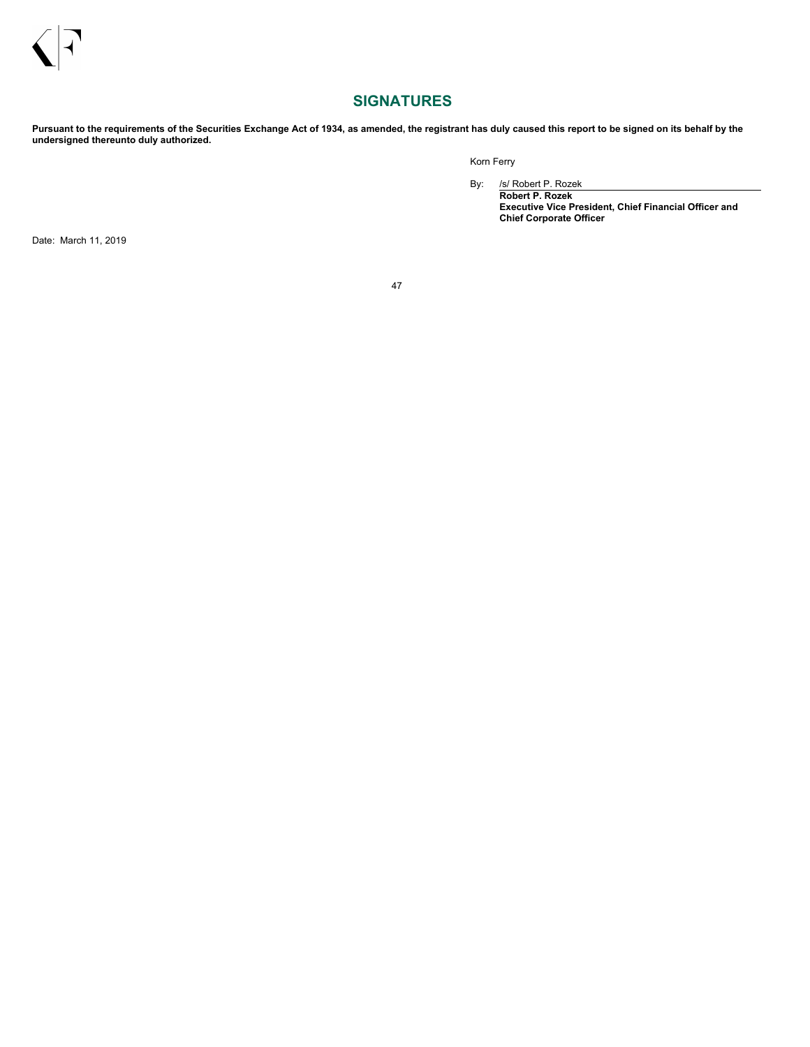# <span id="page-48-0"></span>**SIGNATURES**

Pursuant to the requirements of the Securities Exchange Act of 1934, as amended, the registrant has duly caused this report to be signed on its behalf by the **undersigned thereunto duly authorized.**

Korn Ferry

By: /s/ Robert P. Rozek

**Robert P. Rozek Executive Vice President, Chief Financial Officer and Chief Corporate Officer**

Date: March 11, 2019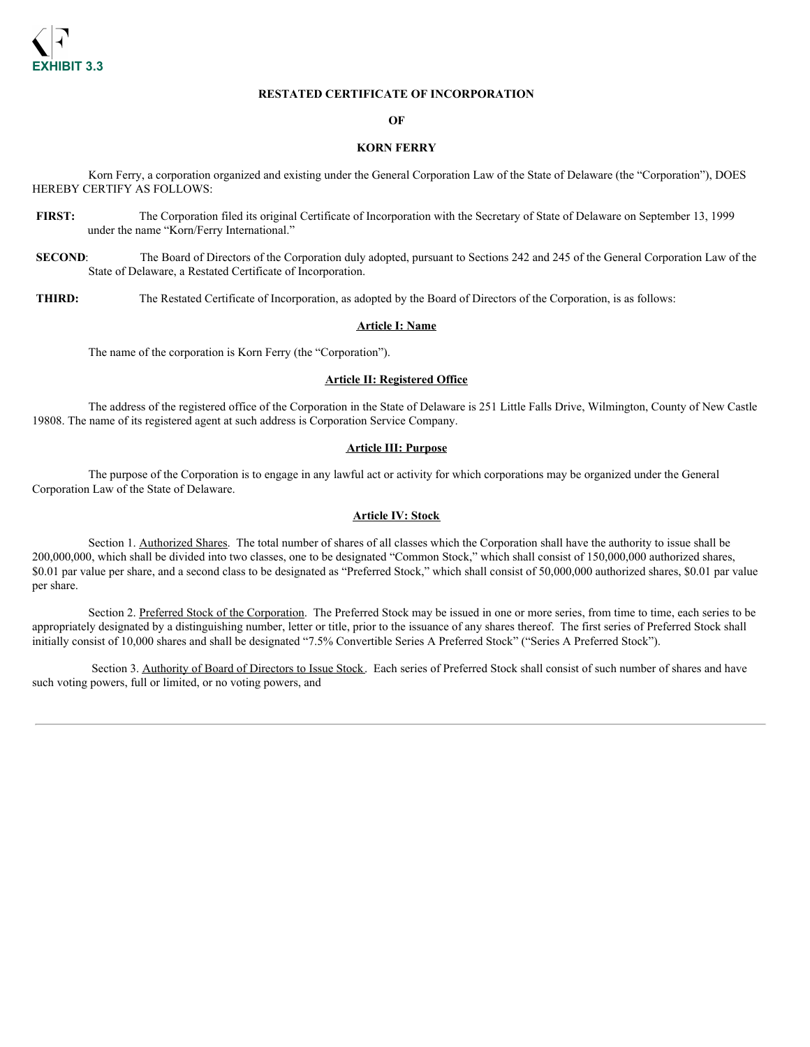### **RESTATED CERTIFICATE OF INCORPORATION**

#### **OF**

### **KORN FERRY**

Korn Ferry, a corporation organized and existing under the General Corporation Law of the State of Delaware (the "Corporation"), DOES HEREBY CERTIFY AS FOLLOWS:

- **FIRST:** The Corporation filed its original Certificate of Incorporation with the Secretary of State of Delaware on September 13, 1999 under the name "Korn/Ferry International."
- **SECOND:** The Board of Directors of the Corporation duly adopted, pursuant to Sections 242 and 245 of the General Corporation Law of the State of Delaware, a Restated Certificate of Incorporation.

**THIRD:** The Restated Certificate of Incorporation, as adopted by the Board of Directors of the Corporation, is as follows:

### **Article I: Name**

The name of the corporation is Korn Ferry (the "Corporation").

### **Article II: Registered Office**

The address of the registered office of the Corporation in the State of Delaware is 251 Little Falls Drive, Wilmington, County of New Castle 19808. The name of its registered agent at such address is Corporation Service Company.

#### **Article III: Purpose**

The purpose of the Corporation is to engage in any lawful act or activity for which corporations may be organized under the General Corporation Law of the State of Delaware.

### **Article IV: Stock**

Section 1. Authorized Shares. The total number of shares of all classes which the Corporation shall have the authority to issue shall be 200,000,000, which shall be divided into two classes, one to be designated "Common Stock," which shall consist of 150,000,000 authorized shares, \$0.01 par value per share, and a second class to be designated as "Preferred Stock," which shall consist of 50,000,000 authorized shares, \$0.01 par value per share.

Section 2. Preferred Stock of the Corporation. The Preferred Stock may be issued in one or more series, from time to time, each series to be appropriately designated by a distinguishing number, letter or title, prior to the issuance of any shares thereof. The first series of Preferred Stock shall initially consist of 10,000 shares and shall be designated "7.5% Convertible Series A Preferred Stock" ("Series A Preferred Stock").

Section 3. Authority of Board of Directors to Issue Stock. Each series of Preferred Stock shall consist of such number of shares and have such voting powers, full or limited, or no voting powers, and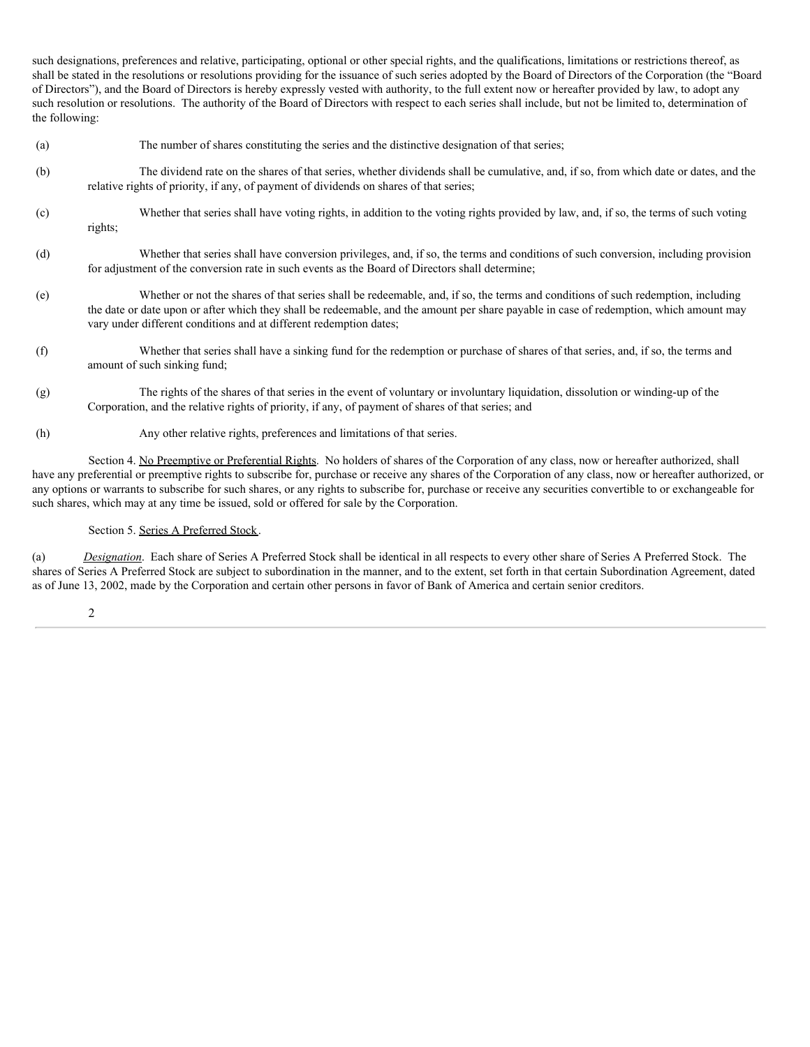such designations, preferences and relative, participating, optional or other special rights, and the qualifications, limitations or restrictions thereof, as shall be stated in the resolutions or resolutions providing for the issuance of such series adopted by the Board of Directors of the Corporation (the "Board of Directors"), and the Board of Directors is hereby expressly vested with authority, to the full extent now or hereafter provided by law, to adopt any such resolution or resolutions. The authority of the Board of Directors with respect to each series shall include, but not be limited to, determination of the following:

- (a) The number of shares constituting the series and the distinctive designation of that series;
- (b) The dividend rate on the shares of that series, whether dividends shall be cumulative, and, if so, from which date or dates, and the relative rights of priority, if any, of payment of dividends on shares of that series;
- (c) Whether that series shall have voting rights, in addition to the voting rights provided by law, and, if so, the terms of such voting rights;
- (d) Whether that series shall have conversion privileges, and, if so, the terms and conditions of such conversion, including provision for adjustment of the conversion rate in such events as the Board of Directors shall determine;
- (e) Whether or not the shares of that series shall be redeemable, and, if so, the terms and conditions of such redemption, including the date or date upon or after which they shall be redeemable, and the amount per share payable in case of redemption, which amount may vary under different conditions and at different redemption dates;
- (f) Whether that series shall have a sinking fund for the redemption or purchase of shares of that series, and, if so, the terms and amount of such sinking fund;
- (g) The rights of the shares of that series in the event of voluntary or involuntary liquidation, dissolution or winding-up of the Corporation, and the relative rights of priority, if any, of payment of shares of that series; and
- (h) Any other relative rights, preferences and limitations of that series.

Section 4. No Preemptive or Preferential Rights. No holders of shares of the Corporation of any class, now or hereafter authorized, shall have any preferential or preemptive rights to subscribe for, purchase or receive any shares of the Corporation of any class, now or hereafter authorized, or any options or warrants to subscribe for such shares, or any rights to subscribe for, purchase or receive any securities convertible to or exchangeable for such shares, which may at any time be issued, sold or offered for sale by the Corporation.

### Section 5. Series A Preferred Stock.

(a) *Designation*. Each share of Series A Preferred Stock shall be identical in all respects to every other share of Series A Preferred Stock. The shares of Series A Preferred Stock are subject to subordination in the manner, and to the extent, set forth in that certain Subordination Agreement, dated as of June 13, 2002, made by the Corporation and certain other persons in favor of Bank of America and certain senior creditors.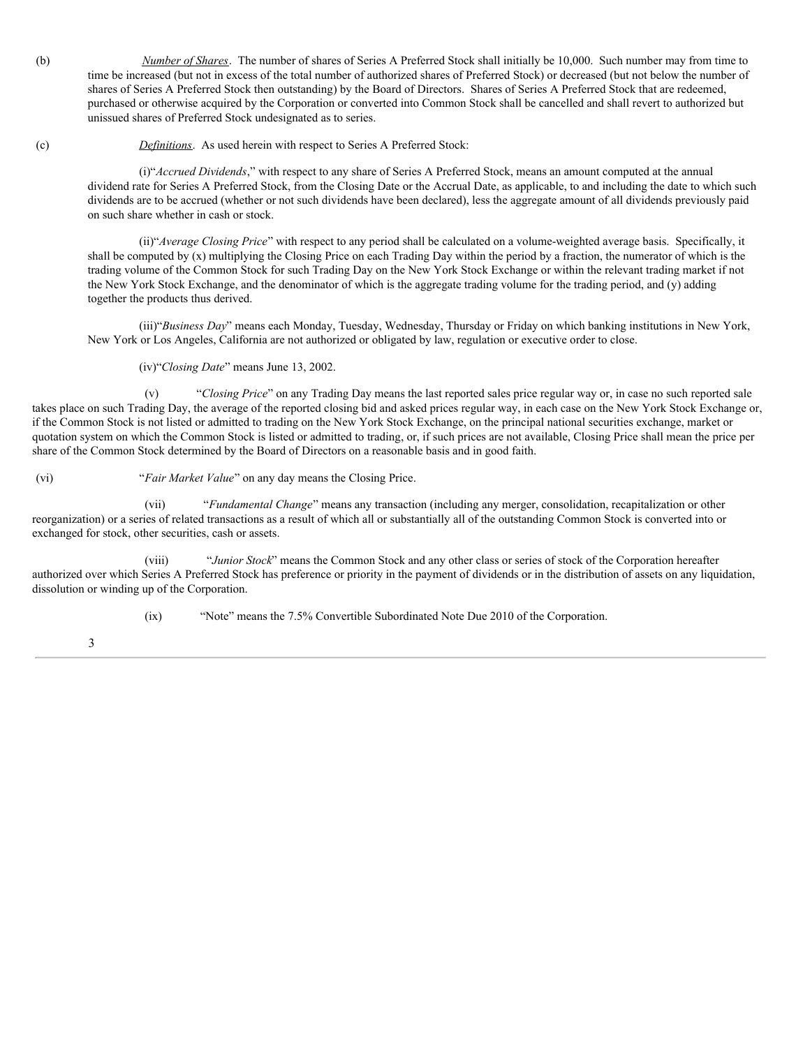(b) *Number of Shares*. The number of shares of Series A Preferred Stock shall initially be 10,000. Such number may from time to time be increased (but not in excess of the total number of authorized shares of Preferred Stock) or decreased (but not below the number of shares of Series A Preferred Stock then outstanding) by the Board of Directors. Shares of Series A Preferred Stock that are redeemed, purchased or otherwise acquired by the Corporation or converted into Common Stock shall be cancelled and shall revert to authorized but unissued shares of Preferred Stock undesignated as to series.

(c) *Definitions*. As used herein with respect to Series A Preferred Stock:

(i)"*Accrued Dividends*," with respect to any share of Series A Preferred Stock, means an amount computed at the annual dividend rate for Series A Preferred Stock, from the Closing Date or the Accrual Date, as applicable, to and including the date to which such dividends are to be accrued (whether or not such dividends have been declared), less the aggregate amount of all dividends previously paid on such share whether in cash or stock.

(ii)"*Average Closing Price*" with respect to any period shall be calculated on a volume-weighted average basis. Specifically, it shall be computed by (x) multiplying the Closing Price on each Trading Day within the period by a fraction, the numerator of which is the trading volume of the Common Stock for such Trading Day on the New York Stock Exchange or within the relevant trading market if not the New York Stock Exchange, and the denominator of which is the aggregate trading volume for the trading period, and (y) adding together the products thus derived.

(iii)"*Business Day*" means each Monday, Tuesday, Wednesday, Thursday or Friday on which banking institutions in New York, New York or Los Angeles, California are not authorized or obligated by law, regulation or executive order to close.

(iv)"*Closing Date*" means June 13, 2002.

(v) "*Closing Price*" on any Trading Day means the last reported sales price regular way or, in case no such reported sale takes place on such Trading Day, the average of the reported closing bid and asked prices regular way, in each case on the New York Stock Exchange or, if the Common Stock is not listed or admitted to trading on the New York Stock Exchange, on the principal national securities exchange, market or quotation system on which the Common Stock is listed or admitted to trading, or, if such prices are not available, Closing Price shall mean the price per share of the Common Stock determined by the Board of Directors on a reasonable basis and in good faith.

(vi) "*Fair Market Value*" on any day means the Closing Price.

(vii) "*Fundamental Change*" means any transaction (including any merger, consolidation, recapitalization or other reorganization) or a series of related transactions as a result of which all or substantially all of the outstanding Common Stock is converted into or exchanged for stock, other securities, cash or assets.

(viii) "*Junior Stock*" means the Common Stock and any other class or series of stock of the Corporation hereafter authorized over which Series A Preferred Stock has preference or priority in the payment of dividends or in the distribution of assets on any liquidation, dissolution or winding up of the Corporation.

(ix) "Note" means the 7.5% Convertible Subordinated Note Due 2010 of the Corporation.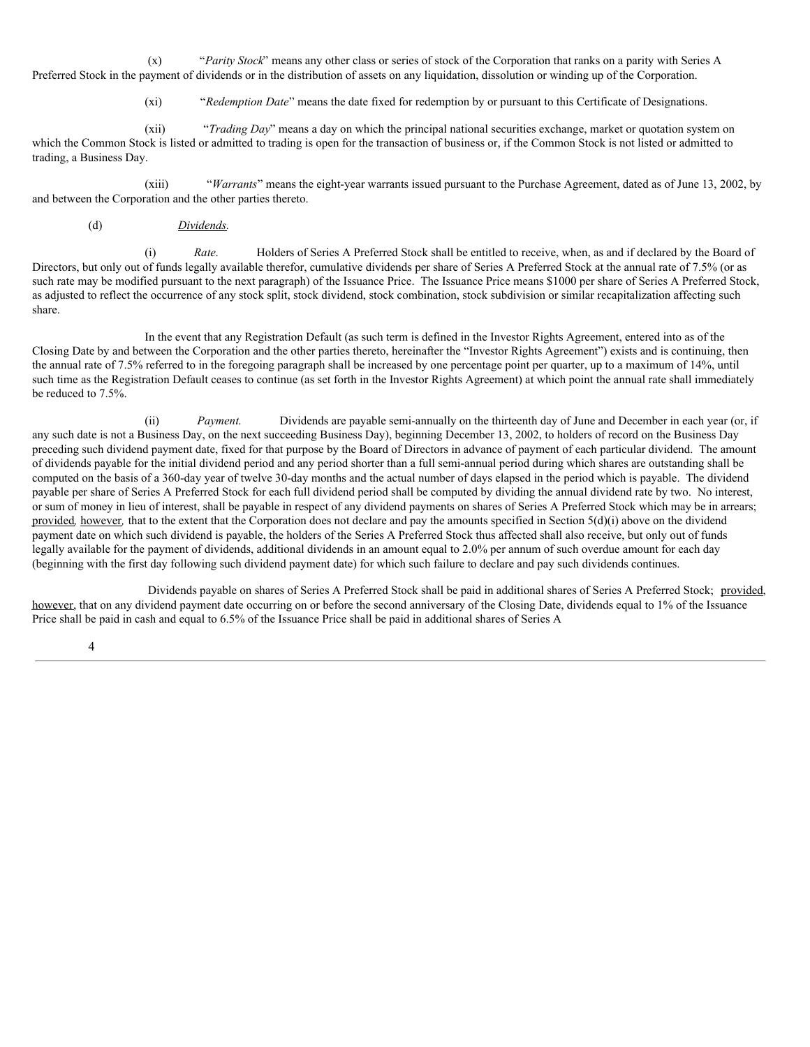(x) "*Parity Stock*" means any other class or series of stock of the Corporation that ranks on a parity with Series A Preferred Stock in the payment of dividends or in the distribution of assets on any liquidation, dissolution or winding up of the Corporation.

(xi) "*Redemption Date*" means the date fixed for redemption by or pursuant to this Certificate of Designations.

(xii) "*Trading Day*" means a day on which the principal national securities exchange, market or quotation system on which the Common Stock is listed or admitted to trading is open for the transaction of business or, if the Common Stock is not listed or admitted to trading, a Business Day.

(xiii) "*Warrants*" means the eight-year warrants issued pursuant to the Purchase Agreement, dated as of June 13, 2002, by and between the Corporation and the other parties thereto.

(d) *Dividends.*

(i) *Rate*. Holders of Series A Preferred Stock shall be entitled to receive, when, as and if declared by the Board of Directors, but only out of funds legally available therefor, cumulative dividends per share of Series A Preferred Stock at the annual rate of 7.5% (or as such rate may be modified pursuant to the next paragraph) of the Issuance Price. The Issuance Price means \$1000 per share of Series A Preferred Stock, as adjusted to reflect the occurrence of any stock split, stock dividend, stock combination, stock subdivision or similar recapitalization affecting such share.

In the event that any Registration Default (as such term is defined in the Investor Rights Agreement, entered into as of the Closing Date by and between the Corporation and the other parties thereto, hereinafter the "Investor Rights Agreement") exists and is continuing, then the annual rate of 7.5% referred to in the foregoing paragraph shall be increased by one percentage point per quarter, up to a maximum of 14%, until such time as the Registration Default ceases to continue (as set forth in the Investor Rights Agreement) at which point the annual rate shall immediately be reduced to 7.5%.

(ii) *Payment*. Dividends are payable semi-annually on the thirteenth day of June and December in each year (or, if any such date is not a Business Day, on the next succeeding Business Day), beginning December 13, 2002, to holders of record on the Business Day preceding such dividend payment date, fixed for that purpose by the Board of Directors in advance of payment of each particular dividend. The amount of dividends payable for the initial dividend period and any period shorter than a full semi‑annual period during which shares are outstanding shall be computed on the basis of a 360-day year of twelve 30-day months and the actual number of days elapsed in the period which is payable. The dividend payable per share of Series A Preferred Stock for each full dividend period shall be computed by dividing the annual dividend rate by two. No interest, or sum of money in lieu of interest, shall be payable in respect of any dividend payments on shares of Series A Preferred Stock which may be in arrears; provided*,* however*,* that to the extent that the Corporation does not declare and pay the amounts specified in Section 5(d)(i) above on the dividend payment date on which such dividend is payable, the holders of the Series A Preferred Stock thus affected shall also receive, but only out of funds legally available for the payment of dividends, additional dividends in an amount equal to 2.0% per annum of such overdue amount for each day (beginning with the first day following such dividend payment date) for which such failure to declare and pay such dividends continues.

Dividends payable on shares of Series A Preferred Stock shall be paid in additional shares of Series A Preferred Stock; provided, however, that on any dividend payment date occurring on or before the second anniversary of the Closing Date, dividends equal to 1% of the Issuance Price shall be paid in cash and equal to 6.5% of the Issuance Price shall be paid in additional shares of Series A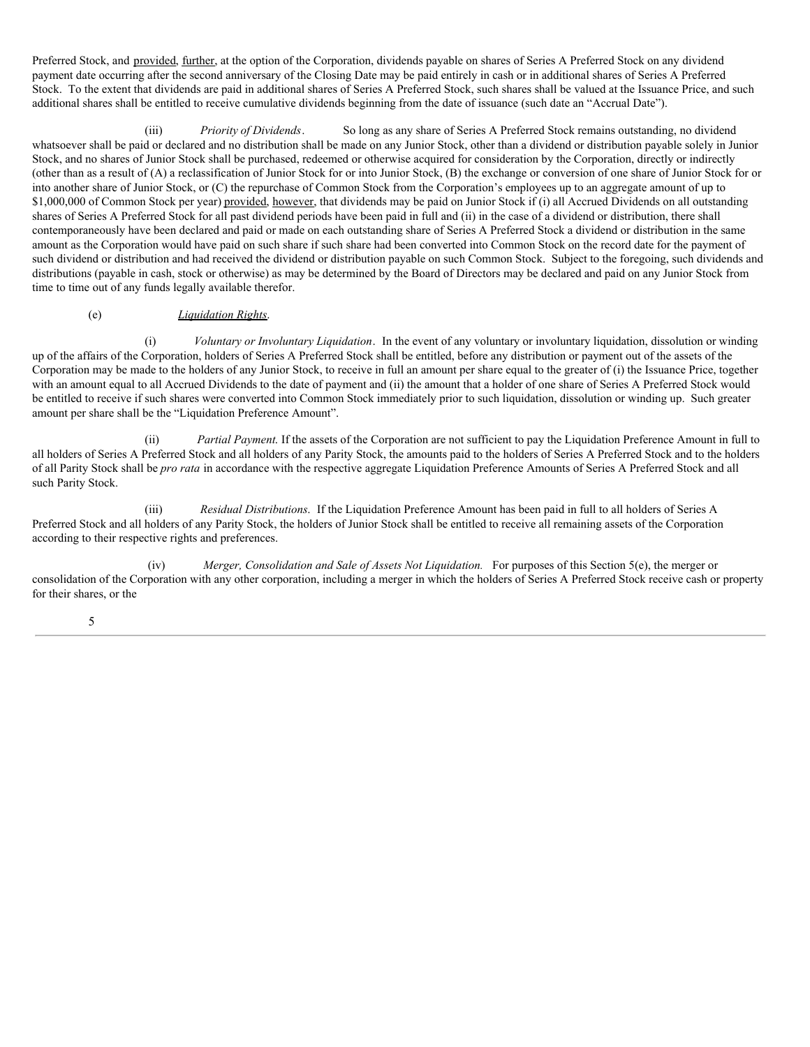Preferred Stock, and provided, further, at the option of the Corporation, dividends payable on shares of Series A Preferred Stock on any dividend payment date occurring after the second anniversary of the Closing Date may be paid entirely in cash or in additional shares of Series A Preferred Stock. To the extent that dividends are paid in additional shares of Series A Preferred Stock, such shares shall be valued at the Issuance Price, and such additional shares shall be entitled to receive cumulative dividends beginning from the date of issuance (such date an "Accrual Date").

(iii) *Priority of Dividends*. So long as any share of Series A Preferred Stock remains outstanding, no dividend whatsoever shall be paid or declared and no distribution shall be made on any Junior Stock, other than a dividend or distribution payable solely in Junior Stock, and no shares of Junior Stock shall be purchased, redeemed or otherwise acquired for consideration by the Corporation, directly or indirectly (other than as a result of (A) a reclassification of Junior Stock for or into Junior Stock, (B) the exchange or conversion of one share of Junior Stock for or into another share of Junior Stock, or (C) the repurchase of Common Stock from the Corporation's employees up to an aggregate amount of up to \$1,000,000 of Common Stock per year) provided, however, that dividends may be paid on Junior Stock if (i) all Accrued Dividends on all outstanding shares of Series A Preferred Stock for all past dividend periods have been paid in full and (ii) in the case of a dividend or distribution, there shall contemporaneously have been declared and paid or made on each outstanding share of Series A Preferred Stock a dividend or distribution in the same amount as the Corporation would have paid on such share if such share had been converted into Common Stock on the record date for the payment of such dividend or distribution and had received the dividend or distribution payable on such Common Stock. Subject to the foregoing, such dividends and distributions (payable in cash, stock or otherwise) as may be determined by the Board of Directors may be declared and paid on any Junior Stock from time to time out of any funds legally available therefor.

## (e) *Liquidation Rights*.

(i) *Voluntary or Involuntary Liquidation*. In the event of any voluntary or involuntary liquidation, dissolution or winding up of the affairs of the Corporation, holders of Series A Preferred Stock shall be entitled, before any distribution or payment out of the assets of the Corporation may be made to the holders of any Junior Stock, to receive in full an amount per share equal to the greater of (i) the Issuance Price, together with an amount equal to all Accrued Dividends to the date of payment and (ii) the amount that a holder of one share of Series A Preferred Stock would be entitled to receive if such shares were converted into Common Stock immediately prior to such liquidation, dissolution or winding up. Such greater amount per share shall be the "Liquidation Preference Amount".

(ii) *Partial Payment*. If the assets of the Corporation are not sufficient to pay the Liquidation Preference Amount in full to all holders of Series A Preferred Stock and all holders of any Parity Stock, the amounts paid to the holders of Series A Preferred Stock and to the holders of all Parity Stock shall be *pro rata* in accordance with the respective aggregate Liquidation Preference Amounts of Series A Preferred Stock and all such Parity Stock.

(iii) *Residual Distributions*. If the Liquidation Preference Amount has been paid in full to all holders of Series A Preferred Stock and all holders of any Parity Stock, the holders of Junior Stock shall be entitled to receive all remaining assets of the Corporation according to their respective rights and preferences.

(iv) *Merger, Consolidation and Sale of Assets Not Liquidation.* For purposes of this Section 5(e), the merger or consolidation of the Corporation with any other corporation, including a merger in which the holders of Series A Preferred Stock receive cash or property for their shares, or the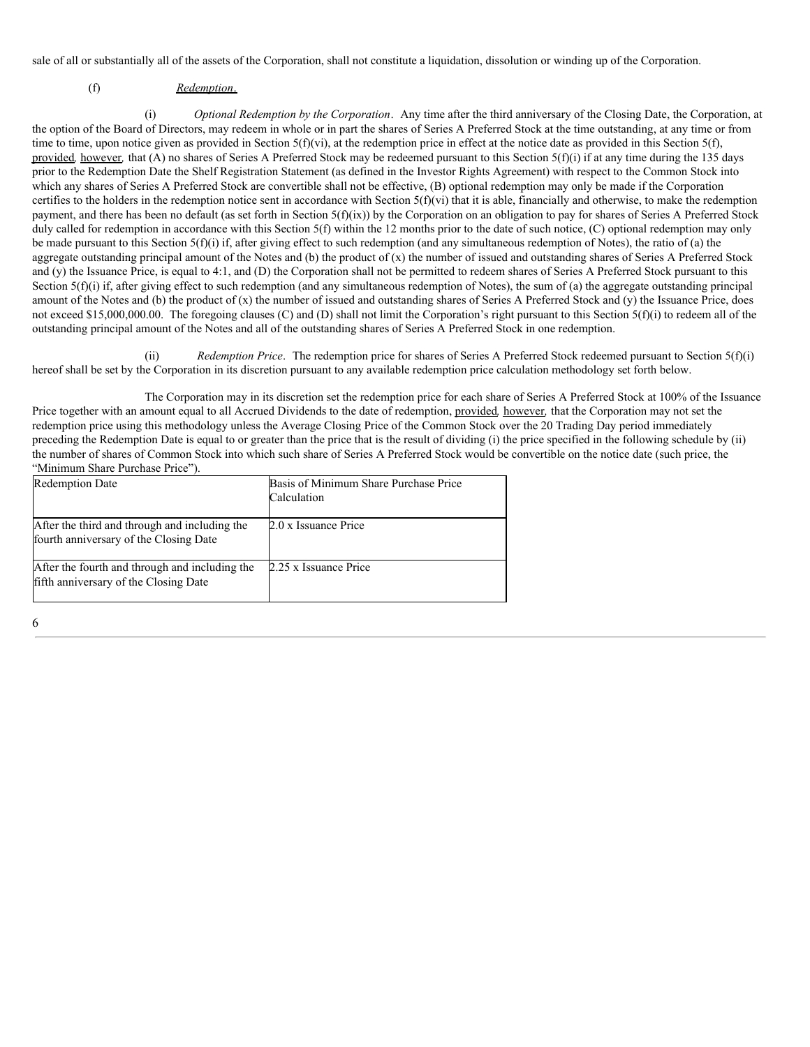sale of all or substantially all of the assets of the Corporation, shall not constitute a liquidation, dissolution or winding up of the Corporation.

### (f) *Redemption*.

(i) *Optional Redemption by the Corporation*. Any time after the third anniversary of the Closing Date, the Corporation, at the option of the Board of Directors, may redeem in whole or in part the shares of Series A Preferred Stock at the time outstanding, at any time or from time to time, upon notice given as provided in Section  $5(f)(vi)$ , at the redemption price in effect at the notice date as provided in this Section  $5(f)$ , provided*,* however*,* that (A) no shares of Series A Preferred Stock may be redeemed pursuant to this Section 5(f)(i) if at any time during the 135 days prior to the Redemption Date the Shelf Registration Statement (as defined in the Investor Rights Agreement) with respect to the Common Stock into which any shares of Series A Preferred Stock are convertible shall not be effective, (B) optional redemption may only be made if the Corporation certifies to the holders in the redemption notice sent in accordance with Section  $5(f)(vi)$  that it is able, financially and otherwise, to make the redemption payment, and there has been no default (as set forth in Section  $5(f)(ix)$ ) by the Corporation on an obligation to pay for shares of Series A Preferred Stock duly called for redemption in accordance with this Section 5(f) within the 12 months prior to the date of such notice, (C) optional redemption may only be made pursuant to this Section 5(f)(i) if, after giving effect to such redemption (and any simultaneous redemption of Notes), the ratio of (a) the aggregate outstanding principal amount of the Notes and (b) the product of  $(x)$  the number of issued and outstanding shares of Series A Preferred Stock and (y) the Issuance Price, is equal to 4:1, and (D) the Corporation shall not be permitted to redeem shares of Series A Preferred Stock pursuant to this Section  $5(f)(i)$  if, after giving effect to such redemption (and any simultaneous redemption of Notes), the sum of (a) the aggregate outstanding principal amount of the Notes and (b) the product of  $(x)$  the number of issued and outstanding shares of Series A Preferred Stock and  $(y)$  the Issuance Price, does not exceed \$15,000,000.00. The foregoing clauses (C) and (D) shall not limit the Corporation's right pursuant to this Section  $5(f)(i)$  to redeem all of the outstanding principal amount of the Notes and all of the outstanding shares of Series A Preferred Stock in one redemption.

(ii) *Redemption Price*. The redemption price for shares of Series A Preferred Stock redeemed pursuant to Section 5(f)(i) hereof shall be set by the Corporation in its discretion pursuant to any available redemption price calculation methodology set forth below.

The Corporation may in its discretion set the redemption price for each share of Series A Preferred Stock at 100% of the Issuance Price together with an amount equal to all Accrued Dividends to the date of redemption, provided, however, that the Corporation may not set the redemption price using this methodology unless the Average Closing Price of the Common Stock over the 20 Trading Day period immediately preceding the Redemption Date is equal to or greater than the price that is the result of dividing (i) the price specified in the following schedule by (ii) the number of shares of Common Stock into which such share of Series A Preferred Stock would be convertible on the notice date (such price, the "Minimum Share Purchase Price").

| <b>Redemption Date</b>                                                                  | Basis of Minimum Share Purchase Price<br>Calculation |
|-----------------------------------------------------------------------------------------|------------------------------------------------------|
| After the third and through and including the<br>fourth anniversary of the Closing Date | 2.0 x Issuance Price                                 |
| After the fourth and through and including the<br>fifth anniversary of the Closing Date | 2.25 x Issuance Price                                |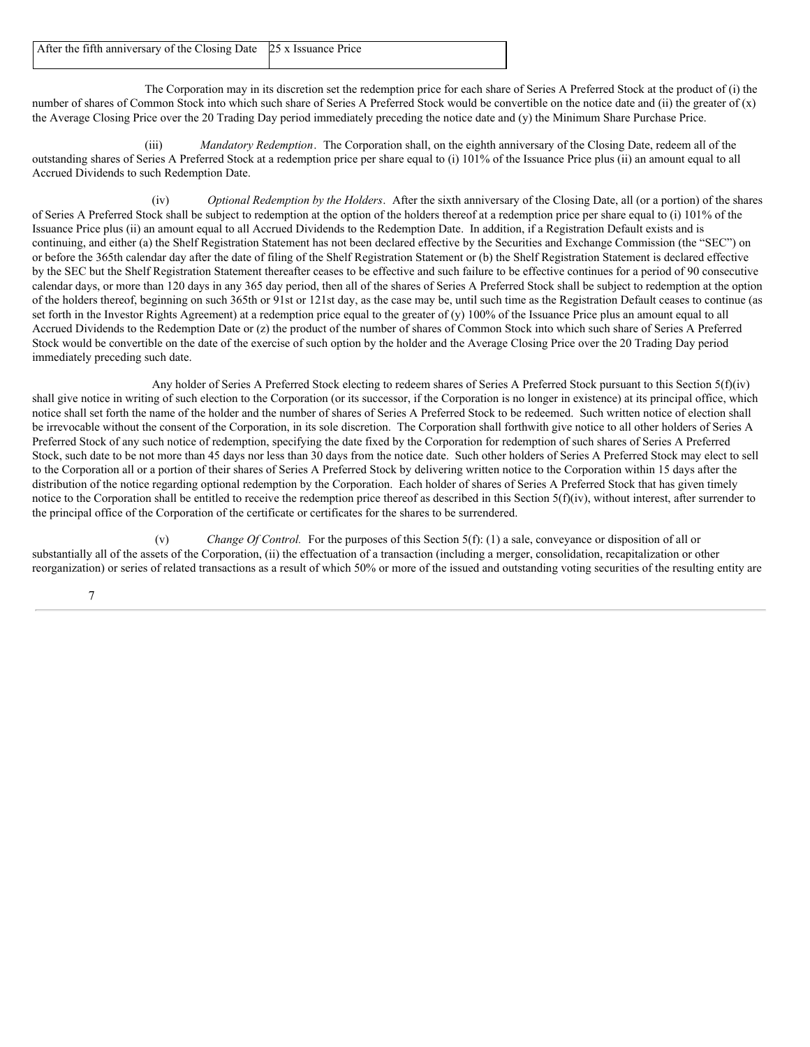The Corporation may in its discretion set the redemption price for each share of Series A Preferred Stock at the product of (i) the number of shares of Common Stock into which such share of Series A Preferred Stock would be convertible on the notice date and (ii) the greater of (x) the Average Closing Price over the 20 Trading Day period immediately preceding the notice date and (y) the Minimum Share Purchase Price.

(iii) *Mandatory Redemption*. The Corporation shall, on the eighth anniversary of the Closing Date, redeem all of the outstanding shares of Series A Preferred Stock at a redemption price per share equal to (i) 101% of the Issuance Price plus (ii) an amount equal to all Accrued Dividends to such Redemption Date.

(iv) *Optional Redemption by the Holders*. After the sixth anniversary of the Closing Date, all (or a portion) of the shares of Series A Preferred Stock shall be subject to redemption at the option of the holders thereof at a redemption price per share equal to (i) 101% of the Issuance Price plus (ii) an amount equal to all Accrued Dividends to the Redemption Date. In addition, if a Registration Default exists and is continuing, and either (a) the Shelf Registration Statement has not been declared effective by the Securities and Exchange Commission (the "SEC") on or before the 365th calendar day after the date of filing of the Shelf Registration Statement or (b) the Shelf Registration Statement is declared effective by the SEC but the Shelf Registration Statement thereafter ceases to be effective and such failure to be effective continues for a period of 90 consecutive calendar days, or more than 120 days in any 365 day period, then all of the shares of Series A Preferred Stock shall be subject to redemption at the option of the holders thereof, beginning on such 365th or 91st or 121st day, as the case may be, until such time as the Registration Default ceases to continue (as set forth in the Investor Rights Agreement) at a redemption price equal to the greater of  $(y)$  100% of the Issuance Price plus an amount equal to all Accrued Dividends to the Redemption Date or (z) the product of the number of shares of Common Stock into which such share of Series A Preferred Stock would be convertible on the date of the exercise of such option by the holder and the Average Closing Price over the 20 Trading Day period immediately preceding such date.

Any holder of Series A Preferred Stock electing to redeem shares of Series A Preferred Stock pursuant to this Section 5(f)(iv) shall give notice in writing of such election to the Corporation (or its successor, if the Corporation is no longer in existence) at its principal office, which notice shall set forth the name of the holder and the number of shares of Series A Preferred Stock to be redeemed. Such written notice of election shall be irrevocable without the consent of the Corporation, in its sole discretion. The Corporation shall forthwith give notice to all other holders of Series A Preferred Stock of any such notice of redemption, specifying the date fixed by the Corporation for redemption of such shares of Series A Preferred Stock, such date to be not more than 45 days nor less than 30 days from the notice date. Such other holders of Series A Preferred Stock may elect to sell to the Corporation all or a portion of their shares of Series A Preferred Stock by delivering written notice to the Corporation within 15 days after the distribution of the notice regarding optional redemption by the Corporation. Each holder of shares of Series A Preferred Stock that has given timely notice to the Corporation shall be entitled to receive the redemption price thereof as described in this Section  $5(f)(iv)$ , without interest, after surrender to the principal office of the Corporation of the certificate or certificates for the shares to be surrendered.

(v) *Change Of Control.* For the purposes of this Section 5(f): (1) a sale, conveyance or disposition of all or substantially all of the assets of the Corporation, (ii) the effectuation of a transaction (including a merger, consolidation, recapitalization or other reorganization) or series of related transactions as a result of which 50% or more of the issued and outstanding voting securities of the resulting entity are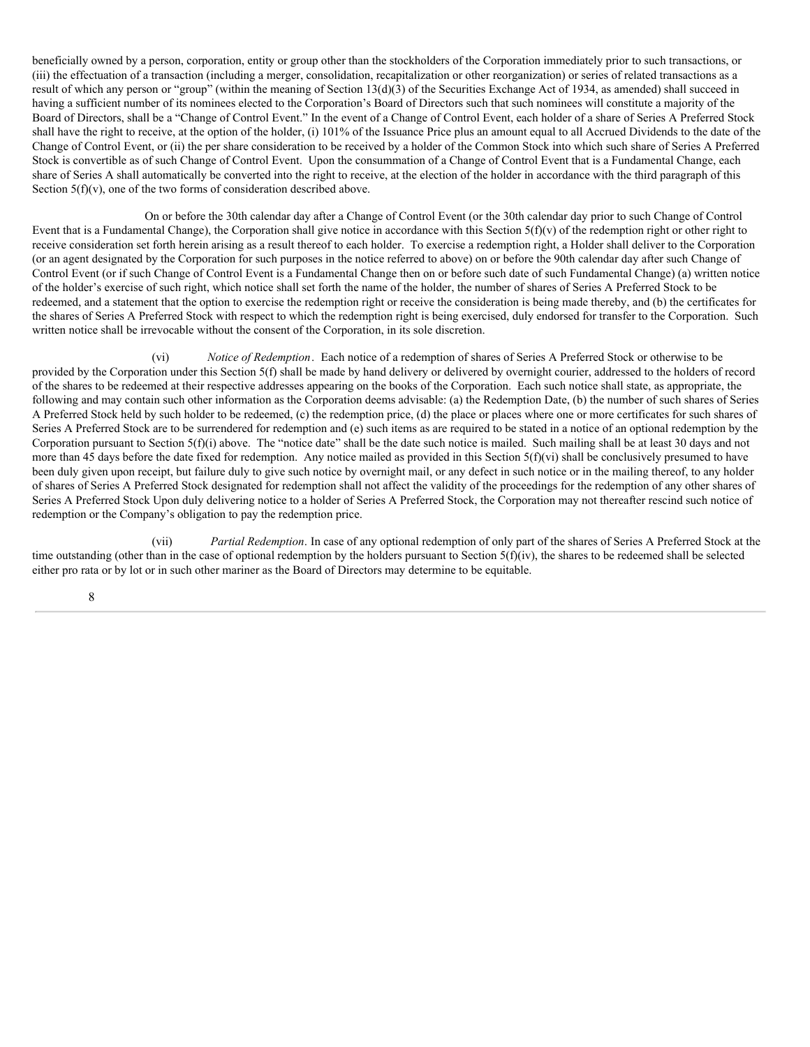beneficially owned by a person, corporation, entity or group other than the stockholders of the Corporation immediately prior to such transactions, or (iii) the effectuation of a transaction (including a merger, consolidation, recapitalization or other reorganization) or series of related transactions as a result of which any person or "group" (within the meaning of Section  $13(d)(3)$  of the Securities Exchange Act of 1934, as amended) shall succeed in having a sufficient number of its nominees elected to the Corporation's Board of Directors such that such nominees will constitute a majority of the Board of Directors, shall be a "Change of Control Event." In the event of a Change of Control Event, each holder of a share of Series A Preferred Stock shall have the right to receive, at the option of the holder, (i) 101% of the Issuance Price plus an amount equal to all Accrued Dividends to the date of the Change of Control Event, or (ii) the per share consideration to be received by a holder of the Common Stock into which such share of Series A Preferred Stock is convertible as of such Change of Control Event. Upon the consummation of a Change of Control Event that is a Fundamental Change, each share of Series A shall automatically be converted into the right to receive, at the election of the holder in accordance with the third paragraph of this Section  $5(f)(v)$ , one of the two forms of consideration described above.

On or before the 30th calendar day after a Change of Control Event (or the 30th calendar day prior to such Change of Control Event that is a Fundamental Change), the Corporation shall give notice in accordance with this Section  $5(f)(v)$  of the redemption right or other right to receive consideration set forth herein arising as a result thereof to each holder. To exercise a redemption right, a Holder shall deliver to the Corporation (or an agent designated by the Corporation for such purposes in the notice referred to above) on or before the 90th calendar day after such Change of Control Event (or if such Change of Control Event is a Fundamental Change then on or before such date of such Fundamental Change) (a) written notice of the holder's exercise of such right, which notice shall set forth the name of the holder, the number of shares of Series A Preferred Stock to be redeemed, and a statement that the option to exercise the redemption right or receive the consideration is being made thereby, and (b) the certificates for the shares of Series A Preferred Stock with respect to which the redemption right is being exercised, duly endorsed for transfer to the Corporation. Such written notice shall be irrevocable without the consent of the Corporation, in its sole discretion.

(vi) *Notice of Redemption*. Each notice of a redemption of shares of Series A Preferred Stock or otherwise to be provided by the Corporation under this Section 5(f) shall be made by hand delivery or delivered by overnight courier, addressed to the holders of record of the shares to be redeemed at their respective addresses appearing on the books of the Corporation. Each such notice shall state, as appropriate, the following and may contain such other information as the Corporation deems advisable: (a) the Redemption Date, (b) the number of such shares of Series A Preferred Stock held by such holder to be redeemed, (c) the redemption price, (d) the place or places where one or more certificates for such shares of Series A Preferred Stock are to be surrendered for redemption and (e) such items as are required to be stated in a notice of an optional redemption by the Corporation pursuant to Section  $5(f)(i)$  above. The "notice date" shall be the date such notice is mailed. Such mailing shall be at least 30 days and not more than 45 days before the date fixed for redemption. Any notice mailed as provided in this Section  $5(f)(vi)$  shall be conclusively presumed to have been duly given upon receipt, but failure duly to give such notice by overnight mail, or any defect in such notice or in the mailing thereof, to any holder of shares of Series A Preferred Stock designated for redemption shall not affect the validity of the proceedings for the redemption of any other shares of Series A Preferred Stock Upon duly delivering notice to a holder of Series A Preferred Stock, the Corporation may not thereafter rescind such notice of redemption or the Company's obligation to pay the redemption price.

(vii) *Partial Redemption*. In case of any optional redemption of only part of the shares of Series A Preferred Stock at the time outstanding (other than in the case of optional redemption by the holders pursuant to Section  $5(f)(iv)$ , the shares to be redeemed shall be selected either pro rata or by lot or in such other mariner as the Board of Directors may determine to be equitable.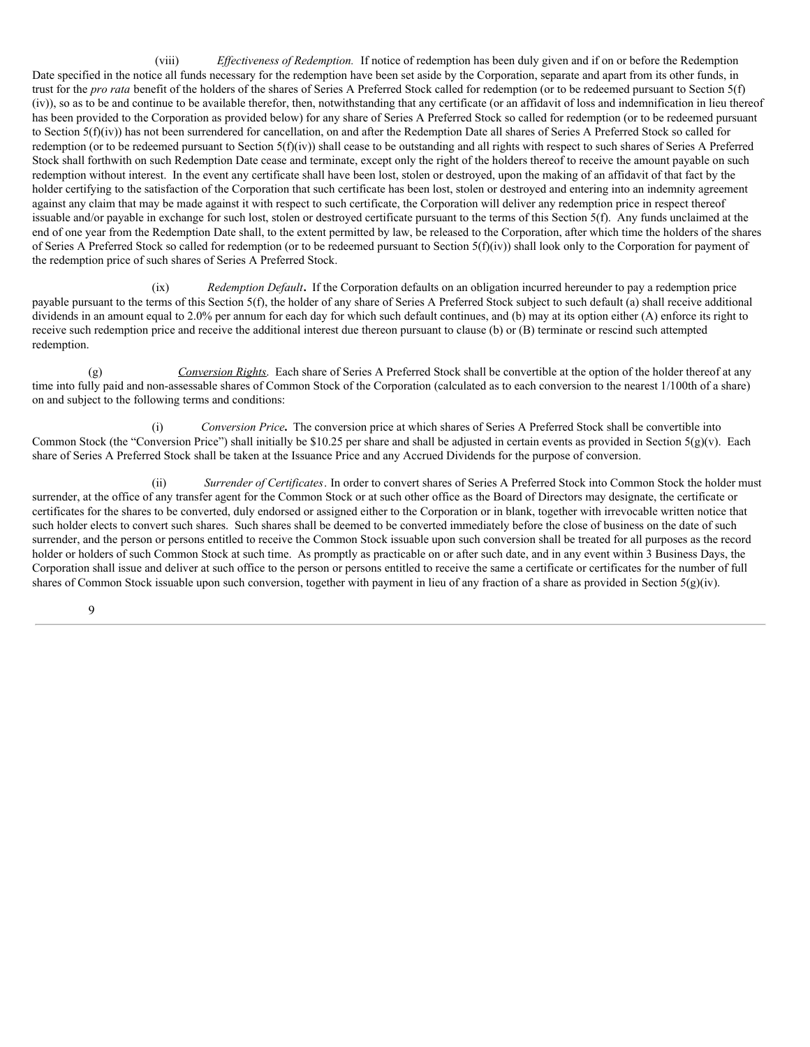<span id="page-57-0"></span>(viii) *Ef ectiveness of Redemption.* If notice of redemption has been duly given and if on or before the Redemption Date specified in the notice all funds necessary for the redemption have been set aside by the Corporation, separate and apart from its other funds, in trust for the *pro rata* benefit of the holders of the shares of Series A Preferred Stock called for redemption (or to be redeemed pursuant to Section 5(f) (iv)), so as to be and continue to be available therefor, then, notwithstanding that any certificate (or an affidavit of loss and indemnification in lieu thereof has been provided to the Corporation as provided below) for any share of Series A Preferred Stock so called for redemption (or to be redeemed pursuant to Section 5(f)(iv)) has not been surrendered for cancellation, on and after the Redemption Date all shares of Series A Preferred Stock so called for redemption (or to be redeemed pursuant to Section  $5(f)(iv)$ ) shall cease to be outstanding and all rights with respect to such shares of Series A Preferred Stock shall forthwith on such Redemption Date cease and terminate, except only the right of the holders thereof to receive the amount payable on such redemption without interest. In the event any certificate shall have been lost, stolen or destroyed, upon the making of an affidavit of that fact by the holder certifying to the satisfaction of the Corporation that such certificate has been lost, stolen or destroyed and entering into an indemnity agreement against any claim that may be made against it with respect to such certificate, the Corporation will deliver any redemption price in respect thereof issuable and/or payable in exchange for such lost, stolen or destroyed certificate pursuant to the terms of this Section 5(f). Any funds unclaimed at the end of one year from the Redemption Date shall, to the extent permitted by law, be released to the Corporation, after which time the holders of the shares of Series A Preferred Stock so called for redemption (or to be redeemed pursuant to Section  $5(f)(iv)$ ) shall look only to the Corporation for payment of the redemption price of such shares of Series A Preferred Stock.

(ix) *Redemption Default***.** If the Corporation defaults on an obligation incurred hereunder to pay a redemption price payable pursuant to the terms of this Section 5(f), the holder of any share of Series A Preferred Stock subject to such default (a) shall receive additional dividends in an amount equal to 2.0% per annum for each day for which such default continues, and (b) may at its option either (A) enforce its right to receive such redemption price and receive the additional interest due thereon pursuant to clause (b) or (B) terminate or rescind such attempted redemption.

(g) *Conversion Rights*. Each share of Series A Preferred Stock shall be convertible at the option of the holder thereof at any time into fully paid and non-assessable shares of Common Stock of the Corporation (calculated as to each conversion to the nearest 1/100th of a share) on and subject to the following terms and conditions:

(i) *Conversion Price***.** The conversion price at which shares of Series A Preferred Stock shall be convertible into Common Stock (the "Conversion Price") shall initially be \$10.25 per share and shall be adjusted in certain events as provided in Section  $5(g)(v)$ . Each share of Series A Preferred Stock shall be taken at the Issuance Price and any Accrued Dividends for the purpose of conversion.

(ii) *Surrender of Certificates*. In order to convert shares of Series A Preferred Stock into Common Stock the holder must surrender, at the office of any transfer agent for the Common Stock or at such other office as the Board of Directors may designate, the certificate or certificates for the shares to be converted, duly endorsed or assigned either to the Corporation or in blank, together with irrevocable written notice that such holder elects to convert such shares. Such shares shall be deemed to be converted immediately before the close of business on the date of such surrender, and the person or persons entitled to receive the Common Stock issuable upon such conversion shall be treated for all purposes as the record holder or holders of such Common Stock at such time. As promptly as practicable on or after such date, and in any event within 3 Business Days, the Corporation shall issue and deliver at such office to the person or persons entitled to receive the same a certificate or certificates for the number of full shares of Common Stock issuable upon such conversion, together with payment in lieu of any fraction of a share as provided in Section  $5(g)(iv)$ .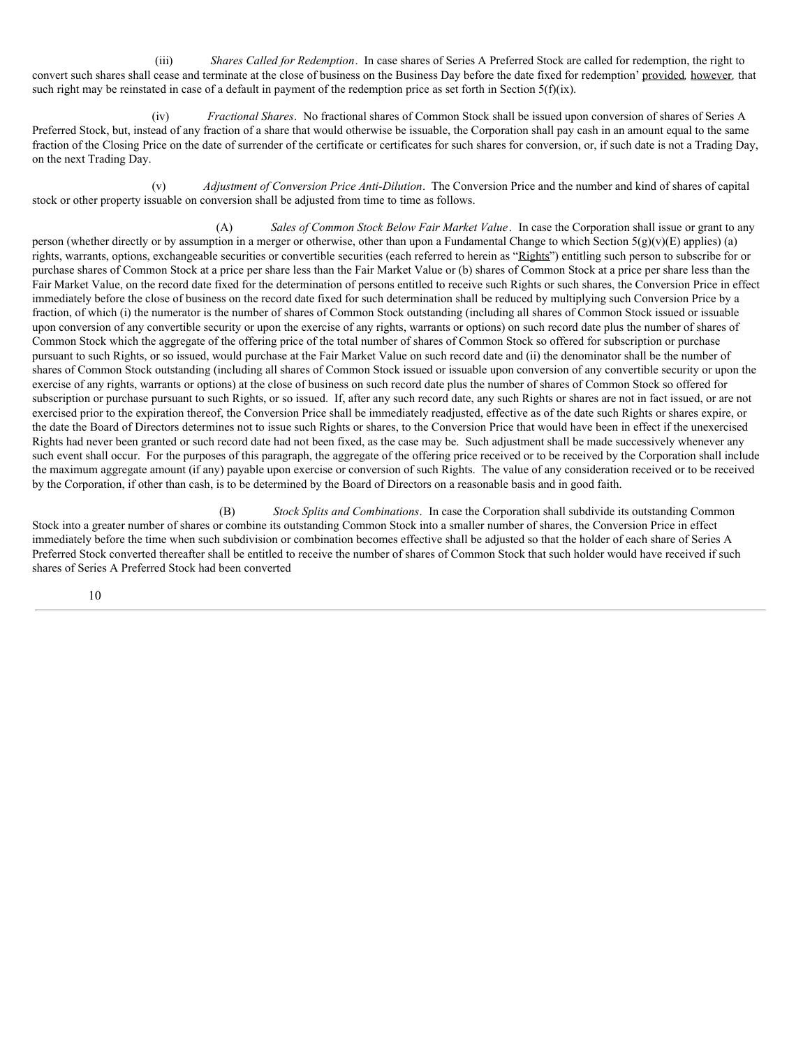(iii) *Shares Called for Redemption*. In case shares of Series A Preferred Stock are called for redemption, the right to convert such shares shall cease and terminate at the close of business on the Business Day before the date fixed for redemption' provided*,* however*,* that such right may be reinstated in case of a default in payment of the redemption price as set forth in Section  $5(f)(ix)$ .

(iv) *Fractional Shares*. No fractional shares of Common Stock shall be issued upon conversion of shares of Series A Preferred Stock, but, instead of any fraction of a share that would otherwise be issuable, the Corporation shall pay cash in an amount equal to the same fraction of the Closing Price on the date of surrender of the certificate or certificates for such shares for conversion, or, if such date is not a Trading Day, on the next Trading Day.

(v) *Adjustment of Conversion Price Anti-Dilution*. The Conversion Price and the number and kind of shares of capital stock or other property issuable on conversion shall be adjusted from time to time as follows.

(A) *Sales of Common Stock Below Fair Market Value*. In case the Corporation shall issue or grant to any person (whether directly or by assumption in a merger or otherwise, other than upon a Fundamental Change to which Section  $5(g)(v)(E)$  applies) (a) rights, warrants, options, exchangeable securities or convertible securities (each referred to herein as "Rights") entitling such person to subscribe for or purchase shares of Common Stock at a price per share less than the Fair Market Value or (b) shares of Common Stock at a price per share less than the Fair Market Value, on the record date fixed for the determination of persons entitled to receive such Rights or such shares, the Conversion Price in effect immediately before the close of business on the record date fixed for such determination shall be reduced by multiplying such Conversion Price by a fraction, of which (i) the numerator is the number of shares of Common Stock outstanding (including all shares of Common Stock issued or issuable upon conversion of any convertible security or upon the exercise of any rights, warrants or options) on such record date plus the number of shares of Common Stock which the aggregate of the offering price of the total number of shares of Common Stock so offered for subscription or purchase pursuant to such Rights, or so issued, would purchase at the Fair Market Value on such record date and (ii) the denominator shall be the number of shares of Common Stock outstanding (including all shares of Common Stock issued or issuable upon conversion of any convertible security or upon the exercise of any rights, warrants or options) at the close of business on such record date plus the number of shares of Common Stock so offered for subscription or purchase pursuant to such Rights, or so issued. If, after any such record date, any such Rights or shares are not in fact issued, or are not exercised prior to the expiration thereof, the Conversion Price shall be immediately readjusted, effective as of the date such Rights or shares expire, or the date the Board of Directors determines not to issue such Rights or shares, to the Conversion Price that would have been in effect if the unexercised Rights had never been granted or such record date had not been fixed, as the case may be. Such adjustment shall be made successively whenever any such event shall occur. For the purposes of this paragraph, the aggregate of the offering price received or to be received by the Corporation shall include the maximum aggregate amount (if any) payable upon exercise or conversion of such Rights. The value of any consideration received or to be received by the Corporation, if other than cash, is to be determined by the Board of Directors on a reasonable basis and in good faith.

(B) *Stock Splits and Combinations*. In case the Corporation shall subdivide its outstanding Common Stock into a greater number of shares or combine its outstanding Common Stock into a smaller number of shares, the Conversion Price in effect immediately before the time when such subdivision or combination becomes effective shall be adjusted so that the holder of each share of Series A Preferred Stock converted thereafter shall be entitled to receive the number of shares of Common Stock that such holder would have received if such shares of Series A Preferred Stock had been converted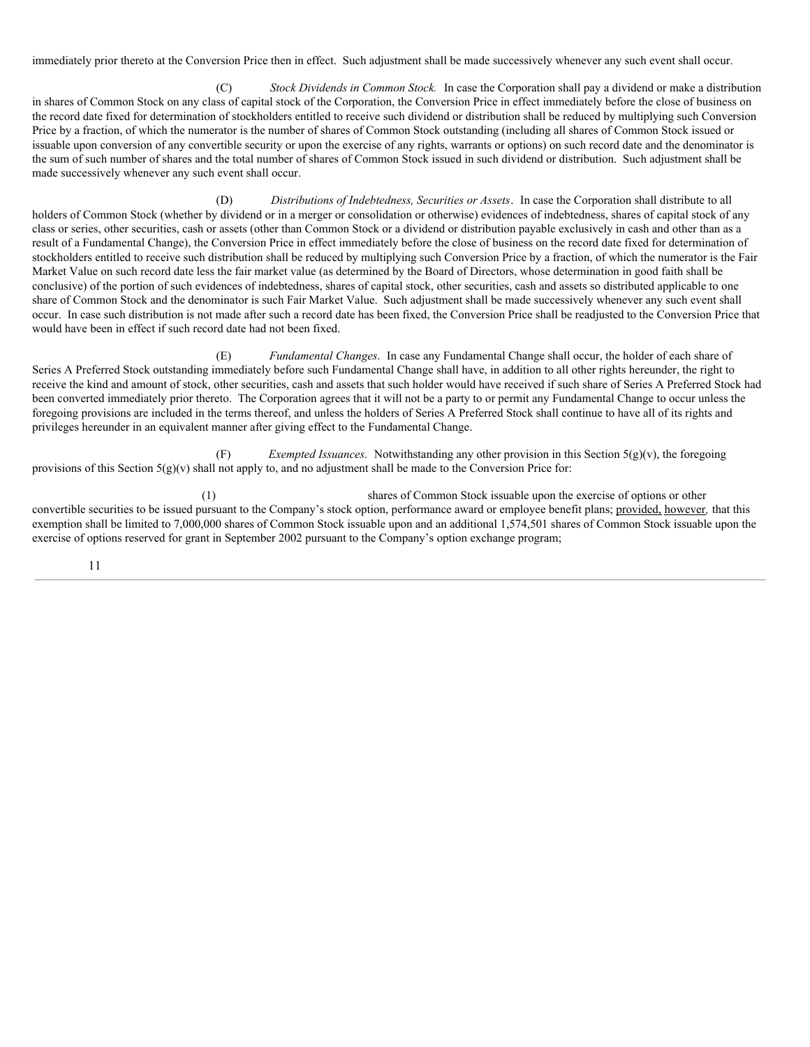immediately prior thereto at the Conversion Price then in effect. Such adjustment shall be made successively whenever any such event shall occur.

(C) *Stock Dividends in Common Stock.* In case the Corporation shall pay a dividend or make a distribution in shares of Common Stock on any class of capital stock of the Corporation, the Conversion Price in effect immediately before the close of business on the record date fixed for determination of stockholders entitled to receive such dividend or distribution shall be reduced by multiplying such Conversion Price by a fraction, of which the numerator is the number of shares of Common Stock outstanding (including all shares of Common Stock issued or issuable upon conversion of any convertible security or upon the exercise of any rights, warrants or options) on such record date and the denominator is the sum of such number of shares and the total number of shares of Common Stock issued in such dividend or distribution. Such adjustment shall be made successively whenever any such event shall occur.

(D) *Distributions of Indebtedness, Securities or Assets*. In case the Corporation shall distribute to all holders of Common Stock (whether by dividend or in a merger or consolidation or otherwise) evidences of indebtedness, shares of capital stock of any class or series, other securities, cash or assets (other than Common Stock or a dividend or distribution payable exclusively in cash and other than as a result of a Fundamental Change), the Conversion Price in effect immediately before the close of business on the record date fixed for determination of stockholders entitled to receive such distribution shall be reduced by multiplying such Conversion Price by a fraction, of which the numerator is the Fair Market Value on such record date less the fair market value (as determined by the Board of Directors, whose determination in good faith shall be conclusive) of the portion of such evidences of indebtedness, shares of capital stock, other securities, cash and assets so distributed applicable to one share of Common Stock and the denominator is such Fair Market Value. Such adjustment shall be made successively whenever any such event shall occur. In case such distribution is not made after such a record date has been fixed, the Conversion Price shall be readjusted to the Conversion Price that would have been in effect if such record date had not been fixed.

(E) *Fundamental Changes*. In case any Fundamental Change shall occur, the holder of each share of Series A Preferred Stock outstanding immediately before such Fundamental Change shall have, in addition to all other rights hereunder, the right to receive the kind and amount of stock, other securities, cash and assets that such holder would have received if such share of Series A Preferred Stock had been converted immediately prior thereto. The Corporation agrees that it will not be a party to or permit any Fundamental Change to occur unless the foregoing provisions are included in the terms thereof, and unless the holders of Series A Preferred Stock shall continue to have all of its rights and privileges hereunder in an equivalent manner after giving effect to the Fundamental Change.

(F) *Exempted Issuances*. Notwithstanding any other provision in this Section 5(g)(v), the foregoing provisions of this Section  $5(g)(v)$  shall not apply to, and no adjustment shall be made to the Conversion Price for:

(1) shares of Common Stock issuable upon the exercise of options or other convertible securities to be issued pursuant to the Company's stock option, performance award or employee benefit plans; provided, however*,* that this exemption shall be limited to 7,000,000 shares of Common Stock issuable upon and an additional 1,574,501 shares of Common Stock issuable upon the exercise of options reserved for grant in September 2002 pursuant to the Company's option exchange program;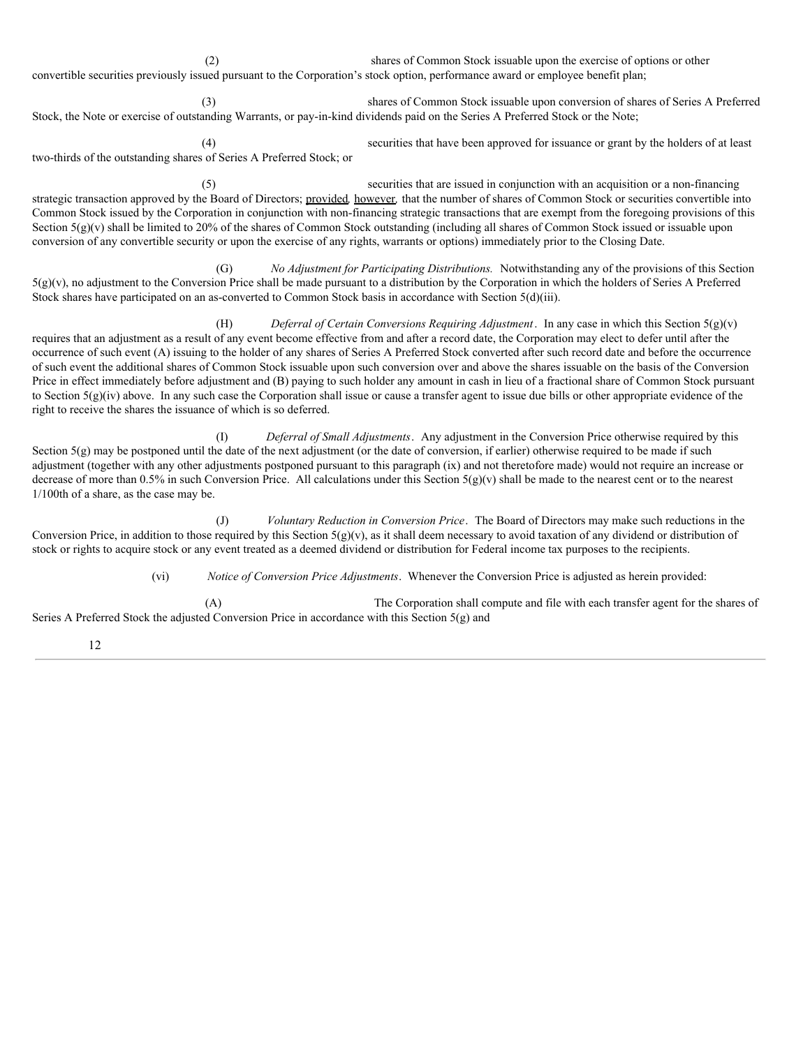(2) shares of Common Stock issuable upon the exercise of options or other convertible securities previously issued pursuant to the Corporation's stock option, performance award or employee benefit plan;

(3) shares of Common Stock issuable upon conversion of shares of Series A Preferred Stock, the Note or exercise of outstanding Warrants, or pay-in-kind dividends paid on the Series A Preferred Stock or the Note;

(4) securities that have been approved for issuance or grant by the holders of at least two-thirds of the outstanding shares of Series A Preferred Stock; or

(5) securities that are issued in conjunction with an acquisition or a non-financing strategic transaction approved by the Board of Directors; provided*,* however*,* that the number of shares of Common Stock or securities convertible into Common Stock issued by the Corporation in conjunction with non-financing strategic transactions that are exempt from the foregoing provisions of this Section  $5(g)(v)$  shall be limited to 20% of the shares of Common Stock outstanding (including all shares of Common Stock issued or issuable upon conversion of any convertible security or upon the exercise of any rights, warrants or options) immediately prior to the Closing Date.

(G) *No Adjustment for Participating Distributions.* Notwithstanding any of the provisions of this Section  $5(g)(v)$ , no adjustment to the Conversion Price shall be made pursuant to a distribution by the Corporation in which the holders of Series A Preferred Stock shares have participated on an as-converted to Common Stock basis in accordance with Section 5(d)(iii).

(H) *Deferral of Certain Conversions Requiring Adjustment*. In any case in which this Section 5(g)(v) requires that an adjustment as a result of any event become effective from and after a record date, the Corporation may elect to defer until after the occurrence of such event (A) issuing to the holder of any shares of Series A Preferred Stock converted after such record date and before the occurrence of such event the additional shares of Common Stock issuable upon such conversion over and above the shares issuable on the basis of the Conversion Price in effect immediately before adjustment and (B) paying to such holder any amount in cash in lieu of a fractional share of Common Stock pursuant to Section  $5(g)(iv)$  above. In any such case the Corporation shall issue or cause a transfer agent to issue due bills or other appropriate evidence of the right to receive the shares the issuance of which is so deferred.

(I) *Deferral of Small Adjustments*. Any adjustment in the Conversion Price otherwise required by this Section  $5(g)$  may be postponed until the date of the next adjustment (or the date of conversion, if earlier) otherwise required to be made if such adjustment (together with any other adjustments postponed pursuant to this paragraph (ix) and not theretofore made) would not require an increase or decrease of more than 0.5% in such Conversion Price. All calculations under this Section  $5(g)(v)$  shall be made to the nearest cent or to the nearest 1/100th of a share, as the case may be.

(J) *Voluntary Reduction in Conversion Price*. The Board of Directors may make such reductions in the Conversion Price, in addition to those required by this Section  $5(g)(v)$ , as it shall deem necessary to avoid taxation of any dividend or distribution of stock or rights to acquire stock or any event treated as a deemed dividend or distribution for Federal income tax purposes to the recipients.

(vi) *Notice of Conversion Price Adjustments*. Whenever the Conversion Price is adjusted as herein provided:

(A) The Corporation shall compute and file with each transfer agent for the shares of Series A Preferred Stock the adjusted Conversion Price in accordance with this Section 5(g) and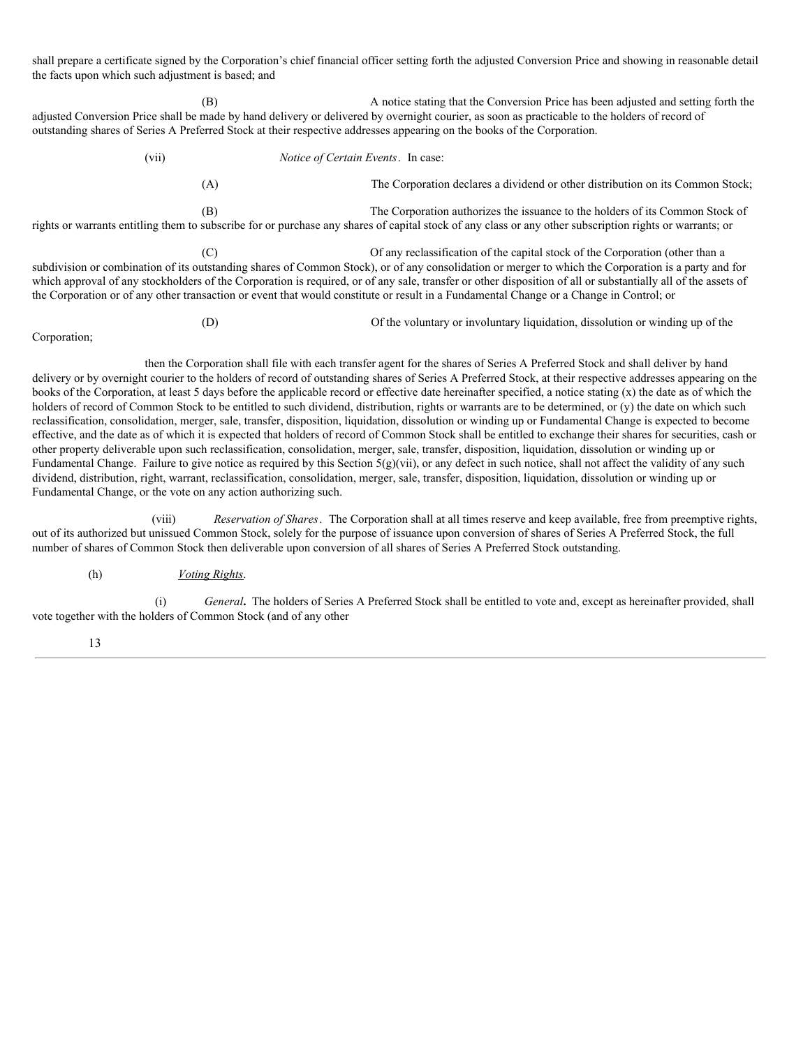shall prepare a certificate signed by the Corporation's chief financial officer setting forth the adjusted Conversion Price and showing in reasonable detail the facts upon which such adjustment is based; and

A notice stating that the Conversion Price has been adjusted and setting forth the adjusted Conversion Price shall be made by hand delivery or delivered by overnight courier, as soon as practicable to the holders of record of outstanding shares of Series A Preferred Stock at their respective addresses appearing on the books of the Corporation.

| (vii) | <i>Notice of Certain Events.</i> In case:                                                                                                                |
|-------|----------------------------------------------------------------------------------------------------------------------------------------------------------|
| (A)   | The Corporation declares a dividend or other distribution on its Common Stock;                                                                           |
| (B)   | The Corporation authorizes the issuance to the holders of its Common Stock of                                                                            |
|       | rights or warrants entitling them to subscribe for or purchase any shares of capital stock of any class or any other subscription rights or warrants; or |

(C) Of any reclassification of the capital stock of the Corporation (other than a subdivision or combination of its outstanding shares of Common Stock), or of any consolidation or merger to which the Corporation is a party and for which approval of any stockholders of the Corporation is required, or of any sale, transfer or other disposition of all or substantially all of the assets of the Corporation or of any other transaction or event that would constitute or result in a Fundamental Change or a Change in Control; or

(D) Of the voluntary or involuntary liquidation, dissolution or winding up of the

Corporation;

then the Corporation shall file with each transfer agent for the shares of Series A Preferred Stock and shall deliver by hand delivery or by overnight courier to the holders of record of outstanding shares of Series A Preferred Stock, at their respective addresses appearing on the books of the Corporation, at least 5 days before the applicable record or effective date hereinafter specified, a notice stating (x) the date as of which the holders of record of Common Stock to be entitled to such dividend, distribution, rights or warrants are to be determined, or (y) the date on which such reclassification, consolidation, merger, sale, transfer, disposition, liquidation, dissolution or winding up or Fundamental Change is expected to become effective, and the date as of which it is expected that holders of record of Common Stock shall be entitled to exchange their shares for securities, cash or other property deliverable upon such reclassification, consolidation, merger, sale, transfer, disposition, liquidation, dissolution or winding up or Fundamental Change. Failure to give notice as required by this Section  $5(g)(vi)$ , or any defect in such notice, shall not affect the validity of any such dividend, distribution, right, warrant, reclassification, consolidation, merger, sale, transfer, disposition, liquidation, dissolution or winding up or Fundamental Change, or the vote on any action authorizing such.

(viii) *Reservation of Shares*. The Corporation shall at all times reserve and keep available, free from preemptive rights, out of its authorized but unissued Common Stock, solely for the purpose of issuance upon conversion of shares of Series A Preferred Stock, the full number of shares of Common Stock then deliverable upon conversion of all shares of Series A Preferred Stock outstanding.

(h) *Voting Rights*.

(i) *General***.** The holders of Series A Preferred Stock shall be entitled to vote and, except as hereinafter provided, shall vote together with the holders of Common Stock (and of any other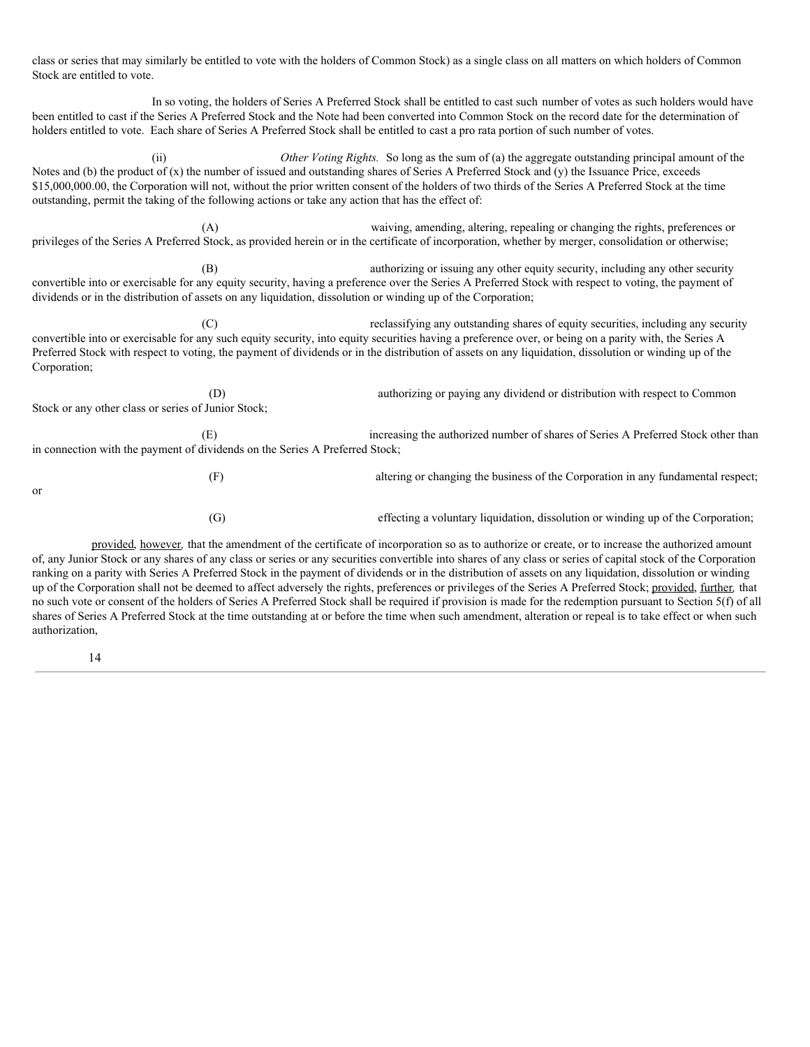class or series that may similarly be entitled to vote with the holders of Common Stock) as a single class on all matters on which holders of Common Stock are entitled to vote.

In so voting, the holders of Series A Preferred Stock shall be entitled to cast such number of votes as such holders would have been entitled to cast if the Series A Preferred Stock and the Note had been converted into Common Stock on the record date for the determination of holders entitled to vote. Each share of Series A Preferred Stock shall be entitled to cast a pro rata portion of such number of votes.

(ii) *Other Voting Rights.* So long as the sum of (a) the aggregate outstanding principal amount of the Notes and (b) the product of  $(x)$  the number of issued and outstanding shares of Series A Preferred Stock and  $(y)$  the Issuance Price, exceeds \$15,000,000.00, the Corporation will not, without the prior written consent of the holders of two thirds of the Series A Preferred Stock at the time outstanding, permit the taking of the following actions or take any action that has the effect of:

(A) waiving, amending, altering, repealing or changing the rights, preferences or privileges of the Series A Preferred Stock, as provided herein or in the certificate of incorporation, whether by merger, consolidation or otherwise;

(B) authorizing or issuing any other equity security, including any other security convertible into or exercisable for any equity security, having a preference over the Series A Preferred Stock with respect to voting, the payment of dividends or in the distribution of assets on any liquidation, dissolution or winding up of the Corporation;

(C) reclassifying any outstanding shares of equity securities, including any security convertible into or exercisable for any such equity security, into equity securities having a preference over, or being on a parity with, the Series A Preferred Stock with respect to voting, the payment of dividends or in the distribution of assets on any liquidation, dissolution or winding up of the Corporation;

(D) authorizing or paying any dividend or distribution with respect to Common Stock or any other class or series of Junior Stock;

(E) increasing the authorized number of shares of Series A Preferred Stock other than in connection with the payment of dividends on the Series A Preferred Stock;

or

(F) altering or changing the business of the Corporation in any fundamental respect; (G) effecting a voluntary liquidation, dissolution or winding up of the Corporation;

provided, however*,* that the amendment of the certificate of incorporation so as to authorize or create, or to increase the authorized amount of, any Junior Stock or any shares of any class or series or any securities convertible into shares of any class or series of capital stock of the Corporation ranking on a parity with Series A Preferred Stock in the payment of dividends or in the distribution of assets on any liquidation, dissolution or winding up of the Corporation shall not be deemed to affect adversely the rights, preferences or privileges of the Series A Preferred Stock; provided, further*,* that no such vote or consent of the holders of Series A Preferred Stock shall be required if provision is made for the redemption pursuant to Section 5(f) of all shares of Series A Preferred Stock at the time outstanding at or before the time when such amendment, alteration or repeal is to take effect or when such authorization,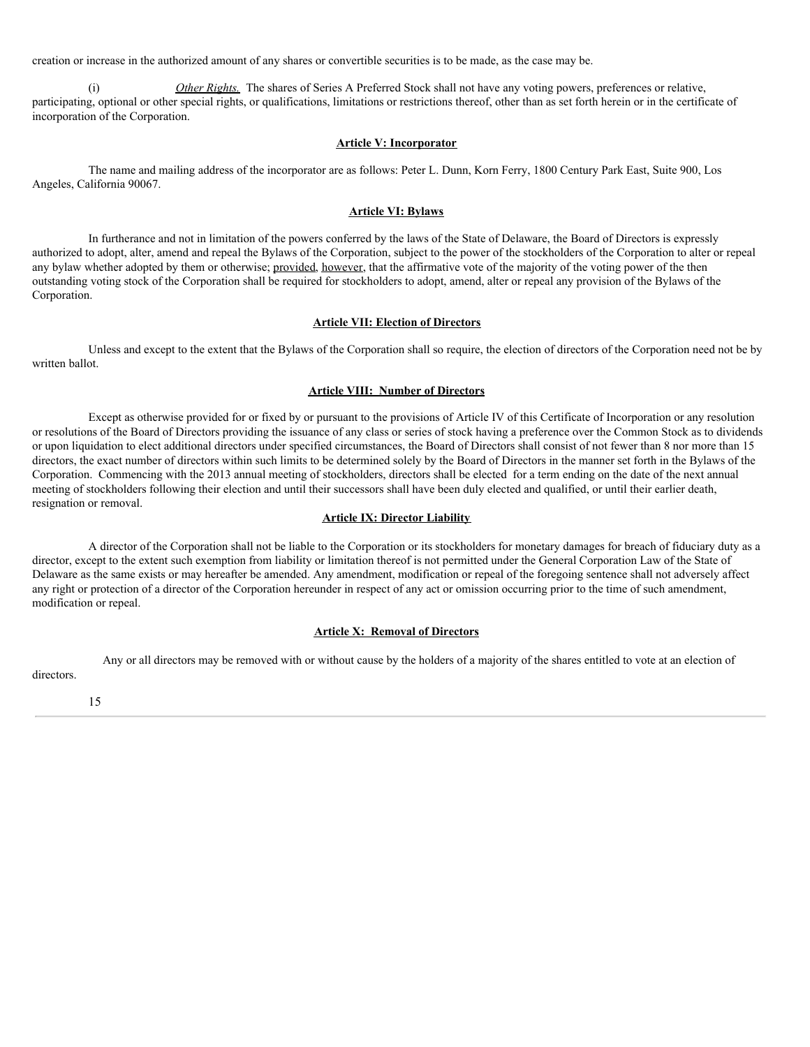creation or increase in the authorized amount of any shares or convertible securities is to be made, as the case may be.

(i) *Other Rights.* The shares of Series A Preferred Stock shall not have any voting powers, preferences or relative, participating, optional or other special rights, or qualifications, limitations or restrictions thereof, other than as set forth herein or in the certificate of incorporation of the Corporation.

### **Article V: Incorporator**

The name and mailing address of the incorporator are as follows: Peter L. Dunn, Korn Ferry, 1800 Century Park East, Suite 900, Los Angeles, California 90067.

### **Article VI: Bylaws**

In furtherance and not in limitation of the powers conferred by the laws of the State of Delaware, the Board of Directors is expressly authorized to adopt, alter, amend and repeal the Bylaws of the Corporation, subject to the power of the stockholders of the Corporation to alter or repeal any bylaw whether adopted by them or otherwise; provided, however, that the affirmative vote of the majority of the voting power of the then outstanding voting stock of the Corporation shall be required for stockholders to adopt, amend, alter or repeal any provision of the Bylaws of the Corporation.

### **Article VII: Election of Directors**

Unless and except to the extent that the Bylaws of the Corporation shall so require, the election of directors of the Corporation need not be by written ballot.

### **Article VIII: Number of Directors**

Except as otherwise provided for or fixed by or pursuant to the provisions of Article IV of this Certificate of Incorporation or any resolution or resolutions of the Board of Directors providing the issuance of any class or series of stock having a preference over the Common Stock as to dividends or upon liquidation to elect additional directors under specified circumstances, the Board of Directors shall consist of not fewer than 8 nor more than 15 directors, the exact number of directors within such limits to be determined solely by the Board of Directors in the manner set forth in the Bylaws of the Corporation. Commencing with the 2013 annual meeting of stockholders, directors shall be elected for a term ending on the date of the next annual meeting of stockholders following their election and until their successors shall have been duly elected and qualified, or until their earlier death, resignation or removal.

### **Article IX: Director Liability**

A director of the Corporation shall not be liable to the Corporation or its stockholders for monetary damages for breach of fiduciary duty as a director, except to the extent such exemption from liability or limitation thereof is not permitted under the General Corporation Law of the State of Delaware as the same exists or may hereafter be amended. Any amendment, modification or repeal of the foregoing sentence shall not adversely affect any right or protection of a director of the Corporation hereunder in respect of any act or omission occurring prior to the time of such amendment, modification or repeal.

### **Article X: Removal of Directors**

Any or all directors may be removed with or without cause by the holders of a majority of the shares entitled to vote at an election of directors.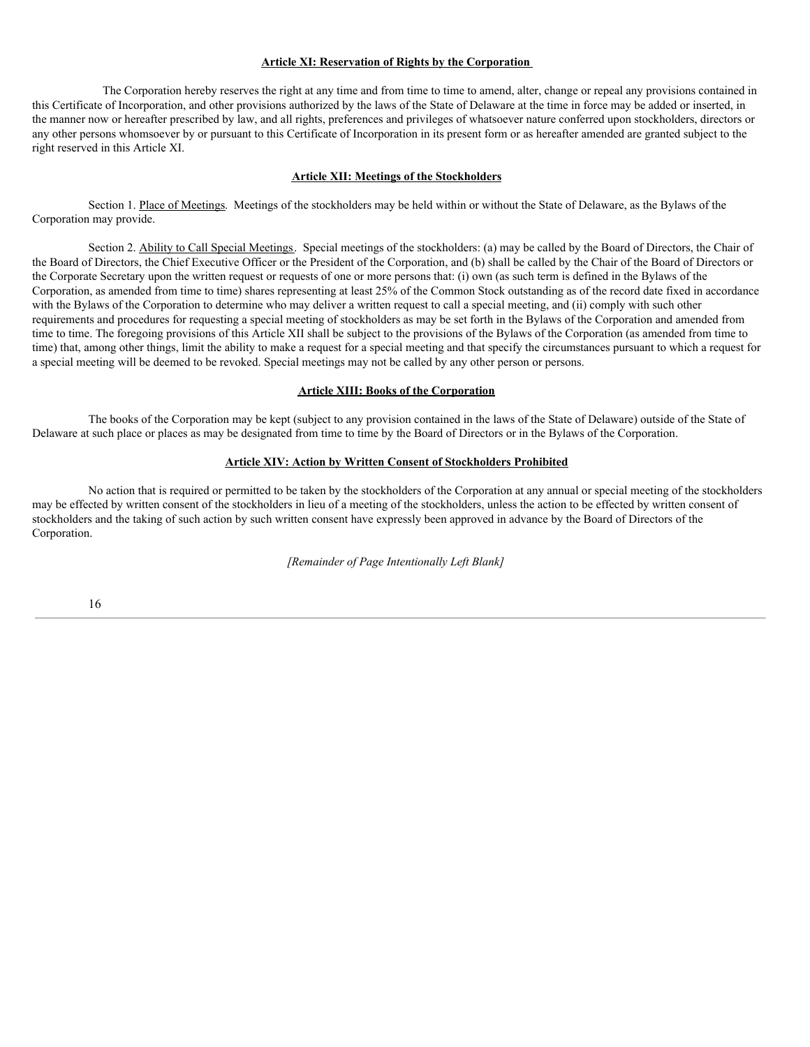### **Article XI: Reservation of Rights by the Corporation**

The Corporation hereby reserves the right at any time and from time to time to amend, alter, change or repeal any provisions contained in this Certificate of Incorporation, and other provisions authorized by the laws of the State of Delaware at the time in force may be added or inserted, in the manner now or hereafter prescribed by law, and all rights, preferences and privileges of whatsoever nature conferred upon stockholders, directors or any other persons whomsoever by or pursuant to this Certificate of Incorporation in its present form or as hereafter amended are granted subject to the right reserved in this Article XI.

### **Article XII: Meetings of the Stockholders**

Section 1. Place of Meetings. Meetings of the stockholders may be held within or without the State of Delaware, as the Bylaws of the Corporation may provide.

Section 2. Ability to Call Special Meetings. Special meetings of the stockholders: (a) may be called by the Board of Directors, the Chair of the Board of Directors, the Chief Executive Officer or the President of the Corporation, and (b) shall be called by the Chair of the Board of Directors or the Corporate Secretary upon the written request or requests of one or more persons that: (i) own (as such term is defined in the Bylaws of the Corporation, as amended from time to time) shares representing at least 25% of the Common Stock outstanding as of the record date fixed in accordance with the Bylaws of the Corporation to determine who may deliver a written request to call a special meeting, and (ii) comply with such other requirements and procedures for requesting a special meeting of stockholders as may be set forth in the Bylaws of the Corporation and amended from time to time. The foregoing provisions of this Article XII shall be subject to the provisions of the Bylaws of the Corporation (as amended from time to time) that, among other things, limit the ability to make a request for a special meeting and that specify the circumstances pursuant to which a request for a special meeting will be deemed to be revoked. Special meetings may not be called by any other person or persons.

### **Article XIII: Books of the Corporation**

The books of the Corporation may be kept (subject to any provision contained in the laws of the State of Delaware) outside of the State of Delaware at such place or places as may be designated from time to time by the Board of Directors or in the Bylaws of the Corporation.

### **Article XIV: Action by Written Consent of Stockholders Prohibited**

No action that is required or permitted to be taken by the stockholders of the Corporation at any annual or special meeting of the stockholders may be effected by written consent of the stockholders in lieu of a meeting of the stockholders, unless the action to be effected by written consent of stockholders and the taking of such action by such written consent have expressly been approved in advance by the Board of Directors of the Corporation.

*[Remainder of Page Intentionally Left Blank]*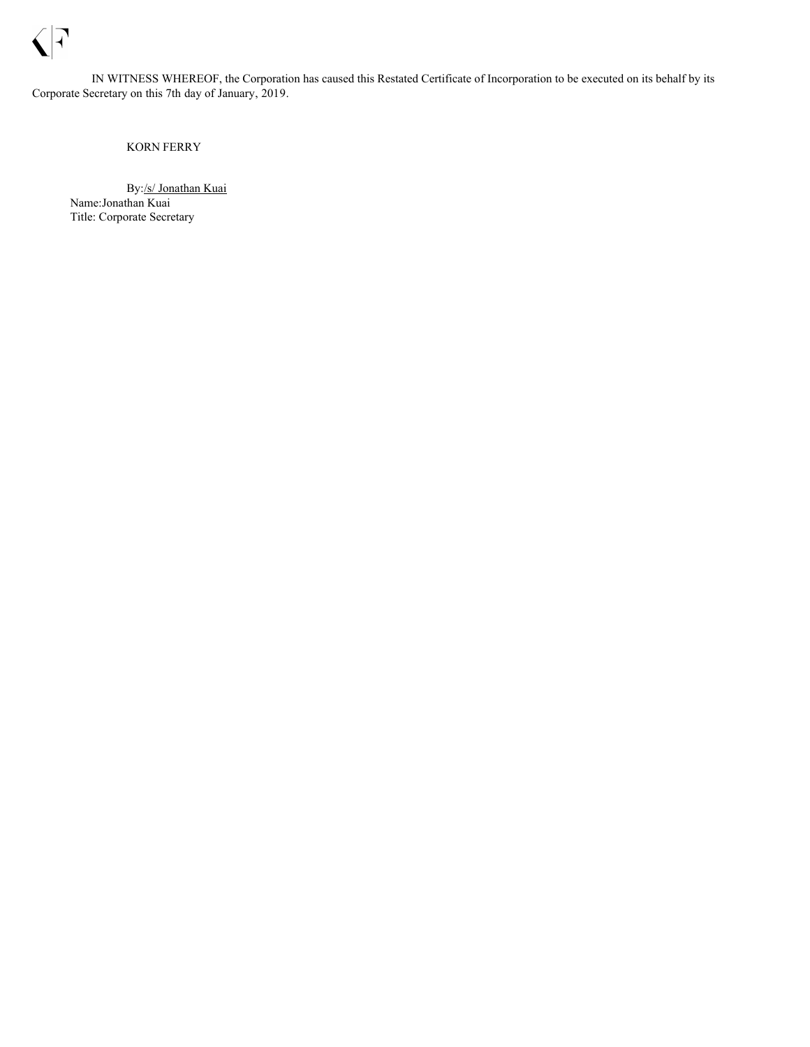# $\sqrt{7}$

IN WITNESS WHEREOF, the Corporation has caused this Restated Certificate of Incorporation to be executed on its behalf by its Corporate Secretary on this 7th day of January, 2019.

## KORN FERRY

By:/s/ Jonathan Kuai Name:Jonathan Kuai Title: Corporate Secretary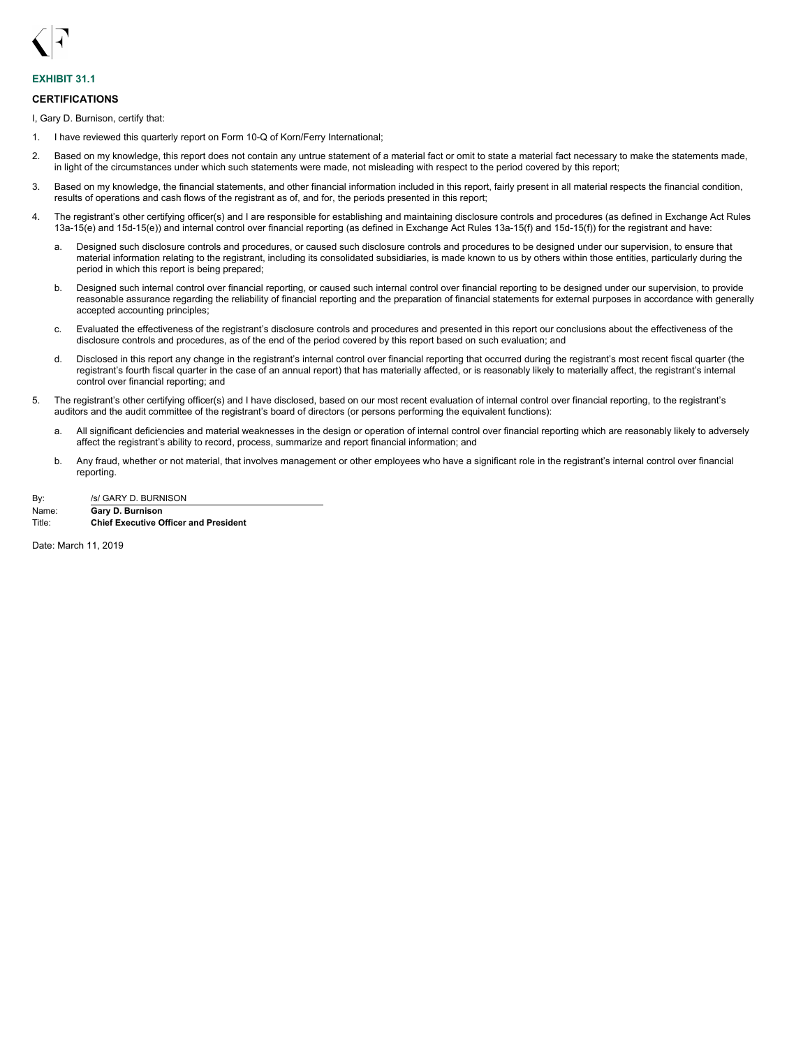<span id="page-66-0"></span>

### **EXHIBIT 31.1**

#### **CERTIFICATIONS**

I, Gary D. Burnison, certify that:

- 1. I have reviewed this quarterly report on Form 10-Q of Korn/Ferry International;
- 2. Based on my knowledge, this report does not contain any untrue statement of a material fact or omit to state a material fact necessary to make the statements made, in light of the circumstances under which such statements were made, not misleading with respect to the period covered by this report;
- 3. Based on my knowledge, the financial statements, and other financial information included in this report, fairly present in all material respects the financial condition, results of operations and cash flows of the registrant as of, and for, the periods presented in this report;
- 4. The registrant's other certifying officer(s) and I are responsible for establishing and maintaining disclosure controls and procedures (as defined in Exchange Act Rules 13a-15(e) and 15d-15(e)) and internal control over financial reporting (as defined in Exchange Act Rules 13a-15(f) and 15d-15(f)) for the registrant and have:
	- a. Designed such disclosure controls and procedures, or caused such disclosure controls and procedures to be designed under our supervision, to ensure that material information relating to the registrant, including its consolidated subsidiaries, is made known to us by others within those entities, particularly during the period in which this report is being prepared;
	- b. Designed such internal control over financial reporting, or caused such internal control over financial reporting to be designed under our supervision, to provide reasonable assurance regarding the reliability of financial reporting and the preparation of financial statements for external purposes in accordance with generally accepted accounting principles;
	- c. Evaluated the effectiveness of the registrant's disclosure controls and procedures and presented in this report our conclusions about the effectiveness of the disclosure controls and procedures, as of the end of the period covered by this report based on such evaluation; and
	- d. Disclosed in this report any change in the registrant's internal control over financial reporting that occurred during the registrant's most recent fiscal quarter (the registrant's fourth fiscal quarter in the case of an annual report) that has materially affected, or is reasonably likely to materially affect, the registrant's internal control over financial reporting; and
- 5. The registrant's other certifying officer(s) and I have disclosed, based on our most recent evaluation of internal control over financial reporting, to the registrant's auditors and the audit committee of the registrant's board of directors (or persons performing the equivalent functions):
	- a. All significant deficiencies and material weaknesses in the design or operation of internal control over financial reporting which are reasonably likely to adversely affect the registrant's ability to record, process, summarize and report financial information; and
	- b. Any fraud, whether or not material, that involves management or other employees who have a significant role in the registrant's internal control over financial reporting.
- By: /s/ GARY D. BURNISON Name: **Gary D. Burnison** Title: **Chief Executive Officer and President**

Date: March 11, 2019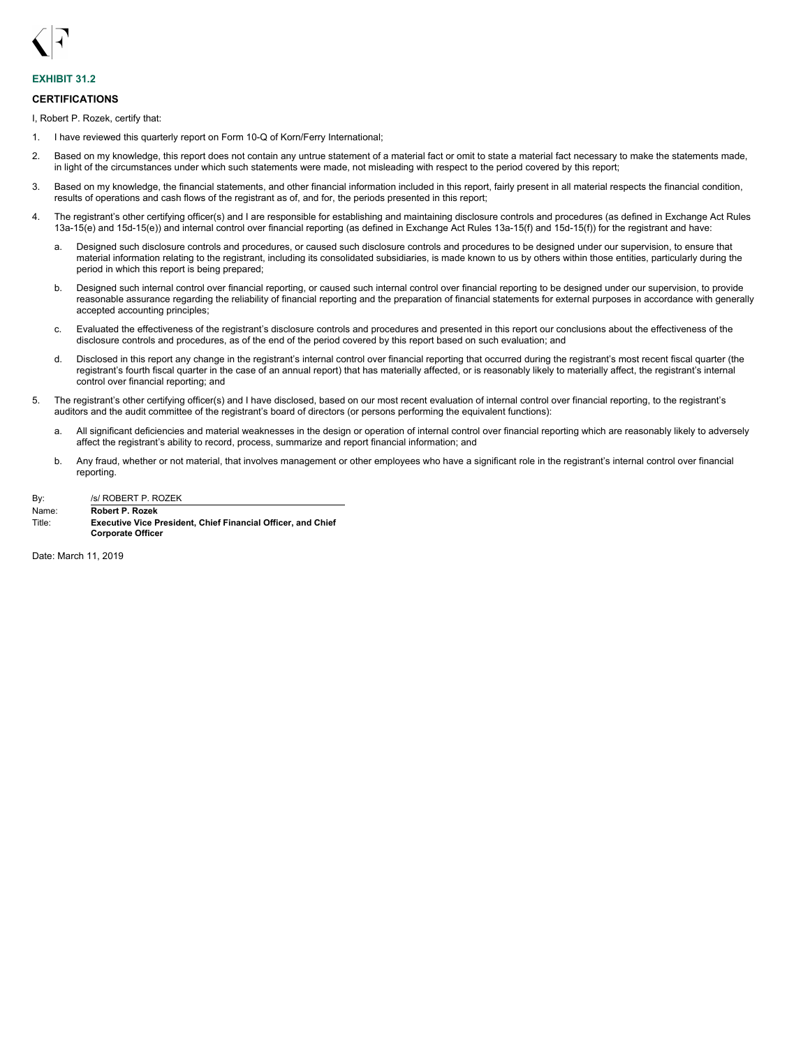<span id="page-67-0"></span>

### **EXHIBIT 31.2**

#### **CERTIFICATIONS**

I, Robert P. Rozek, certify that:

- 1. I have reviewed this quarterly report on Form 10-Q of Korn/Ferry International;
- 2. Based on my knowledge, this report does not contain any untrue statement of a material fact or omit to state a material fact necessary to make the statements made, in light of the circumstances under which such statements were made, not misleading with respect to the period covered by this report;
- 3. Based on my knowledge, the financial statements, and other financial information included in this report, fairly present in all material respects the financial condition, results of operations and cash flows of the registrant as of, and for, the periods presented in this report;
- 4. The registrant's other certifying officer(s) and I are responsible for establishing and maintaining disclosure controls and procedures (as defined in Exchange Act Rules 13a-15(e) and 15d-15(e)) and internal control over financial reporting (as defined in Exchange Act Rules 13a-15(f) and 15d-15(f)) for the registrant and have:
	- a. Designed such disclosure controls and procedures, or caused such disclosure controls and procedures to be designed under our supervision, to ensure that material information relating to the registrant, including its consolidated subsidiaries, is made known to us by others within those entities, particularly during the period in which this report is being prepared;
	- b. Designed such internal control over financial reporting, or caused such internal control over financial reporting to be designed under our supervision, to provide reasonable assurance regarding the reliability of financial reporting and the preparation of financial statements for external purposes in accordance with generally accepted accounting principles;
	- c. Evaluated the effectiveness of the registrant's disclosure controls and procedures and presented in this report our conclusions about the effectiveness of the disclosure controls and procedures, as of the end of the period covered by this report based on such evaluation; and
	- d. Disclosed in this report any change in the registrant's internal control over financial reporting that occurred during the registrant's most recent fiscal quarter (the registrant's fourth fiscal quarter in the case of an annual report) that has materially affected, or is reasonably likely to materially affect, the registrant's internal control over financial reporting; and
- 5. The registrant's other certifying officer(s) and I have disclosed, based on our most recent evaluation of internal control over financial reporting, to the registrant's auditors and the audit committee of the registrant's board of directors (or persons performing the equivalent functions):
	- a. All significant deficiencies and material weaknesses in the design or operation of internal control over financial reporting which are reasonably likely to adversely affect the registrant's ability to record, process, summarize and report financial information; and
	- b. Any fraud, whether or not material, that involves management or other employees who have a significant role in the registrant's internal control over financial reporting.

| By:    | /s/ ROBERT P. ROZEK                                                 |
|--------|---------------------------------------------------------------------|
| Name:  | <b>Robert P. Rozek</b>                                              |
| Title: | <b>Executive Vice President, Chief Financial Officer, and Chief</b> |
|        | <b>Corporate Officer</b>                                            |

Date: March 11, 2019